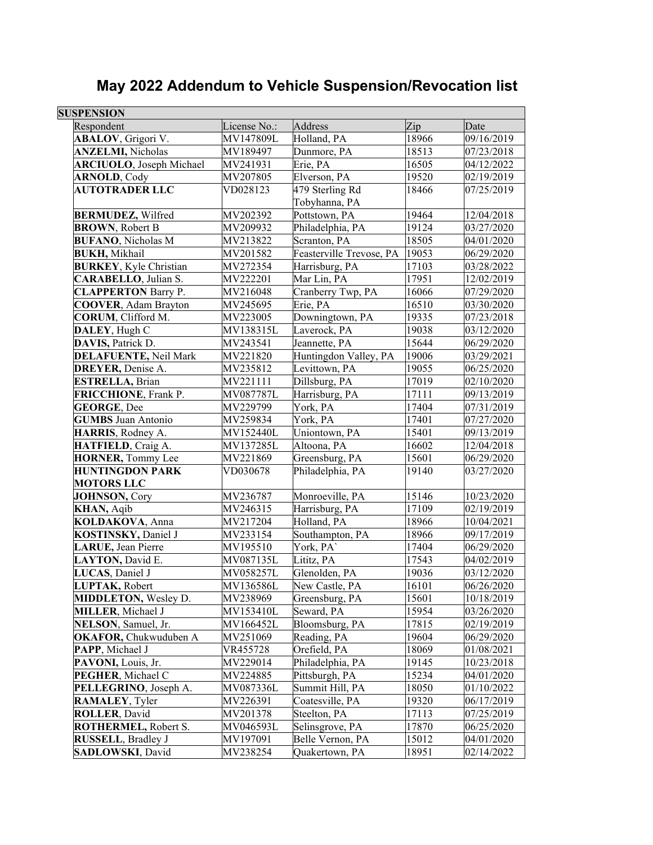| <b>SUSPENSION</b>                |                       |                          |                |            |
|----------------------------------|-----------------------|--------------------------|----------------|------------|
| Respondent                       | License No.:          | <b>Address</b>           | Zip            | Date       |
| <b>ABALOV</b> , Grigori V.       | MV147809L             | Holland, PA              | 18966          | 09/16/2019 |
| <b>ANZELMI, Nicholas</b>         | MV189497              | Dunmore, PA              | 18513          | 07/23/2018 |
| <b>ARCIUOLO</b> , Joseph Michael | MV241931              | Erie, PA                 | 16505          | 04/12/2022 |
| <b>ARNOLD, Cody</b>              | MV207805              | Elverson, PA             | 19520          | 02/19/2019 |
| <b>AUTOTRADER LLC</b>            | VD028123              | 479 Sterling Rd          | 18466          | 07/25/2019 |
|                                  |                       | Tobyhanna, PA            |                |            |
| <b>BERMUDEZ</b> , Wilfred        | MV202392              | Pottstown, PA            | 19464          | 12/04/2018 |
| <b>BROWN</b> , Robert B          | MV209932              | Philadelphia, PA         | 19124          | 03/27/2020 |
| <b>BUFANO</b> , Nicholas M       | MV213822              | Scranton, PA             | 18505          | 04/01/2020 |
| <b>BUKH</b> , Mikhail            | MV201582              | Feasterville Trevose, PA | 19053          | 06/29/2020 |
| <b>BURKEY, Kyle Christian</b>    | MV272354              | Harrisburg, PA           | 17103          | 03/28/2022 |
| <b>CARABELLO</b> , Julian S.     | MV222201              | Mar Lin, PA              | 17951          | 12/02/2019 |
| <b>CLAPPERTON Barry P.</b>       | MV216048              | Cranberry Twp, PA        | 16066          | 07/29/2020 |
| <b>COOVER, Adam Brayton</b>      | MV245695              | Erie, PA                 | 16510          | 03/30/2020 |
| CORUM, Clifford M.               | MV223005              | Downingtown, PA          | 19335          | 07/23/2018 |
| DALEY, Hugh C                    | MV138315L             | Laverock, PA             | 19038          | 03/12/2020 |
| DAVIS, Patrick D.                | MV243541              | Jeannette, PA            | 15644          | 06/29/2020 |
| DELAFUENTE, Neil Mark            | MV221820              | Huntingdon Valley, PA    | 19006          | 03/29/2021 |
| DREYER, Denise A.                | MV235812              | Levittown, PA            | 19055          | 06/25/2020 |
| <b>ESTRELLA</b> , Brian          | MV221111              | Dillsburg, PA            | 17019          | 02/10/2020 |
| FRICCHIONE, Frank P.             | MV087787L             | Harrisburg, PA           | 17111          | 09/13/2019 |
| <b>GEORGE, Dee</b>               | MV229799              | York, PA                 | 17404          | 07/31/2019 |
| <b>GUMBS</b> Juan Antonio        | MV259834              | York, PA                 | 17401          | 07/27/2020 |
| HARRIS, Rodney A.                | MV152440L             | Uniontown, PA            | 15401          | 09/13/2019 |
| HATFIELD, Craig A.               | MV137285L             | Altoona, PA              | 16602          | 12/04/2018 |
| HORNER, Tommy Lee                | MV221869              | Greensburg, PA           | 15601          | 06/29/2020 |
| <b>HUNTINGDON PARK</b>           | VD030678              | Philadelphia, PA         | 19140          | 03/27/2020 |
| <b>MOTORS LLC</b>                |                       |                          |                |            |
| <b>JOHNSON, Cory</b>             | MV236787              | Monroeville, PA          | 15146          | 10/23/2020 |
| <b>KHAN</b> , Aqib               | MV246315              | Harrisburg, PA           | 17109          | 02/19/2019 |
| KOLDAKOVA, Anna                  | MV217204              | Holland, PA              | 18966          | 10/04/2021 |
| <b>KOSTINSKY</b> , Daniel J      | MV233154              | Southampton, PA          | 18966          | 09/17/2019 |
| LARUE, Jean Pierre               | MV195510              | York, PA`                | 17404          | 06/29/2020 |
| LAYTON, David E.                 | MV087135L             | Lititz, PA               | 17543          | 04/02/2019 |
| LUCAS, Daniel J                  | MV058257L             | Glenolden, PA            | 19036          | 03/12/2020 |
| LUPTAK, Robert                   | MV136586L             | New Castle, PA           | 16101          | 06/26/2020 |
|                                  |                       |                          |                | 10/18/2019 |
| <b>MIDDLETON, Wesley D.</b>      | MV238969<br>MV153410L | Greensburg, PA           | 15601<br>15954 |            |
| MILLER, Michael J                |                       | Seward, PA               |                | 03/26/2020 |
| NELSON, Samuel, Jr.              | MV166452L             | Bloomsburg, PA           | 17815          | 02/19/2019 |
| OKAFOR, Chukwuduben A            | MV251069              | Reading, PA              | 19604          | 06/29/2020 |
| PAPP, Michael J                  | VR455728              | Orefield, PA             | 18069          | 01/08/2021 |
| PAVONI, Louis, Jr.               | MV229014              | Philadelphia, PA         | 19145          | 10/23/2018 |
| PEGHER, Michael C                | MV224885              | Pittsburgh, PA           | 15234          | 04/01/2020 |
| PELLEGRINO, Joseph A.            | MV087336L             | Summit Hill, PA          | 18050          | 01/10/2022 |
| <b>RAMALEY, Tyler</b>            | MV226391              | Coatesville, PA          | 19320          | 06/17/2019 |
| <b>ROLLER, David</b>             | MV201378              | Steelton, PA             | 17113          | 07/25/2019 |
| ROTHERMEL, Robert S.             | MV046593L             | Selinsgrove, PA          | 17870          | 06/25/2020 |
| RUSSELL, Bradley J               | MV197091              | Belle Vernon, PA         | 15012          | 04/01/2020 |
| <b>SADLOWSKI</b> , David         | MV238254              | Quakertown, PA           | 18951          | 02/14/2022 |

## **May 2022 Addendum to Vehicle Suspension/Revocation list**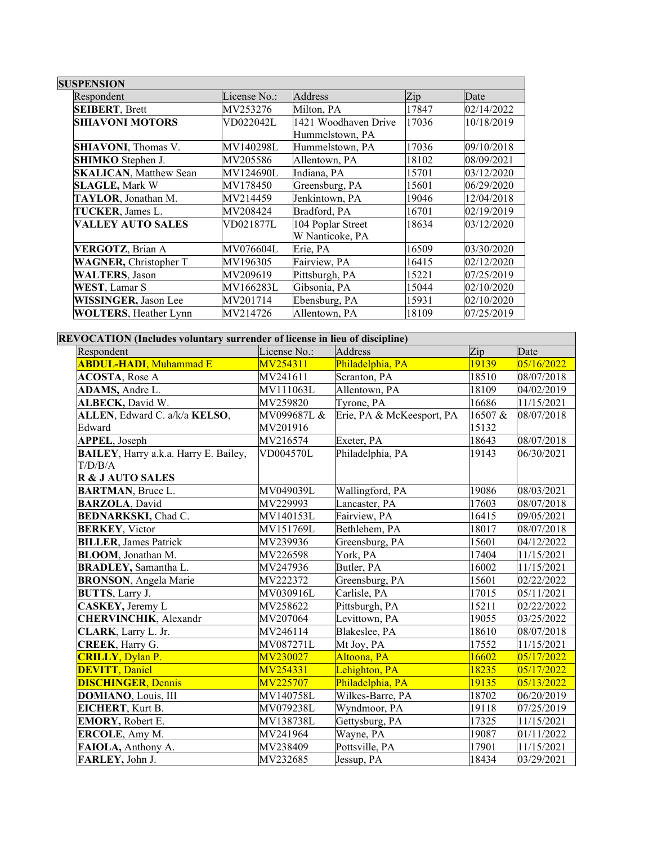| <b>SUSPENSION</b>              |              |                      |       |            |
|--------------------------------|--------------|----------------------|-------|------------|
| Respondent                     | License No.: | Address              | Zip   | Date       |
| <b>SEIBERT, Brett</b>          | MV253276     | Milton, PA           | 17847 | 02/14/2022 |
| <b>SHIAVONI MOTORS</b>         | VD022042L    | 1421 Woodhaven Drive | 17036 | 10/18/2019 |
|                                |              | Hummelstown, PA      |       |            |
| <b>SHIAVONI</b> , Thomas V.    | MV140298L    | Hummelstown, PA      | 17036 | 09/10/2018 |
| <b>SHIMKO</b> Stephen J.       | MV205586     | Allentown, PA        | 18102 | 08/09/2021 |
| <b>SKALICAN</b> , Matthew Sean | MV124690L    | Indiana, PA          | 15701 | 03/12/2020 |
| <b>SLAGLE, Mark W</b>          | MV178450     | Greensburg, PA       | 15601 | 06/29/2020 |
| TAYLOR, Jonathan M.            | MV214459     | Jenkintown, PA       | 19046 | 12/04/2018 |
| TUCKER, James L.               | MV208424     | Bradford, PA         | 16701 | 02/19/2019 |
| <b>VALLEY AUTO SALES</b>       | VD021877L    | 104 Poplar Street    | 18634 | 03/12/2020 |
|                                |              | W Nanticoke, PA      |       |            |
| <b>VERGOTZ, Brian A</b>        | MV076604L    | Erie, PA             | 16509 | 03/30/2020 |
| WAGNER, Christopher T          | MV196305     | Fairview, PA         | 16415 | 02/12/2020 |
| <b>WALTERS, Jason</b>          | MV209619     | Pittsburgh, PA       | 15221 | 07/25/2019 |
| WEST, Lamar S                  | MV166283L    | Gibsonia, PA         | 15044 | 02/10/2020 |
| WISSINGER, Jason Lee           | MV201714     | Ebensburg, PA        | 15931 | 02/10/2020 |
| <b>WOLTERS, Heather Lynn</b>   | MV214726     | Allentown, PA        | 18109 | 07/25/2019 |

| REVOCATION (Includes voluntary surrender of license in lieu of discipline) |              |                           |         |            |  |  |
|----------------------------------------------------------------------------|--------------|---------------------------|---------|------------|--|--|
| Respondent                                                                 | License No.: | Address                   | Zip     | Date       |  |  |
| <b>ABDUL-HADI, Muhammad E</b>                                              | MV254311     | Philadelphia, PA          | 19139   | 05/16/2022 |  |  |
| <b>ACOSTA, Rose A</b>                                                      | MV241611     | Scranton, PA              | 18510   | 08/07/2018 |  |  |
| ADAMS, Andre L.                                                            | MV111063L    | Allentown, PA             | 18109   | 04/02/2019 |  |  |
| ALBECK, David W.                                                           | MV259820     | Tyrone, PA                | 16686   | 11/15/2021 |  |  |
| ALLEN, Edward C. a/k/a KELSO,                                              | MV099687L &  | Erie, PA & McKeesport, PA | 16507 & | 08/07/2018 |  |  |
| Edward                                                                     | MV201916     |                           | 15132   |            |  |  |
| <b>APPEL</b> , Joseph                                                      | MV216574     | Exeter, PA                | 18643   | 08/07/2018 |  |  |
| BAILEY, Harry a.k.a. Harry E. Bailey,                                      | VD004570L    | Philadelphia, PA          | 19143   | 06/30/2021 |  |  |
| T/D/B/A                                                                    |              |                           |         |            |  |  |
| <b>R &amp; J AUTO SALES</b>                                                |              |                           |         |            |  |  |
| <b>BARTMAN</b> , Bruce L.                                                  | MV049039L    | Wallingford, PA           | 19086   | 08/03/2021 |  |  |
| <b>BARZOLA, David</b>                                                      | MV229993     | Lancaster, PA             | 17603   | 08/07/2018 |  |  |
| <b>BEDNARKSKI</b> , Chad C.                                                | MV140153L    | Fairview, PA              | 16415   | 09/05/2021 |  |  |
| <b>BERKEY, Victor</b>                                                      | MV151769L    | Bethlehem, PA             | 18017   | 08/07/2018 |  |  |
| <b>BILLER, James Patrick</b>                                               | MV239936     | Greensburg, PA            | 15601   | 04/12/2022 |  |  |
| BLOOM, Jonathan M.                                                         | MV226598     | York, PA                  | 17404   | 11/15/2021 |  |  |
| <b>BRADLEY</b> , Samantha L.                                               | MV247936     | Butler, PA                | 16002   | 11/15/2021 |  |  |
| <b>BRONSON</b> , Angela Marie                                              | MV222372     | Greensburg, PA            | 15601   | 02/22/2022 |  |  |
| <b>BUTTS, Larry J.</b>                                                     | MV030916L    | Carlisle, PA              | 17015   | 05/11/2021 |  |  |
| CASKEY, Jeremy L                                                           | MV258622     | Pittsburgh, PA            | 15211   | 02/22/2022 |  |  |
| <b>CHERVINCHIK</b> , Alexandr                                              | MV207064     | Levittown, PA             | 19055   | 03/25/2022 |  |  |
| CLARK, Larry L. Jr.                                                        | MV246114     | Blakeslee, PA             | 18610   | 08/07/2018 |  |  |
| <b>CREEK</b> , Harry G.                                                    | MV087271L    | Mt Joy, PA                | 17552   | 11/15/2021 |  |  |
| <b>CRILLY, Dylan P.</b>                                                    | MV230027     | Altoona, PA               | 16602   | 05/17/2022 |  |  |
| <b>DEVITT, Daniel</b>                                                      | MV254331     | Lehighton, PA             | 18235   | 05/17/2022 |  |  |
| <b>DISCHINGER, Dennis</b>                                                  | MV225707     | Philadelphia, PA          | 19135   | 05/13/2022 |  |  |
| <b>DOMIANO</b> , Louis, III                                                | MV140758L    | Wilkes-Barre, PA          | 18702   | 06/20/2019 |  |  |
| EICHERT, Kurt B.                                                           | MV079238L    | Wyndmoor, PA              | 19118   | 07/25/2019 |  |  |
| EMORY, Robert E.                                                           | MV138738L    | Gettysburg, PA            | 17325   | 11/15/2021 |  |  |
| ERCOLE, Amy M.                                                             | MV241964     | Wayne, PA                 | 19087   | 01/11/2022 |  |  |
| FAIOLA, Anthony A.                                                         | MV238409     | Pottsville, PA            | 17901   | 11/15/2021 |  |  |
| FARLEY, John J.                                                            | MV232685     | Jessup, PA                | 18434   | 03/29/2021 |  |  |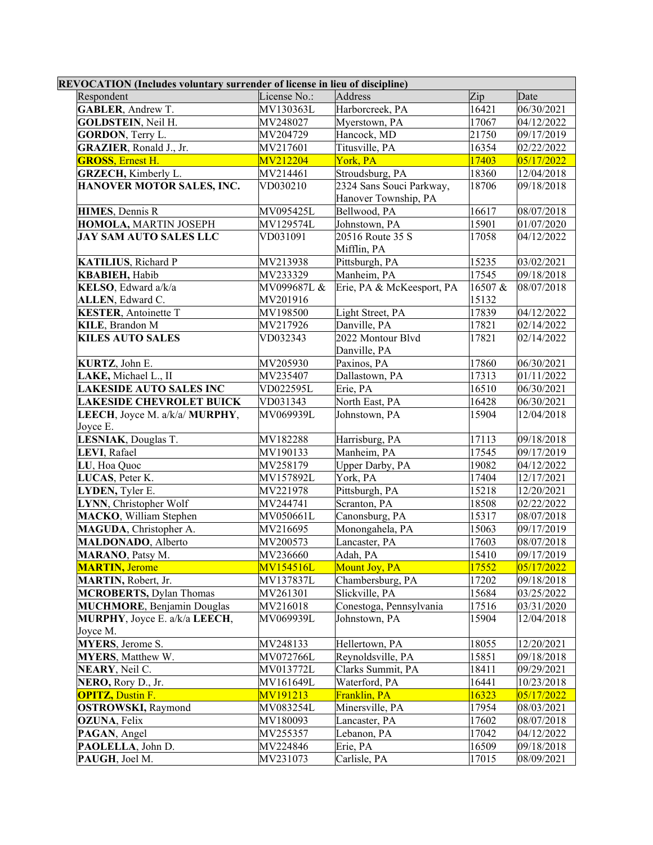| REVOCATION (Includes voluntary surrender of license in lieu of discipline) |              |                           |         |            |  |
|----------------------------------------------------------------------------|--------------|---------------------------|---------|------------|--|
| Respondent                                                                 | License No.: | Address                   | Zip     | Date       |  |
| GABLER, Andrew T.                                                          | MV130363L    | Harborcreek, PA           | 16421   | 06/30/2021 |  |
| GOLDSTEIN, Neil H.                                                         | MV248027     | Myerstown, PA             | 17067   | 04/12/2022 |  |
| <b>GORDON</b> , Terry L.                                                   | MV204729     | Hancock, MD               | 21750   | 09/17/2019 |  |
| GRAZIER, Ronald J., Jr.                                                    | MV217601     | Titusville, PA            | 16354   | 02/22/2022 |  |
| <b>GROSS, Ernest H.</b>                                                    | MV212204     | York, PA                  | 17403   | 05/17/2022 |  |
| <b>GRZECH</b> , Kimberly L.                                                | MV214461     | Stroudsburg, PA           | 18360   | 12/04/2018 |  |
| HANOVER MOTOR SALES, INC.                                                  | VD030210     | 2324 Sans Souci Parkway,  | 18706   | 09/18/2018 |  |
|                                                                            |              | Hanover Township, PA      |         |            |  |
| <b>HIMES</b> , Dennis R                                                    | MV095425L    | Bellwood, PA              | 16617   | 08/07/2018 |  |
| HOMOLA, MARTIN JOSEPH                                                      | MV129574L    | Johnstown, PA             | 15901   | 01/07/2020 |  |
| <b>JAY SAM AUTO SALES LLC</b>                                              | VD031091     | 20516 Route 35 S          | 17058   | 04/12/2022 |  |
|                                                                            |              | Mifflin, PA               |         |            |  |
| <b>KATILIUS</b> , Richard P                                                | MV213938     | Pittsburgh, PA            | 15235   | 03/02/2021 |  |
| <b>KBABIEH</b> , Habib                                                     | MV233329     | Manheim, PA               | 17545   | 09/18/2018 |  |
| KELSO, Edward a/k/a                                                        | MV099687L &  | Erie, PA & McKeesport, PA | 16507 & | 08/07/2018 |  |
| ALLEN, Edward C.                                                           | MV201916     |                           | 15132   |            |  |
| <b>KESTER, Antoinette T</b>                                                | MV198500     | Light Street, PA          | 17839   | 04/12/2022 |  |
| KILE, Brandon M                                                            | MV217926     | Danville, PA              | 17821   | 02/14/2022 |  |
| <b>KILES AUTO SALES</b>                                                    | VD032343     | 2022 Montour Blvd         | 17821   | 02/14/2022 |  |
|                                                                            |              | Danville, PA              |         |            |  |
| KURTZ, John E.                                                             | MV205930     | Paxinos, PA               | 17860   | 06/30/2021 |  |
| LAKE, Michael L., II                                                       | MV235407     | Dallastown, PA            | 17313   | 01/11/2022 |  |
| <b>LAKESIDE AUTO SALES INC</b>                                             | VD022595L    | Erie, PA                  | 16510   | 06/30/2021 |  |
| <b>LAKESIDE CHEVROLET BUICK</b>                                            | VD031343     | North East, PA            | 16428   | 06/30/2021 |  |
| LEECH, Joyce M. a/k/a/ MURPHY,                                             | MV069939L    | Johnstown, PA             | 15904   | 12/04/2018 |  |
| Joyce E.                                                                   |              |                           |         |            |  |
| LESNIAK, Douglas T.                                                        | MV182288     | Harrisburg, PA            | 17113   | 09/18/2018 |  |
| LEVI, Rafael                                                               | MV190133     | Manheim, PA               | 17545   | 09/17/2019 |  |
| LU, Hoa Quoc                                                               | MV258179     | Upper Darby, PA           | 19082   | 04/12/2022 |  |
| LUCAS, Peter K.                                                            | MV157892L    | York, PA                  | 17404   | 12/17/2021 |  |
| LYDEN, Tyler E.                                                            | MV221978     | Pittsburgh, PA            | 15218   | 12/20/2021 |  |
| LYNN, Christopher Wolf                                                     | MV244741     | Scranton, PA              | 18508   | 02/22/2022 |  |
| <b>MACKO</b> , William Stephen                                             | MV050661L    | Canonsburg, PA            | 15317   | 08/07/2018 |  |
| MAGUDA, Christopher A.                                                     | MV216695     | Monongahela, PA           | 15063   | 09/17/2019 |  |
| MALDONADO, Alberto                                                         | MV200573     | Lancaster, PA             | 17603   | 08/07/2018 |  |
| <b>MARANO</b> , Patsy M.                                                   | MV236660     | Adah, PA                  | 15410   | 09/17/2019 |  |
| <b>MARTIN</b> , Jerome                                                     | MV154516L    | Mount Joy, PA             | 17552   | 05/17/2022 |  |
| MARTIN, Robert, Jr.                                                        | MV137837L    | Chambersburg, PA          | 17202   | 09/18/2018 |  |
| <b>MCROBERTS, Dylan Thomas</b>                                             | MV261301     | Slickville, PA            | 15684   | 03/25/2022 |  |
| <b>MUCHMORE, Benjamin Douglas</b>                                          | MV216018     | Conestoga, Pennsylvania   | 17516   | 03/31/2020 |  |
| MURPHY, Joyce E. a/k/a LEECH,                                              | MV069939L    | Johnstown, PA             | 15904   | 12/04/2018 |  |
| Joyce M.                                                                   |              |                           |         |            |  |
| <b>MYERS</b> , Jerome S.                                                   | MV248133     | Hellertown, PA            | 18055   | 12/20/2021 |  |
| <b>MYERS</b> , Matthew W.                                                  | MV072766L    | Reynoldsville, PA         | 15851   | 09/18/2018 |  |
| NEARY, Neil C.                                                             | MV013772L    | Clarks Summit, PA         | 18411   | 09/29/2021 |  |
| NERO, Rory D., Jr.                                                         | MV161649L    | Waterford, PA             | 16441   | 10/23/2018 |  |
| <b>OPITZ, Dustin F.</b>                                                    | MV191213     | Franklin, PA              | 16323   | 05/17/2022 |  |
| <b>OSTROWSKI</b> , Raymond                                                 | MV083254L    | Minersville, PA           | 17954   | 08/03/2021 |  |
| <b>OZUNA, Felix</b>                                                        | MV180093     | Lancaster, PA             | 17602   | 08/07/2018 |  |
| PAGAN, Angel                                                               | MV255357     | Lebanon, PA               | 17042   | 04/12/2022 |  |
| PAOLELLA, John D.                                                          | MV224846     | Erie, PA                  | 16509   | 09/18/2018 |  |
| PAUGH, Joel M.                                                             | MV231073     | Carlisle, PA              | 17015   | 08/09/2021 |  |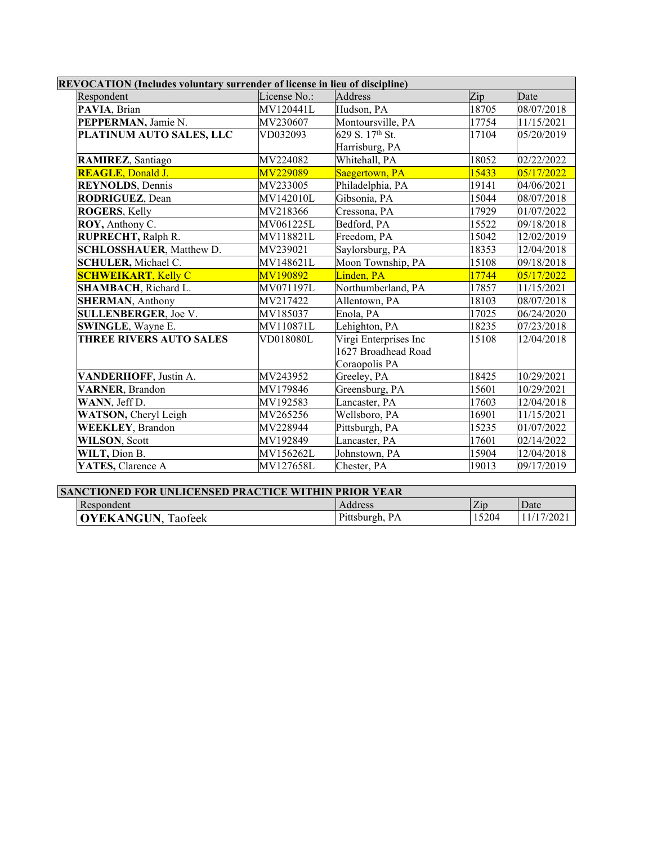| <b>REVOCATION</b> (Includes voluntary surrender of license in lieu of discipline) |              |                             |       |            |  |  |
|-----------------------------------------------------------------------------------|--------------|-----------------------------|-------|------------|--|--|
| Respondent                                                                        | License No.: | Address                     | Zip   | Date       |  |  |
| PAVIA, Brian                                                                      | MV120441L    | Hudson, PA                  | 18705 | 08/07/2018 |  |  |
| PEPPERMAN, Jamie N.                                                               | MV230607     | Montoursville, PA           | 17754 | 11/15/2021 |  |  |
| PLATINUM AUTO SALES, LLC                                                          | VD032093     | 629 S. 17 <sup>th</sup> St. | 17104 | 05/20/2019 |  |  |
|                                                                                   |              | Harrisburg, PA              |       |            |  |  |
| RAMIREZ, Santiago                                                                 | MV224082     | Whitehall, PA               | 18052 | 02/22/2022 |  |  |
| <b>REAGLE, Donald J.</b>                                                          | MV229089     | Saegertown, PA              | 15433 | 05/17/2022 |  |  |
| <b>REYNOLDS</b> , Dennis                                                          | MV233005     | Philadelphia, PA            | 19141 | 04/06/2021 |  |  |
| <b>RODRIGUEZ, Dean</b>                                                            | MV142010L    | Gibsonia, PA                | 15044 | 08/07/2018 |  |  |
| <b>ROGERS, Kelly</b>                                                              | MV218366     | Cressona, PA                | 17929 | 01/07/2022 |  |  |
| ROY, Anthony C.                                                                   | MV061225L    | Bedford, PA                 | 15522 | 09/18/2018 |  |  |
| RUPRECHT, Ralph R.                                                                | MV118821L    | Freedom, PA                 | 15042 | 12/02/2019 |  |  |
| <b>SCHLOSSHAUER, Matthew D.</b>                                                   | MV239021     | Saylorsburg, PA             | 18353 | 12/04/2018 |  |  |
| <b>SCHULER</b> , Michael C.                                                       | MV148621L    | Moon Township, PA           | 15108 | 09/18/2018 |  |  |
| <b>SCHWEIKART, Kelly C</b>                                                        | MV190892     | Linden, PA                  | 17744 | 05/17/2022 |  |  |
| <b>SHAMBACH</b> , Richard L.                                                      | MV071197L    | Northumberland, PA          | 17857 | 11/15/2021 |  |  |
| <b>SHERMAN, Anthony</b>                                                           | MV217422     | Allentown, PA               | 18103 | 08/07/2018 |  |  |
| <b>SULLENBERGER, Joe V.</b>                                                       | MV185037     | Enola, PA                   | 17025 | 06/24/2020 |  |  |
| <b>SWINGLE, Wayne E.</b>                                                          | MV110871L    | Lehighton, PA               | 18235 | 07/23/2018 |  |  |
| <b>THREE RIVERS AUTO SALES</b>                                                    | VD018080L    | Virgi Enterprises Inc       | 15108 | 12/04/2018 |  |  |
|                                                                                   |              | 1627 Broadhead Road         |       |            |  |  |
|                                                                                   |              | Coraopolis PA               |       |            |  |  |
| VANDERHOFF, Justin A.                                                             | MV243952     | Greeley, PA                 | 18425 | 10/29/2021 |  |  |
| <b>VARNER</b> , Brandon                                                           | MV179846     | Greensburg, PA              | 15601 | 10/29/2021 |  |  |
| WANN, Jeff D.                                                                     | MV192583     | Lancaster, PA               | 17603 | 12/04/2018 |  |  |
| WATSON, Cheryl Leigh                                                              | MV265256     | Wellsboro, PA               | 16901 | 11/15/2021 |  |  |
| <b>WEEKLEY, Brandon</b>                                                           | MV228944     | Pittsburgh, PA              | 15235 | 01/07/2022 |  |  |
| <b>WILSON, Scott</b>                                                              | MV192849     | Lancaster, PA               | 17601 | 02/14/2022 |  |  |
| WILT, Dion B.                                                                     | MV156262L    | Johnstown, PA               | 15904 | 12/04/2018 |  |  |
| YATES, Clarence A                                                                 | MV127658L    | Chester, PA                 | 19013 | 09/17/2019 |  |  |

| <b>SANCTIONED FOR UNLICENSED PRACTICE WITHIN PRIOR YEAR</b> |                           |                |                                   |           |  |  |
|-------------------------------------------------------------|---------------------------|----------------|-----------------------------------|-----------|--|--|
|                                                             | Respondent                | Address        | $\mathop{\mathrm {Zip}}\nolimits$ | Date      |  |  |
|                                                             | <b>OYEKANGUN, Taofeek</b> | Pittsburgh, PA | 15204                             | 11/17/202 |  |  |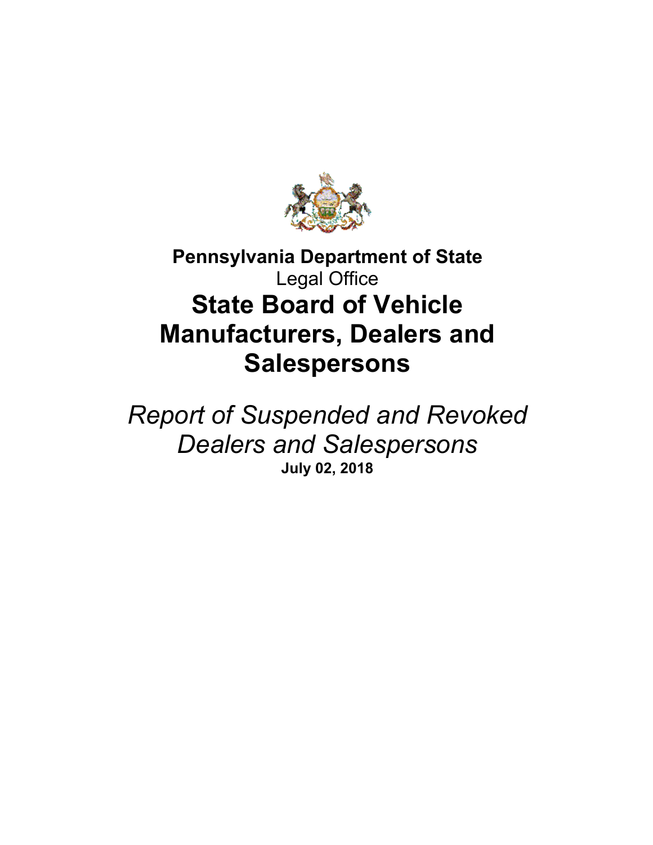

## **Pennsylvania Department of State** Legal Office **State Board of Vehicle Manufacturers, Dealers and Salespersons**

*Report of Suspended and Revoked Dealers and Salespersons* **July 02, 2018**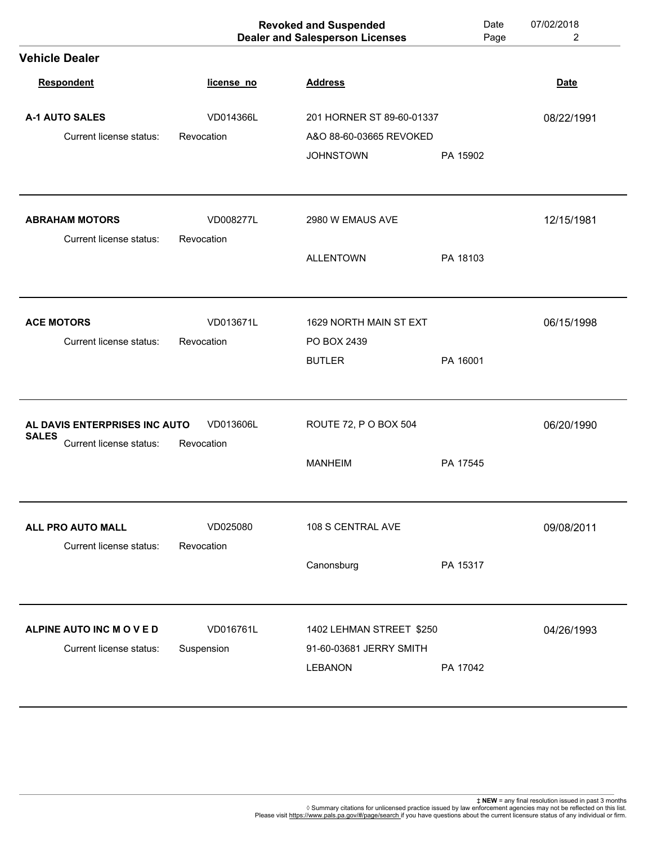|                                               |            | <b>Revoked and Suspended</b><br><b>Dealer and Salesperson Licenses</b> | Date<br>Page | 07/02/2018<br>$\overline{2}$ |
|-----------------------------------------------|------------|------------------------------------------------------------------------|--------------|------------------------------|
| <b>Vehicle Dealer</b>                         |            |                                                                        |              |                              |
| <b>Respondent</b>                             | license_no | <b>Address</b>                                                         |              | <b>Date</b>                  |
| <b>A-1 AUTO SALES</b>                         | VD014366L  | 201 HORNER ST 89-60-01337                                              |              | 08/22/1991                   |
| Current license status:                       | Revocation | A&O 88-60-03665 REVOKED                                                |              |                              |
|                                               |            | <b>JOHNSTOWN</b>                                                       | PA 15902     |                              |
| <b>ABRAHAM MOTORS</b>                         | VD008277L  | 2980 W EMAUS AVE                                                       |              | 12/15/1981                   |
| Current license status:                       | Revocation |                                                                        |              |                              |
|                                               |            | <b>ALLENTOWN</b>                                                       | PA 18103     |                              |
|                                               |            |                                                                        |              |                              |
| <b>ACE MOTORS</b>                             | VD013671L  | 1629 NORTH MAIN ST EXT                                                 |              | 06/15/1998                   |
| Current license status:                       | Revocation | PO BOX 2439                                                            |              |                              |
|                                               |            | <b>BUTLER</b>                                                          | PA 16001     |                              |
| AL DAVIS ENTERPRISES INC AUTO<br><b>SALES</b> | VD013606L  | ROUTE 72, P O BOX 504                                                  |              | 06/20/1990                   |
| Current license status:                       | Revocation | <b>MANHEIM</b>                                                         | PA 17545     |                              |
| ALL PRO AUTO MALL                             | VD025080   | 108 S CENTRAL AVE                                                      |              | 09/08/2011                   |
| Current license status:                       | Revocation | Canonsburg                                                             | PA 15317     |                              |
|                                               |            |                                                                        |              |                              |
| ALPINE AUTO INC MOVED                         | VD016761L  | 1402 LEHMAN STREET \$250                                               |              | 04/26/1993                   |
| Current license status:                       | Suspension | 91-60-03681 JERRY SMITH                                                |              |                              |
|                                               |            | <b>LEBANON</b>                                                         | PA 17042     |                              |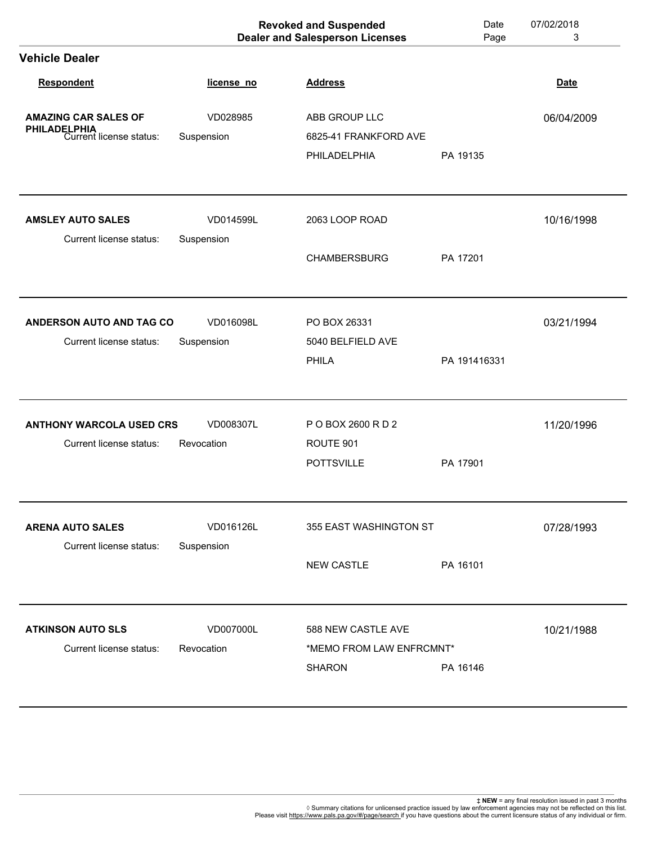|                                                |            | <b>Revoked and Suspended</b><br><b>Dealer and Salesperson Licenses</b> | Date<br>Page | 07/02/2018<br>3 |
|------------------------------------------------|------------|------------------------------------------------------------------------|--------------|-----------------|
| <b>Vehicle Dealer</b>                          |            |                                                                        |              |                 |
| <b>Respondent</b>                              | license_no | <b>Address</b>                                                         |              | <b>Date</b>     |
| <b>AMAZING CAR SALES OF</b>                    | VD028985   | ABB GROUP LLC                                                          |              | 06/04/2009      |
| <b>PHILADELPHIA</b><br>Current license status: | Suspension | 6825-41 FRANKFORD AVE                                                  |              |                 |
|                                                |            | PHILADELPHIA                                                           | PA 19135     |                 |
| <b>AMSLEY AUTO SALES</b>                       | VD014599L  | 2063 LOOP ROAD                                                         |              | 10/16/1998      |
| Current license status:                        | Suspension |                                                                        |              |                 |
|                                                |            | <b>CHAMBERSBURG</b>                                                    | PA 17201     |                 |
| <b>ANDERSON AUTO AND TAG CO</b>                | VD016098L  | PO BOX 26331                                                           |              | 03/21/1994      |
| Current license status:                        | Suspension | 5040 BELFIELD AVE                                                      |              |                 |
|                                                |            | PHILA                                                                  | PA 191416331 |                 |
| <b>ANTHONY WARCOLA USED CRS</b>                | VD008307L  | P O BOX 2600 R D 2                                                     |              | 11/20/1996      |
| Current license status:                        | Revocation | ROUTE 901                                                              |              |                 |
|                                                |            | <b>POTTSVILLE</b>                                                      | PA 17901     |                 |
| <b>ARENA AUTO SALES</b>                        | VD016126L  | 355 EAST WASHINGTON ST                                                 |              | 07/28/1993      |
| Current license status:                        | Suspension | <b>NEW CASTLE</b>                                                      | PA 16101     |                 |
|                                                |            |                                                                        |              |                 |
| <b>ATKINSON AUTO SLS</b>                       | VD007000L  | 588 NEW CASTLE AVE                                                     |              | 10/21/1988      |
| Current license status:                        | Revocation | *MEMO FROM LAW ENFRCMNT*<br><b>SHARON</b>                              | PA 16146     |                 |
|                                                |            |                                                                        |              |                 |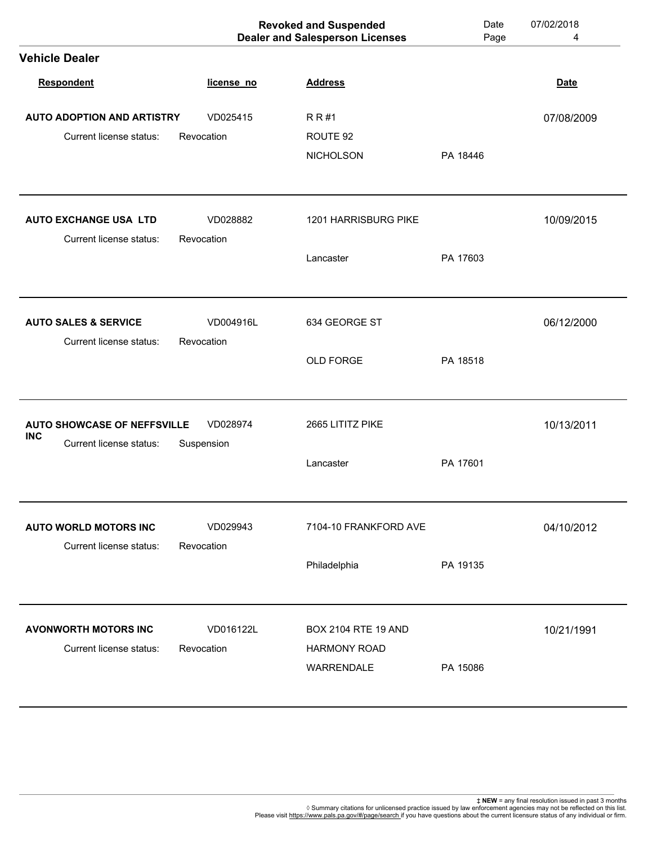|                                       |            | <b>Revoked and Suspended</b><br><b>Dealer and Salesperson Licenses</b> | Date<br>Page | 07/02/2018<br>4 |
|---------------------------------------|------------|------------------------------------------------------------------------|--------------|-----------------|
| <b>Vehicle Dealer</b>                 |            |                                                                        |              |                 |
| Respondent                            | license_no | <b>Address</b>                                                         |              | <b>Date</b>     |
| <b>AUTO ADOPTION AND ARTISTRY</b>     | VD025415   | <b>RR#1</b>                                                            |              | 07/08/2009      |
| Current license status:               | Revocation | ROUTE 92                                                               |              |                 |
|                                       |            | <b>NICHOLSON</b>                                                       | PA 18446     |                 |
| <b>AUTO EXCHANGE USA LTD</b>          | VD028882   | 1201 HARRISBURG PIKE                                                   |              | 10/09/2015      |
| Current license status:               | Revocation |                                                                        |              |                 |
|                                       |            | Lancaster                                                              | PA 17603     |                 |
| <b>AUTO SALES &amp; SERVICE</b>       | VD004916L  | 634 GEORGE ST                                                          |              | 06/12/2000      |
| Current license status:               | Revocation |                                                                        |              |                 |
|                                       |            | OLD FORGE                                                              | PA 18518     |                 |
| <b>AUTO SHOWCASE OF NEFFSVILLE</b>    | VD028974   | 2665 LITITZ PIKE                                                       |              | 10/13/2011      |
| <b>INC</b><br>Current license status: | Suspension |                                                                        |              |                 |
|                                       |            | Lancaster                                                              | PA 17601     |                 |
| <b>AUTO WORLD MOTORS INC</b>          | VD029943   | 7104-10 FRANKFORD AVE                                                  |              | 04/10/2012      |
| Current license status:               | Revocation |                                                                        |              |                 |
|                                       |            | Philadelphia                                                           | PA 19135     |                 |
| <b>AVONWORTH MOTORS INC</b>           | VD016122L  | <b>BOX 2104 RTE 19 AND</b>                                             |              | 10/21/1991      |
| Current license status:               | Revocation | <b>HARMONY ROAD</b>                                                    |              |                 |
|                                       |            | WARRENDALE                                                             | PA 15086     |                 |
|                                       |            |                                                                        |              |                 |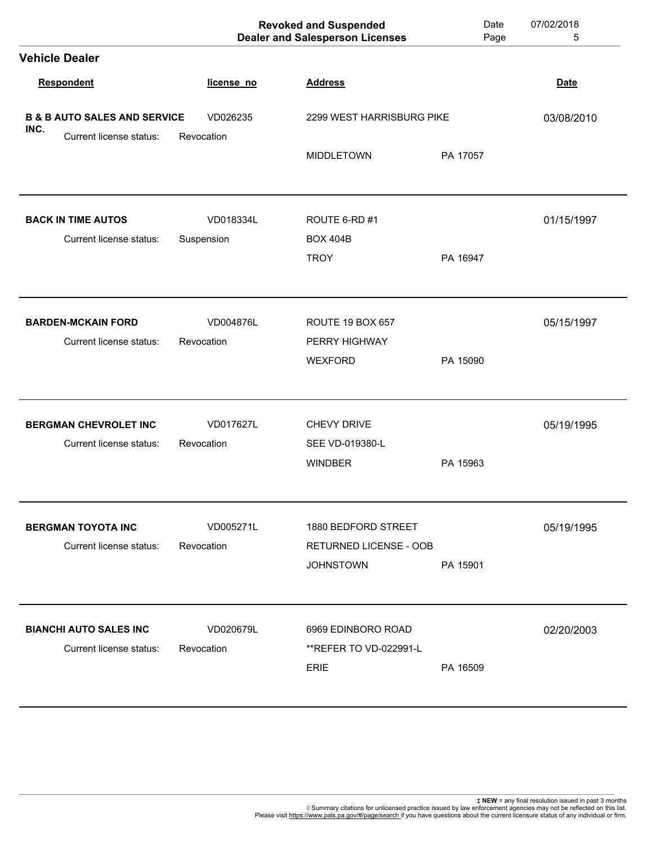|                                                                                   |                         | <b>Revoked and Suspended</b><br><b>Dealer and Salesperson Licenses</b> | Date<br>Page | 07/02/2018<br>5 |
|-----------------------------------------------------------------------------------|-------------------------|------------------------------------------------------------------------|--------------|-----------------|
| <b>Vehicle Dealer</b>                                                             |                         |                                                                        |              |                 |
| Respondent                                                                        | license_no              | <b>Address</b>                                                         |              | <b>Date</b>     |
| <b>B &amp; B AUTO SALES AND SERVICE</b><br>INC.<br><b>Current license status:</b> | VD026235<br>Revocation  | 2299 WEST HARRISBURG PIKE                                              |              | 03/08/2010      |
|                                                                                   |                         | <b>MIDDLETOWN</b>                                                      | PA 17057     |                 |
| <b>BACK IN TIME AUTOS</b>                                                         | VD018334L               | ROUTE 6-RD#1                                                           |              | 01/15/1997      |
| Current license status:                                                           | Suspension              | <b>BOX 404B</b><br><b>TROY</b>                                         | PA 16947     |                 |
| <b>BARDEN-MCKAIN FORD</b>                                                         | VD004876L               | <b>ROUTE 19 BOX 657</b>                                                |              | 05/15/1997      |
| Current license status:                                                           | Revocation              | <b>PERRY HIGHWAY</b><br><b>WEXFORD</b>                                 | PA 15090     |                 |
| <b>BERGMAN CHEVROLET INC</b><br>Current license status:                           | VD017627L<br>Revocation | CHEVY DRIVE<br>SEE VD-019380-L                                         |              | 05/19/1995      |
|                                                                                   |                         | <b>WINDBER</b>                                                         | PA 15963     |                 |
| <b>BERGMAN TOYOTA INC</b><br>Current license status:                              | VD005271L<br>Revocation | 1880 BEDFORD STREET<br><b>RETURNED LICENSE - OOB</b>                   |              | 05/19/1995      |
|                                                                                   |                         | <b>JOHNSTOWN</b>                                                       | PA 15901     |                 |
| <b>BIANCHI AUTO SALES INC</b>                                                     | VD020679L               | 6969 EDINBORO ROAD                                                     |              | 02/20/2003      |
| Current license status:                                                           | Revocation              | **REFER TO VD-022991-L<br><b>ERIE</b>                                  | PA 16509     |                 |
|                                                                                   |                         |                                                                        |              |                 |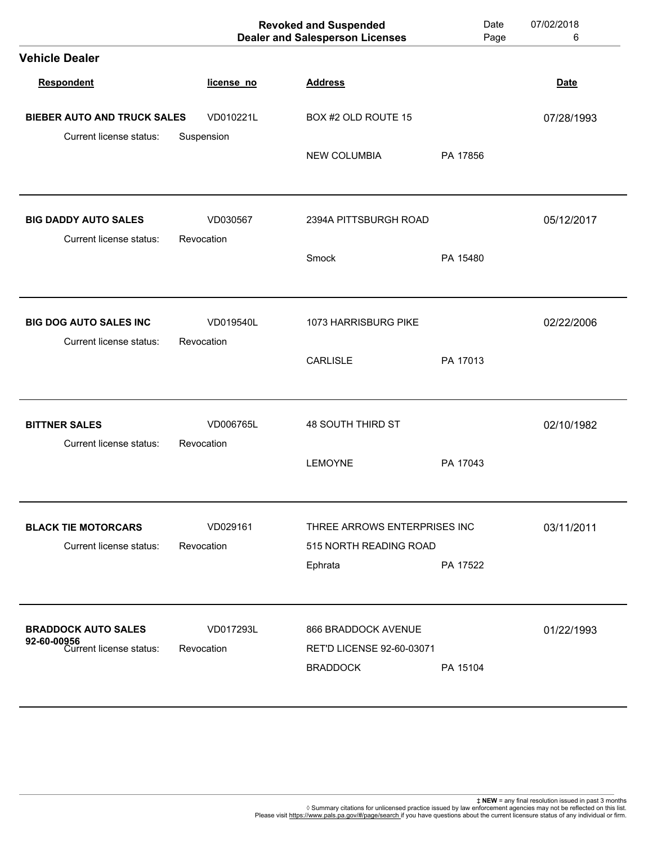|                                                               |                         | <b>Revoked and Suspended</b><br><b>Dealer and Salesperson Licenses</b> | Date<br>Page | 07/02/2018<br>6 |
|---------------------------------------------------------------|-------------------------|------------------------------------------------------------------------|--------------|-----------------|
| <b>Vehicle Dealer</b>                                         |                         |                                                                        |              |                 |
| <b>Respondent</b>                                             | license_no              | <b>Address</b>                                                         |              | <b>Date</b>     |
| <b>BIEBER AUTO AND TRUCK SALES</b><br>Current license status: | VD010221L               | BOX #2 OLD ROUTE 15                                                    |              | 07/28/1993      |
|                                                               | Suspension              | NEW COLUMBIA                                                           | PA 17856     |                 |
| <b>BIG DADDY AUTO SALES</b><br>Current license status:        | VD030567<br>Revocation  | 2394A PITTSBURGH ROAD                                                  |              | 05/12/2017      |
|                                                               |                         | Smock                                                                  | PA 15480     |                 |
| <b>BIG DOG AUTO SALES INC</b><br>Current license status:      | VD019540L<br>Revocation | 1073 HARRISBURG PIKE                                                   |              | 02/22/2006      |
|                                                               |                         | <b>CARLISLE</b>                                                        | PA 17013     |                 |
| <b>BITTNER SALES</b><br>Current license status:               | VD006765L<br>Revocation | <b>48 SOUTH THIRD ST</b>                                               |              | 02/10/1982      |
|                                                               |                         | <b>LEMOYNE</b>                                                         | PA 17043     |                 |
| <b>BLACK TIE MOTORCARS</b><br>Current license status:         | VD029161<br>Revocation  | THREE ARROWS ENTERPRISES INC<br>515 NORTH READING ROAD                 |              | 03/11/2011      |
|                                                               |                         | Ephrata                                                                | PA 17522     |                 |
| <b>BRADDOCK AUTO SALES</b><br>92-60-00956                     | VD017293L               | 866 BRADDOCK AVENUE                                                    |              | 01/22/1993      |
| Current license status:                                       | Revocation              | RET'D LICENSE 92-60-03071<br><b>BRADDOCK</b>                           | PA 15104     |                 |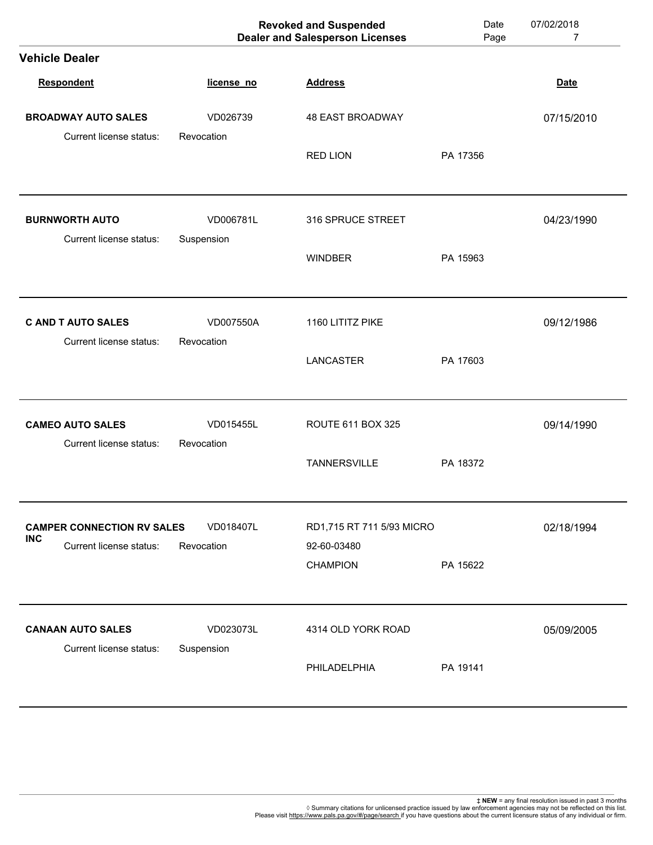|            |                                   |            | <b>Revoked and Suspended</b><br><b>Dealer and Salesperson Licenses</b> |          | 07/02/2018<br>7 |
|------------|-----------------------------------|------------|------------------------------------------------------------------------|----------|-----------------|
|            | <b>Vehicle Dealer</b>             |            |                                                                        |          |                 |
|            | Respondent                        | license_no | <b>Address</b>                                                         |          | <b>Date</b>     |
|            | <b>BROADWAY AUTO SALES</b>        | VD026739   | <b>48 EAST BROADWAY</b>                                                |          | 07/15/2010      |
|            | Current license status:           | Revocation | <b>RED LION</b>                                                        | PA 17356 |                 |
|            | <b>BURNWORTH AUTO</b>             | VD006781L  | 316 SPRUCE STREET                                                      |          | 04/23/1990      |
|            | Current license status:           | Suspension | <b>WINDBER</b>                                                         | PA 15963 |                 |
|            | <b>C AND T AUTO SALES</b>         | VD007550A  | 1160 LITITZ PIKE                                                       |          | 09/12/1986      |
|            | Current license status:           | Revocation | <b>LANCASTER</b>                                                       | PA 17603 |                 |
|            | <b>CAMEO AUTO SALES</b>           | VD015455L  | ROUTE 611 BOX 325                                                      |          | 09/14/1990      |
|            | Current license status:           | Revocation | <b>TANNERSVILLE</b>                                                    | PA 18372 |                 |
| <b>INC</b> | <b>CAMPER CONNECTION RV SALES</b> | VD018407L  | RD1,715 RT 711 5/93 MICRO                                              |          | 02/18/1994      |
|            | Current license status:           | Revocation | 92-60-03480<br><b>CHAMPION</b>                                         | PA 15622 |                 |
|            | <b>CANAAN AUTO SALES</b>          | VD023073L  | 4314 OLD YORK ROAD                                                     |          | 05/09/2005      |
|            | Current license status:           | Suspension | PHILADELPHIA                                                           | PA 19141 |                 |
|            |                                   |            |                                                                        |          |                 |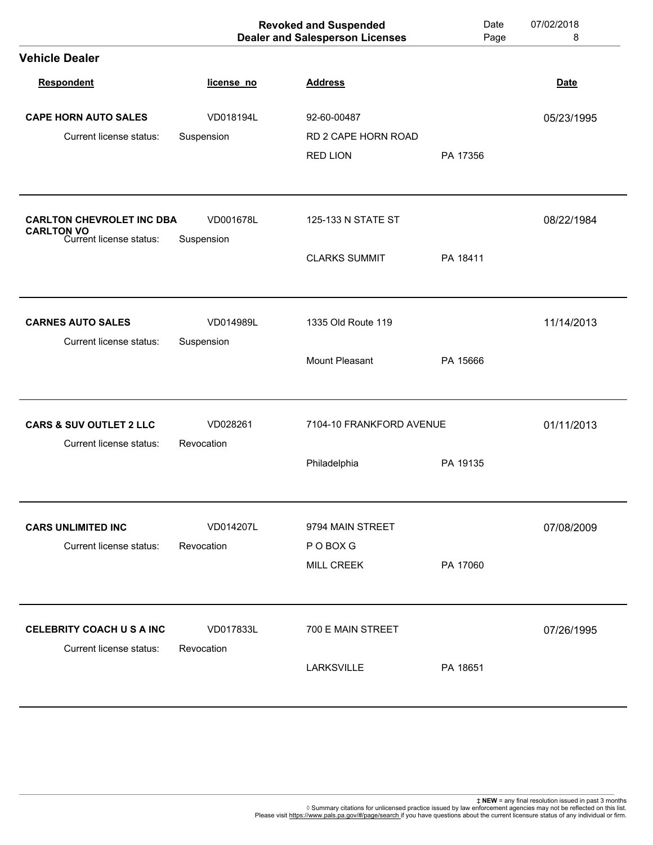|                                                                                  |                         | <b>Revoked and Suspended</b><br><b>Dealer and Salesperson Licenses</b> | Date<br>Page | 07/02/2018<br>8 |
|----------------------------------------------------------------------------------|-------------------------|------------------------------------------------------------------------|--------------|-----------------|
| <b>Vehicle Dealer</b>                                                            |                         |                                                                        |              |                 |
| <b>Respondent</b>                                                                | license_no              | <b>Address</b>                                                         |              | <b>Date</b>     |
| <b>CAPE HORN AUTO SALES</b>                                                      | VD018194L               | 92-60-00487                                                            |              | 05/23/1995      |
| Current license status:                                                          | Suspension              | RD 2 CAPE HORN ROAD                                                    |              |                 |
|                                                                                  |                         | <b>RED LION</b>                                                        | PA 17356     |                 |
| <b>CARLTON CHEVROLET INC DBA</b><br><b>CARLTON VO</b><br>Current license status: | VD001678L<br>Suspension | 125-133 N STATE ST                                                     |              | 08/22/1984      |
|                                                                                  |                         | <b>CLARKS SUMMIT</b>                                                   | PA 18411     |                 |
| <b>CARNES AUTO SALES</b><br>Current license status:                              | VD014989L<br>Suspension | 1335 Old Route 119                                                     |              | 11/14/2013      |
|                                                                                  |                         | Mount Pleasant                                                         | PA 15666     |                 |
| <b>CARS &amp; SUV OUTLET 2 LLC</b>                                               | VD028261                | 7104-10 FRANKFORD AVENUE                                               |              | 01/11/2013      |
| Current license status:                                                          | Revocation              | Philadelphia                                                           | PA 19135     |                 |
| <b>CARS UNLIMITED INC</b>                                                        | VD014207L               | 9794 MAIN STREET                                                       |              | 07/08/2009      |
| Current license status:                                                          | Revocation              | P O BOX G                                                              |              |                 |
|                                                                                  |                         | MILL CREEK                                                             | PA 17060     |                 |
| CELEBRITY COACH U S A INC                                                        | VD017833L               | 700 E MAIN STREET                                                      |              | 07/26/1995      |
| Current license status:                                                          | Revocation              |                                                                        |              |                 |
|                                                                                  |                         | <b>LARKSVILLE</b>                                                      | PA 18651     |                 |
|                                                                                  |                         |                                                                        |              |                 |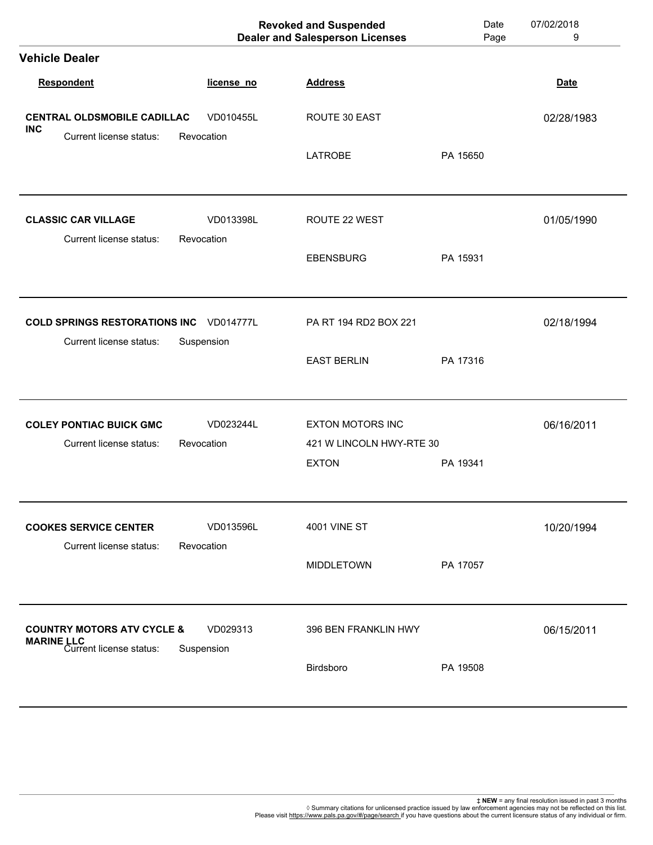|                                                                                       |                         | <b>Revoked and Suspended</b><br><b>Dealer and Salesperson Licenses</b> | Date<br>Page | 07/02/2018<br>9 |
|---------------------------------------------------------------------------------------|-------------------------|------------------------------------------------------------------------|--------------|-----------------|
| <b>Vehicle Dealer</b>                                                                 |                         |                                                                        |              |                 |
| <b>Respondent</b>                                                                     | license_no              | <b>Address</b>                                                         |              | <b>Date</b>     |
| <b>CENTRAL OLDSMOBILE CADILLAC</b><br><b>INC</b><br>Current license status:           | VD010455L<br>Revocation | ROUTE 30 EAST                                                          |              | 02/28/1983      |
|                                                                                       |                         | <b>LATROBE</b>                                                         | PA 15650     |                 |
| <b>CLASSIC CAR VILLAGE</b><br>Current license status:                                 | VD013398L<br>Revocation | ROUTE 22 WEST                                                          |              | 01/05/1990      |
|                                                                                       |                         | <b>EBENSBURG</b>                                                       | PA 15931     |                 |
| <b>COLD SPRINGS RESTORATIONS INC VD014777L</b><br>Current license status:             | Suspension              | PA RT 194 RD2 BOX 221                                                  |              | 02/18/1994      |
|                                                                                       |                         | <b>EAST BERLIN</b>                                                     | PA 17316     |                 |
| <b>COLEY PONTIAC BUICK GMC</b>                                                        | VD023244L               | <b>EXTON MOTORS INC</b>                                                |              | 06/16/2011      |
| Current license status:                                                               | Revocation              | 421 W LINCOLN HWY-RTE 30<br><b>EXTON</b>                               | PA 19341     |                 |
| <b>COOKES SERVICE CENTER</b><br><b>Current license status:</b>                        | VD013596L<br>Revocation | <b>4001 VINE ST</b>                                                    |              | 10/20/1994      |
|                                                                                       |                         | <b>MIDDLETOWN</b>                                                      | PA 17057     |                 |
| <b>COUNTRY MOTORS ATV CYCLE &amp;</b><br><b>MARINE LLC</b><br>Current license status: | VD029313<br>Suspension  | 396 BEN FRANKLIN HWY                                                   |              | 06/15/2011      |
|                                                                                       |                         | Birdsboro                                                              | PA 19508     |                 |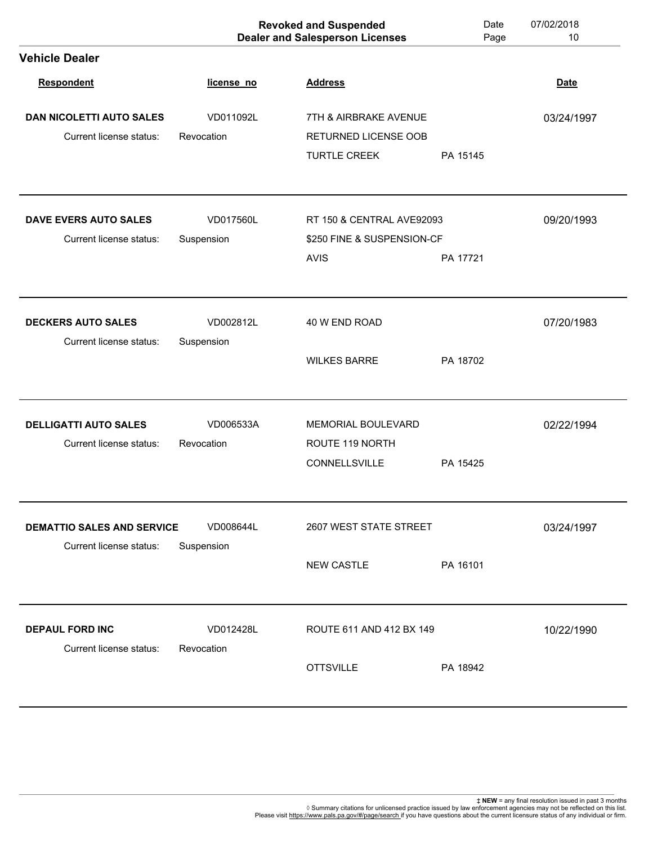|                                                      |                         | <b>Revoked and Suspended</b><br><b>Dealer and Salesperson Licenses</b> | Date<br>Page | 07/02/2018<br>10 |
|------------------------------------------------------|-------------------------|------------------------------------------------------------------------|--------------|------------------|
| <b>Vehicle Dealer</b>                                |                         |                                                                        |              |                  |
| <b>Respondent</b>                                    | license_no              | <b>Address</b>                                                         |              | <b>Date</b>      |
| <b>DAN NICOLETTI AUTO SALES</b>                      | VD011092L               | 7TH & AIRBRAKE AVENUE                                                  |              | 03/24/1997       |
| Current license status:                              | Revocation              | <b>RETURNED LICENSE OOB</b>                                            |              |                  |
|                                                      |                         | <b>TURTLE CREEK</b>                                                    | PA 15145     |                  |
| <b>DAVE EVERS AUTO SALES</b>                         | VD017560L               | RT 150 & CENTRAL AVE92093                                              |              | 09/20/1993       |
| Current license status:                              | Suspension              | \$250 FINE & SUSPENSION-CF                                             |              |                  |
|                                                      |                         | <b>AVIS</b>                                                            | PA 17721     |                  |
| <b>DECKERS AUTO SALES</b><br>Current license status: | VD002812L<br>Suspension | 40 W END ROAD                                                          |              | 07/20/1983       |
|                                                      |                         | <b>WILKES BARRE</b>                                                    | PA 18702     |                  |
| <b>DELLIGATTI AUTO SALES</b>                         | VD006533A               | MEMORIAL BOULEVARD                                                     |              | 02/22/1994       |
| Current license status:                              | Revocation              | ROUTE 119 NORTH                                                        |              |                  |
|                                                      |                         | <b>CONNELLSVILLE</b>                                                   | PA 15425     |                  |
| <b>DEMATTIO SALES AND SERVICE</b>                    | VD008644L               | 2607 WEST STATE STREET                                                 |              | 03/24/1997       |
| Current license status:                              | Suspension              | NEW CASTLE                                                             | PA 16101     |                  |
| <b>DEPAUL FORD INC</b>                               | VD012428L               | ROUTE 611 AND 412 BX 149                                               |              | 10/22/1990       |
| Current license status:                              | Revocation              | <b>OTTSVILLE</b>                                                       | PA 18942     |                  |
|                                                      |                         |                                                                        |              |                  |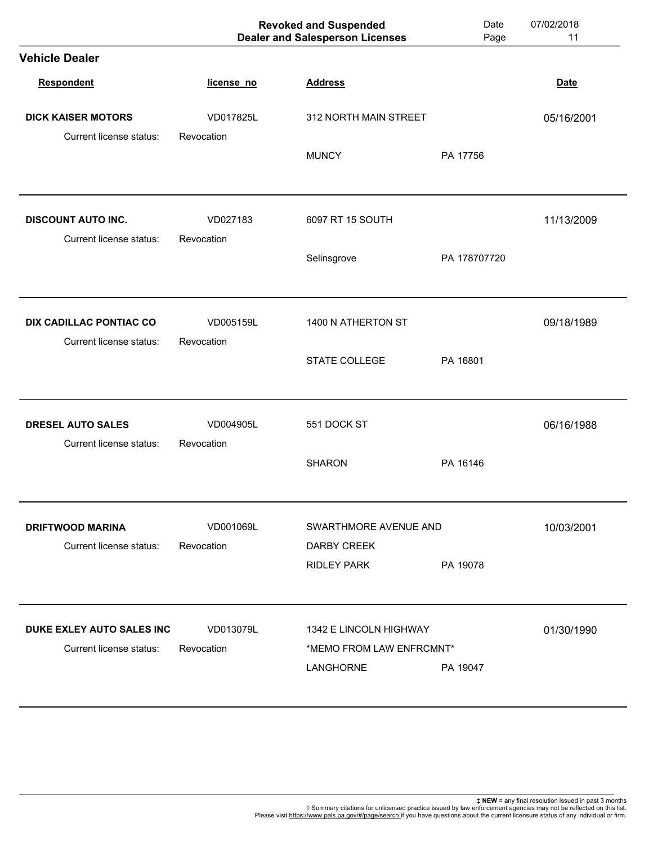|                                                      |                         | <b>Revoked and Suspended</b><br><b>Dealer and Salesperson Licenses</b> | Date<br>Page | 07/02/2018<br>11 |
|------------------------------------------------------|-------------------------|------------------------------------------------------------------------|--------------|------------------|
| <b>Vehicle Dealer</b>                                |                         |                                                                        |              |                  |
| <b>Respondent</b>                                    | license_no              | <b>Address</b>                                                         |              | <b>Date</b>      |
| <b>DICK KAISER MOTORS</b>                            | VD017825L               | 312 NORTH MAIN STREET                                                  |              | 05/16/2001       |
| Current license status:                              | Revocation              | <b>MUNCY</b>                                                           | PA 17756     |                  |
| <b>DISCOUNT AUTO INC.</b><br>Current license status: | VD027183<br>Revocation  | 6097 RT 15 SOUTH                                                       |              | 11/13/2009       |
|                                                      |                         | Selinsgrove                                                            | PA 178707720 |                  |
| <b>DIX CADILLAC PONTIAC CO</b>                       | VD005159L               | 1400 N ATHERTON ST                                                     |              | 09/18/1989       |
| Current license status:                              | Revocation              | STATE COLLEGE                                                          | PA 16801     |                  |
| DRESEL AUTO SALES                                    | VD004905L<br>Revocation | 551 DOCK ST                                                            |              | 06/16/1988       |
| Current license status:                              |                         | <b>SHARON</b>                                                          | PA 16146     |                  |
| <b>DRIFTWOOD MARINA</b><br>Current license status:   | VD001069L<br>Revocation | SWARTHMORE AVENUE AND<br>DARBY CREEK                                   |              | 10/03/2001       |
|                                                      |                         | <b>RIDLEY PARK</b>                                                     | PA 19078     |                  |
| DUKE EXLEY AUTO SALES INC                            | VD013079L               | 1342 E LINCOLN HIGHWAY                                                 |              | 01/30/1990       |
| Current license status:                              | Revocation              | *MEMO FROM LAW ENFRCMNT*                                               |              |                  |
|                                                      |                         | LANGHORNE                                                              | PA 19047     |                  |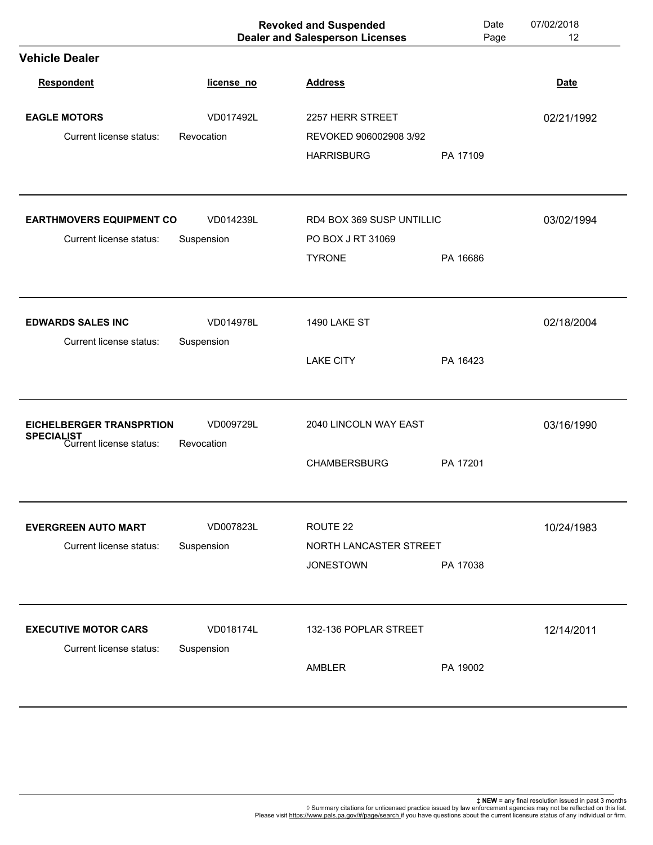|                                                                                 |                         | <b>Revoked and Suspended</b><br><b>Dealer and Salesperson Licenses</b> | Date<br>Page | 07/02/2018<br>12 |
|---------------------------------------------------------------------------------|-------------------------|------------------------------------------------------------------------|--------------|------------------|
| <b>Vehicle Dealer</b>                                                           |                         |                                                                        |              |                  |
| <b>Respondent</b>                                                               | license_no              | <b>Address</b>                                                         |              | <b>Date</b>      |
| <b>EAGLE MOTORS</b>                                                             | VD017492L               | 2257 HERR STREET                                                       |              | 02/21/1992       |
| Current license status:                                                         | Revocation              | REVOKED 906002908 3/92                                                 |              |                  |
|                                                                                 |                         | <b>HARRISBURG</b>                                                      | PA 17109     |                  |
| <b>EARTHMOVERS EQUIPMENT CO</b>                                                 | VD014239L               | RD4 BOX 369 SUSP UNTILLIC                                              |              | 03/02/1994       |
| Current license status:                                                         | Suspension              | PO BOX J RT 31069                                                      |              |                  |
|                                                                                 |                         | <b>TYRONE</b>                                                          | PA 16686     |                  |
| <b>EDWARDS SALES INC</b><br>Current license status:                             | VD014978L<br>Suspension | 1490 LAKE ST                                                           |              | 02/18/2004       |
|                                                                                 |                         | <b>LAKE CITY</b>                                                       | PA 16423     |                  |
| <b>EICHELBERGER TRANSPRTION</b><br><b>SPECIALIST</b><br>Current license status: | VD009729L<br>Revocation | 2040 LINCOLN WAY EAST                                                  |              | 03/16/1990       |
|                                                                                 |                         | <b>CHAMBERSBURG</b>                                                    | PA 17201     |                  |
| <b>EVERGREEN AUTO MART</b>                                                      | VD007823L               | ROUTE 22                                                               |              | 10/24/1983       |
| Current license status:                                                         | Suspension              | NORTH LANCASTER STREET                                                 |              |                  |
|                                                                                 |                         | <b>JONESTOWN</b>                                                       | PA 17038     |                  |
| <b>EXECUTIVE MOTOR CARS</b>                                                     | VD018174L               | 132-136 POPLAR STREET                                                  |              | 12/14/2011       |
| Current license status:                                                         | Suspension              | AMBLER                                                                 | PA 19002     |                  |
|                                                                                 |                         |                                                                        |              |                  |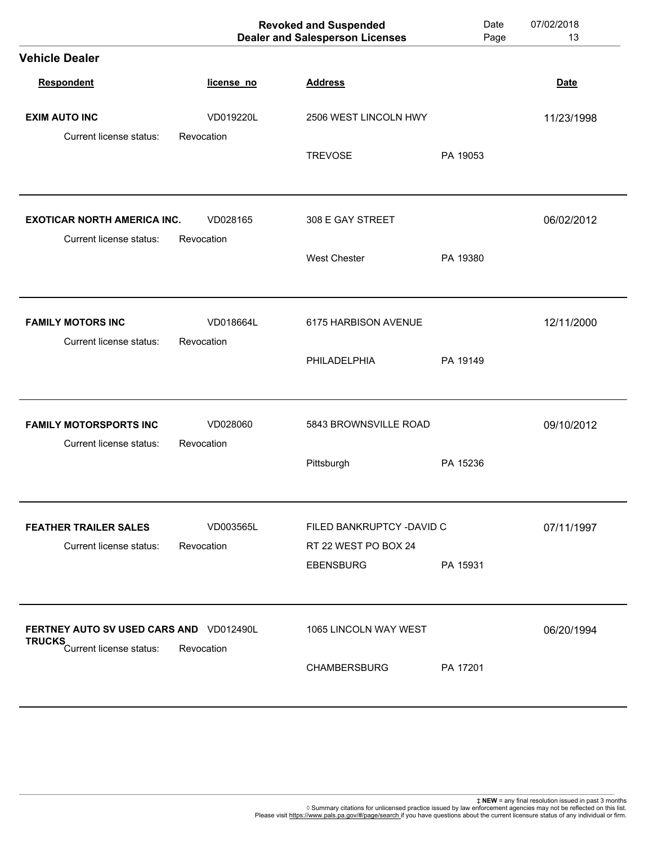|                                                                              |                         | <b>Revoked and Suspended</b><br><b>Dealer and Salesperson Licenses</b> | Date<br>Page | 07/02/2018<br>13 |
|------------------------------------------------------------------------------|-------------------------|------------------------------------------------------------------------|--------------|------------------|
| <b>Vehicle Dealer</b>                                                        |                         |                                                                        |              |                  |
| <b>Respondent</b>                                                            | license_no              | <b>Address</b>                                                         |              | <b>Date</b>      |
| <b>EXIM AUTO INC</b>                                                         | VD019220L               | 2506 WEST LINCOLN HWY                                                  |              | 11/23/1998       |
| Current license status:                                                      | Revocation              | <b>TREVOSE</b>                                                         | PA 19053     |                  |
| <b>EXOTICAR NORTH AMERICA INC.</b><br>Current license status:                | VD028165<br>Revocation  | 308 E GAY STREET                                                       |              | 06/02/2012       |
|                                                                              |                         | <b>West Chester</b>                                                    | PA 19380     |                  |
| <b>FAMILY MOTORS INC</b><br>Current license status:                          | VD018664L<br>Revocation | 6175 HARBISON AVENUE                                                   |              | 12/11/2000       |
|                                                                              |                         | PHILADELPHIA                                                           | PA 19149     |                  |
| <b>FAMILY MOTORSPORTS INC</b><br>Current license status:                     | VD028060<br>Revocation  | 5843 BROWNSVILLE ROAD                                                  |              | 09/10/2012       |
|                                                                              |                         | Pittsburgh                                                             | PA 15236     |                  |
| <b>FEATHER TRAILER SALES</b><br>Current license status:                      | VD003565L<br>Revocation | FILED BANKRUPTCY -DAVID C<br>RT 22 WEST PO BOX 24                      |              | 07/11/1997       |
|                                                                              |                         | <b>EBENSBURG</b>                                                       | PA 15931     |                  |
| FERTNEY AUTO SV USED CARS AND VD012490L<br>TRUCKS<br>Current license status: | Revocation              | 1065 LINCOLN WAY WEST                                                  |              | 06/20/1994       |
|                                                                              |                         | CHAMBERSBURG                                                           | PA 17201     |                  |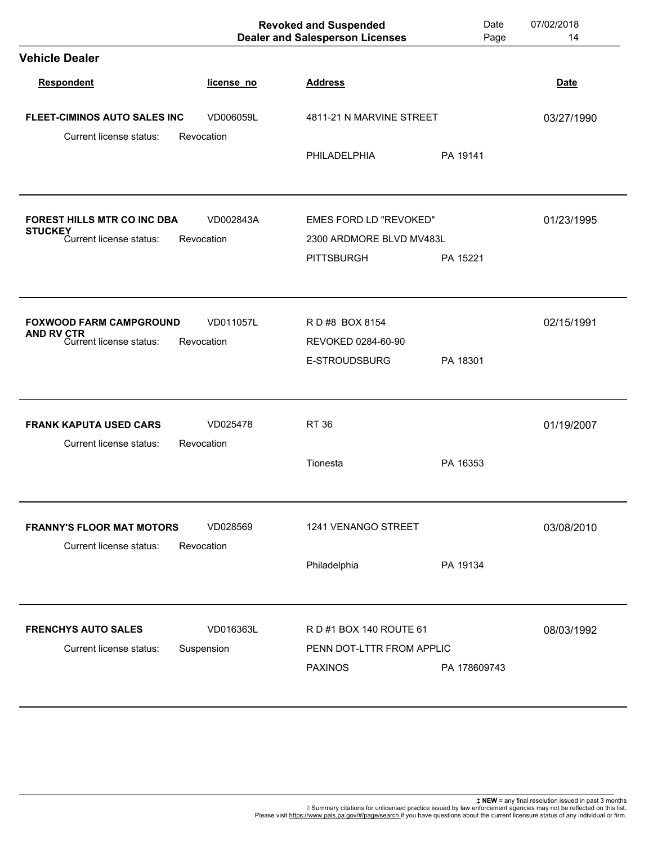|                                                                                 |                         | <b>Revoked and Suspended</b><br><b>Dealer and Salesperson Licenses</b> | Date<br>Page | 07/02/2018<br>14 |
|---------------------------------------------------------------------------------|-------------------------|------------------------------------------------------------------------|--------------|------------------|
| <b>Vehicle Dealer</b>                                                           |                         |                                                                        |              |                  |
| <b>Respondent</b>                                                               | license_no              | <b>Address</b>                                                         |              | <b>Date</b>      |
| <b>FLEET-CIMINOS AUTO SALES INC</b>                                             | VD006059L               | 4811-21 N MARVINE STREET                                               |              | 03/27/1990       |
| Current license status:                                                         | Revocation              | PHILADELPHIA                                                           | PA 19141     |                  |
| <b>FOREST HILLS MTR CO INC DBA</b><br><b>STUCKEY</b><br>Current license status: | VD002843A<br>Revocation | EMES FORD LD "REVOKED"<br>2300 ARDMORE BLVD MV483L                     |              | 01/23/1995       |
|                                                                                 |                         | <b>PITTSBURGH</b>                                                      | PA 15221     |                  |
| <b>FOXWOOD FARM CAMPGROUND</b><br><b>AND RV CTR</b><br>Current license status:  | VD011057L<br>Revocation | R D #8 BOX 8154<br>REVOKED 0284-60-90<br>E-STROUDSBURG                 | PA 18301     | 02/15/1991       |
| <b>FRANK KAPUTA USED CARS</b>                                                   | VD025478                | <b>RT 36</b>                                                           |              | 01/19/2007       |
| Current license status:                                                         | Revocation              | Tionesta                                                               | PA 16353     |                  |
| <b>FRANNY'S FLOOR MAT MOTORS</b><br>Current license status:                     | VD028569<br>Revocation  | 1241 VENANGO STREET                                                    |              | 03/08/2010       |
|                                                                                 |                         | Philadelphia                                                           | PA 19134     |                  |
| <b>FRENCHYS AUTO SALES</b>                                                      | VD016363L               | R D #1 BOX 140 ROUTE 61                                                |              | 08/03/1992       |
| Current license status:                                                         | Suspension              | PENN DOT-LTTR FROM APPLIC<br><b>PAXINOS</b>                            | PA 178609743 |                  |
|                                                                                 |                         |                                                                        |              |                  |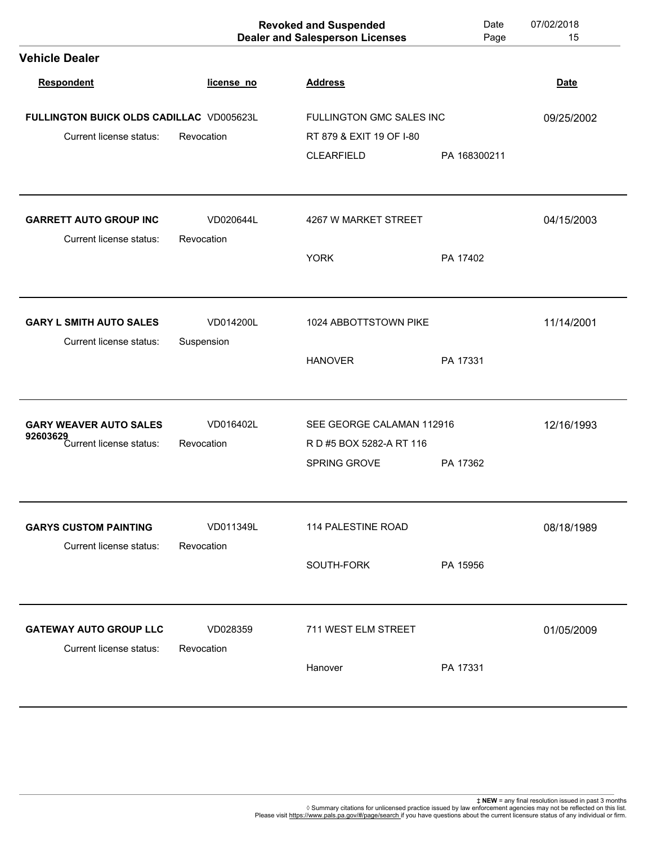|                                                           |                         | <b>Revoked and Suspended</b><br><b>Dealer and Salesperson Licenses</b> | Date<br>Page | 07/02/2018<br>15 |
|-----------------------------------------------------------|-------------------------|------------------------------------------------------------------------|--------------|------------------|
| <b>Vehicle Dealer</b>                                     |                         |                                                                        |              |                  |
| Respondent                                                | license_no              | <b>Address</b>                                                         |              | <b>Date</b>      |
| FULLINGTON BUICK OLDS CADILLAC VD005623L                  |                         | <b>FULLINGTON GMC SALES INC</b>                                        |              | 09/25/2002       |
| Current license status:                                   | Revocation              | RT 879 & EXIT 19 OF I-80                                               |              |                  |
|                                                           |                         | <b>CLEARFIELD</b>                                                      | PA 168300211 |                  |
| <b>GARRETT AUTO GROUP INC</b>                             | VD020644L               | 4267 W MARKET STREET                                                   |              | 04/15/2003       |
| Current license status:                                   | Revocation              | <b>YORK</b>                                                            | PA 17402     |                  |
| <b>GARY L SMITH AUTO SALES</b><br>Current license status: | VD014200L<br>Suspension | 1024 ABBOTTSTOWN PIKE                                                  |              | 11/14/2001       |
|                                                           |                         | <b>HANOVER</b>                                                         | PA 17331     |                  |
| <b>GARY WEAVER AUTO SALES</b><br>92603629                 | VD016402L               | SEE GEORGE CALAMAN 112916                                              |              | 12/16/1993       |
| Current license status:                                   | Revocation              | R D #5 BOX 5282-A RT 116<br>SPRING GROVE                               | PA 17362     |                  |
| <b>GARYS CUSTOM PAINTING</b>                              | VD011349L               | 114 PALESTINE ROAD                                                     |              | 08/18/1989       |
| Current license status:                                   | Revocation              | SOUTH-FORK                                                             | PA 15956     |                  |
| <b>GATEWAY AUTO GROUP LLC</b>                             | VD028359                | 711 WEST ELM STREET                                                    |              | 01/05/2009       |
| Current license status:                                   | Revocation              | Hanover                                                                | PA 17331     |                  |
|                                                           |                         |                                                                        |              |                  |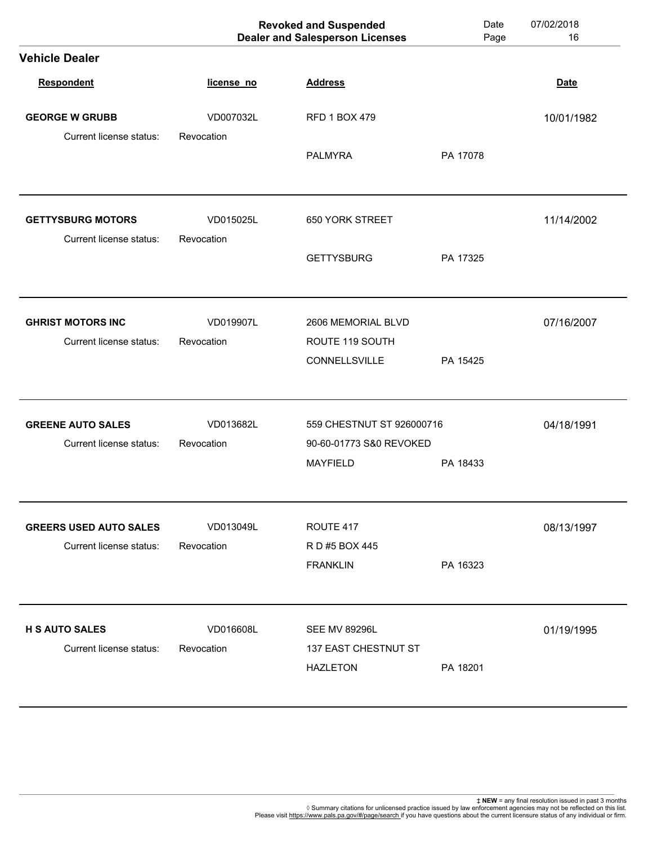|                               |            | <b>Revoked and Suspended</b><br><b>Dealer and Salesperson Licenses</b> | Date<br>Page | 07/02/2018<br>16 |
|-------------------------------|------------|------------------------------------------------------------------------|--------------|------------------|
| <b>Vehicle Dealer</b>         |            |                                                                        |              |                  |
| Respondent                    | license_no | <b>Address</b>                                                         |              | <b>Date</b>      |
| <b>GEORGE W GRUBB</b>         | VD007032L  | <b>RFD 1 BOX 479</b>                                                   |              | 10/01/1982       |
| Current license status:       | Revocation |                                                                        |              |                  |
|                               |            | <b>PALMYRA</b>                                                         | PA 17078     |                  |
| <b>GETTYSBURG MOTORS</b>      | VD015025L  | 650 YORK STREET                                                        |              | 11/14/2002       |
| Current license status:       | Revocation |                                                                        |              |                  |
|                               |            | <b>GETTYSBURG</b>                                                      | PA 17325     |                  |
|                               |            |                                                                        |              |                  |
| <b>GHRIST MOTORS INC</b>      | VD019907L  | 2606 MEMORIAL BLVD                                                     |              | 07/16/2007       |
| Current license status:       | Revocation | ROUTE 119 SOUTH                                                        |              |                  |
|                               |            | CONNELLSVILLE                                                          | PA 15425     |                  |
| <b>GREENE AUTO SALES</b>      | VD013682L  | 559 CHESTNUT ST 926000716                                              |              | 04/18/1991       |
| Current license status:       | Revocation | 90-60-01773 S&0 REVOKED                                                |              |                  |
|                               |            | <b>MAYFIELD</b>                                                        | PA 18433     |                  |
|                               |            |                                                                        |              |                  |
| <b>GREERS USED AUTO SALES</b> | VD013049L  | ROUTE 417                                                              |              | 08/13/1997       |
| Current license status:       | Revocation | R D #5 BOX 445                                                         |              |                  |
|                               |            | <b>FRANKLIN</b>                                                        | PA 16323     |                  |
| <b>H S AUTO SALES</b>         | VD016608L  | <b>SEE MV 89296L</b>                                                   |              | 01/19/1995       |
| Current license status:       | Revocation | 137 EAST CHESTNUT ST                                                   |              |                  |
|                               |            | <b>HAZLETON</b>                                                        | PA 18201     |                  |
|                               |            |                                                                        |              |                  |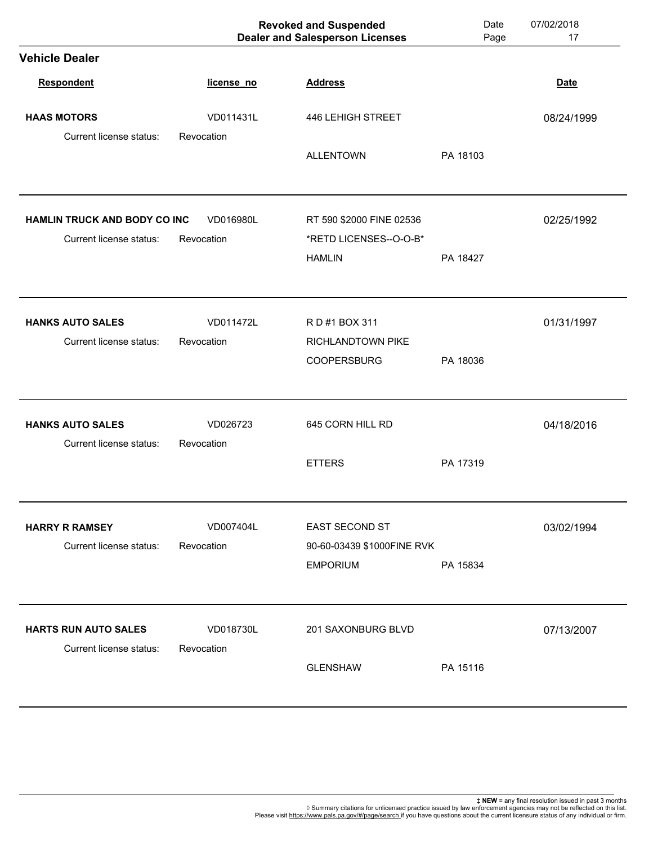|                              |            | <b>Revoked and Suspended</b><br><b>Dealer and Salesperson Licenses</b> | Date<br>Page | 07/02/2018<br>17 |
|------------------------------|------------|------------------------------------------------------------------------|--------------|------------------|
| <b>Vehicle Dealer</b>        |            |                                                                        |              |                  |
| Respondent                   | license_no | <b>Address</b>                                                         |              | <b>Date</b>      |
| <b>HAAS MOTORS</b>           | VD011431L  | 446 LEHIGH STREET                                                      |              | 08/24/1999       |
| Current license status:      | Revocation | <b>ALLENTOWN</b>                                                       | PA 18103     |                  |
| HAMLIN TRUCK AND BODY CO INC | VD016980L  | RT 590 \$2000 FINE 02536                                               |              | 02/25/1992       |
| Current license status:      | Revocation | *RETD LICENSES--O-O-B*<br><b>HAMLIN</b>                                | PA 18427     |                  |
| <b>HANKS AUTO SALES</b>      | VD011472L  | R D #1 BOX 311                                                         |              | 01/31/1997       |
| Current license status:      | Revocation | RICHLANDTOWN PIKE<br><b>COOPERSBURG</b>                                | PA 18036     |                  |
| <b>HANKS AUTO SALES</b>      | VD026723   | 645 CORN HILL RD                                                       |              | 04/18/2016       |
| Current license status:      | Revocation | <b>ETTERS</b>                                                          | PA 17319     |                  |
| <b>HARRY R RAMSEY</b>        | VD007404L  | EAST SECOND ST                                                         |              | 03/02/1994       |
| Current license status:      | Revocation | 90-60-03439 \$1000FINE RVK<br><b>EMPORIUM</b>                          | PA 15834     |                  |
| <b>HARTS RUN AUTO SALES</b>  | VD018730L  | 201 SAXONBURG BLVD                                                     |              | 07/13/2007       |
| Current license status:      | Revocation | <b>GLENSHAW</b>                                                        | PA 15116     |                  |
|                              |            |                                                                        |              |                  |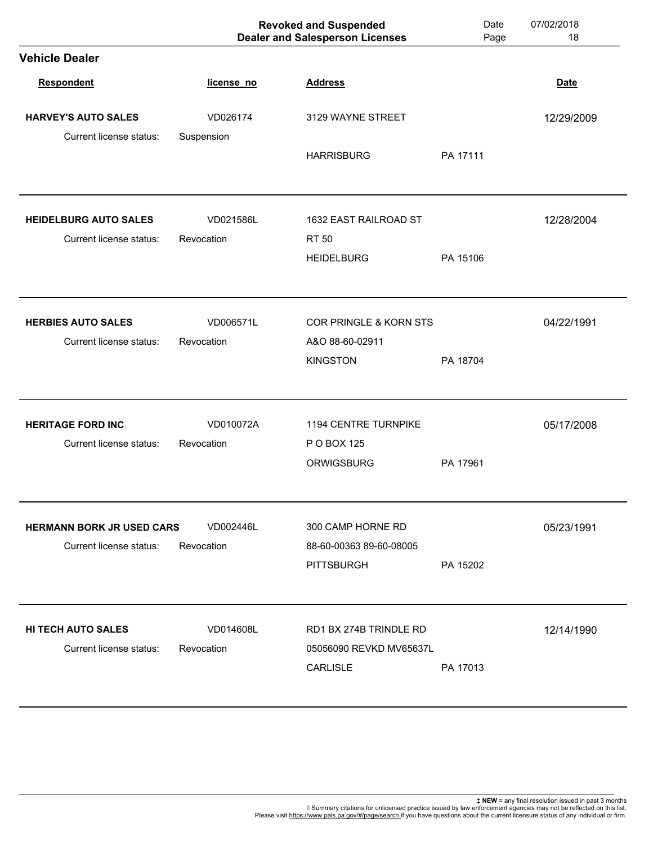|                                                      |                         | <b>Revoked and Suspended</b><br><b>Dealer and Salesperson Licenses</b> | Date<br>Page | 07/02/2018<br>18 |
|------------------------------------------------------|-------------------------|------------------------------------------------------------------------|--------------|------------------|
| <b>Vehicle Dealer</b>                                |                         |                                                                        |              |                  |
| Respondent                                           | license_no              | <b>Address</b>                                                         |              | <b>Date</b>      |
| <b>HARVEY'S AUTO SALES</b>                           | VD026174                | 3129 WAYNE STREET                                                      |              | 12/29/2009       |
| Current license status:                              | Suspension              |                                                                        |              |                  |
|                                                      |                         | <b>HARRISBURG</b>                                                      | PA 17111     |                  |
| <b>HEIDELBURG AUTO SALES</b>                         | VD021586L               | 1632 EAST RAILROAD ST                                                  |              | 12/28/2004       |
| Current license status:                              | Revocation              | <b>RT 50</b>                                                           |              |                  |
|                                                      |                         | <b>HEIDELBURG</b>                                                      | PA 15106     |                  |
|                                                      |                         |                                                                        |              |                  |
| <b>HERBIES AUTO SALES</b><br>Current license status: | VD006571L<br>Revocation | COR PRINGLE & KORN STS<br>A&O 88-60-02911                              |              | 04/22/1991       |
|                                                      |                         | <b>KINGSTON</b>                                                        | PA 18704     |                  |
| <b>HERITAGE FORD INC</b>                             | VD010072A               | 1194 CENTRE TURNPIKE                                                   |              |                  |
| Current license status:                              | Revocation              | P O BOX 125                                                            |              | 05/17/2008       |
|                                                      |                         | <b>ORWIGSBURG</b>                                                      | PA 17961     |                  |
| <b>HERMANN BORK JR USED CARS</b>                     | VD002446L               | 300 CAMP HORNE RD                                                      |              | 05/23/1991       |
| Current license status:                              | Revocation              | 88-60-00363 89-60-08005                                                |              |                  |
|                                                      |                         | <b>PITTSBURGH</b>                                                      | PA 15202     |                  |
|                                                      |                         |                                                                        |              |                  |
| <b>HI TECH AUTO SALES</b><br>Current license status: | VD014608L<br>Revocation | RD1 BX 274B TRINDLE RD                                                 |              | 12/14/1990       |
|                                                      |                         | 05056090 REVKD MV65637L<br><b>CARLISLE</b>                             | PA 17013     |                  |
|                                                      |                         |                                                                        |              |                  |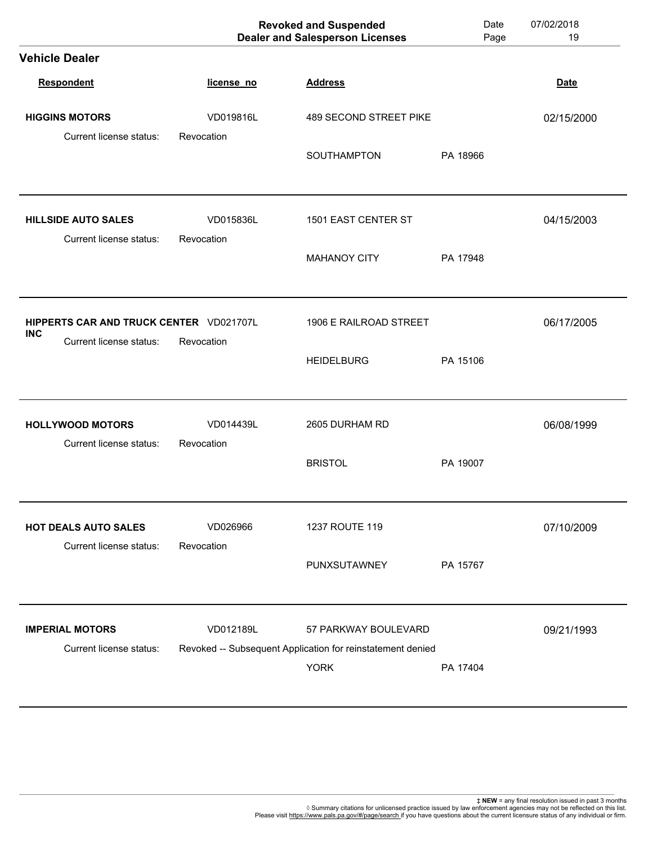|                                                                                  |                         | <b>Revoked and Suspended</b><br><b>Dealer and Salesperson Licenses</b>    | Date<br>Page | 07/02/2018<br>19 |
|----------------------------------------------------------------------------------|-------------------------|---------------------------------------------------------------------------|--------------|------------------|
| <b>Vehicle Dealer</b>                                                            |                         |                                                                           |              |                  |
| Respondent                                                                       | license_no              | <b>Address</b>                                                            |              | <b>Date</b>      |
| <b>HIGGINS MOTORS</b><br>Current license status:                                 | VD019816L<br>Revocation | <b>489 SECOND STREET PIKE</b>                                             |              | 02/15/2000       |
|                                                                                  |                         | SOUTHAMPTON                                                               | PA 18966     |                  |
| <b>HILLSIDE AUTO SALES</b><br>Current license status:                            | VD015836L<br>Revocation | 1501 EAST CENTER ST                                                       |              | 04/15/2003       |
|                                                                                  |                         | <b>MAHANOY CITY</b>                                                       | PA 17948     |                  |
| HIPPERTS CAR AND TRUCK CENTER VD021707L<br><b>INC</b><br>Current license status: | Revocation              | 1906 E RAILROAD STREET                                                    |              | 06/17/2005       |
|                                                                                  |                         | <b>HEIDELBURG</b>                                                         | PA 15106     |                  |
| <b>HOLLYWOOD MOTORS</b><br>Current license status:                               | VD014439L<br>Revocation | 2605 DURHAM RD                                                            |              | 06/08/1999       |
|                                                                                  |                         | <b>BRISTOL</b>                                                            | PA 19007     |                  |
| HOT DEALS AUTO SALES<br>Current license status:                                  | VD026966<br>Revocation  | 1237 ROUTE 119                                                            |              | 07/10/2009       |
|                                                                                  |                         | PUNXSUTAWNEY                                                              | PA 15767     |                  |
| <b>IMPERIAL MOTORS</b>                                                           | VD012189L               | 57 PARKWAY BOULEVARD                                                      |              | 09/21/1993       |
| Current license status:                                                          |                         | Revoked -- Subsequent Application for reinstatement denied<br><b>YORK</b> | PA 17404     |                  |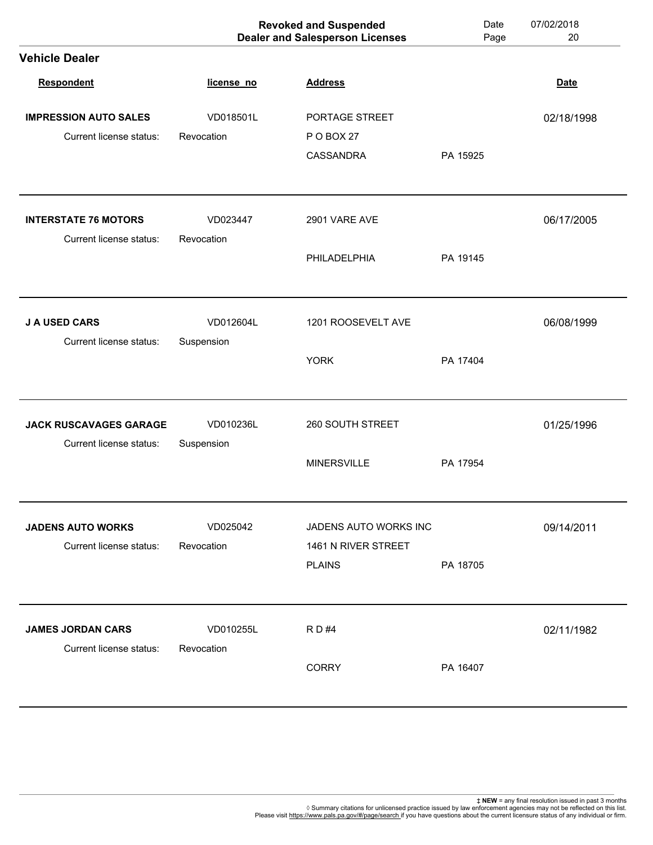|                                                     |                         | <b>Revoked and Suspended</b><br><b>Dealer and Salesperson Licenses</b> | Date<br>Page | 07/02/2018<br>20 |
|-----------------------------------------------------|-------------------------|------------------------------------------------------------------------|--------------|------------------|
| <b>Vehicle Dealer</b>                               |                         |                                                                        |              |                  |
| <b>Respondent</b>                                   | license_no              | <b>Address</b>                                                         |              | <b>Date</b>      |
| <b>IMPRESSION AUTO SALES</b>                        | VD018501L               | PORTAGE STREET                                                         |              | 02/18/1998       |
| Current license status:                             | Revocation              | P O BOX 27                                                             |              |                  |
|                                                     |                         | <b>CASSANDRA</b>                                                       | PA 15925     |                  |
| <b>INTERSTATE 76 MOTORS</b>                         | VD023447                | 2901 VARE AVE                                                          |              | 06/17/2005       |
| Current license status:                             | Revocation              |                                                                        |              |                  |
|                                                     |                         | PHILADELPHIA                                                           | PA 19145     |                  |
| <b>J A USED CARS</b>                                | VD012604L               | 1201 ROOSEVELT AVE                                                     |              | 06/08/1999       |
| Current license status:                             | Suspension              |                                                                        |              |                  |
|                                                     |                         | <b>YORK</b>                                                            | PA 17404     |                  |
| <b>JACK RUSCAVAGES GARAGE</b>                       | VD010236L               | 260 SOUTH STREET                                                       |              | 01/25/1996       |
| Current license status:                             | Suspension              |                                                                        |              |                  |
|                                                     |                         | <b>MINERSVILLE</b>                                                     | PA 17954     |                  |
| <b>JADENS AUTO WORKS</b>                            | VD025042                | JADENS AUTO WORKS INC                                                  |              | 09/14/2011       |
| Current license status:                             | Revocation              | 1461 N RIVER STREET                                                    |              |                  |
|                                                     |                         | <b>PLAINS</b>                                                          | PA 18705     |                  |
|                                                     |                         |                                                                        |              |                  |
| <b>JAMES JORDAN CARS</b><br>Current license status: | VD010255L<br>Revocation | R D #4                                                                 |              | 02/11/1982       |
|                                                     |                         | <b>CORRY</b>                                                           | PA 16407     |                  |
|                                                     |                         |                                                                        |              |                  |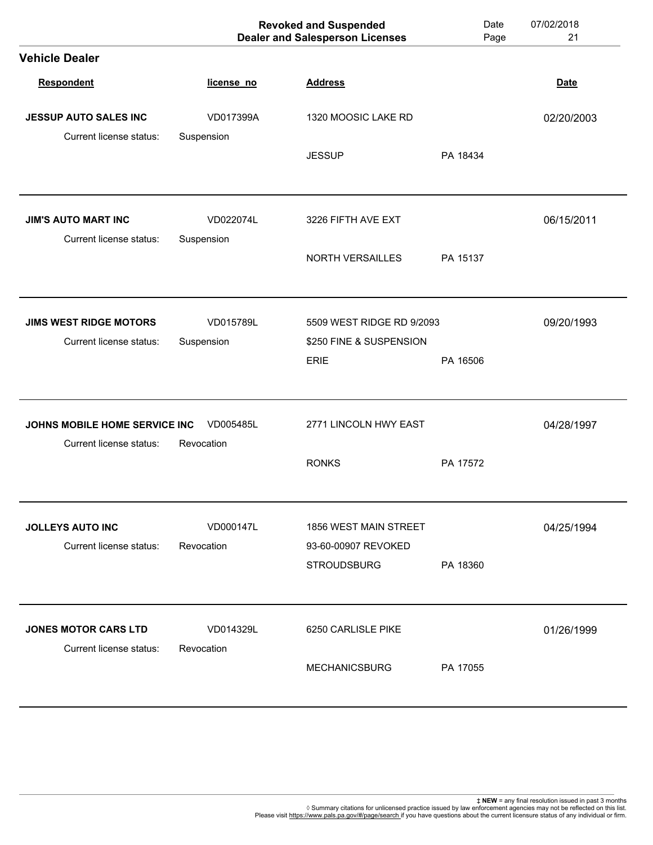|                                                          |                         | <b>Revoked and Suspended</b><br><b>Dealer and Salesperson Licenses</b> | Date<br>Page | 07/02/2018<br>21 |
|----------------------------------------------------------|-------------------------|------------------------------------------------------------------------|--------------|------------------|
| <b>Vehicle Dealer</b>                                    |                         |                                                                        |              |                  |
| <b>Respondent</b>                                        | license_no              | <b>Address</b>                                                         |              | <b>Date</b>      |
| JESSUP AUTO SALES INC                                    | VD017399A               | 1320 MOOSIC LAKE RD                                                    |              | 02/20/2003       |
| Current license status:                                  | Suspension              | <b>JESSUP</b>                                                          | PA 18434     |                  |
| <b>JIM'S AUTO MART INC</b><br>Current license status:    | VD022074L<br>Suspension | 3226 FIFTH AVE EXT                                                     |              | 06/15/2011       |
|                                                          |                         | <b>NORTH VERSAILLES</b>                                                | PA 15137     |                  |
| <b>JIMS WEST RIDGE MOTORS</b>                            | VD015789L               | 5509 WEST RIDGE RD 9/2093                                              |              | 09/20/1993       |
| Current license status:                                  | Suspension              | \$250 FINE & SUSPENSION<br><b>ERIE</b>                                 | PA 16506     |                  |
| JOHNS MOBILE HOME SERVICE INC<br>Current license status: | VD005485L<br>Revocation | 2771 LINCOLN HWY EAST                                                  |              | 04/28/1997       |
|                                                          |                         | <b>RONKS</b>                                                           | PA 17572     |                  |
| <b>JOLLEYS AUTO INC</b><br>Current license status:       | VD000147L<br>Revocation | 1856 WEST MAIN STREET<br>93-60-00907 REVOKED                           |              | 04/25/1994       |
|                                                          |                         | <b>STROUDSBURG</b>                                                     | PA 18360     |                  |
| <b>JONES MOTOR CARS LTD</b><br>Current license status:   | VD014329L<br>Revocation | 6250 CARLISLE PIKE                                                     |              | 01/26/1999       |
|                                                          |                         | <b>MECHANICSBURG</b>                                                   | PA 17055     |                  |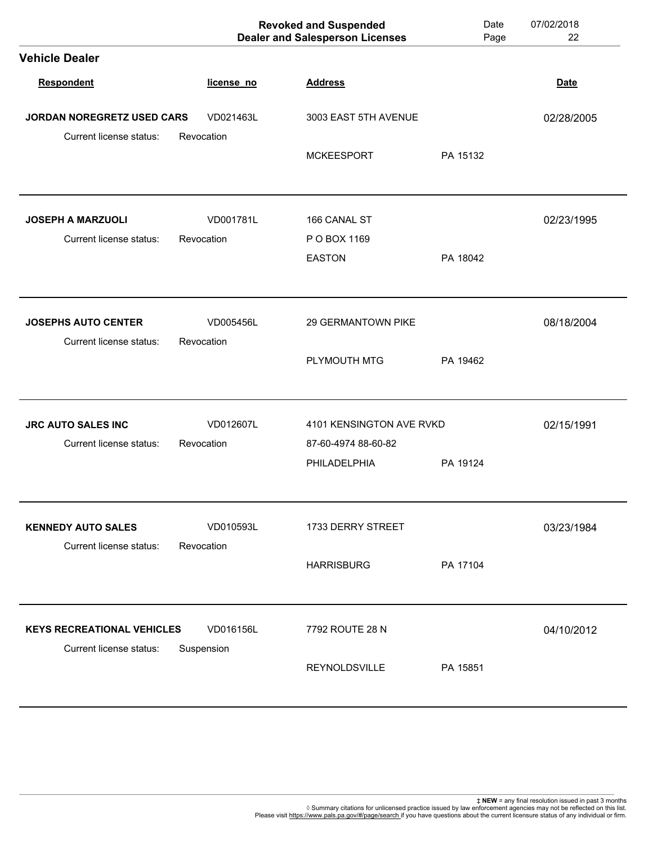|                                                              |                         | <b>Revoked and Suspended</b><br><b>Dealer and Salesperson Licenses</b> | Date<br>Page | 07/02/2018<br>22 |
|--------------------------------------------------------------|-------------------------|------------------------------------------------------------------------|--------------|------------------|
| <b>Vehicle Dealer</b>                                        |                         |                                                                        |              |                  |
| Respondent                                                   | license_no              | <b>Address</b>                                                         |              | <b>Date</b>      |
| <b>JORDAN NOREGRETZ USED CARS</b>                            | VD021463L               | 3003 EAST 5TH AVENUE                                                   |              | 02/28/2005       |
| Current license status:                                      | Revocation              | <b>MCKEESPORT</b>                                                      | PA 15132     |                  |
| <b>JOSEPH A MARZUOLI</b><br>Current license status:          | VD001781L<br>Revocation | 166 CANAL ST<br>P O BOX 1169                                           |              | 02/23/1995       |
|                                                              |                         | <b>EASTON</b>                                                          | PA 18042     |                  |
| <b>JOSEPHS AUTO CENTER</b><br>Current license status:        | VD005456L<br>Revocation | 29 GERMANTOWN PIKE                                                     |              | 08/18/2004       |
|                                                              |                         | PLYMOUTH MTG                                                           | PA 19462     |                  |
| <b>JRC AUTO SALES INC</b><br>Current license status:         | VD012607L<br>Revocation | 4101 KENSINGTON AVE RVKD<br>87-60-4974 88-60-82                        |              | 02/15/1991       |
|                                                              |                         | PHILADELPHIA                                                           | PA 19124     |                  |
| <b>KENNEDY AUTO SALES</b><br>Current license status:         | VD010593L<br>Revocation | 1733 DERRY STREET                                                      |              | 03/23/1984       |
|                                                              |                         | <b>HARRISBURG</b>                                                      | PA 17104     |                  |
| <b>KEYS RECREATIONAL VEHICLES</b><br>Current license status: | VD016156L               | 7792 ROUTE 28 N                                                        |              | 04/10/2012       |
|                                                              | Suspension              | REYNOLDSVILLE                                                          | PA 15851     |                  |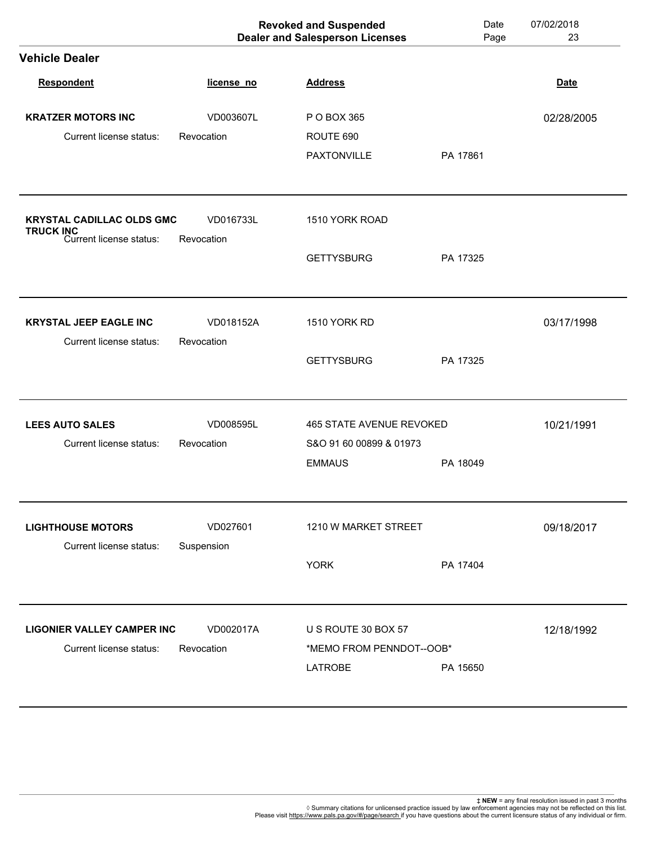| <b>Vehicle Dealer</b>                                                           |                         |                          |          | 23          |
|---------------------------------------------------------------------------------|-------------------------|--------------------------|----------|-------------|
|                                                                                 |                         |                          |          |             |
| <b>Respondent</b>                                                               | license_no              | <b>Address</b>           |          | <b>Date</b> |
| <b>KRATZER MOTORS INC</b>                                                       | VD003607L               | P O BOX 365              |          | 02/28/2005  |
| Current license status:                                                         | Revocation              | ROUTE 690                |          |             |
|                                                                                 |                         | PAXTONVILLE              | PA 17861 |             |
| <b>KRYSTAL CADILLAC OLDS GMC</b><br><b>TRUCK INC</b><br>Current license status: | VD016733L<br>Revocation | 1510 YORK ROAD           |          |             |
|                                                                                 |                         | <b>GETTYSBURG</b>        | PA 17325 |             |
| <b>KRYSTAL JEEP EAGLE INC</b>                                                   | VD018152A               | 1510 YORK RD             |          | 03/17/1998  |
| Current license status:                                                         | Revocation              | <b>GETTYSBURG</b>        | PA 17325 |             |
| <b>LEES AUTO SALES</b>                                                          | VD008595L               | 465 STATE AVENUE REVOKED |          | 10/21/1991  |
| Current license status:                                                         | Revocation              | S&O 91 60 00899 & 01973  |          |             |
|                                                                                 |                         | <b>EMMAUS</b>            | PA 18049 |             |
| <b>LIGHTHOUSE MOTORS</b><br>Current license status:                             | VD027601<br>Suspension  | 1210 W MARKET STREET     |          | 09/18/2017  |
|                                                                                 |                         | <b>YORK</b>              | PA 17404 |             |
| <b>LIGONIER VALLEY CAMPER INC</b>                                               | VD002017A               | U S ROUTE 30 BOX 57      |          | 12/18/1992  |
| Current license status:                                                         | Revocation              | *MEMO FROM PENNDOT--OOB* |          |             |
|                                                                                 |                         | <b>LATROBE</b>           | PA 15650 |             |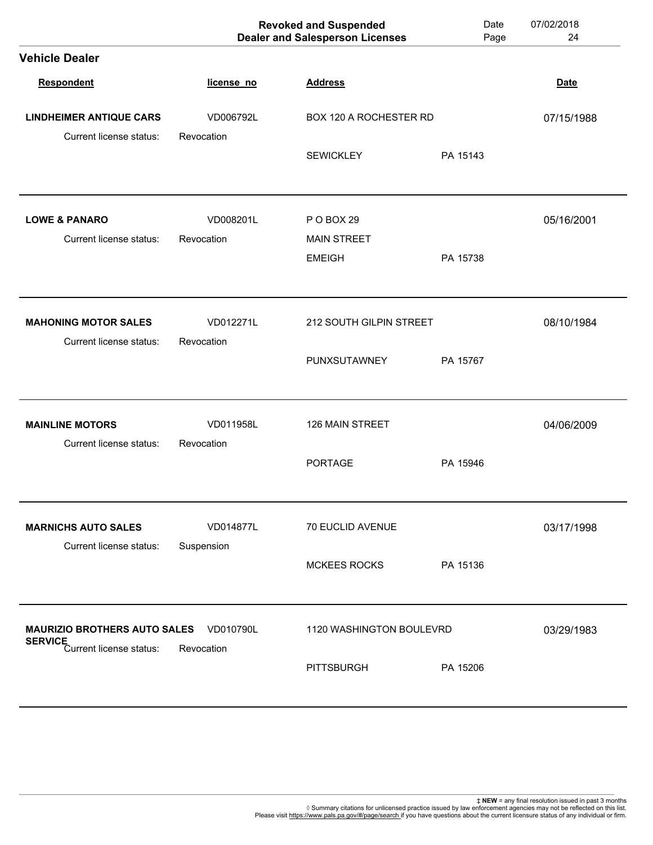|                                                                                  |                         | <b>Revoked and Suspended</b><br><b>Dealer and Salesperson Licenses</b> | Date<br>Page | 07/02/2018<br>24 |
|----------------------------------------------------------------------------------|-------------------------|------------------------------------------------------------------------|--------------|------------------|
| <b>Vehicle Dealer</b>                                                            |                         |                                                                        |              |                  |
| Respondent                                                                       | license_no              | <b>Address</b>                                                         |              | <b>Date</b>      |
| <b>LINDHEIMER ANTIQUE CARS</b>                                                   | VD006792L               | <b>BOX 120 A ROCHESTER RD</b>                                          |              | 07/15/1988       |
| Current license status:                                                          | Revocation              | <b>SEWICKLEY</b>                                                       | PA 15143     |                  |
| <b>LOWE &amp; PANARO</b><br>Current license status:                              | VD008201L<br>Revocation | POBOX 29<br><b>MAIN STREET</b>                                         |              | 05/16/2001       |
|                                                                                  |                         | <b>EMEIGH</b>                                                          | PA 15738     |                  |
| <b>MAHONING MOTOR SALES</b>                                                      | VD012271L               | 212 SOUTH GILPIN STREET                                                |              | 08/10/1984       |
| Current license status:                                                          | Revocation              | PUNXSUTAWNEY                                                           | PA 15767     |                  |
| <b>MAINLINE MOTORS</b>                                                           | VD011958L               | 126 MAIN STREET                                                        |              | 04/06/2009       |
| Current license status:                                                          | Revocation              | <b>PORTAGE</b>                                                         | PA 15946     |                  |
| <b>MARNICHS AUTO SALES</b>                                                       | VD014877L               | 70 EUCLID AVENUE                                                       |              | 03/17/1998       |
| Current license status:                                                          | Suspension              | <b>MCKEES ROCKS</b>                                                    | PA 15136     |                  |
| <b>MAURIZIO BROTHERS AUTO SALES</b><br><b>SERVICE</b><br>Current license status: | VD010790L               | 1120 WASHINGTON BOULEVRD                                               |              | 03/29/1983       |
|                                                                                  | Revocation              | <b>PITTSBURGH</b>                                                      | PA 15206     |                  |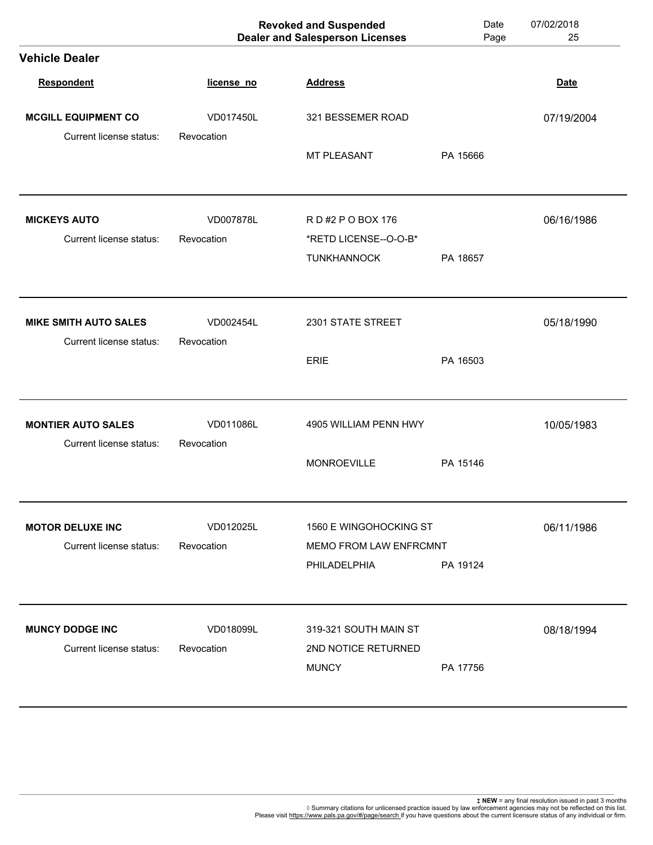|                              |            | <b>Revoked and Suspended</b><br><b>Dealer and Salesperson Licenses</b> | Date<br>Page | 07/02/2018<br>25 |
|------------------------------|------------|------------------------------------------------------------------------|--------------|------------------|
| <b>Vehicle Dealer</b>        |            |                                                                        |              |                  |
| <b>Respondent</b>            | license_no | <b>Address</b>                                                         |              | <b>Date</b>      |
| <b>MCGILL EQUIPMENT CO</b>   | VD017450L  | 321 BESSEMER ROAD                                                      |              | 07/19/2004       |
| Current license status:      | Revocation | <b>MT PLEASANT</b>                                                     | PA 15666     |                  |
|                              |            |                                                                        |              |                  |
| <b>MICKEYS AUTO</b>          | VD007878L  | R D #2 P O BOX 176                                                     |              | 06/16/1986       |
| Current license status:      | Revocation | *RETD LICENSE--O-O-B*                                                  |              |                  |
|                              |            | <b>TUNKHANNOCK</b>                                                     | PA 18657     |                  |
| <b>MIKE SMITH AUTO SALES</b> | VD002454L  | 2301 STATE STREET                                                      |              | 05/18/1990       |
| Current license status:      | Revocation |                                                                        |              |                  |
|                              |            | <b>ERIE</b>                                                            | PA 16503     |                  |
| <b>MONTIER AUTO SALES</b>    | VD011086L  | 4905 WILLIAM PENN HWY                                                  |              | 10/05/1983       |
| Current license status:      | Revocation | <b>MONROEVILLE</b>                                                     | PA 15146     |                  |
| <b>MOTOR DELUXE INC</b>      | VD012025L  | 1560 E WINGOHOCKING ST                                                 |              | 06/11/1986       |
| Current license status:      | Revocation | <b>MEMO FROM LAW ENFRCMNT</b>                                          |              |                  |
|                              |            | PHILADELPHIA                                                           | PA 19124     |                  |
| <b>MUNCY DODGE INC</b>       | VD018099L  | 319-321 SOUTH MAIN ST                                                  |              | 08/18/1994       |
| Current license status:      | Revocation | 2ND NOTICE RETURNED                                                    |              |                  |
|                              |            | <b>MUNCY</b>                                                           | PA 17756     |                  |
|                              |            |                                                                        |              |                  |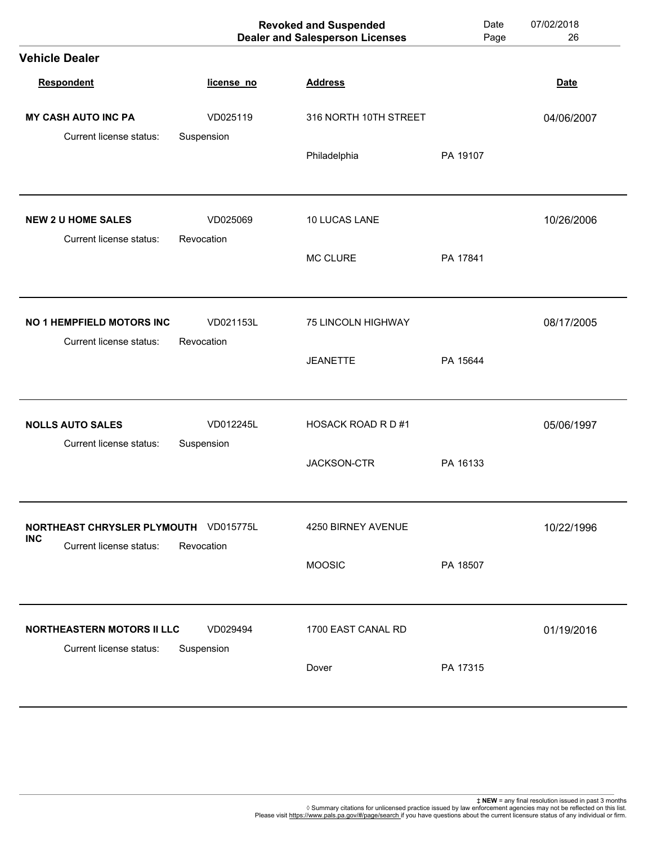|                                                                                |                         | <b>Revoked and Suspended</b><br><b>Dealer and Salesperson Licenses</b> | Date<br>Page | 07/02/2018<br>26 |
|--------------------------------------------------------------------------------|-------------------------|------------------------------------------------------------------------|--------------|------------------|
| <b>Vehicle Dealer</b>                                                          |                         |                                                                        |              |                  |
| Respondent                                                                     | license_no              | <b>Address</b>                                                         |              | <b>Date</b>      |
| <b>MY CASH AUTO INC PA</b>                                                     | VD025119                | 316 NORTH 10TH STREET                                                  |              | 04/06/2007       |
| Current license status:                                                        | Suspension              | Philadelphia                                                           | PA 19107     |                  |
| <b>NEW 2 U HOME SALES</b><br>Current license status:                           | VD025069<br>Revocation  | 10 LUCAS LANE                                                          |              | 10/26/2006       |
|                                                                                |                         | <b>MC CLURE</b>                                                        | PA 17841     |                  |
| NO 1 HEMPFIELD MOTORS INC<br>Current license status:                           | VD021153L<br>Revocation | 75 LINCOLN HIGHWAY                                                     |              | 08/17/2005       |
|                                                                                |                         | <b>JEANETTE</b>                                                        | PA 15644     |                  |
| <b>NOLLS AUTO SALES</b><br>Current license status:                             | VD012245L<br>Suspension | <b>HOSACK ROAD R D #1</b>                                              |              | 05/06/1997       |
|                                                                                |                         | JACKSON-CTR                                                            | PA 16133     |                  |
| NORTHEAST CHRYSLER PLYMOUTH VD015775L<br><b>INC</b><br>Current license status: | Revocation              | 4250 BIRNEY AVENUE                                                     |              | 10/22/1996       |
|                                                                                |                         | <b>MOOSIC</b>                                                          | PA 18507     |                  |
| <b>NORTHEASTERN MOTORS II LLC</b><br>Current license status:                   | VD029494                | 1700 EAST CANAL RD                                                     |              | 01/19/2016       |
|                                                                                | Suspension              | Dover                                                                  | PA 17315     |                  |
|                                                                                |                         |                                                                        |              |                  |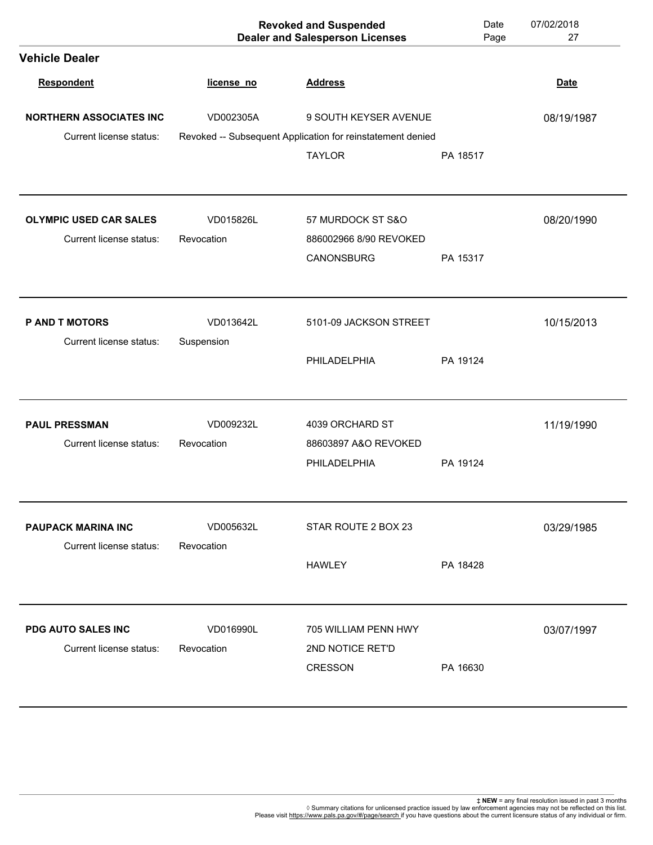|                                               |                         | <b>Revoked and Suspended</b><br><b>Dealer and Salesperson Licenses</b> | Date<br>Page | 07/02/2018<br>27 |
|-----------------------------------------------|-------------------------|------------------------------------------------------------------------|--------------|------------------|
| <b>Vehicle Dealer</b>                         |                         |                                                                        |              |                  |
| <b>Respondent</b>                             | license_no              | <b>Address</b>                                                         |              | <b>Date</b>      |
| <b>NORTHERN ASSOCIATES INC</b>                | VD002305A               | 9 SOUTH KEYSER AVENUE                                                  |              | 08/19/1987       |
| Current license status:                       |                         | Revoked -- Subsequent Application for reinstatement denied             |              |                  |
|                                               |                         | <b>TAYLOR</b>                                                          | PA 18517     |                  |
| <b>OLYMPIC USED CAR SALES</b>                 | VD015826L               | 57 MURDOCK ST S&O                                                      |              | 08/20/1990       |
| Current license status:                       | Revocation              | 886002966 8/90 REVOKED                                                 |              |                  |
|                                               |                         | CANONSBURG                                                             | PA 15317     |                  |
| P AND T MOTORS                                | VD013642L               | 5101-09 JACKSON STREET                                                 |              | 10/15/2013       |
| Current license status:                       | Suspension              |                                                                        |              |                  |
|                                               |                         | PHILADELPHIA                                                           | PA 19124     |                  |
| <b>PAUL PRESSMAN</b>                          | VD009232L               | 4039 ORCHARD ST                                                        |              | 11/19/1990       |
| Current license status:                       | Revocation              | 88603897 A&O REVOKED                                                   |              |                  |
|                                               |                         | PHILADELPHIA                                                           | PA 19124     |                  |
| <b>PAUPACK MARINA INC</b>                     | VD005632L               | STAR ROUTE 2 BOX 23                                                    |              | 03/29/1985       |
| Current license status:                       | Revocation              | <b>HAWLEY</b>                                                          | PA 18428     |                  |
|                                               |                         |                                                                        |              |                  |
| PDG AUTO SALES INC<br>Current license status: | VD016990L<br>Revocation | 705 WILLIAM PENN HWY<br>2ND NOTICE RET'D                               |              | 03/07/1997       |
|                                               |                         | <b>CRESSON</b>                                                         | PA 16630     |                  |
|                                               |                         |                                                                        |              |                  |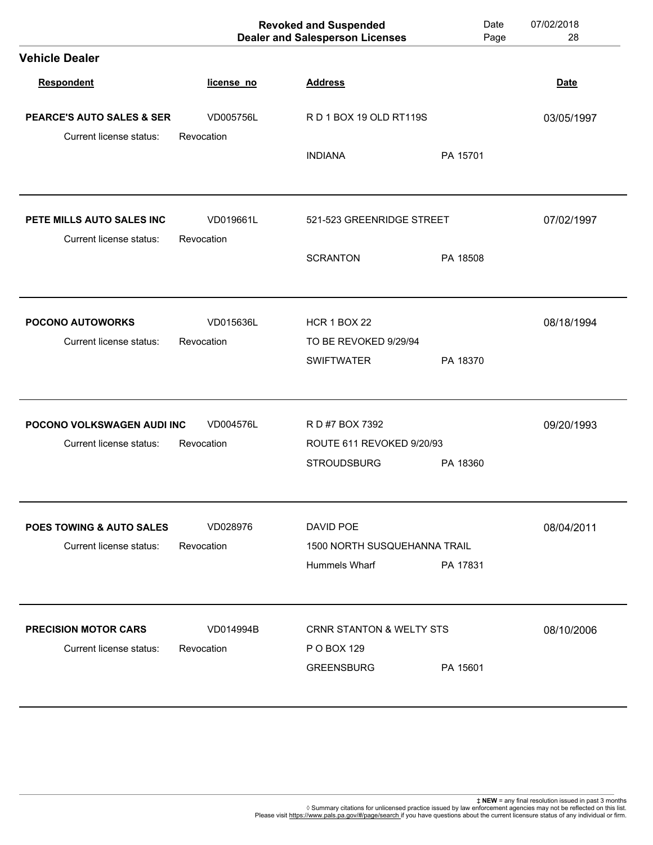|                                                     |                        | <b>Revoked and Suspended</b><br><b>Dealer and Salesperson Licenses</b> | Date<br>Page | 07/02/2018<br>28 |
|-----------------------------------------------------|------------------------|------------------------------------------------------------------------|--------------|------------------|
| <b>Vehicle Dealer</b>                               |                        |                                                                        |              |                  |
| Respondent                                          | license_no             | <b>Address</b>                                                         |              | <b>Date</b>      |
| PEARCE'S AUTO SALES & SER                           | VD005756L              | RD 1 BOX 19 OLD RT119S                                                 |              | 03/05/1997       |
| Current license status:                             | Revocation             |                                                                        |              |                  |
|                                                     |                        | <b>INDIANA</b>                                                         | PA 15701     |                  |
| PETE MILLS AUTO SALES INC                           | VD019661L              | 521-523 GREENRIDGE STREET                                              |              | 07/02/1997       |
| Current license status:                             | Revocation             |                                                                        |              |                  |
|                                                     |                        | <b>SCRANTON</b>                                                        | PA 18508     |                  |
| <b>POCONO AUTOWORKS</b>                             | VD015636L              | <b>HCR 1 BOX 22</b>                                                    |              | 08/18/1994       |
| Current license status:                             | Revocation             | TO BE REVOKED 9/29/94                                                  |              |                  |
|                                                     |                        | <b>SWIFTWATER</b>                                                      | PA 18370     |                  |
|                                                     |                        |                                                                        |              |                  |
| POCONO VOLKSWAGEN AUDI INC                          | VD004576L              | R D #7 BOX 7392                                                        |              | 09/20/1993       |
| Current license status:                             | Revocation             | ROUTE 611 REVOKED 9/20/93<br><b>STROUDSBURG</b>                        | PA 18360     |                  |
|                                                     |                        |                                                                        |              |                  |
| POES TOWING & AUTO SALES<br>Current license status: | VD028976<br>Revocation | DAVID POE<br>1500 NORTH SUSQUEHANNA TRAIL                              |              | 08/04/2011       |
|                                                     |                        | <b>Hummels Wharf</b>                                                   | PA 17831     |                  |
|                                                     |                        |                                                                        |              |                  |
| <b>PRECISION MOTOR CARS</b>                         | VD014994B              | <b>CRNR STANTON &amp; WELTY STS</b>                                    |              | 08/10/2006       |
| Current license status:                             | Revocation             | P O BOX 129                                                            |              |                  |
|                                                     |                        | <b>GREENSBURG</b>                                                      | PA 15601     |                  |
|                                                     |                        |                                                                        |              |                  |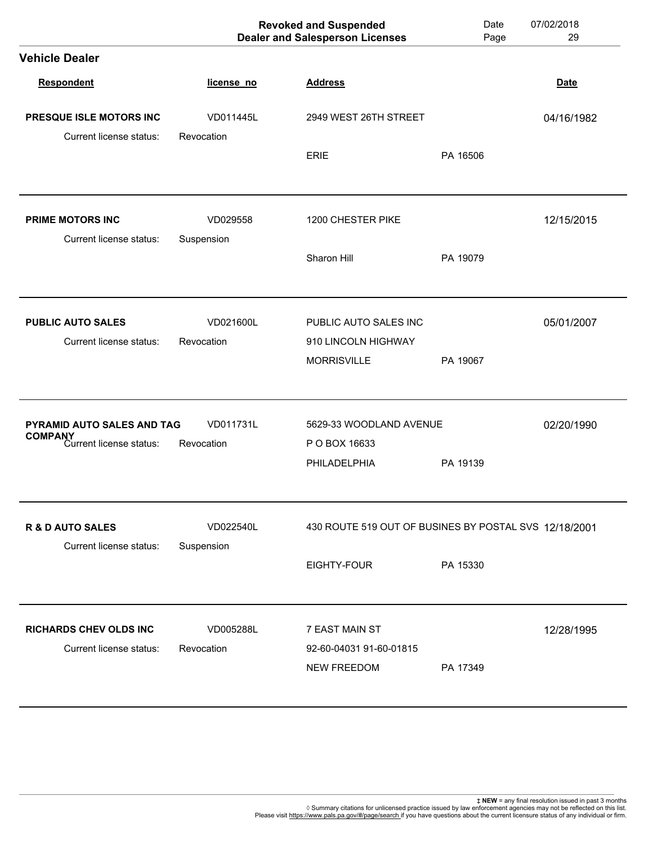|                                                        |                         | <b>Revoked and Suspended</b><br><b>Dealer and Salesperson Licenses</b> | Date<br>Page | 07/02/2018<br>29 |
|--------------------------------------------------------|-------------------------|------------------------------------------------------------------------|--------------|------------------|
| <b>Vehicle Dealer</b>                                  |                         |                                                                        |              |                  |
| <b>Respondent</b>                                      | license_no              | <b>Address</b>                                                         |              | <b>Date</b>      |
| PRESQUE ISLE MOTORS INC                                | VD011445L               | 2949 WEST 26TH STREET                                                  |              | 04/16/1982       |
| Current license status:                                | Revocation              | <b>ERIE</b>                                                            | PA 16506     |                  |
|                                                        |                         |                                                                        |              |                  |
| <b>PRIME MOTORS INC</b>                                | VD029558                | 1200 CHESTER PIKE                                                      |              | 12/15/2015       |
| Current license status:                                | Suspension              | Sharon Hill                                                            | PA 19079     |                  |
| <b>PUBLIC AUTO SALES</b>                               | VD021600L               | PUBLIC AUTO SALES INC                                                  |              | 05/01/2007       |
| Current license status:                                | Revocation              | 910 LINCOLN HIGHWAY                                                    |              |                  |
|                                                        |                         | <b>MORRISVILLE</b>                                                     | PA 19067     |                  |
| PYRAMID AUTO SALES AND TAG                             | VD011731L               | 5629-33 WOODLAND AVENUE                                                |              | 02/20/1990       |
| <b>COMPANY</b><br>Current license status:              | Revocation              | P O BOX 16633                                                          |              |                  |
|                                                        |                         | PHILADELPHIA                                                           | PA 19139     |                  |
| <b>R &amp; D AUTO SALES</b><br>Current license status: | VD022540L<br>Suspension | 430 ROUTE 519 OUT OF BUSINES BY POSTAL SVS 12/18/2001                  |              |                  |
|                                                        |                         | EIGHTY-FOUR                                                            | PA 15330     |                  |
| <b>RICHARDS CHEV OLDS INC</b>                          | VD005288L               | 7 EAST MAIN ST                                                         |              | 12/28/1995       |
| Current license status:                                | Revocation              | 92-60-04031 91-60-01815                                                |              |                  |
|                                                        |                         | <b>NEW FREEDOM</b>                                                     | PA 17349     |                  |
|                                                        |                         |                                                                        |              |                  |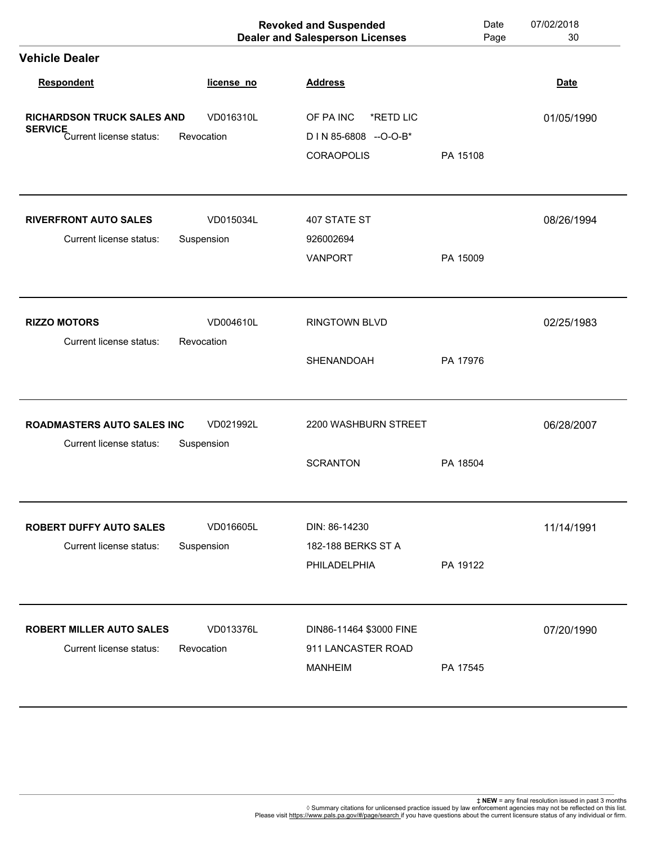|                                           |            | <b>Revoked and Suspended</b><br><b>Dealer and Salesperson Licenses</b> | Date<br>Page | 07/02/2018<br>30 |
|-------------------------------------------|------------|------------------------------------------------------------------------|--------------|------------------|
| <b>Vehicle Dealer</b>                     |            |                                                                        |              |                  |
| <b>Respondent</b>                         | license_no | <b>Address</b>                                                         |              | <b>Date</b>      |
| <b>RICHARDSON TRUCK SALES AND</b>         | VD016310L  | *RETD LIC<br>OF PA INC                                                 |              | 01/05/1990       |
| <b>SERVICE</b><br>Current license status: | Revocation | D I N 85-6808 -- O-O-B*                                                |              |                  |
|                                           |            | <b>CORAOPOLIS</b>                                                      | PA 15108     |                  |
| <b>RIVERFRONT AUTO SALES</b>              | VD015034L  | 407 STATE ST                                                           |              | 08/26/1994       |
| Current license status:                   | Suspension | 926002694                                                              |              |                  |
|                                           |            | <b>VANPORT</b>                                                         | PA 15009     |                  |
| <b>RIZZO MOTORS</b>                       | VD004610L  | RINGTOWN BLVD                                                          |              | 02/25/1983       |
| Current license status:                   | Revocation |                                                                        |              |                  |
|                                           |            | SHENANDOAH                                                             | PA 17976     |                  |
| ROADMASTERS AUTO SALES INC                | VD021992L  | 2200 WASHBURN STREET                                                   |              | 06/28/2007       |
| Current license status:                   | Suspension |                                                                        |              |                  |
|                                           |            | <b>SCRANTON</b>                                                        | PA 18504     |                  |
| <b>ROBERT DUFFY AUTO SALES</b>            | VD016605L  | DIN: 86-14230                                                          |              | 11/14/1991       |
| Current license status:                   | Suspension | 182-188 BERKS ST A                                                     |              |                  |
|                                           |            | PHILADELPHIA                                                           | PA 19122     |                  |
| <b>ROBERT MILLER AUTO SALES</b>           | VD013376L  | DIN86-11464 \$3000 FINE                                                |              | 07/20/1990       |
| Current license status:                   | Revocation | 911 LANCASTER ROAD                                                     |              |                  |
|                                           |            | <b>MANHEIM</b>                                                         | PA 17545     |                  |
|                                           |            |                                                                        |              |                  |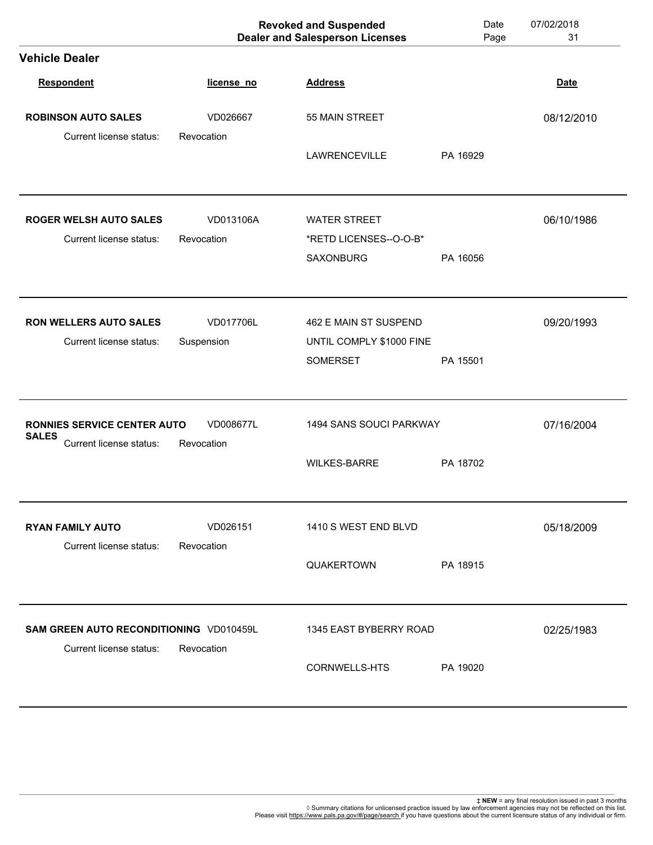|                                                                               |                         | <b>Revoked and Suspended</b><br><b>Dealer and Salesperson Licenses</b> | Date<br>Page | 07/02/2018<br>31 |
|-------------------------------------------------------------------------------|-------------------------|------------------------------------------------------------------------|--------------|------------------|
| <b>Vehicle Dealer</b>                                                         |                         |                                                                        |              |                  |
| <b>Respondent</b>                                                             | license_no              | <b>Address</b>                                                         |              | <b>Date</b>      |
| <b>ROBINSON AUTO SALES</b>                                                    | VD026667                | 55 MAIN STREET                                                         |              | 08/12/2010       |
| Current license status:                                                       | Revocation              | <b>LAWRENCEVILLE</b>                                                   | PA 16929     |                  |
| <b>ROGER WELSH AUTO SALES</b><br>Current license status:                      | VD013106A<br>Revocation | <b>WATER STREET</b><br>*RETD LICENSES--O-O-B*                          |              | 06/10/1986       |
|                                                                               |                         | <b>SAXONBURG</b>                                                       | PA 16056     |                  |
| <b>RON WELLERS AUTO SALES</b><br>Current license status:                      | VD017706L<br>Suspension | 462 E MAIN ST SUSPEND<br>UNTIL COMPLY \$1000 FINE                      |              | 09/20/1993       |
|                                                                               |                         | <b>SOMERSET</b>                                                        | PA 15501     |                  |
| <b>RONNIES SERVICE CENTER AUTO</b><br><b>SALES</b><br>Current license status: | VD008677L<br>Revocation | 1494 SANS SOUCI PARKWAY                                                |              | 07/16/2004       |
|                                                                               |                         | <b>WILKES-BARRE</b>                                                    | PA 18702     |                  |
| <b>RYAN FAMILY AUTO</b><br>Current license status:                            | VD026151<br>Revocation  | 1410 S WEST END BLVD                                                   |              | 05/18/2009       |
|                                                                               |                         | QUAKERTOWN                                                             | PA 18915     |                  |
| SAM GREEN AUTO RECONDITIONING VD010459L                                       |                         | 1345 EAST BYBERRY ROAD                                                 |              | 02/25/1983       |
| Current license status:                                                       | Revocation              | CORNWELLS-HTS                                                          | PA 19020     |                  |
|                                                                               |                         |                                                                        |              |                  |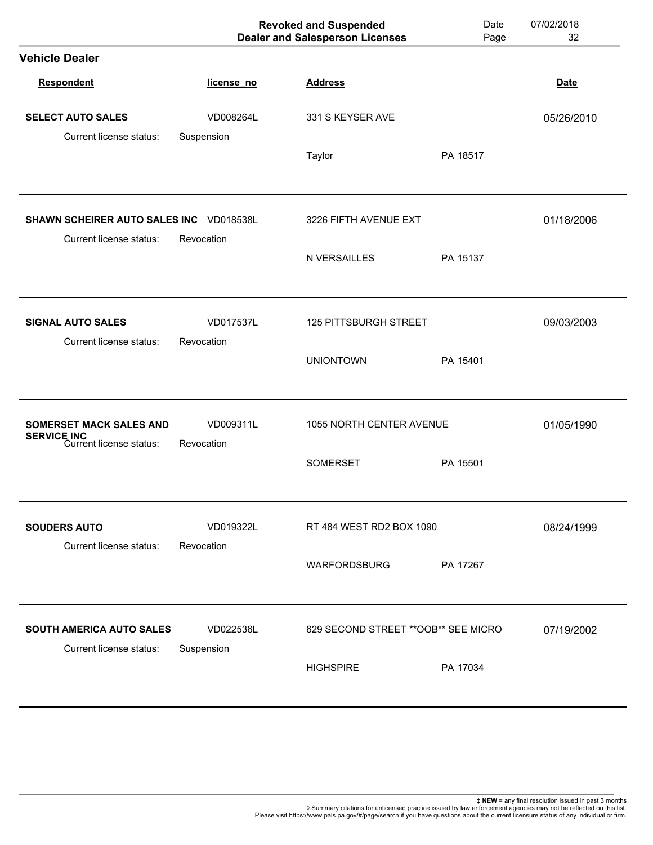|                                                                                 | <b>Revoked and Suspended</b><br><b>Dealer and Salesperson Licenses</b> |                          | Date<br>Page                         | 07/02/2018<br>32 |
|---------------------------------------------------------------------------------|------------------------------------------------------------------------|--------------------------|--------------------------------------|------------------|
| <b>Vehicle Dealer</b>                                                           |                                                                        |                          |                                      |                  |
| <b>Respondent</b>                                                               | license_no                                                             | <b>Address</b>           |                                      | <b>Date</b>      |
| <b>SELECT AUTO SALES</b>                                                        | VD008264L                                                              | 331 S KEYSER AVE         |                                      | 05/26/2010       |
| Current license status:                                                         | Suspension                                                             | Taylor                   | PA 18517                             |                  |
| SHAWN SCHEIRER AUTO SALES INC VD018538L<br>Current license status:              | Revocation                                                             | 3226 FIFTH AVENUE EXT    |                                      | 01/18/2006       |
|                                                                                 |                                                                        | N VERSAILLES             | PA 15137                             |                  |
| <b>SIGNAL AUTO SALES</b>                                                        | VD017537L                                                              | 125 PITTSBURGH STREET    |                                      | 09/03/2003       |
| Current license status:                                                         | Revocation                                                             | <b>UNIONTOWN</b>         | PA 15401                             |                  |
| <b>SOMERSET MACK SALES AND</b><br><b>SERVICE INC</b><br>Current license status: | VD009311L<br>Revocation                                                | 1055 NORTH CENTER AVENUE |                                      | 01/05/1990       |
|                                                                                 |                                                                        | <b>SOMERSET</b>          | PA 15501                             |                  |
| <b>SOUDERS AUTO</b><br>Current license status:                                  | VD019322L                                                              | RT 484 WEST RD2 BOX 1090 |                                      | 08/24/1999       |
|                                                                                 | Revocation                                                             | <b>WARFORDSBURG</b>      | PA 17267                             |                  |
| SOUTH AMERICA AUTO SALES                                                        | VD022536L                                                              |                          | 629 SECOND STREET ** OOB** SEE MICRO |                  |
| Current license status:                                                         | Suspension                                                             | <b>HIGHSPIRE</b>         | PA 17034                             |                  |
|                                                                                 |                                                                        |                          |                                      |                  |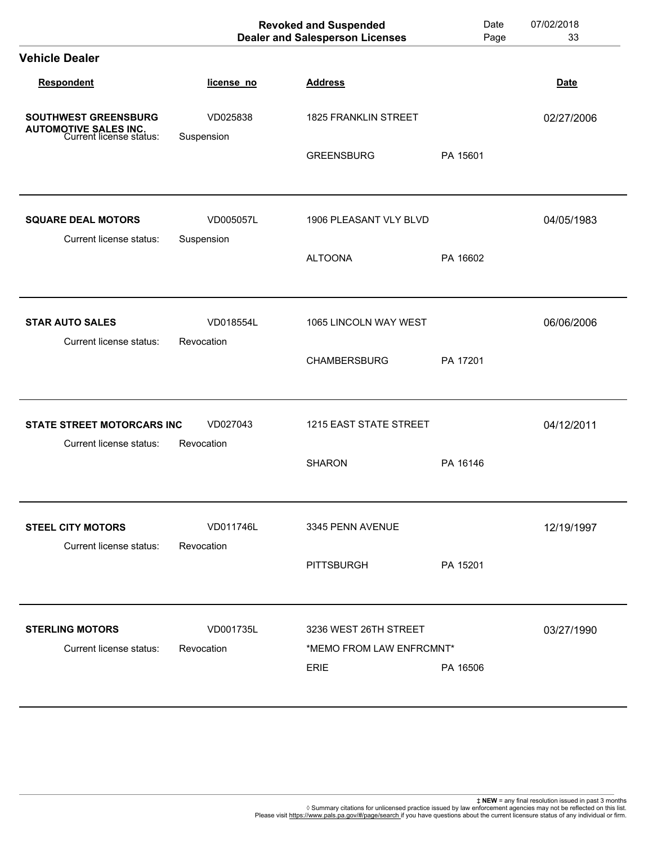| <b>Vehicle Dealer</b><br>Respondent<br><b>Address</b><br>license_no<br><b>SOUTHWEST GREENSBURG</b><br>VD025838<br><b>1825 FRANKLIN STREET</b><br><b>AUTOMOTIVE SALES INC.</b><br>Current license status:<br>Suspension<br>PA 15601<br><b>GREENSBURG</b><br><b>SQUARE DEAL MOTORS</b><br>VD005057L<br>1906 PLEASANT VLY BLVD<br>Current license status:<br>Suspension<br><b>ALTOONA</b><br>PA 16602<br><b>STAR AUTO SALES</b><br>VD018554L<br>1065 LINCOLN WAY WEST<br>Current license status:<br>Revocation<br><b>CHAMBERSBURG</b><br>PA 17201<br>STATE STREET MOTORCARS INC<br>VD027043<br>1215 EAST STATE STREET | <b>Date</b><br>02/27/2006<br>04/05/1983 |
|--------------------------------------------------------------------------------------------------------------------------------------------------------------------------------------------------------------------------------------------------------------------------------------------------------------------------------------------------------------------------------------------------------------------------------------------------------------------------------------------------------------------------------------------------------------------------------------------------------------------|-----------------------------------------|
|                                                                                                                                                                                                                                                                                                                                                                                                                                                                                                                                                                                                                    |                                         |
|                                                                                                                                                                                                                                                                                                                                                                                                                                                                                                                                                                                                                    |                                         |
|                                                                                                                                                                                                                                                                                                                                                                                                                                                                                                                                                                                                                    |                                         |
|                                                                                                                                                                                                                                                                                                                                                                                                                                                                                                                                                                                                                    |                                         |
|                                                                                                                                                                                                                                                                                                                                                                                                                                                                                                                                                                                                                    |                                         |
|                                                                                                                                                                                                                                                                                                                                                                                                                                                                                                                                                                                                                    |                                         |
|                                                                                                                                                                                                                                                                                                                                                                                                                                                                                                                                                                                                                    | 06/06/2006                              |
|                                                                                                                                                                                                                                                                                                                                                                                                                                                                                                                                                                                                                    |                                         |
| Current license status:<br>Revocation                                                                                                                                                                                                                                                                                                                                                                                                                                                                                                                                                                              | 04/12/2011                              |
| <b>SHARON</b><br>PA 16146                                                                                                                                                                                                                                                                                                                                                                                                                                                                                                                                                                                          |                                         |
| VD011746L<br><b>STEEL CITY MOTORS</b><br>3345 PENN AVENUE                                                                                                                                                                                                                                                                                                                                                                                                                                                                                                                                                          | 12/19/1997                              |
| Current license status:<br>Revocation<br><b>PITTSBURGH</b><br>PA 15201                                                                                                                                                                                                                                                                                                                                                                                                                                                                                                                                             |                                         |
| VD001735L<br>3236 WEST 26TH STREET<br><b>STERLING MOTORS</b>                                                                                                                                                                                                                                                                                                                                                                                                                                                                                                                                                       |                                         |
| Current license status:<br>Revocation<br>*MEMO FROM LAW ENFRCMNT*                                                                                                                                                                                                                                                                                                                                                                                                                                                                                                                                                  | 03/27/1990                              |
| <b>ERIE</b><br>PA 16506                                                                                                                                                                                                                                                                                                                                                                                                                                                                                                                                                                                            |                                         |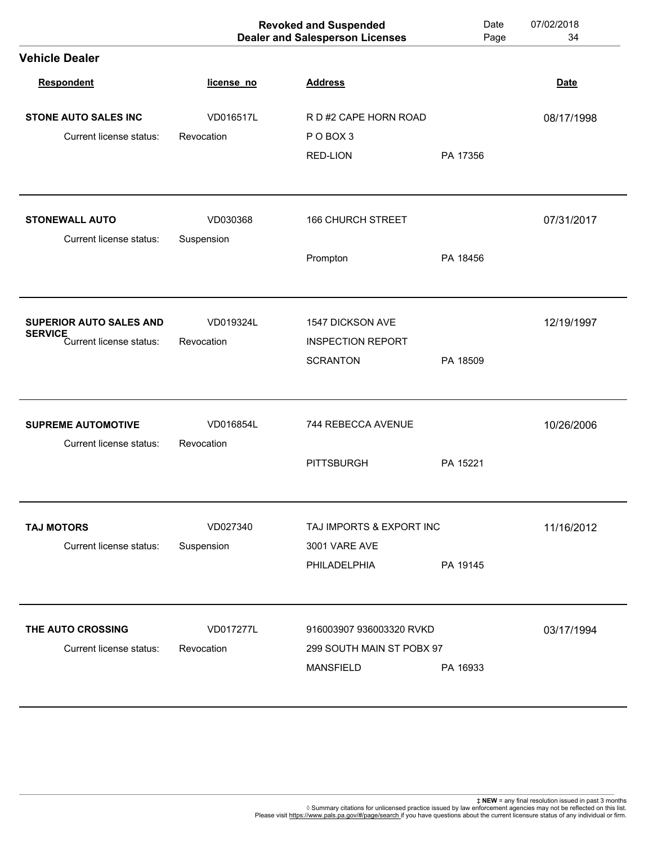|                                                                      |            | <b>Revoked and Suspended</b><br><b>Dealer and Salesperson Licenses</b> | Date<br>Page | 07/02/2018<br>34 |
|----------------------------------------------------------------------|------------|------------------------------------------------------------------------|--------------|------------------|
| <b>Vehicle Dealer</b>                                                |            |                                                                        |              |                  |
| <b>Respondent</b>                                                    | license_no | <b>Address</b>                                                         |              | <b>Date</b>      |
| <b>STONE AUTO SALES INC</b>                                          | VD016517L  | R D #2 CAPE HORN ROAD                                                  |              | 08/17/1998       |
| Current license status:                                              | Revocation | POBOX3                                                                 |              |                  |
|                                                                      |            | RED-LION                                                               | PA 17356     |                  |
| <b>STONEWALL AUTO</b>                                                | VD030368   | <b>166 CHURCH STREET</b>                                               |              | 07/31/2017       |
| Current license status:                                              | Suspension |                                                                        |              |                  |
|                                                                      |            | Prompton                                                               | PA 18456     |                  |
|                                                                      | VD019324L  |                                                                        |              |                  |
| <b>SUPERIOR AUTO SALES AND</b><br>SERVICE<br>Current license status: | Revocation | 1547 DICKSON AVE                                                       |              | 12/19/1997       |
|                                                                      |            | <b>INSPECTION REPORT</b><br><b>SCRANTON</b>                            | PA 18509     |                  |
|                                                                      |            |                                                                        |              |                  |
| <b>SUPREME AUTOMOTIVE</b>                                            | VD016854L  | 744 REBECCA AVENUE                                                     |              | 10/26/2006       |
| Current license status:                                              | Revocation | <b>PITTSBURGH</b>                                                      | PA 15221     |                  |
| <b>TAJ MOTORS</b>                                                    | VD027340   | TAJ IMPORTS & EXPORT INC                                               |              | 11/16/2012       |
| Current license status:                                              | Suspension | 3001 VARE AVE                                                          |              |                  |
|                                                                      |            | PHILADELPHIA                                                           | PA 19145     |                  |
| THE AUTO CROSSING                                                    | VD017277L  | 916003907 936003320 RVKD                                               |              | 03/17/1994       |
| Current license status:                                              | Revocation | 299 SOUTH MAIN ST POBX 97                                              |              |                  |
|                                                                      |            | <b>MANSFIELD</b>                                                       | PA 16933     |                  |
|                                                                      |            |                                                                        |              |                  |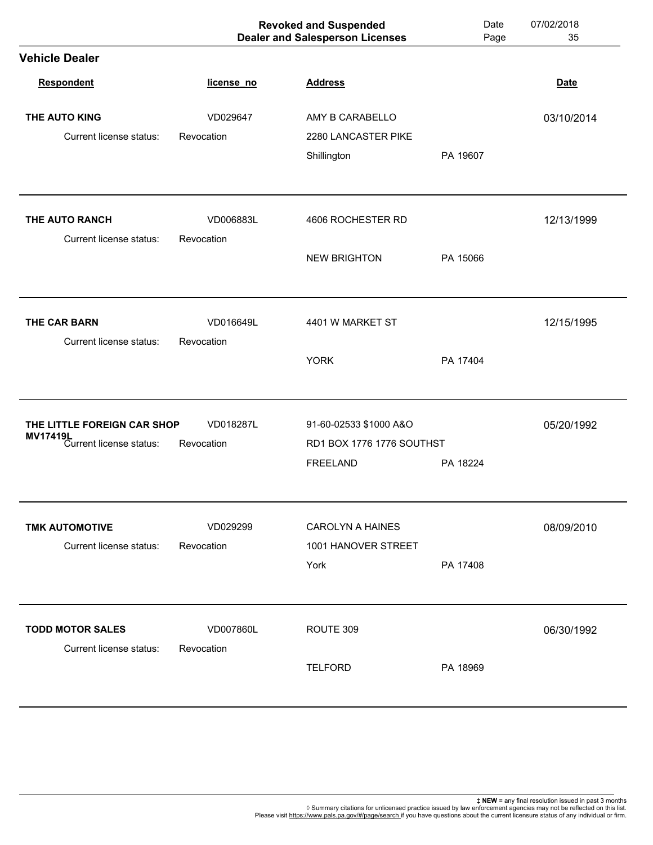|                                                                           |                         | <b>Revoked and Suspended</b><br><b>Dealer and Salesperson Licenses</b> | Date<br>Page | 07/02/2018<br>35 |
|---------------------------------------------------------------------------|-------------------------|------------------------------------------------------------------------|--------------|------------------|
| <b>Vehicle Dealer</b>                                                     |                         |                                                                        |              |                  |
| Respondent                                                                | license_no              | <b>Address</b>                                                         |              | <b>Date</b>      |
| THE AUTO KING                                                             | VD029647                | AMY B CARABELLO                                                        |              | 03/10/2014       |
| Current license status:                                                   | Revocation              | 2280 LANCASTER PIKE                                                    |              |                  |
|                                                                           |                         | Shillington                                                            | PA 19607     |                  |
| THE AUTO RANCH                                                            | VD006883L               | 4606 ROCHESTER RD                                                      |              | 12/13/1999       |
| Current license status:                                                   | Revocation              |                                                                        |              |                  |
|                                                                           |                         | <b>NEW BRIGHTON</b>                                                    | PA 15066     |                  |
| THE CAR BARN                                                              | VD016649L               | 4401 W MARKET ST                                                       |              | 12/15/1995       |
| Current license status:                                                   | Revocation              |                                                                        |              |                  |
|                                                                           |                         | <b>YORK</b>                                                            | PA 17404     |                  |
|                                                                           |                         |                                                                        |              |                  |
| THE LITTLE FOREIGN CAR SHOP<br><b>MV17419L</b><br>Current license status: | VD018287L<br>Revocation | 91-60-02533 \$1000 A&O<br>RD1 BOX 1776 1776 SOUTHST                    |              | 05/20/1992       |
|                                                                           |                         | <b>FREELAND</b>                                                        | PA 18224     |                  |
| <b>TMK AUTOMOTIVE</b>                                                     | VD029299                | <b>CAROLYN A HAINES</b>                                                |              | 08/09/2010       |
| Current license status:                                                   | Revocation              | 1001 HANOVER STREET                                                    |              |                  |
|                                                                           |                         | York                                                                   | PA 17408     |                  |
|                                                                           |                         |                                                                        |              |                  |
| <b>TODD MOTOR SALES</b><br>Current license status:                        | VD007860L<br>Revocation | ROUTE 309                                                              |              | 06/30/1992       |
|                                                                           |                         | <b>TELFORD</b>                                                         | PA 18969     |                  |
|                                                                           |                         |                                                                        |              |                  |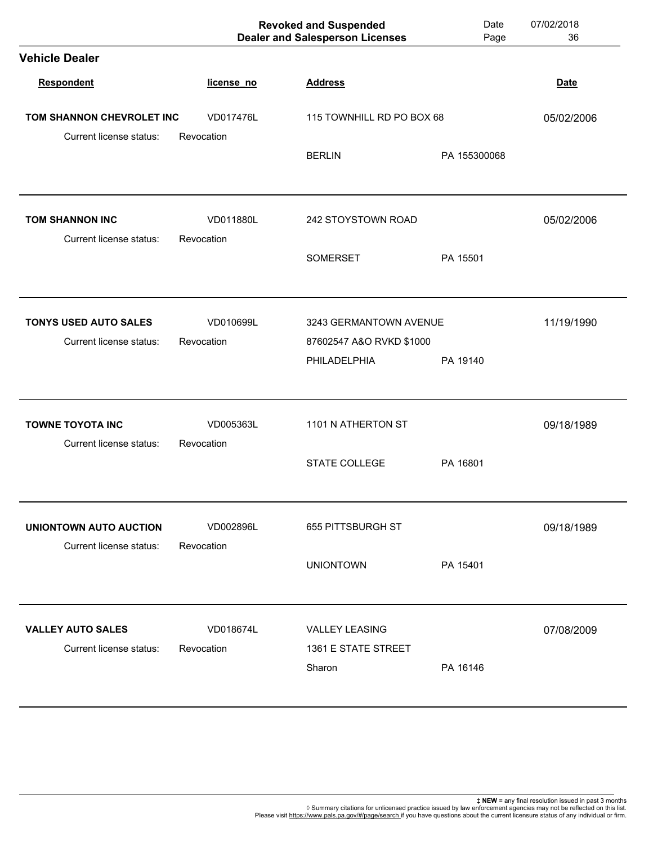|                                                    |                         | <b>Revoked and Suspended</b><br><b>Dealer and Salesperson Licenses</b> | Date<br>Page | 07/02/2018<br>36 |
|----------------------------------------------------|-------------------------|------------------------------------------------------------------------|--------------|------------------|
| <b>Vehicle Dealer</b>                              |                         |                                                                        |              |                  |
| Respondent                                         | license_no              | <b>Address</b>                                                         |              | <b>Date</b>      |
| TOM SHANNON CHEVROLET INC                          | VD017476L               | 115 TOWNHILL RD PO BOX 68                                              |              | 05/02/2006       |
| Current license status:                            | Revocation              | <b>BERLIN</b>                                                          | PA 155300068 |                  |
| <b>TOM SHANNON INC</b>                             | VD011880L               | 242 STOYSTOWN ROAD                                                     |              | 05/02/2006       |
| Current license status:                            | Revocation              | <b>SOMERSET</b>                                                        | PA 15501     |                  |
| <b>TONYS USED AUTO SALES</b>                       | VD010699L               | 3243 GERMANTOWN AVENUE                                                 |              | 11/19/1990       |
| Current license status:                            | Revocation              | 87602547 A&O RVKD \$1000<br>PHILADELPHIA                               | PA 19140     |                  |
| <b>TOWNE TOYOTA INC</b><br>Current license status: | VD005363L<br>Revocation | 1101 N ATHERTON ST                                                     |              | 09/18/1989       |
|                                                    |                         | <b>STATE COLLEGE</b>                                                   | PA 16801     |                  |
| UNIONTOWN AUTO AUCTION                             | VD002896L               | 655 PITTSBURGH ST                                                      |              | 09/18/1989       |
| Current license status:                            | Revocation              | <b>UNIONTOWN</b>                                                       | PA 15401     |                  |
| <b>VALLEY AUTO SALES</b>                           | VD018674L               | <b>VALLEY LEASING</b>                                                  |              | 07/08/2009       |
| Current license status:                            | Revocation              | 1361 E STATE STREET<br>Sharon                                          | PA 16146     |                  |
|                                                    |                         |                                                                        |              |                  |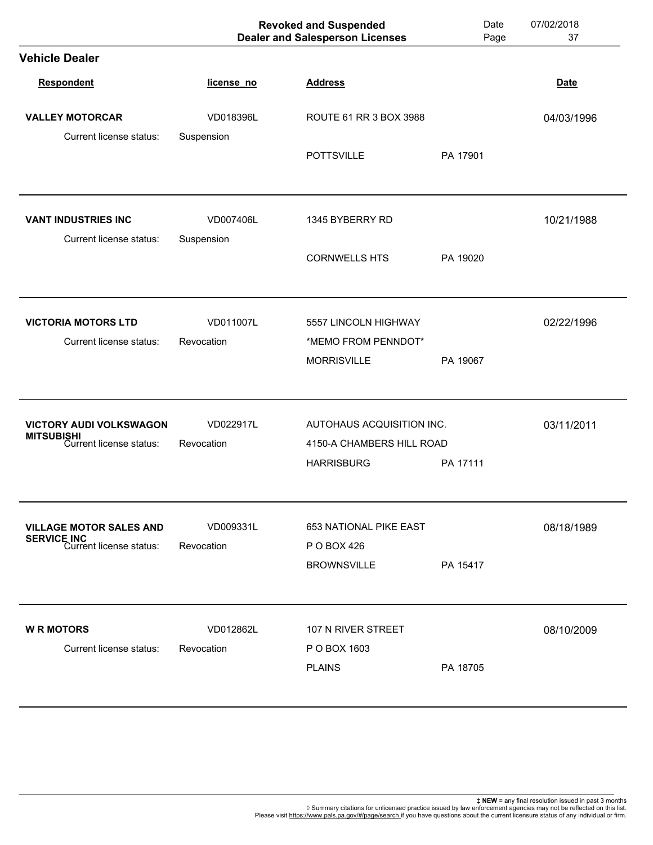|                                               |            | <b>Revoked and Suspended</b><br><b>Dealer and Salesperson Licenses</b> | Date<br>Page | 07/02/2018<br>37 |
|-----------------------------------------------|------------|------------------------------------------------------------------------|--------------|------------------|
| <b>Vehicle Dealer</b>                         |            |                                                                        |              |                  |
| Respondent                                    | license_no | <b>Address</b>                                                         |              | <b>Date</b>      |
| <b>VALLEY MOTORCAR</b>                        | VD018396L  | ROUTE 61 RR 3 BOX 3988                                                 |              | 04/03/1996       |
| Current license status:                       | Suspension | <b>POTTSVILLE</b>                                                      | PA 17901     |                  |
| <b>VANT INDUSTRIES INC</b>                    | VD007406L  | 1345 BYBERRY RD                                                        |              | 10/21/1988       |
| Current license status:                       | Suspension |                                                                        |              |                  |
|                                               |            | <b>CORNWELLS HTS</b>                                                   | PA 19020     |                  |
| <b>VICTORIA MOTORS LTD</b>                    | VD011007L  | 5557 LINCOLN HIGHWAY                                                   |              | 02/22/1996       |
| Current license status:                       | Revocation | *MEMO FROM PENNDOT*                                                    |              |                  |
|                                               |            | <b>MORRISVILLE</b>                                                     | PA 19067     |                  |
| <b>VICTORY AUDI VOLKSWAGON</b>                | VD022917L  | AUTOHAUS ACQUISITION INC.                                              |              | 03/11/2011       |
| <b>MITSUBISHI</b><br>Current license status:  | Revocation | 4150-A CHAMBERS HILL ROAD                                              |              |                  |
|                                               |            | <b>HARRISBURG</b>                                                      | PA 17111     |                  |
| <b>VILLAGE MOTOR SALES AND</b>                | VD009331L  | 653 NATIONAL PIKE EAST                                                 |              | 08/18/1989       |
| <b>SERVICE INC</b><br>Current license status: | Revocation | P O BOX 426                                                            |              |                  |
|                                               |            | <b>BROWNSVILLE</b>                                                     | PA 15417     |                  |
| <b>WR MOTORS</b>                              | VD012862L  | 107 N RIVER STREET                                                     |              | 08/10/2009       |
| Current license status:                       | Revocation | P O BOX 1603                                                           |              |                  |
|                                               |            | <b>PLAINS</b>                                                          | PA 18705     |                  |
|                                               |            |                                                                        |              |                  |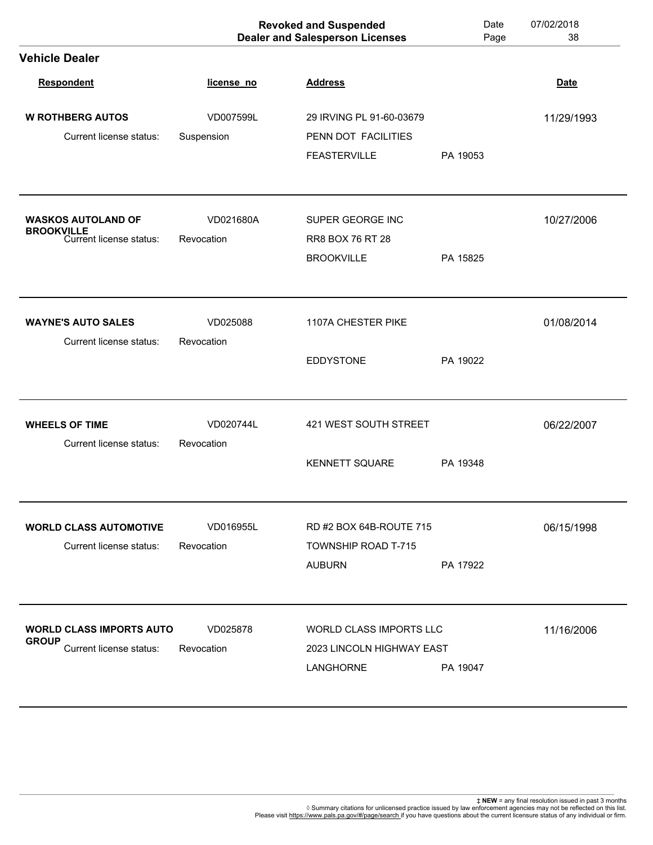|                                              |            | <b>Revoked and Suspended</b><br><b>Dealer and Salesperson Licenses</b> | Date<br>Page | 07/02/2018<br>38 |
|----------------------------------------------|------------|------------------------------------------------------------------------|--------------|------------------|
| <b>Vehicle Dealer</b>                        |            |                                                                        |              |                  |
| Respondent                                   | license_no | <b>Address</b>                                                         |              | <b>Date</b>      |
| <b>W ROTHBERG AUTOS</b>                      | VD007599L  | 29 IRVING PL 91-60-03679                                               |              | 11/29/1993       |
| Current license status:                      | Suspension | PENN DOT FACILITIES                                                    |              |                  |
|                                              |            | <b>FEASTERVILLE</b>                                                    | PA 19053     |                  |
| <b>WASKOS AUTOLAND OF</b>                    | VD021680A  | SUPER GEORGE INC                                                       |              | 10/27/2006       |
| <b>BROOKVILLE</b><br>Current license status: | Revocation | RR8 BOX 76 RT 28                                                       |              |                  |
|                                              |            | <b>BROOKVILLE</b>                                                      | PA 15825     |                  |
|                                              |            |                                                                        |              |                  |
| <b>WAYNE'S AUTO SALES</b>                    | VD025088   | 1107A CHESTER PIKE                                                     |              | 01/08/2014       |
| Current license status:                      | Revocation |                                                                        |              |                  |
|                                              |            | <b>EDDYSTONE</b>                                                       | PA 19022     |                  |
| <b>WHEELS OF TIME</b>                        | VD020744L  | 421 WEST SOUTH STREET                                                  |              | 06/22/2007       |
| Current license status:                      | Revocation |                                                                        |              |                  |
|                                              |            | <b>KENNETT SQUARE</b>                                                  | PA 19348     |                  |
|                                              |            |                                                                        |              |                  |
| <b>WORLD CLASS AUTOMOTIVE</b>                | VD016955L  | RD #2 BOX 64B-ROUTE 715                                                |              | 06/15/1998       |
| Current license status:                      | Revocation | <b>TOWNSHIP ROAD T-715</b>                                             |              |                  |
|                                              |            | <b>AUBURN</b>                                                          | PA 17922     |                  |
| <b>WORLD CLASS IMPORTS AUTO</b>              | VD025878   | WORLD CLASS IMPORTS LLC                                                |              | 11/16/2006       |
| <b>GROUP</b><br>Current license status:      | Revocation | 2023 LINCOLN HIGHWAY EAST                                              |              |                  |
|                                              |            | LANGHORNE                                                              | PA 19047     |                  |
|                                              |            |                                                                        |              |                  |

t NEW = any final resolution issued in past 3 months<br>Summary citations for unlicensed practice issued by law enforcement agencies may not be reflected on this list<br>Please visit <u>https://www.pals.pa.gov/#/page/search i</u>f y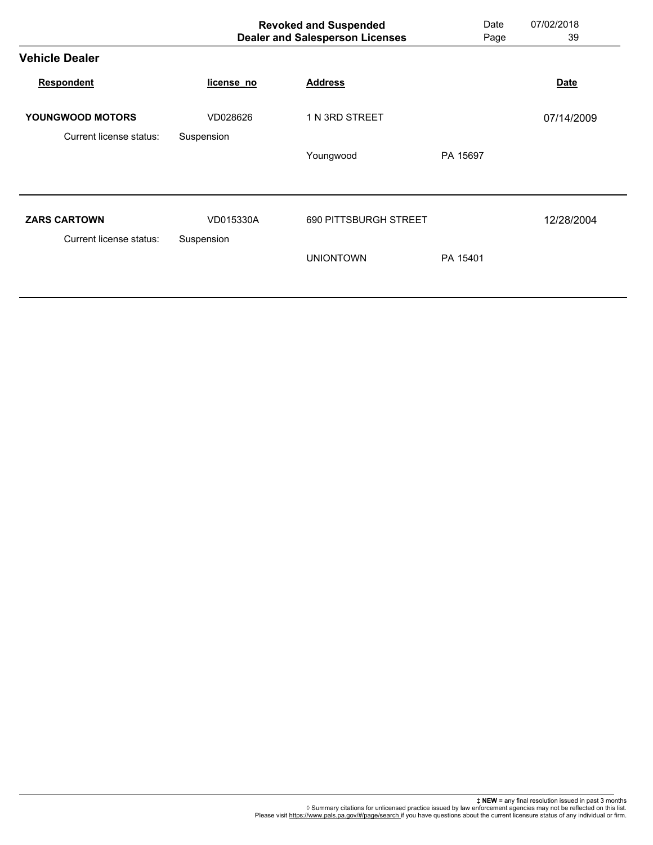|            |                  | Date<br>Page                                                           | 07/02/2018<br>39             |
|------------|------------------|------------------------------------------------------------------------|------------------------------|
|            |                  |                                                                        |                              |
| license no | <b>Address</b>   |                                                                        | <b>Date</b>                  |
| VD028626   | 1 N 3RD STREET   |                                                                        | 07/14/2009                   |
| Suspension | Youngwood        | PA 15697                                                               |                              |
| VD015330A  |                  |                                                                        | 12/28/2004                   |
|            | <b>UNIONTOWN</b> | PA 15401                                                               |                              |
|            | Suspension       | <b>Revoked and Suspended</b><br><b>Dealer and Salesperson Licenses</b> | <b>690 PITTSBURGH STREET</b> |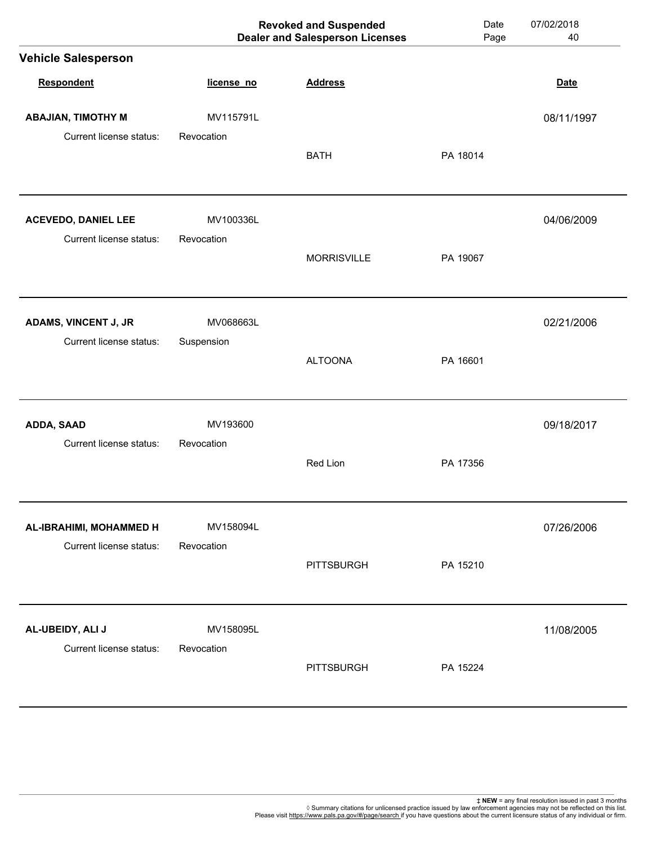|                                                       |                         | <b>Revoked and Suspended</b><br><b>Dealer and Salesperson Licenses</b> | Date<br>Page | 07/02/2018<br>40 |
|-------------------------------------------------------|-------------------------|------------------------------------------------------------------------|--------------|------------------|
| <b>Vehicle Salesperson</b>                            |                         |                                                                        |              |                  |
| <b>Respondent</b>                                     | license_no              | <b>Address</b>                                                         |              | <b>Date</b>      |
| <b>ABAJIAN, TIMOTHY M</b>                             | MV115791L               |                                                                        |              | 08/11/1997       |
| Current license status:                               | Revocation              | <b>BATH</b>                                                            | PA 18014     |                  |
| <b>ACEVEDO, DANIEL LEE</b><br>Current license status: | MV100336L<br>Revocation |                                                                        |              | 04/06/2009       |
|                                                       |                         | <b>MORRISVILLE</b>                                                     | PA 19067     |                  |
| ADAMS, VINCENT J, JR                                  | MV068663L               |                                                                        |              | 02/21/2006       |
| Current license status:                               | Suspension              | <b>ALTOONA</b>                                                         | PA 16601     |                  |
| ADDA, SAAD                                            | MV193600                |                                                                        |              | 09/18/2017       |
| Current license status:                               | Revocation              | Red Lion                                                               | PA 17356     |                  |
| AL-IBRAHIMI, MOHAMMED H                               | MV158094L               |                                                                        |              | 07/26/2006       |
| Current license status:                               | Revocation              | <b>PITTSBURGH</b>                                                      | PA 15210     |                  |
| AL-UBEIDY, ALI J                                      | MV158095L               |                                                                        |              | 11/08/2005       |
| Current license status:                               | Revocation              | <b>PITTSBURGH</b>                                                      | PA 15224     |                  |
|                                                       |                         |                                                                        |              |                  |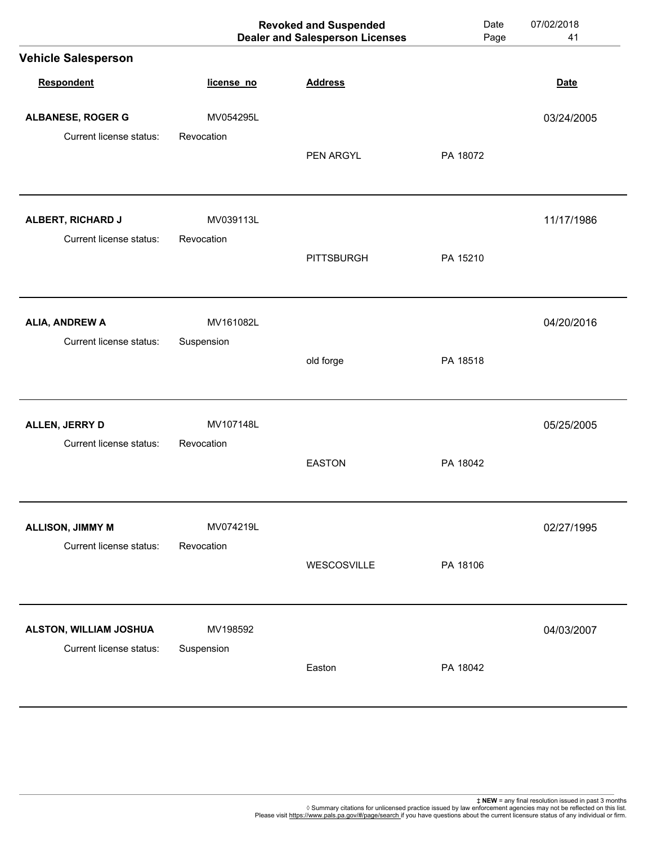|            | <b>Dealer and Salesperson Licenses</b> | Page     | 41          |
|------------|----------------------------------------|----------|-------------|
|            |                                        |          |             |
| license_no | <b>Address</b>                         |          | <b>Date</b> |
| MV054295L  |                                        |          | 03/24/2005  |
| Revocation | PEN ARGYL                              | PA 18072 |             |
| MV039113L  |                                        |          | 11/17/1986  |
|            | <b>PITTSBURGH</b>                      | PA 15210 |             |
| MV161082L  |                                        |          | 04/20/2016  |
|            | old forge                              | PA 18518 |             |
| MV107148L  |                                        |          | 05/25/2005  |
| Revocation | <b>EASTON</b>                          | PA 18042 |             |
| MV074219L  |                                        |          | 02/27/1995  |
| Revocation | WESCOSVILLE                            | PA 18106 |             |
| MV198592   |                                        |          | 04/03/2007  |
| Suspension | Easton                                 | PA 18042 |             |
|            | Revocation<br>Suspension               |          |             |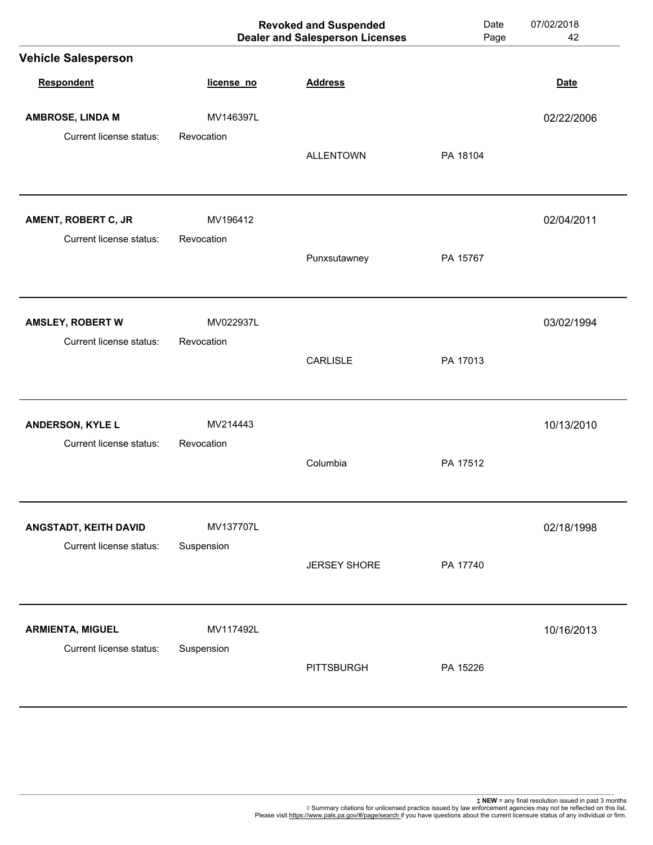|                                                |                        | <b>Revoked and Suspended</b><br><b>Dealer and Salesperson Licenses</b> | Date<br>Page | 07/02/2018<br>42 |
|------------------------------------------------|------------------------|------------------------------------------------------------------------|--------------|------------------|
| <b>Vehicle Salesperson</b>                     |                        |                                                                        |              |                  |
| Respondent                                     | license_no             | <b>Address</b>                                                         |              | <b>Date</b>      |
| AMBROSE, LINDA M                               | MV146397L              |                                                                        |              | 02/22/2006       |
| Current license status:                        | Revocation             | <b>ALLENTOWN</b>                                                       | PA 18104     |                  |
| AMENT, ROBERT C, JR<br>Current license status: | MV196412<br>Revocation |                                                                        |              | 02/04/2011       |
|                                                |                        | Punxsutawney                                                           | PA 15767     |                  |
| AMSLEY, ROBERT W                               | MV022937L              |                                                                        |              | 03/02/1994       |
| Current license status:                        | Revocation             | <b>CARLISLE</b>                                                        | PA 17013     |                  |
| ANDERSON, KYLE L                               | MV214443               |                                                                        |              | 10/13/2010       |
| <b>Current license status:</b>                 | Revocation             | Columbia                                                               | PA 17512     |                  |
| ANGSTADT, KEITH DAVID                          | MV137707L              |                                                                        |              | 02/18/1998       |
| Current license status:                        | Suspension             | <b>JERSEY SHORE</b>                                                    | PA 17740     |                  |
| <b>ARMIENTA, MIGUEL</b>                        | MV117492L              |                                                                        |              | 10/16/2013       |
| Current license status:                        | Suspension             | <b>PITTSBURGH</b>                                                      | PA 15226     |                  |
|                                                |                        |                                                                        |              |                  |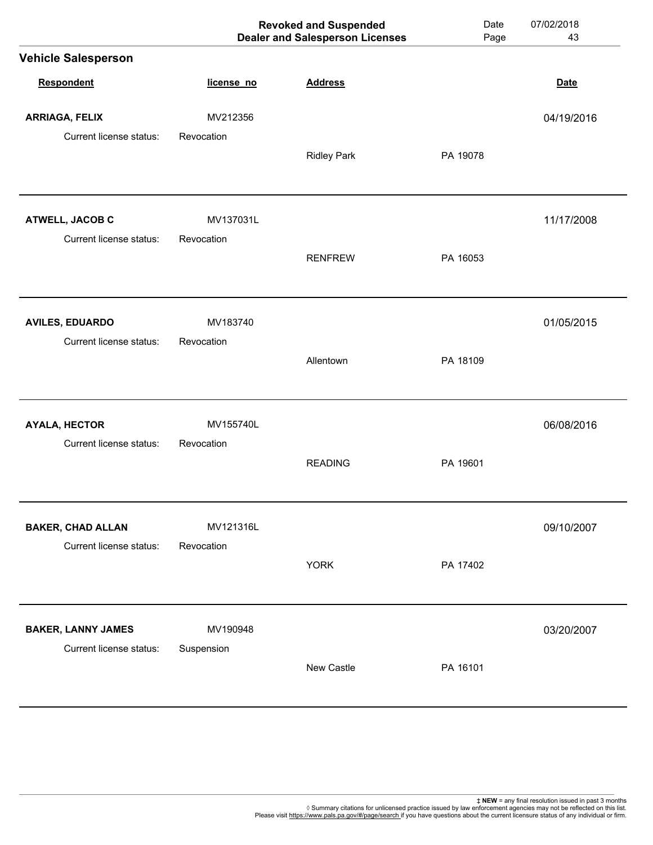|                                            |                         | <b>Revoked and Suspended</b><br><b>Dealer and Salesperson Licenses</b> | Date<br>Page | 07/02/2018<br>43 |
|--------------------------------------------|-------------------------|------------------------------------------------------------------------|--------------|------------------|
| <b>Vehicle Salesperson</b>                 |                         |                                                                        |              |                  |
| <b>Respondent</b>                          | license_no              | <b>Address</b>                                                         |              | <b>Date</b>      |
| ARRIAGA, FELIX                             | MV212356                |                                                                        |              | 04/19/2016       |
| Current license status:                    | Revocation              | <b>Ridley Park</b>                                                     | PA 19078     |                  |
| ATWELL, JACOB C<br>Current license status: | MV137031L<br>Revocation |                                                                        |              | 11/17/2008       |
|                                            |                         | <b>RENFREW</b>                                                         | PA 16053     |                  |
| <b>AVILES, EDUARDO</b>                     | MV183740                |                                                                        |              | 01/05/2015       |
| Current license status:                    | Revocation              | Allentown                                                              | PA 18109     |                  |
| <b>AYALA, HECTOR</b>                       | MV155740L               |                                                                        |              | 06/08/2016       |
| Current license status:                    | Revocation              | <b>READING</b>                                                         | PA 19601     |                  |
| <b>BAKER, CHAD ALLAN</b>                   | MV121316L               |                                                                        |              | 09/10/2007       |
| Current license status:                    | Revocation              | <b>YORK</b>                                                            | PA 17402     |                  |
| <b>BAKER, LANNY JAMES</b>                  | MV190948                |                                                                        |              | 03/20/2007       |
| Current license status:                    | Suspension              | New Castle                                                             | PA 16101     |                  |
|                                            |                         |                                                                        |              |                  |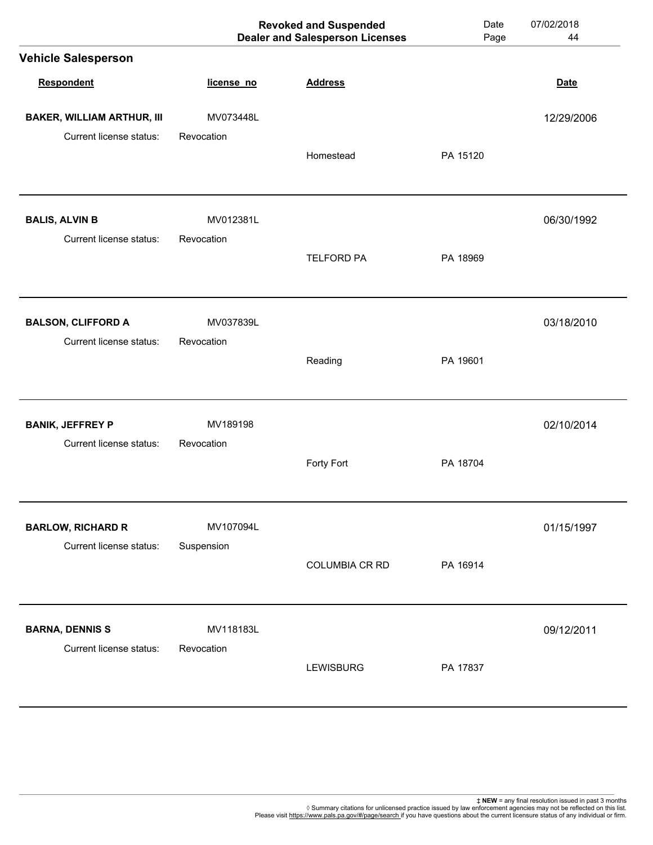|                                                  |                         | <b>Revoked and Suspended</b><br><b>Dealer and Salesperson Licenses</b> | Date<br>Page | 07/02/2018<br>44 |
|--------------------------------------------------|-------------------------|------------------------------------------------------------------------|--------------|------------------|
| <b>Vehicle Salesperson</b>                       |                         |                                                                        |              |                  |
| Respondent                                       | license_no              | <b>Address</b>                                                         |              | <b>Date</b>      |
| <b>BAKER, WILLIAM ARTHUR, III</b>                | MV073448L               |                                                                        |              | 12/29/2006       |
| Current license status:                          | Revocation              | Homestead                                                              | PA 15120     |                  |
| <b>BALIS, ALVIN B</b><br>Current license status: | MV012381L<br>Revocation |                                                                        |              | 06/30/1992       |
|                                                  |                         | <b>TELFORD PA</b>                                                      | PA 18969     |                  |
| <b>BALSON, CLIFFORD A</b>                        | MV037839L               |                                                                        |              | 03/18/2010       |
| Current license status:                          | Revocation              | Reading                                                                | PA 19601     |                  |
| <b>BANIK, JEFFREY P</b>                          | MV189198                |                                                                        |              | 02/10/2014       |
| Current license status:                          | Revocation              | Forty Fort                                                             | PA 18704     |                  |
| <b>BARLOW, RICHARD R</b>                         | MV107094L               |                                                                        |              | 01/15/1997       |
| Current license status:                          | Suspension              | COLUMBIA CR RD                                                         | PA 16914     |                  |
| <b>BARNA, DENNIS S</b>                           | MV118183L               |                                                                        |              | 09/12/2011       |
| Current license status:                          | Revocation              | <b>LEWISBURG</b>                                                       | PA 17837     |                  |
|                                                  |                         |                                                                        |              |                  |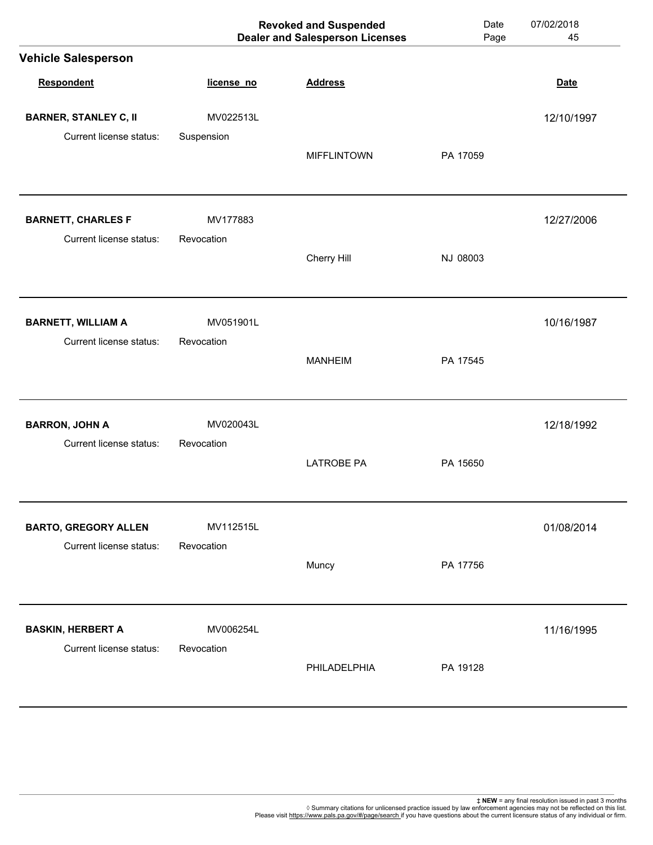|                                                      |                        | <b>Revoked and Suspended</b><br><b>Dealer and Salesperson Licenses</b> | Date<br>Page | 07/02/2018<br>45 |
|------------------------------------------------------|------------------------|------------------------------------------------------------------------|--------------|------------------|
| <b>Vehicle Salesperson</b>                           |                        |                                                                        |              |                  |
| <b>Respondent</b>                                    | license_no             | <b>Address</b>                                                         |              | <b>Date</b>      |
| <b>BARNER, STANLEY C, II</b>                         | MV022513L              |                                                                        |              | 12/10/1997       |
| Current license status:                              | Suspension             | <b>MIFFLINTOWN</b>                                                     | PA 17059     |                  |
| <b>BARNETT, CHARLES F</b><br>Current license status: | MV177883<br>Revocation |                                                                        |              | 12/27/2006       |
|                                                      |                        | Cherry Hill                                                            | NJ 08003     |                  |
| <b>BARNETT, WILLIAM A</b>                            | MV051901L              |                                                                        |              | 10/16/1987       |
| Current license status:                              | Revocation             | <b>MANHEIM</b>                                                         | PA 17545     |                  |
| <b>BARRON, JOHN A</b>                                | MV020043L              |                                                                        |              | 12/18/1992       |
| Current license status:                              | Revocation             | <b>LATROBE PA</b>                                                      | PA 15650     |                  |
| <b>BARTO, GREGORY ALLEN</b>                          | MV112515L              |                                                                        |              | 01/08/2014       |
| Current license status:                              | Revocation             | Muncy                                                                  | PA 17756     |                  |
| <b>BASKIN, HERBERT A</b>                             | MV006254L              |                                                                        |              | 11/16/1995       |
| Current license status:                              | Revocation             | PHILADELPHIA                                                           | PA 19128     |                  |
|                                                      |                        |                                                                        |              |                  |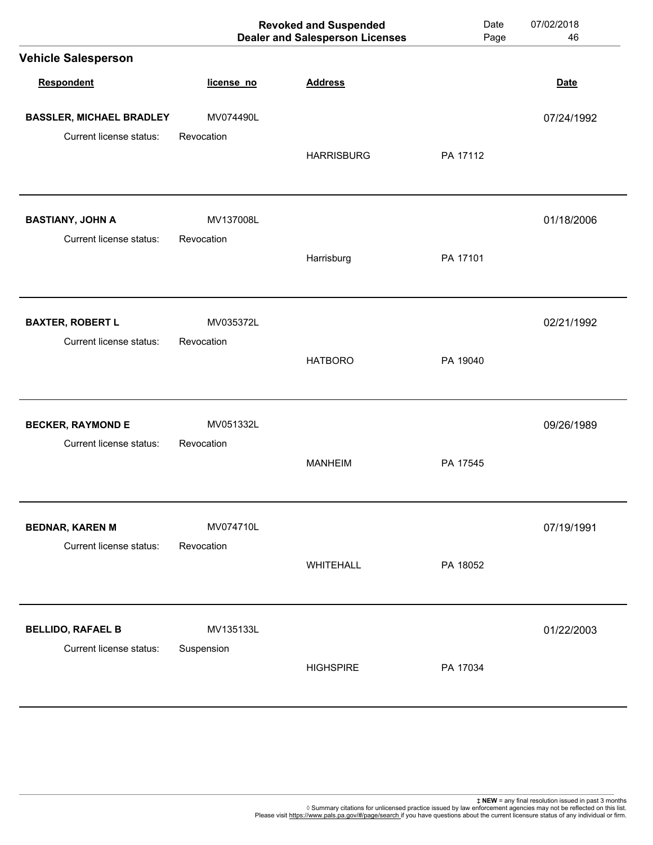|                                                     |                         | <b>Revoked and Suspended</b><br><b>Dealer and Salesperson Licenses</b> | Date<br>Page | 07/02/2018<br>46 |
|-----------------------------------------------------|-------------------------|------------------------------------------------------------------------|--------------|------------------|
| <b>Vehicle Salesperson</b>                          |                         |                                                                        |              |                  |
| <b>Respondent</b>                                   | license_no              | <b>Address</b>                                                         |              | <b>Date</b>      |
| <b>BASSLER, MICHAEL BRADLEY</b>                     | MV074490L               |                                                                        |              | 07/24/1992       |
| Current license status:                             | Revocation              | <b>HARRISBURG</b>                                                      | PA 17112     |                  |
| <b>BASTIANY, JOHN A</b><br>Current license status:  | MV137008L<br>Revocation |                                                                        |              | 01/18/2006       |
|                                                     |                         | Harrisburg                                                             | PA 17101     |                  |
| <b>BAXTER, ROBERT L</b>                             | MV035372L               |                                                                        |              | 02/21/1992       |
| Current license status:                             | Revocation              | <b>HATBORO</b>                                                         | PA 19040     |                  |
| <b>BECKER, RAYMOND E</b>                            | MV051332L               |                                                                        |              | 09/26/1989       |
| Current license status:                             | Revocation              | <b>MANHEIM</b>                                                         | PA 17545     |                  |
| <b>BEDNAR, KAREN M</b>                              | MV074710L               |                                                                        |              | 07/19/1991       |
| Current license status:                             | Revocation              | WHITEHALL                                                              | PA 18052     |                  |
| <b>BELLIDO, RAFAEL B</b><br>Current license status: | MV135133L               |                                                                        |              | 01/22/2003       |
|                                                     | Suspension              | <b>HIGHSPIRE</b>                                                       | PA 17034     |                  |
|                                                     |                         |                                                                        |              |                  |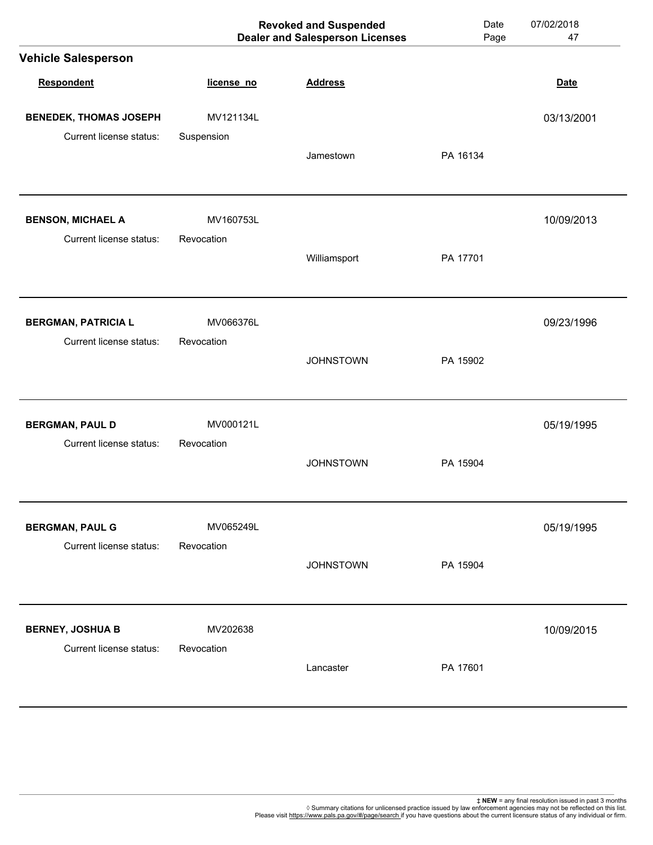|                               |            | <b>Revoked and Suspended</b><br><b>Dealer and Salesperson Licenses</b> | Date<br>Page | 07/02/2018<br>47 |
|-------------------------------|------------|------------------------------------------------------------------------|--------------|------------------|
| <b>Vehicle Salesperson</b>    |            |                                                                        |              |                  |
| Respondent                    | license_no | <b>Address</b>                                                         |              | <b>Date</b>      |
| <b>BENEDEK, THOMAS JOSEPH</b> | MV121134L  |                                                                        |              | 03/13/2001       |
| Current license status:       | Suspension | Jamestown                                                              | PA 16134     |                  |
| <b>BENSON, MICHAEL A</b>      | MV160753L  |                                                                        |              | 10/09/2013       |
| Current license status:       | Revocation | Williamsport                                                           | PA 17701     |                  |
| <b>BERGMAN, PATRICIA L</b>    | MV066376L  |                                                                        |              | 09/23/1996       |
| Current license status:       | Revocation | <b>JOHNSTOWN</b>                                                       | PA 15902     |                  |
| <b>BERGMAN, PAUL D</b>        | MV000121L  |                                                                        |              | 05/19/1995       |
| Current license status:       | Revocation | <b>JOHNSTOWN</b>                                                       | PA 15904     |                  |
| <b>BERGMAN, PAUL G</b>        | MV065249L  |                                                                        |              | 05/19/1995       |
| Current license status:       | Revocation | <b>JOHNSTOWN</b>                                                       | PA 15904     |                  |
| <b>BERNEY, JOSHUA B</b>       | MV202638   |                                                                        |              | 10/09/2015       |
| Current license status:       | Revocation | Lancaster                                                              | PA 17601     |                  |
|                               |            |                                                                        |              |                  |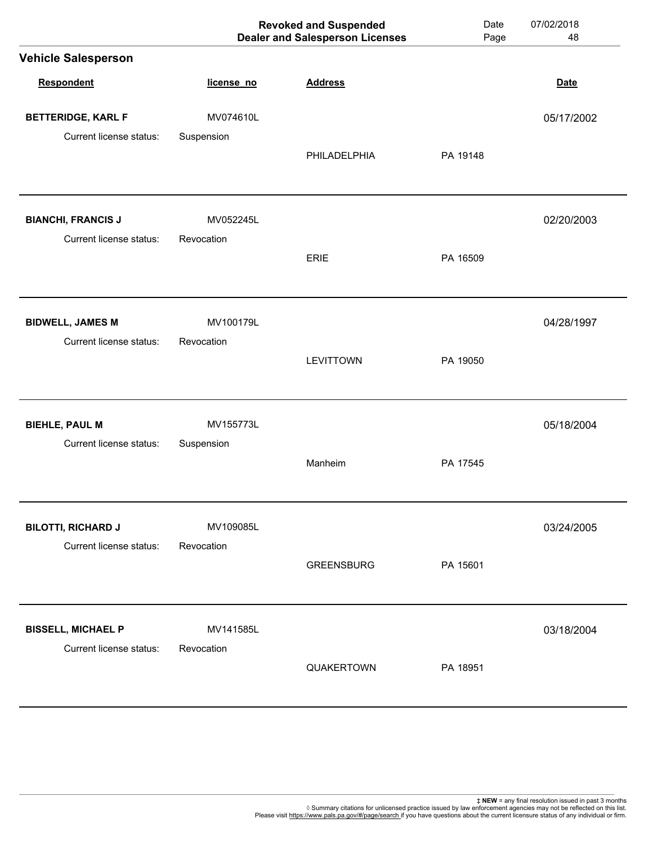|                            |            | <b>Revoked and Suspended</b><br><b>Dealer and Salesperson Licenses</b> | Date<br>Page | 07/02/2018<br>48 |
|----------------------------|------------|------------------------------------------------------------------------|--------------|------------------|
| <b>Vehicle Salesperson</b> |            |                                                                        |              |                  |
| Respondent                 | license_no | <b>Address</b>                                                         |              | <b>Date</b>      |
| <b>BETTERIDGE, KARL F</b>  | MV074610L  |                                                                        |              | 05/17/2002       |
| Current license status:    | Suspension | PHILADELPHIA                                                           | PA 19148     |                  |
| <b>BIANCHI, FRANCIS J</b>  | MV052245L  |                                                                        |              | 02/20/2003       |
| Current license status:    | Revocation | <b>ERIE</b>                                                            | PA 16509     |                  |
| <b>BIDWELL, JAMES M</b>    | MV100179L  |                                                                        |              | 04/28/1997       |
| Current license status:    | Revocation | <b>LEVITTOWN</b>                                                       | PA 19050     |                  |
| <b>BIEHLE, PAUL M</b>      | MV155773L  |                                                                        |              | 05/18/2004       |
| Current license status:    | Suspension | Manheim                                                                | PA 17545     |                  |
| <b>BILOTTI, RICHARD J</b>  | MV109085L  |                                                                        |              | 03/24/2005       |
| Current license status:    | Revocation | <b>GREENSBURG</b>                                                      | PA 15601     |                  |
| <b>BISSELL, MICHAEL P</b>  | MV141585L  |                                                                        |              | 03/18/2004       |
| Current license status:    | Revocation | QUAKERTOWN                                                             | PA 18951     |                  |
|                            |            |                                                                        |              |                  |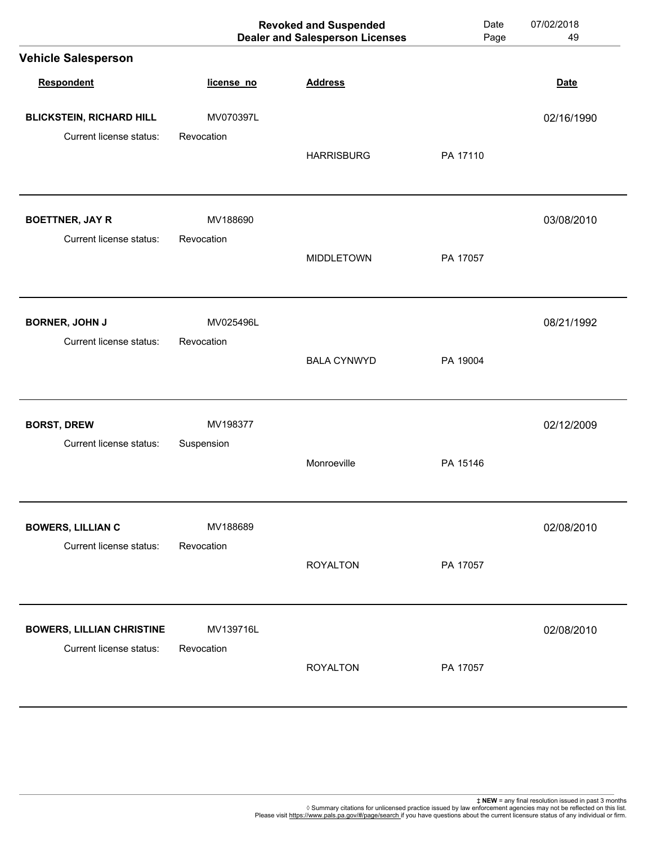|            |                          | Date<br>Page                                                           | 07/02/2018<br>49 |
|------------|--------------------------|------------------------------------------------------------------------|------------------|
|            |                          |                                                                        |                  |
| license_no | <b>Address</b>           |                                                                        | <b>Date</b>      |
| MV070397L  |                          |                                                                        | 02/16/1990       |
| Revocation | <b>HARRISBURG</b>        | PA 17110                                                               |                  |
| MV188690   |                          |                                                                        | 03/08/2010       |
|            | <b>MIDDLETOWN</b>        | PA 17057                                                               |                  |
| MV025496L  |                          |                                                                        | 08/21/1992       |
|            | <b>BALA CYNWYD</b>       | PA 19004                                                               |                  |
| MV198377   |                          |                                                                        | 02/12/2009       |
| Suspension | Monroeville              | PA 15146                                                               |                  |
| MV188689   |                          |                                                                        | 02/08/2010       |
| Revocation | <b>ROYALTON</b>          | PA 17057                                                               |                  |
| MV139716L  |                          |                                                                        | 02/08/2010       |
| Revocation | <b>ROYALTON</b>          | PA 17057                                                               |                  |
|            | Revocation<br>Revocation | <b>Revoked and Suspended</b><br><b>Dealer and Salesperson Licenses</b> |                  |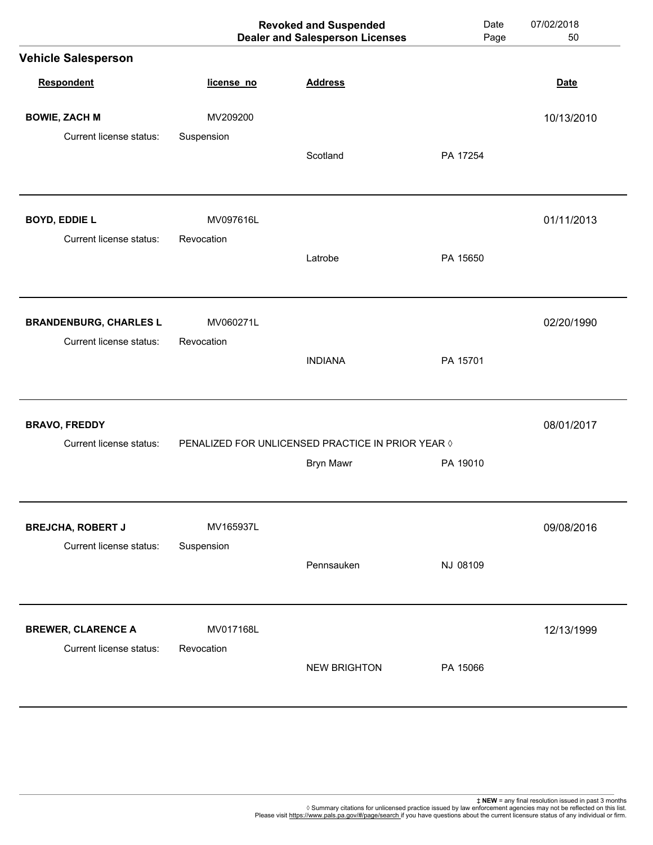|                                                     |            | <b>Revoked and Suspended</b><br><b>Dealer and Salesperson Licenses</b> | Date<br>Page | 07/02/2018<br>50 |
|-----------------------------------------------------|------------|------------------------------------------------------------------------|--------------|------------------|
| <b>Vehicle Salesperson</b>                          |            |                                                                        |              |                  |
| Respondent                                          | license_no | <b>Address</b>                                                         |              | <b>Date</b>      |
| <b>BOWIE, ZACH M</b>                                | MV209200   |                                                                        |              | 10/13/2010       |
| Current license status:                             | Suspension | Scotland                                                               | PA 17254     |                  |
| <b>BOYD, EDDIE L</b>                                | MV097616L  |                                                                        |              | 01/11/2013       |
| Current license status:                             | Revocation | Latrobe                                                                | PA 15650     |                  |
| <b>BRANDENBURG, CHARLES L</b>                       | MV060271L  |                                                                        |              | 02/20/1990       |
| Current license status:                             | Revocation | <b>INDIANA</b>                                                         | PA 15701     |                  |
| <b>BRAVO, FREDDY</b>                                |            |                                                                        |              | 08/01/2017       |
| Current license status:                             |            | PENALIZED FOR UNLICENSED PRACTICE IN PRIOR YEAR 0<br><b>Bryn Mawr</b>  | PA 19010     |                  |
| <b>BREJCHA, ROBERT J</b><br>Current license status: | MV165937L  |                                                                        |              | 09/08/2016       |
|                                                     | Suspension | Pennsauken                                                             | NJ 08109     |                  |
| <b>BREWER, CLARENCE A</b>                           | MV017168L  |                                                                        |              | 12/13/1999       |
| Current license status:                             | Revocation | <b>NEW BRIGHTON</b>                                                    | PA 15066     |                  |
|                                                     |            |                                                                        |              |                  |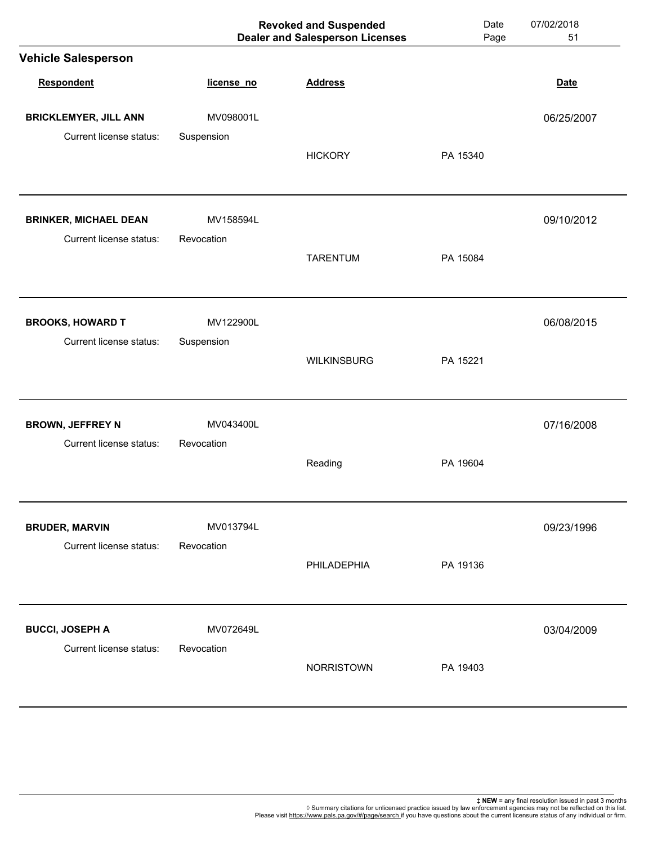|                              |            | <b>Revoked and Suspended</b><br><b>Dealer and Salesperson Licenses</b> | Date<br>Page | 07/02/2018<br>51 |
|------------------------------|------------|------------------------------------------------------------------------|--------------|------------------|
| <b>Vehicle Salesperson</b>   |            |                                                                        |              |                  |
| Respondent                   | license_no | <b>Address</b>                                                         |              | <b>Date</b>      |
| <b>BRICKLEMYER, JILL ANN</b> | MV098001L  |                                                                        |              | 06/25/2007       |
| Current license status:      | Suspension | <b>HICKORY</b>                                                         | PA 15340     |                  |
| <b>BRINKER, MICHAEL DEAN</b> | MV158594L  |                                                                        |              | 09/10/2012       |
| Current license status:      | Revocation | <b>TARENTUM</b>                                                        | PA 15084     |                  |
| <b>BROOKS, HOWARD T</b>      | MV122900L  |                                                                        |              | 06/08/2015       |
| Current license status:      | Suspension | <b>WILKINSBURG</b>                                                     | PA 15221     |                  |
| <b>BROWN, JEFFREY N</b>      | MV043400L  |                                                                        |              | 07/16/2008       |
| Current license status:      | Revocation | Reading                                                                | PA 19604     |                  |
| <b>BRUDER, MARVIN</b>        | MV013794L  |                                                                        |              | 09/23/1996       |
| Current license status:      | Revocation | PHILADEPHIA                                                            | PA 19136     |                  |
| <b>BUCCI, JOSEPH A</b>       | MV072649L  |                                                                        |              | 03/04/2009       |
| Current license status:      | Revocation | <b>NORRISTOWN</b>                                                      | PA 19403     |                  |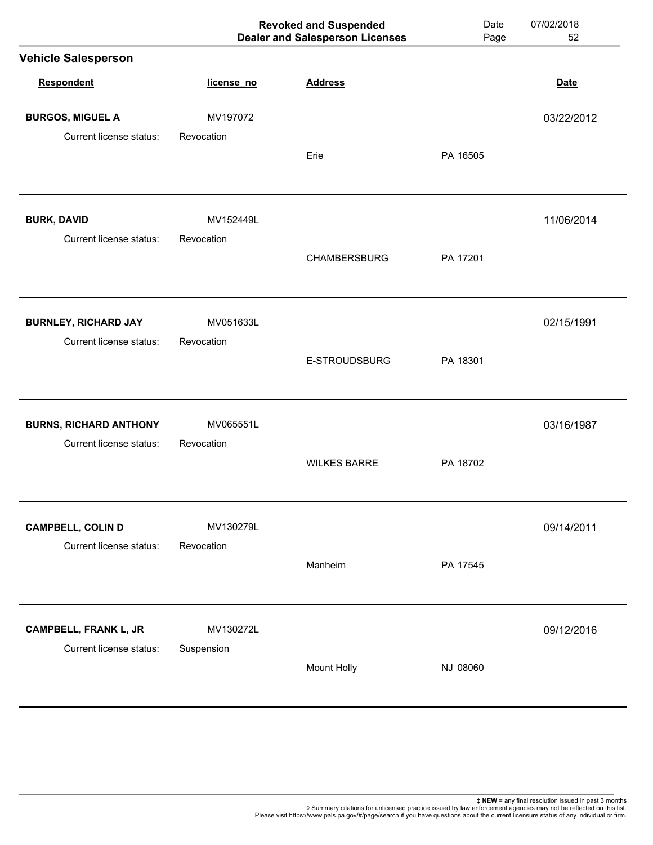|                                               |                         | <b>Revoked and Suspended</b><br><b>Dealer and Salesperson Licenses</b> | Date<br>Page | 07/02/2018<br>52 |
|-----------------------------------------------|-------------------------|------------------------------------------------------------------------|--------------|------------------|
| <b>Vehicle Salesperson</b>                    |                         |                                                                        |              |                  |
| Respondent                                    | license_no              | <b>Address</b>                                                         |              | <b>Date</b>      |
| <b>BURGOS, MIGUEL A</b>                       | MV197072                |                                                                        |              | 03/22/2012       |
| Current license status:                       | Revocation              | Erie                                                                   | PA 16505     |                  |
| <b>BURK, DAVID</b><br>Current license status: | MV152449L<br>Revocation |                                                                        |              | 11/06/2014       |
|                                               |                         | <b>CHAMBERSBURG</b>                                                    | PA 17201     |                  |
| <b>BURNLEY, RICHARD JAY</b>                   | MV051633L               |                                                                        |              | 02/15/1991       |
| Current license status:                       | Revocation              | E-STROUDSBURG                                                          | PA 18301     |                  |
| <b>BURNS, RICHARD ANTHONY</b>                 | MV065551L               |                                                                        |              | 03/16/1987       |
| Current license status:                       | Revocation              | <b>WILKES BARRE</b>                                                    | PA 18702     |                  |
| <b>CAMPBELL, COLIN D</b>                      | MV130279L               |                                                                        |              | 09/14/2011       |
| Current license status:                       | Revocation              | Manheim                                                                | PA 17545     |                  |
| <b>CAMPBELL, FRANK L, JR</b>                  | MV130272L               |                                                                        |              | 09/12/2016       |
| Current license status:                       | Suspension              | <b>Mount Holly</b>                                                     | NJ 08060     |                  |
|                                               |                         |                                                                        |              |                  |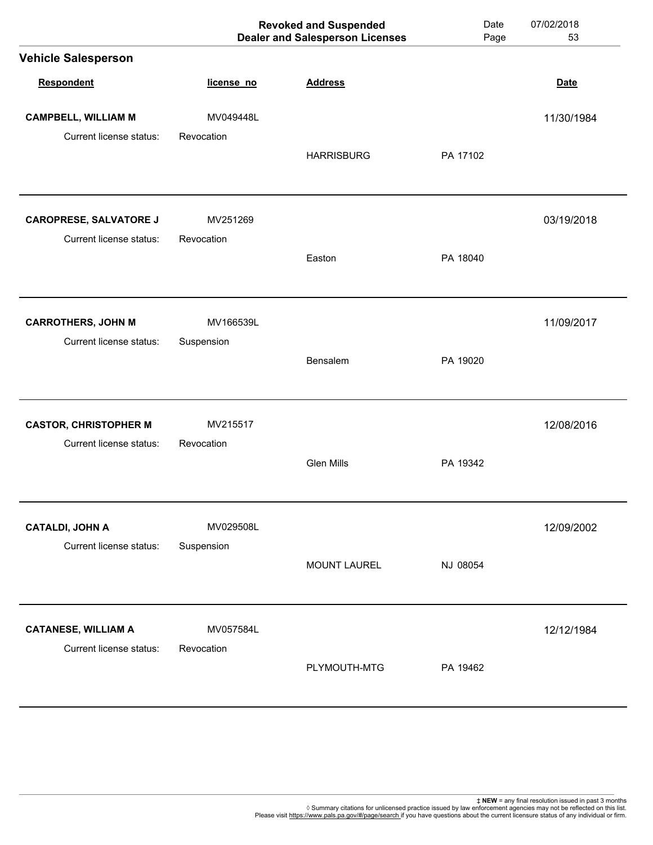|                                                          |                        | <b>Revoked and Suspended</b><br><b>Dealer and Salesperson Licenses</b> | Date<br>Page | 07/02/2018<br>53 |
|----------------------------------------------------------|------------------------|------------------------------------------------------------------------|--------------|------------------|
| <b>Vehicle Salesperson</b>                               |                        |                                                                        |              |                  |
| Respondent                                               | license_no             | <b>Address</b>                                                         |              | <b>Date</b>      |
| <b>CAMPBELL, WILLIAM M</b>                               | MV049448L              |                                                                        |              | 11/30/1984       |
| Current license status:                                  | Revocation             | <b>HARRISBURG</b>                                                      | PA 17102     |                  |
| <b>CAROPRESE, SALVATORE J</b><br>Current license status: | MV251269<br>Revocation |                                                                        |              | 03/19/2018       |
|                                                          |                        | Easton                                                                 | PA 18040     |                  |
| <b>CARROTHERS, JOHN M</b>                                | MV166539L              |                                                                        |              | 11/09/2017       |
| Current license status:                                  | Suspension             | Bensalem                                                               | PA 19020     |                  |
| <b>CASTOR, CHRISTOPHER M</b>                             | MV215517               |                                                                        |              | 12/08/2016       |
| Current license status:                                  | Revocation             | <b>Glen Mills</b>                                                      | PA 19342     |                  |
| <b>CATALDI, JOHN A</b>                                   | MV029508L              |                                                                        |              | 12/09/2002       |
| Current license status:                                  | Suspension             | <b>MOUNT LAUREL</b>                                                    | NJ 08054     |                  |
| <b>CATANESE, WILLIAM A</b>                               | MV057584L              |                                                                        |              | 12/12/1984       |
| Current license status:                                  | Revocation             | PLYMOUTH-MTG                                                           | PA 19462     |                  |
|                                                          |                        |                                                                        |              |                  |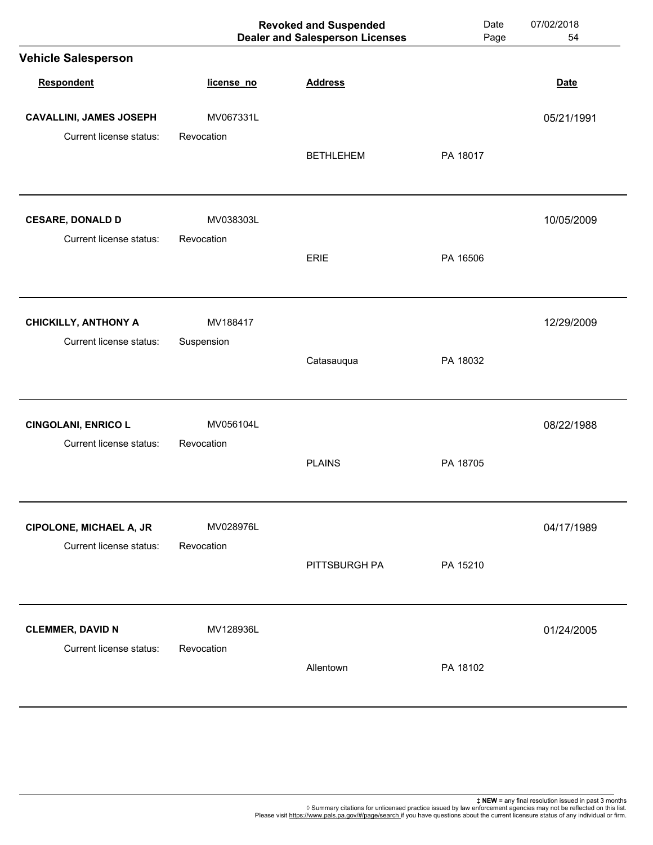|                                                    |                         | <b>Revoked and Suspended</b><br><b>Dealer and Salesperson Licenses</b> | Date<br>Page | 07/02/2018<br>54 |
|----------------------------------------------------|-------------------------|------------------------------------------------------------------------|--------------|------------------|
| <b>Vehicle Salesperson</b>                         |                         |                                                                        |              |                  |
| <b>Respondent</b>                                  | license_no              | <b>Address</b>                                                         |              | <b>Date</b>      |
| <b>CAVALLINI, JAMES JOSEPH</b>                     | MV067331L               |                                                                        |              | 05/21/1991       |
| Current license status:                            | Revocation              | <b>BETHLEHEM</b>                                                       | PA 18017     |                  |
| <b>CESARE, DONALD D</b><br>Current license status: | MV038303L<br>Revocation |                                                                        |              | 10/05/2009       |
|                                                    |                         | <b>ERIE</b>                                                            | PA 16506     |                  |
| <b>CHICKILLY, ANTHONY A</b>                        | MV188417                |                                                                        |              | 12/29/2009       |
| Current license status:                            | Suspension              | Catasauqua                                                             | PA 18032     |                  |
| <b>CINGOLANI, ENRICO L</b>                         | MV056104L               |                                                                        |              | 08/22/1988       |
| Current license status:                            | Revocation              | <b>PLAINS</b>                                                          | PA 18705     |                  |
| <b>CIPOLONE, MICHAEL A, JR</b>                     | MV028976L               |                                                                        |              | 04/17/1989       |
| Current license status:                            | Revocation              | PITTSBURGH PA                                                          | PA 15210     |                  |
| <b>CLEMMER, DAVID N</b>                            | MV128936L               |                                                                        |              | 01/24/2005       |
| Current license status:                            | Revocation              | Allentown                                                              | PA 18102     |                  |
|                                                    |                         |                                                                        |              |                  |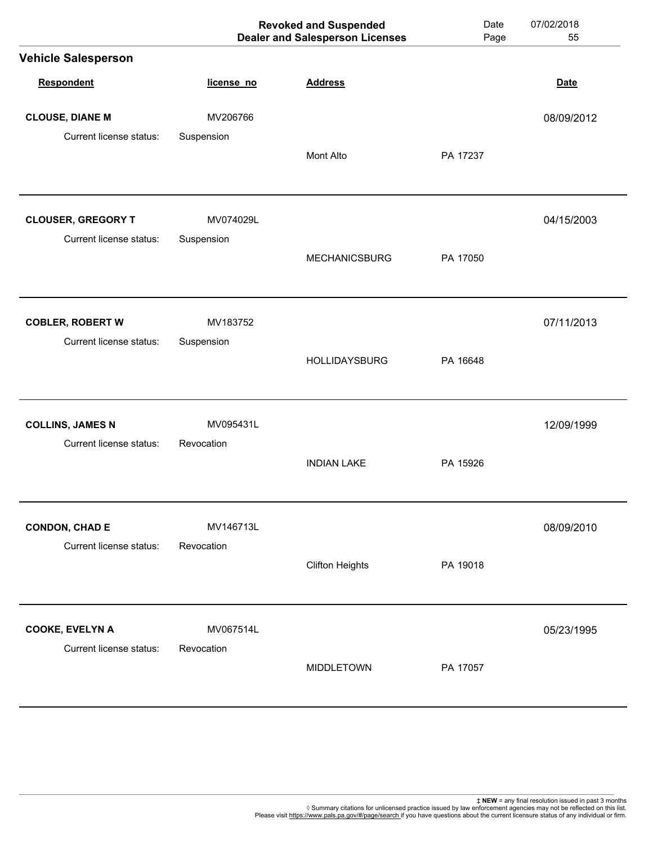|                                                      |                         | <b>Revoked and Suspended</b><br><b>Dealer and Salesperson Licenses</b> | Date<br>Page | 07/02/2018<br>55 |
|------------------------------------------------------|-------------------------|------------------------------------------------------------------------|--------------|------------------|
| <b>Vehicle Salesperson</b>                           |                         |                                                                        |              |                  |
| Respondent                                           | license_no              | <b>Address</b>                                                         |              | <b>Date</b>      |
| <b>CLOUSE, DIANE M</b>                               | MV206766                |                                                                        |              | 08/09/2012       |
| Current license status:                              | Suspension              | <b>Mont Alto</b>                                                       | PA 17237     |                  |
| <b>CLOUSER, GREGORY T</b><br>Current license status: | MV074029L<br>Suspension |                                                                        |              | 04/15/2003       |
|                                                      |                         | <b>MECHANICSBURG</b>                                                   | PA 17050     |                  |
| <b>COBLER, ROBERT W</b>                              | MV183752                |                                                                        |              | 07/11/2013       |
| Current license status:                              | Suspension              | <b>HOLLIDAYSBURG</b>                                                   | PA 16648     |                  |
| <b>COLLINS, JAMES N</b>                              | MV095431L               |                                                                        |              | 12/09/1999       |
| Current license status:                              | Revocation              | <b>INDIAN LAKE</b>                                                     | PA 15926     |                  |
| <b>CONDON, CHAD E</b>                                | MV146713L               |                                                                        |              | 08/09/2010       |
| Current license status:                              | Revocation              | <b>Clifton Heights</b>                                                 | PA 19018     |                  |
| <b>COOKE, EVELYN A</b>                               | MV067514L               |                                                                        |              | 05/23/1995       |
| Current license status:                              | Revocation              | <b>MIDDLETOWN</b>                                                      | PA 17057     |                  |
|                                                      |                         |                                                                        |              |                  |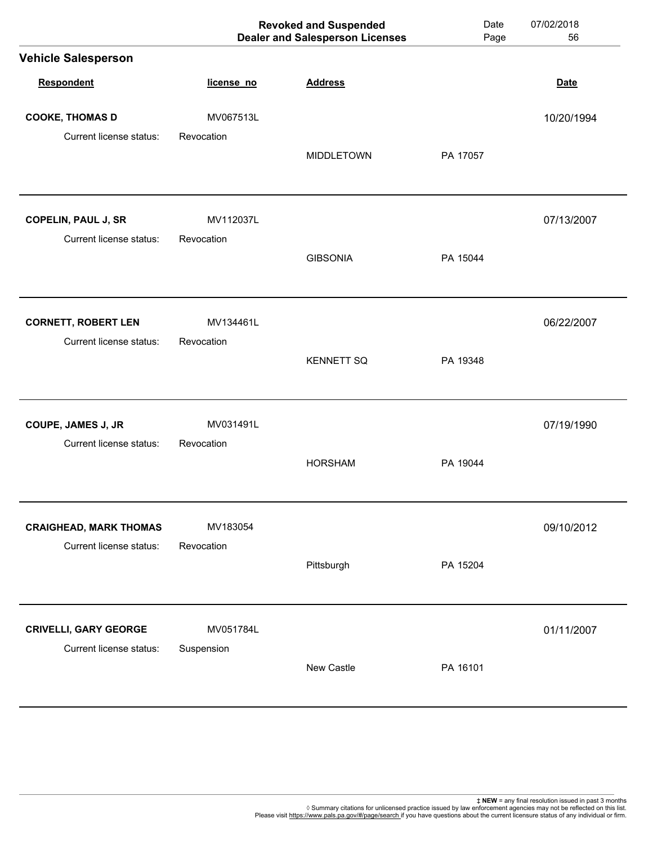|                                                       |                         | <b>Revoked and Suspended</b><br><b>Dealer and Salesperson Licenses</b> | Date<br>Page | 07/02/2018<br>56 |
|-------------------------------------------------------|-------------------------|------------------------------------------------------------------------|--------------|------------------|
| <b>Vehicle Salesperson</b>                            |                         |                                                                        |              |                  |
| <b>Respondent</b>                                     | license_no              | <b>Address</b>                                                         |              | <b>Date</b>      |
| <b>COOKE, THOMAS D</b>                                | MV067513L               |                                                                        |              | 10/20/1994       |
| Current license status:                               | Revocation              | <b>MIDDLETOWN</b>                                                      | PA 17057     |                  |
| <b>COPELIN, PAUL J, SR</b><br>Current license status: | MV112037L<br>Revocation |                                                                        |              | 07/13/2007       |
|                                                       |                         | <b>GIBSONIA</b>                                                        | PA 15044     |                  |
| <b>CORNETT, ROBERT LEN</b>                            | MV134461L               |                                                                        |              | 06/22/2007       |
| Current license status:                               | Revocation              | <b>KENNETT SQ</b>                                                      | PA 19348     |                  |
| COUPE, JAMES J, JR                                    | MV031491L               |                                                                        |              | 07/19/1990       |
| Current license status:                               | Revocation              | <b>HORSHAM</b>                                                         | PA 19044     |                  |
| <b>CRAIGHEAD, MARK THOMAS</b>                         | MV183054                |                                                                        |              | 09/10/2012       |
| Current license status:                               | Revocation              | Pittsburgh                                                             | PA 15204     |                  |
| <b>CRIVELLI, GARY GEORGE</b>                          | MV051784L               |                                                                        |              | 01/11/2007       |
| Current license status:                               | Suspension              | New Castle                                                             | PA 16101     |                  |
|                                                       |                         |                                                                        |              |                  |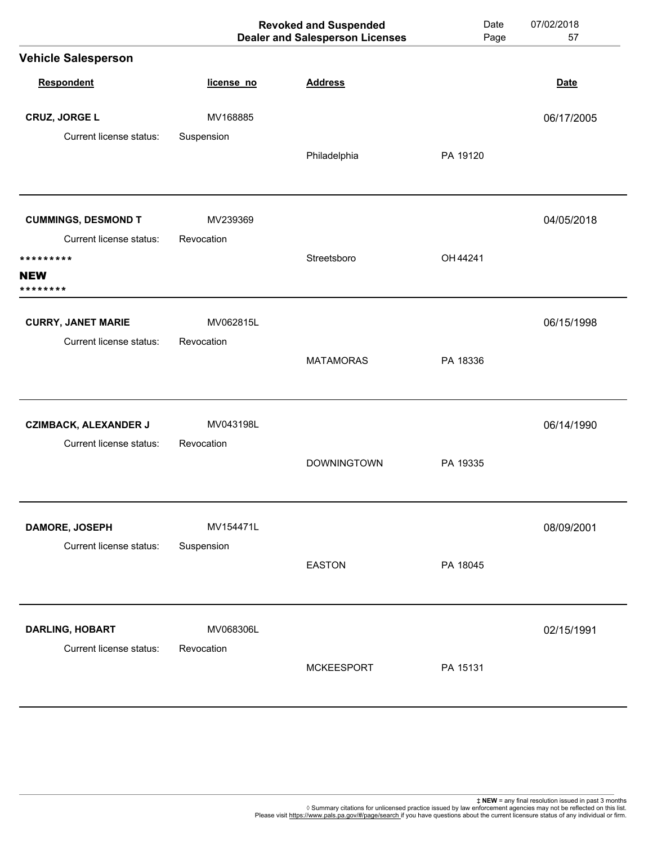|                                           |                         | <b>Revoked and Suspended</b><br><b>Dealer and Salesperson Licenses</b> | Date<br>Page | 07/02/2018<br>57 |
|-------------------------------------------|-------------------------|------------------------------------------------------------------------|--------------|------------------|
| <b>Vehicle Salesperson</b>                |                         |                                                                        |              |                  |
| Respondent                                | license_no              | <b>Address</b>                                                         |              | <b>Date</b>      |
| CRUZ, JORGE L                             | MV168885                |                                                                        |              | 06/17/2005       |
| Current license status:                   | Suspension              | Philadelphia                                                           | PA 19120     |                  |
| <b>CUMMINGS, DESMOND T</b>                | MV239369                |                                                                        |              | 04/05/2018       |
| Current license status:                   | Revocation              | Streetsboro                                                            | OH 44241     |                  |
| *********<br>NEW<br>********              |                         |                                                                        |              |                  |
| <b>CURRY, JANET MARIE</b>                 | MV062815L               |                                                                        |              | 06/15/1998       |
| Current license status:                   | Revocation              | <b>MATAMORAS</b>                                                       | PA 18336     |                  |
| <b>CZIMBACK, ALEXANDER J</b>              | MV043198L               |                                                                        |              | 06/14/1990       |
| Current license status:                   | Revocation              | <b>DOWNINGTOWN</b>                                                     | PA 19335     |                  |
| DAMORE, JOSEPH<br>Current license status: | MV154471L<br>Suspension |                                                                        |              | 08/09/2001       |
|                                           |                         | <b>EASTON</b>                                                          | PA 18045     |                  |
| <b>DARLING, HOBART</b>                    | MV068306L               |                                                                        |              | 02/15/1991       |
| Current license status:                   | Revocation              | <b>MCKEESPORT</b>                                                      | PA 15131     |                  |
|                                           |                         |                                                                        |              |                  |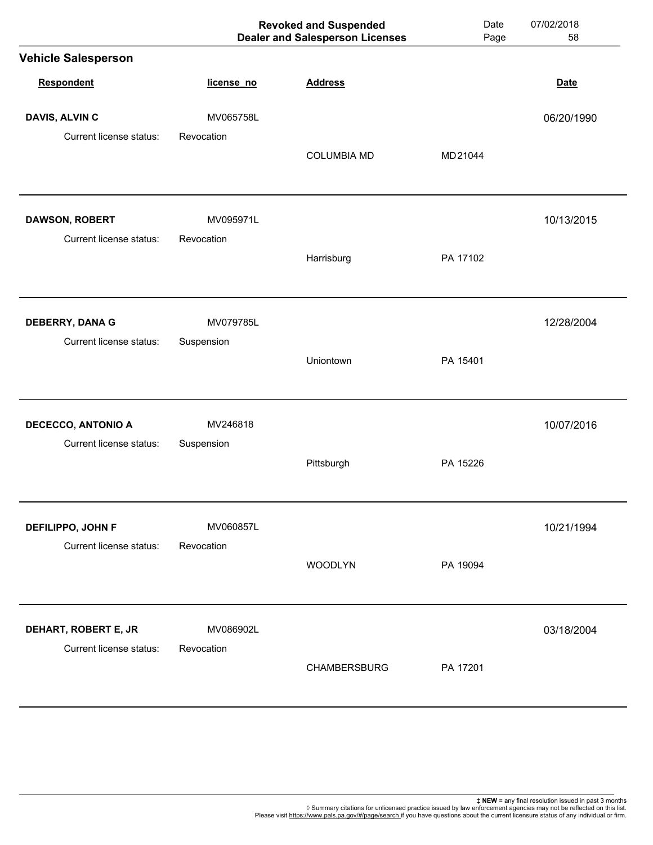|                                           |                         | <b>Revoked and Suspended</b><br><b>Dealer and Salesperson Licenses</b> | Date<br>Page | 07/02/2018<br>58 |
|-------------------------------------------|-------------------------|------------------------------------------------------------------------|--------------|------------------|
| <b>Vehicle Salesperson</b>                |                         |                                                                        |              |                  |
| <b>Respondent</b>                         | license_no              | <b>Address</b>                                                         |              | <b>Date</b>      |
| DAVIS, ALVIN C                            | MV065758L               |                                                                        |              | 06/20/1990       |
| Current license status:                   | Revocation              | <b>COLUMBIA MD</b>                                                     | MD21044      |                  |
| DAWSON, ROBERT<br>Current license status: | MV095971L<br>Revocation |                                                                        |              | 10/13/2015       |
|                                           |                         | Harrisburg                                                             | PA 17102     |                  |
| DEBERRY, DANA G                           | MV079785L               |                                                                        |              | 12/28/2004       |
| Current license status:                   | Suspension              | Uniontown                                                              | PA 15401     |                  |
| <b>DECECCO, ANTONIO A</b>                 | MV246818                |                                                                        |              | 10/07/2016       |
| Current license status:                   | Suspension              | Pittsburgh                                                             | PA 15226     |                  |
| DEFILIPPO, JOHN F                         | MV060857L               |                                                                        |              | 10/21/1994       |
| Current license status:                   | Revocation              | WOODLYN                                                                | PA 19094     |                  |
| DEHART, ROBERT E, JR                      | MV086902L               |                                                                        |              | 03/18/2004       |
| Current license status:                   | Revocation              | <b>CHAMBERSBURG</b>                                                    | PA 17201     |                  |
|                                           |                         |                                                                        |              |                  |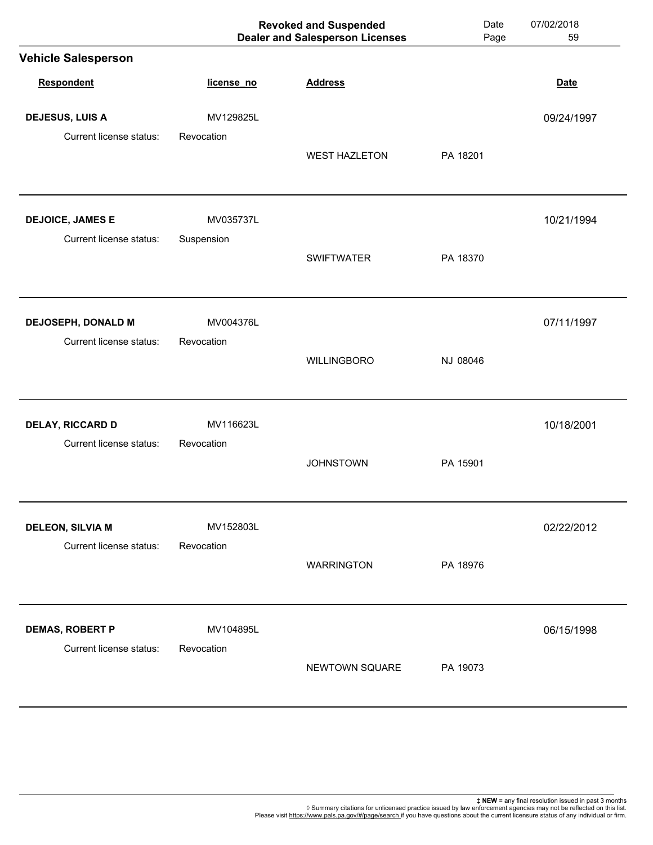|                                                    |                         | <b>Revoked and Suspended</b><br><b>Dealer and Salesperson Licenses</b> | Date<br>Page | 07/02/2018<br>59 |
|----------------------------------------------------|-------------------------|------------------------------------------------------------------------|--------------|------------------|
| <b>Vehicle Salesperson</b>                         |                         |                                                                        |              |                  |
| Respondent                                         | license_no              | <b>Address</b>                                                         |              | <b>Date</b>      |
| DEJESUS, LUIS A                                    | MV129825L               |                                                                        |              | 09/24/1997       |
| Current license status:                            | Revocation              | <b>WEST HAZLETON</b>                                                   | PA 18201     |                  |
| <b>DEJOICE, JAMES E</b><br>Current license status: | MV035737L<br>Suspension |                                                                        |              | 10/21/1994       |
|                                                    |                         | <b>SWIFTWATER</b>                                                      | PA 18370     |                  |
| DEJOSEPH, DONALD M                                 | MV004376L               |                                                                        |              | 07/11/1997       |
| Current license status:                            | Revocation              | <b>WILLINGBORO</b>                                                     | NJ 08046     |                  |
| <b>DELAY, RICCARD D</b>                            | MV116623L               |                                                                        |              | 10/18/2001       |
| <b>Current license status:</b>                     | Revocation              | <b>JOHNSTOWN</b>                                                       | PA 15901     |                  |
| <b>DELEON, SILVIA M</b>                            | MV152803L               |                                                                        |              | 02/22/2012       |
| Current license status:                            | Revocation              | <b>WARRINGTON</b>                                                      | PA 18976     |                  |
| <b>DEMAS, ROBERT P</b>                             | MV104895L               |                                                                        |              | 06/15/1998       |
| Current license status:                            | Revocation              | NEWTOWN SQUARE                                                         | PA 19073     |                  |
|                                                    |                         |                                                                        |              |                  |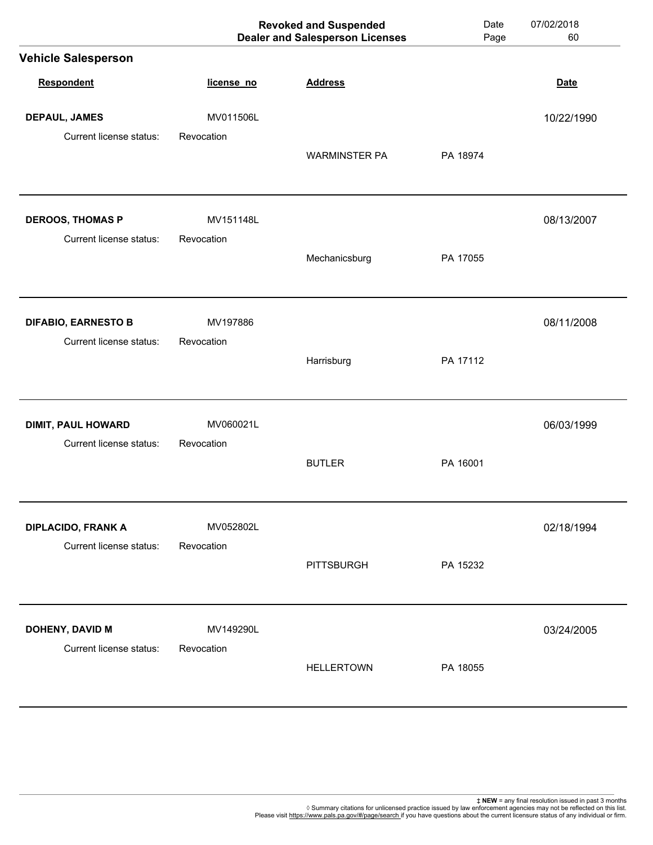| license_no<br>MV011506L<br>MV151148L | <b>Address</b><br><b>WARMINSTER PA</b><br>Mechanicsburg | PA 18974<br>PA 17055 | <b>Date</b><br>10/22/1990<br>08/13/2007 |
|--------------------------------------|---------------------------------------------------------|----------------------|-----------------------------------------|
|                                      |                                                         |                      |                                         |
|                                      |                                                         |                      |                                         |
|                                      |                                                         |                      |                                         |
|                                      |                                                         |                      |                                         |
|                                      |                                                         |                      |                                         |
|                                      |                                                         |                      |                                         |
| MV197886                             |                                                         |                      | 08/11/2008                              |
|                                      | Harrisburg                                              | PA 17112             |                                         |
| MV060021L                            |                                                         |                      | 06/03/1999                              |
|                                      | <b>BUTLER</b>                                           | PA 16001             |                                         |
| MV052802L                            |                                                         |                      | 02/18/1994                              |
|                                      | <b>PITTSBURGH</b>                                       | PA 15232             |                                         |
|                                      |                                                         |                      | 03/24/2005                              |
|                                      | <b>HELLERTOWN</b>                                       | PA 18055             |                                         |
|                                      | MV149290L                                               |                      |                                         |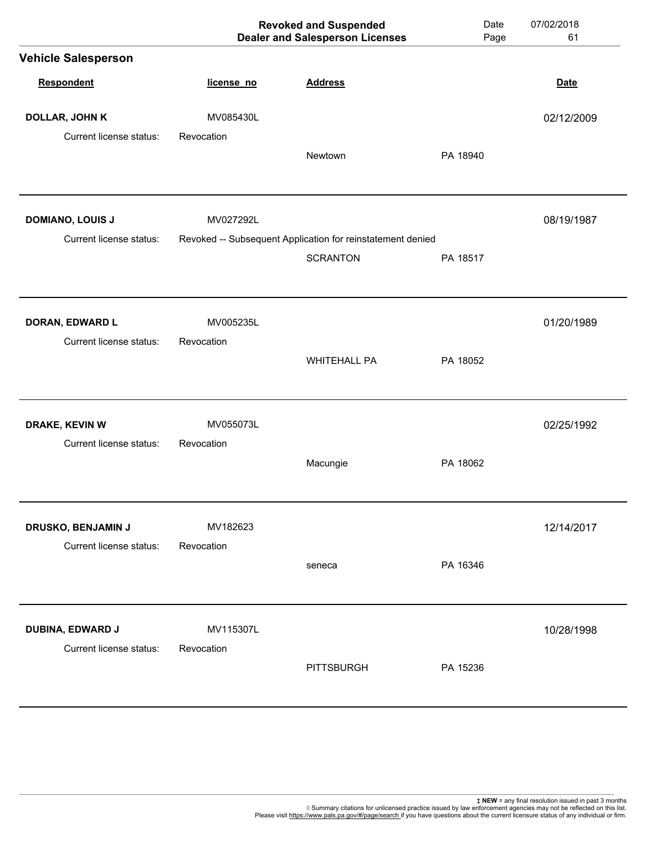|                            |            | <b>Revoked and Suspended</b><br><b>Dealer and Salesperson Licenses</b>        | Date<br>Page | 07/02/2018<br>61 |
|----------------------------|------------|-------------------------------------------------------------------------------|--------------|------------------|
| <b>Vehicle Salesperson</b> |            |                                                                               |              |                  |
| Respondent                 | license_no | <b>Address</b>                                                                |              | <b>Date</b>      |
| <b>DOLLAR, JOHN K</b>      | MV085430L  |                                                                               |              | 02/12/2009       |
| Current license status:    | Revocation | Newtown                                                                       | PA 18940     |                  |
| <b>DOMIANO, LOUIS J</b>    | MV027292L  |                                                                               |              | 08/19/1987       |
| Current license status:    |            | Revoked -- Subsequent Application for reinstatement denied<br><b>SCRANTON</b> | PA 18517     |                  |
| DORAN, EDWARD L            | MV005235L  |                                                                               |              | 01/20/1989       |
| Current license status:    | Revocation | <b>WHITEHALL PA</b>                                                           | PA 18052     |                  |
| DRAKE, KEVIN W             | MV055073L  |                                                                               |              | 02/25/1992       |
| Current license status:    | Revocation | Macungie                                                                      | PA 18062     |                  |
| DRUSKO, BENJAMIN J         | MV182623   |                                                                               |              | 12/14/2017       |
| Current license status:    | Revocation | seneca                                                                        | PA 16346     |                  |
| DUBINA, EDWARD J           | MV115307L  |                                                                               |              | 10/28/1998       |
| Current license status:    | Revocation | <b>PITTSBURGH</b>                                                             | PA 15236     |                  |
|                            |            |                                                                               |              |                  |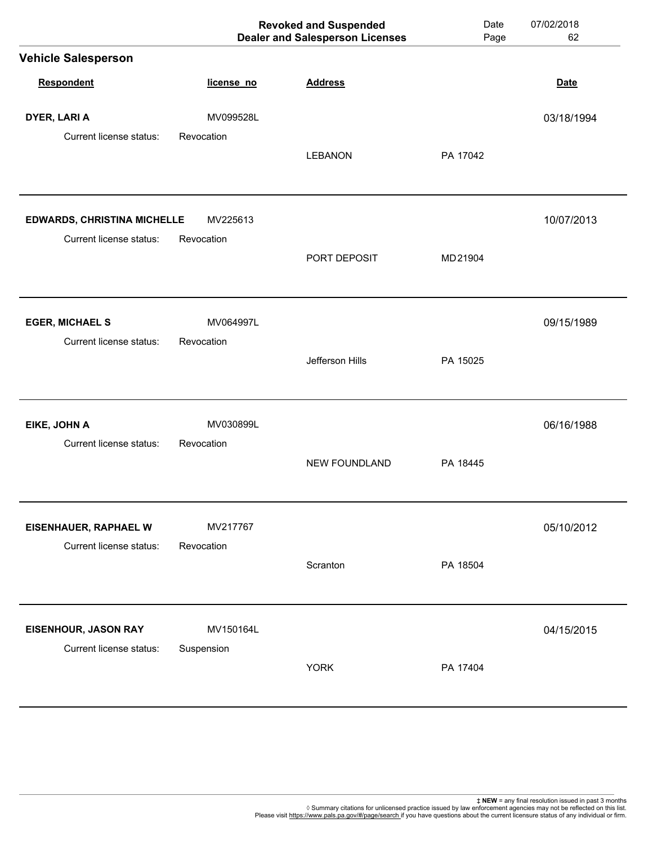|                                    |            | <b>Revoked and Suspended</b><br><b>Dealer and Salesperson Licenses</b> | Date<br>Page | 07/02/2018<br>62 |
|------------------------------------|------------|------------------------------------------------------------------------|--------------|------------------|
| <b>Vehicle Salesperson</b>         |            |                                                                        |              |                  |
| Respondent                         | license_no | <b>Address</b>                                                         |              | <b>Date</b>      |
| DYER, LARI A                       | MV099528L  |                                                                        |              | 03/18/1994       |
| Current license status:            | Revocation | <b>LEBANON</b>                                                         | PA 17042     |                  |
| <b>EDWARDS, CHRISTINA MICHELLE</b> | MV225613   |                                                                        |              | 10/07/2013       |
| Current license status:            | Revocation | PORT DEPOSIT                                                           | MD 21904     |                  |
| <b>EGER, MICHAEL S</b>             | MV064997L  |                                                                        |              | 09/15/1989       |
| Current license status:            | Revocation | Jefferson Hills                                                        | PA 15025     |                  |
| EIKE, JOHN A                       | MV030899L  |                                                                        |              | 06/16/1988       |
| Current license status:            | Revocation | <b>NEW FOUNDLAND</b>                                                   | PA 18445     |                  |
| <b>EISENHAUER, RAPHAEL W</b>       | MV217767   |                                                                        |              | 05/10/2012       |
| Current license status:            | Revocation | Scranton                                                               | PA 18504     |                  |
| <b>EISENHOUR, JASON RAY</b>        | MV150164L  |                                                                        |              | 04/15/2015       |
| Current license status:            | Suspension | <b>YORK</b>                                                            | PA 17404     |                  |
|                                    |            |                                                                        |              |                  |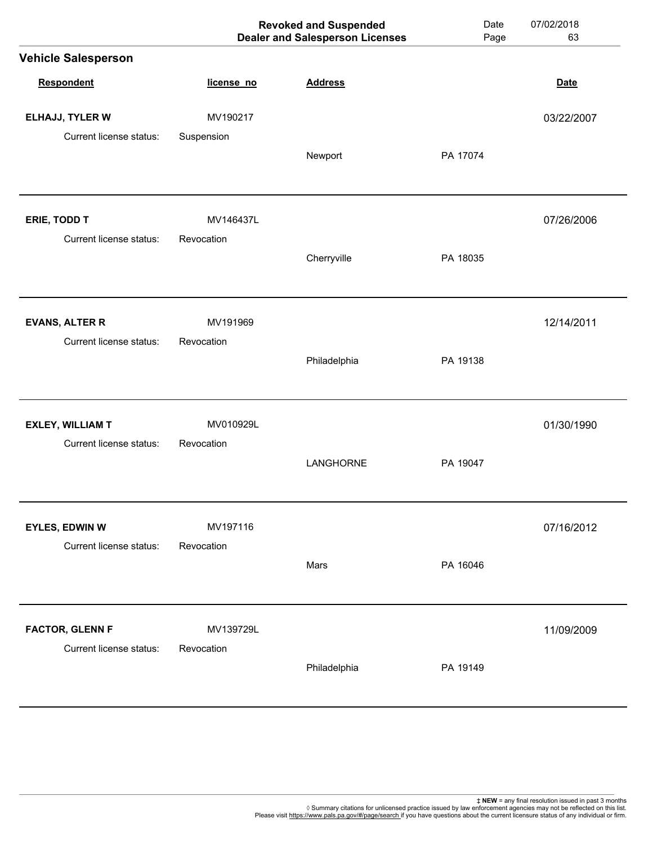|                                         |                         | <b>Revoked and Suspended</b><br><b>Dealer and Salesperson Licenses</b> | Date<br>Page | 07/02/2018<br>63 |
|-----------------------------------------|-------------------------|------------------------------------------------------------------------|--------------|------------------|
| <b>Vehicle Salesperson</b>              |                         |                                                                        |              |                  |
| <b>Respondent</b>                       | license_no              | <b>Address</b>                                                         |              | <b>Date</b>      |
| ELHAJJ, TYLER W                         | MV190217                |                                                                        |              | 03/22/2007       |
| Current license status:                 | Suspension              | Newport                                                                | PA 17074     |                  |
| ERIE, TODD T<br>Current license status: | MV146437L<br>Revocation |                                                                        |              | 07/26/2006       |
|                                         |                         | Cherryville                                                            | PA 18035     |                  |
| <b>EVANS, ALTER R</b>                   | MV191969                |                                                                        |              | 12/14/2011       |
| Current license status:                 | Revocation              | Philadelphia                                                           | PA 19138     |                  |
| <b>EXLEY, WILLIAM T</b>                 | MV010929L               |                                                                        |              | 01/30/1990       |
| Current license status:                 | Revocation              | LANGHORNE                                                              | PA 19047     |                  |
| <b>EYLES, EDWIN W</b>                   | MV197116                |                                                                        |              | 07/16/2012       |
| Current license status:                 | Revocation              | Mars                                                                   | PA 16046     |                  |
| <b>FACTOR, GLENN F</b>                  | MV139729L               |                                                                        |              | 11/09/2009       |
| Current license status:                 | Revocation              | Philadelphia                                                           | PA 19149     |                  |
|                                         |                         |                                                                        |              |                  |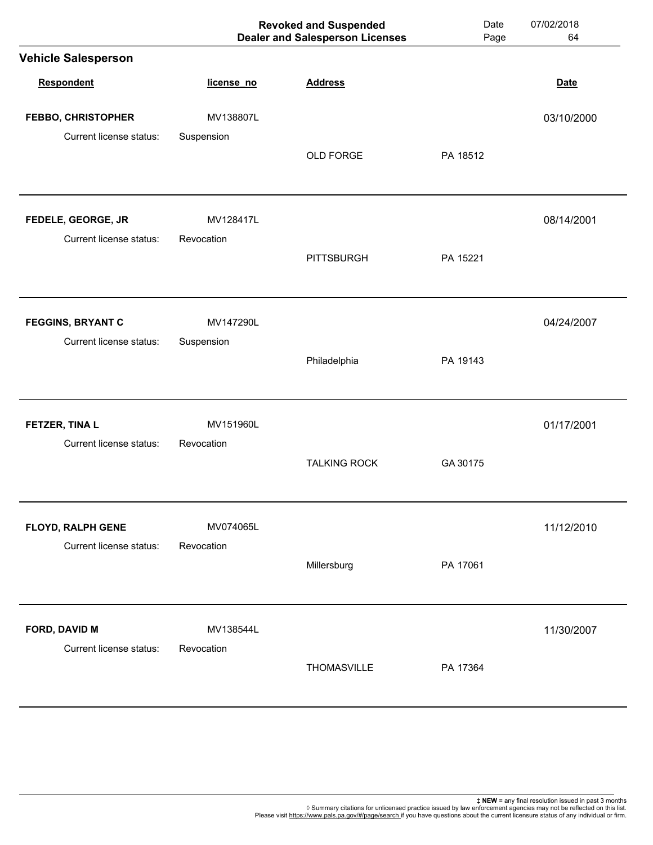|                            |            | <b>Revoked and Suspended</b><br><b>Dealer and Salesperson Licenses</b> | Date<br>Page | 07/02/2018<br>64 |
|----------------------------|------------|------------------------------------------------------------------------|--------------|------------------|
| <b>Vehicle Salesperson</b> |            |                                                                        |              |                  |
| Respondent                 | license_no | <b>Address</b>                                                         |              | <b>Date</b>      |
| <b>FEBBO, CHRISTOPHER</b>  | MV138807L  |                                                                        |              | 03/10/2000       |
| Current license status:    | Suspension | <b>OLD FORGE</b>                                                       | PA 18512     |                  |
| FEDELE, GEORGE, JR         | MV128417L  |                                                                        |              | 08/14/2001       |
| Current license status:    | Revocation | <b>PITTSBURGH</b>                                                      | PA 15221     |                  |
| <b>FEGGINS, BRYANT C</b>   | MV147290L  |                                                                        |              | 04/24/2007       |
| Current license status:    | Suspension | Philadelphia                                                           | PA 19143     |                  |
| FETZER, TINA L             | MV151960L  |                                                                        |              | 01/17/2001       |
| Current license status:    | Revocation | <b>TALKING ROCK</b>                                                    | GA 30175     |                  |
| FLOYD, RALPH GENE          | MV074065L  |                                                                        |              | 11/12/2010       |
| Current license status:    | Revocation | Millersburg                                                            | PA 17061     |                  |
| FORD, DAVID M              | MV138544L  |                                                                        |              | 11/30/2007       |
| Current license status:    | Revocation | THOMASVILLE                                                            | PA 17364     |                  |
|                            |            |                                                                        |              |                  |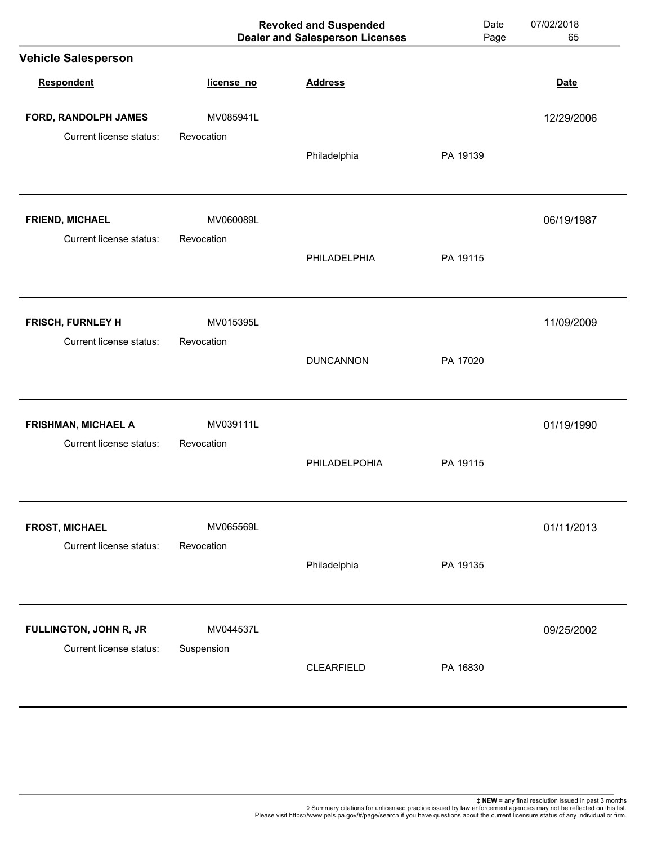|                                                   |                         | <b>Revoked and Suspended</b><br><b>Dealer and Salesperson Licenses</b> | Date<br>Page | 07/02/2018<br>65 |
|---------------------------------------------------|-------------------------|------------------------------------------------------------------------|--------------|------------------|
| <b>Vehicle Salesperson</b>                        |                         |                                                                        |              |                  |
| Respondent                                        | license_no              | <b>Address</b>                                                         |              | <b>Date</b>      |
| FORD, RANDOLPH JAMES                              | MV085941L               |                                                                        |              | 12/29/2006       |
| Current license status:                           | Revocation              | Philadelphia                                                           | PA 19139     |                  |
| <b>FRIEND, MICHAEL</b><br>Current license status: | MV060089L<br>Revocation |                                                                        |              | 06/19/1987       |
|                                                   |                         | PHILADELPHIA                                                           | PA 19115     |                  |
| FRISCH, FURNLEY H                                 | MV015395L               |                                                                        |              | 11/09/2009       |
| Current license status:                           | Revocation              | <b>DUNCANNON</b>                                                       | PA 17020     |                  |
| FRISHMAN, MICHAEL A                               | MV039111L               |                                                                        |              | 01/19/1990       |
| Current license status:                           | Revocation              | PHILADELPOHIA                                                          | PA 19115     |                  |
| <b>FROST, MICHAEL</b>                             | MV065569L               |                                                                        |              | 01/11/2013       |
| Current license status:                           | Revocation              | Philadelphia                                                           | PA 19135     |                  |
| FULLINGTON, JOHN R, JR                            | MV044537L               |                                                                        |              | 09/25/2002       |
| Current license status:                           | Suspension              | <b>CLEARFIELD</b>                                                      | PA 16830     |                  |
|                                                   |                         |                                                                        |              |                  |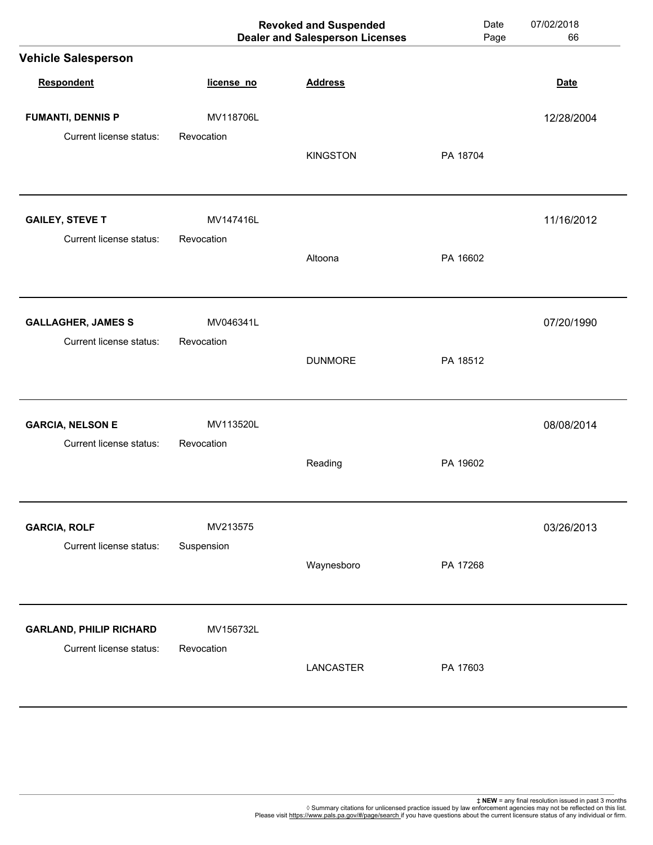|                                                   |                         | <b>Revoked and Suspended</b><br><b>Dealer and Salesperson Licenses</b> | Date<br>Page | 07/02/2018<br>66 |
|---------------------------------------------------|-------------------------|------------------------------------------------------------------------|--------------|------------------|
| <b>Vehicle Salesperson</b>                        |                         |                                                                        |              |                  |
| Respondent                                        | license_no              | <b>Address</b>                                                         |              | <b>Date</b>      |
| <b>FUMANTI, DENNIS P</b>                          | MV118706L               |                                                                        |              | 12/28/2004       |
| Current license status:                           | Revocation              | <b>KINGSTON</b>                                                        | PA 18704     |                  |
| <b>GAILEY, STEVE T</b><br>Current license status: | MV147416L<br>Revocation |                                                                        |              | 11/16/2012       |
|                                                   |                         | Altoona                                                                | PA 16602     |                  |
| <b>GALLAGHER, JAMES S</b>                         | MV046341L               |                                                                        |              | 07/20/1990       |
| Current license status:                           | Revocation              | <b>DUNMORE</b>                                                         | PA 18512     |                  |
| <b>GARCIA, NELSON E</b>                           | MV113520L               |                                                                        |              | 08/08/2014       |
| Current license status:                           | Revocation              | Reading                                                                | PA 19602     |                  |
| <b>GARCIA, ROLF</b>                               | MV213575                |                                                                        |              | 03/26/2013       |
| Current license status:                           | Suspension              | Waynesboro                                                             | PA 17268     |                  |
| <b>GARLAND, PHILIP RICHARD</b>                    | MV156732L               |                                                                        |              |                  |
| Current license status:                           | Revocation              | LANCASTER                                                              | PA 17603     |                  |
|                                                   |                         |                                                                        |              |                  |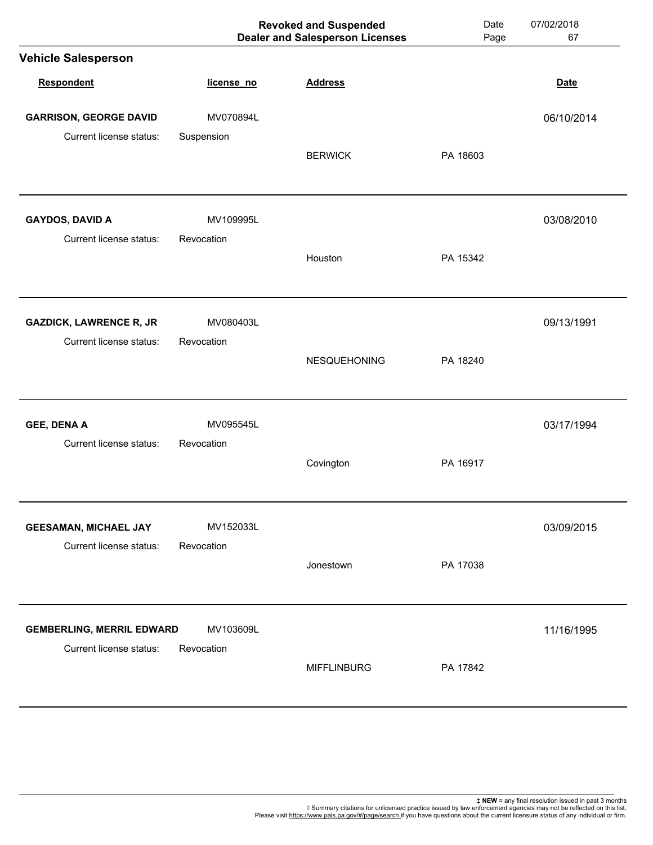|                                  |            | <b>Revoked and Suspended</b><br><b>Dealer and Salesperson Licenses</b> | Date<br>Page | 07/02/2018<br>67 |
|----------------------------------|------------|------------------------------------------------------------------------|--------------|------------------|
| <b>Vehicle Salesperson</b>       |            |                                                                        |              |                  |
| Respondent                       | license_no | <b>Address</b>                                                         |              | <b>Date</b>      |
| <b>GARRISON, GEORGE DAVID</b>    | MV070894L  |                                                                        |              | 06/10/2014       |
| Current license status:          | Suspension | <b>BERWICK</b>                                                         | PA 18603     |                  |
| <b>GAYDOS, DAVID A</b>           | MV109995L  |                                                                        |              | 03/08/2010       |
| Current license status:          | Revocation | Houston                                                                | PA 15342     |                  |
| <b>GAZDICK, LAWRENCE R, JR</b>   | MV080403L  |                                                                        |              | 09/13/1991       |
| Current license status:          | Revocation | NESQUEHONING                                                           | PA 18240     |                  |
| <b>GEE, DENA A</b>               | MV095545L  |                                                                        |              | 03/17/1994       |
| Current license status:          | Revocation | Covington                                                              | PA 16917     |                  |
| <b>GEESAMAN, MICHAEL JAY</b>     | MV152033L  |                                                                        |              | 03/09/2015       |
| Current license status:          | Revocation | Jonestown                                                              | PA 17038     |                  |
| <b>GEMBERLING, MERRIL EDWARD</b> | MV103609L  |                                                                        |              | 11/16/1995       |
| Current license status:          | Revocation | <b>MIFFLINBURG</b>                                                     | PA 17842     |                  |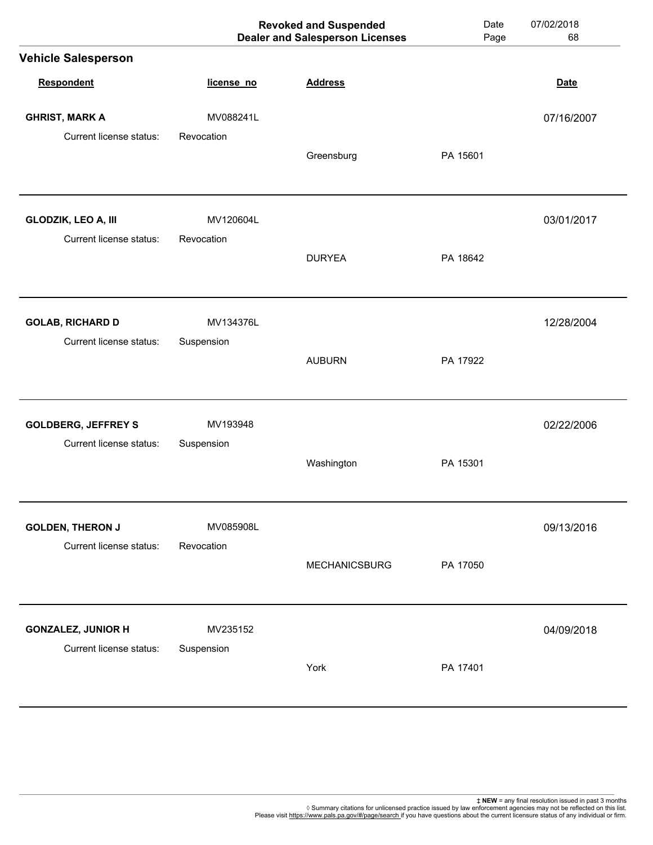|                                                       |                         | <b>Revoked and Suspended</b><br><b>Dealer and Salesperson Licenses</b> | Date<br>Page | 07/02/2018<br>68 |
|-------------------------------------------------------|-------------------------|------------------------------------------------------------------------|--------------|------------------|
| <b>Vehicle Salesperson</b>                            |                         |                                                                        |              |                  |
| <b>Respondent</b>                                     | license_no              | <b>Address</b>                                                         |              | <b>Date</b>      |
| <b>GHRIST, MARK A</b>                                 | MV088241L               |                                                                        |              | 07/16/2007       |
| Current license status:                               | Revocation              | Greensburg                                                             | PA 15601     |                  |
| GLODZIK, LEO A, III<br>Current license status:        | MV120604L<br>Revocation |                                                                        |              | 03/01/2017       |
|                                                       |                         | <b>DURYEA</b>                                                          | PA 18642     |                  |
| <b>GOLAB, RICHARD D</b><br>Current license status:    | MV134376L<br>Suspension |                                                                        |              | 12/28/2004       |
|                                                       |                         | <b>AUBURN</b>                                                          | PA 17922     |                  |
| <b>GOLDBERG, JEFFREY S</b><br>Current license status: | MV193948<br>Suspension  |                                                                        |              | 02/22/2006       |
|                                                       |                         | Washington                                                             | PA 15301     |                  |
| <b>GOLDEN, THERON J</b><br>Current license status:    | MV085908L<br>Revocation |                                                                        |              | 09/13/2016       |
|                                                       |                         | <b>MECHANICSBURG</b>                                                   | PA 17050     |                  |
| <b>GONZALEZ, JUNIOR H</b><br>Current license status:  | MV235152<br>Suspension  |                                                                        |              | 04/09/2018       |
|                                                       |                         | York                                                                   | PA 17401     |                  |
|                                                       |                         |                                                                        |              |                  |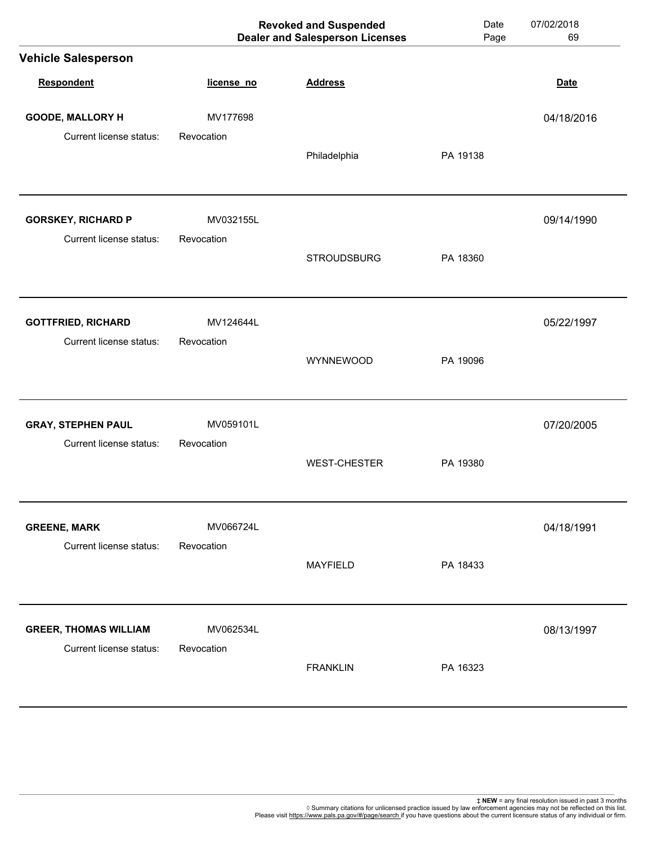|                              |            | <b>Revoked and Suspended</b><br><b>Dealer and Salesperson Licenses</b> | Date<br>Page | 07/02/2018<br>69 |
|------------------------------|------------|------------------------------------------------------------------------|--------------|------------------|
| <b>Vehicle Salesperson</b>   |            |                                                                        |              |                  |
| Respondent                   | license_no | <b>Address</b>                                                         |              | <b>Date</b>      |
| <b>GOODE, MALLORY H</b>      | MV177698   |                                                                        |              | 04/18/2016       |
| Current license status:      | Revocation | Philadelphia                                                           | PA 19138     |                  |
| <b>GORSKEY, RICHARD P</b>    | MV032155L  |                                                                        |              | 09/14/1990       |
| Current license status:      | Revocation | <b>STROUDSBURG</b>                                                     | PA 18360     |                  |
| <b>GOTTFRIED, RICHARD</b>    | MV124644L  |                                                                        |              | 05/22/1997       |
| Current license status:      | Revocation | WYNNEWOOD                                                              | PA 19096     |                  |
| <b>GRAY, STEPHEN PAUL</b>    | MV059101L  |                                                                        |              | 07/20/2005       |
| Current license status:      | Revocation | <b>WEST-CHESTER</b>                                                    | PA 19380     |                  |
| <b>GREENE, MARK</b>          | MV066724L  |                                                                        |              | 04/18/1991       |
| Current license status:      | Revocation | <b>MAYFIELD</b>                                                        | PA 18433     |                  |
| <b>GREER, THOMAS WILLIAM</b> | MV062534L  |                                                                        |              | 08/13/1997       |
| Current license status:      | Revocation | <b>FRANKLIN</b>                                                        | PA 16323     |                  |
|                              |            |                                                                        |              |                  |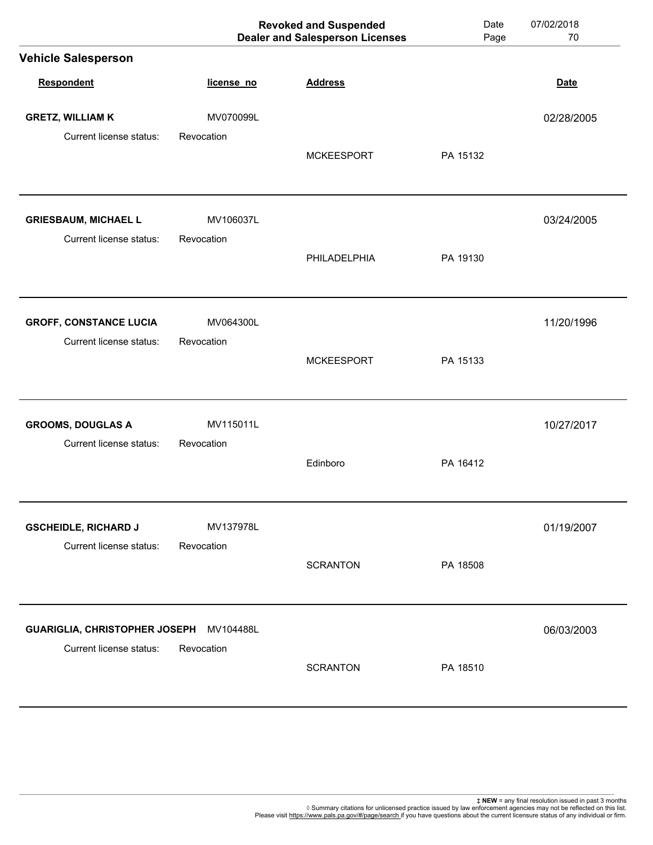|                                                        |                         | <b>Revoked and Suspended</b><br><b>Dealer and Salesperson Licenses</b> | Date<br>Page | 07/02/2018<br>70 |
|--------------------------------------------------------|-------------------------|------------------------------------------------------------------------|--------------|------------------|
| <b>Vehicle Salesperson</b>                             |                         |                                                                        |              |                  |
| Respondent                                             | license_no              | <b>Address</b>                                                         |              | <b>Date</b>      |
| <b>GRETZ, WILLIAM K</b>                                | MV070099L               |                                                                        |              | 02/28/2005       |
| Current license status:                                | Revocation              | <b>MCKEESPORT</b>                                                      | PA 15132     |                  |
| <b>GRIESBAUM, MICHAEL L</b><br>Current license status: | MV106037L<br>Revocation |                                                                        |              | 03/24/2005       |
|                                                        |                         | PHILADELPHIA                                                           | PA 19130     |                  |
| <b>GROFF, CONSTANCE LUCIA</b>                          | MV064300L               |                                                                        |              | 11/20/1996       |
| Current license status:                                | Revocation              | <b>MCKEESPORT</b>                                                      | PA 15133     |                  |
| <b>GROOMS, DOUGLAS A</b>                               | MV115011L               |                                                                        |              | 10/27/2017       |
| Current license status:                                | Revocation              | Edinboro                                                               | PA 16412     |                  |
| <b>GSCHEIDLE, RICHARD J</b>                            | MV137978L               |                                                                        |              | 01/19/2007       |
| Current license status:                                | Revocation              | <b>SCRANTON</b>                                                        | PA 18508     |                  |
| <b>GUARIGLIA, CHRISTOPHER JOSEPH</b>                   | MV104488L               |                                                                        |              | 06/03/2003       |
| Current license status:                                | Revocation              | <b>SCRANTON</b>                                                        | PA 18510     |                  |
|                                                        |                         |                                                                        |              |                  |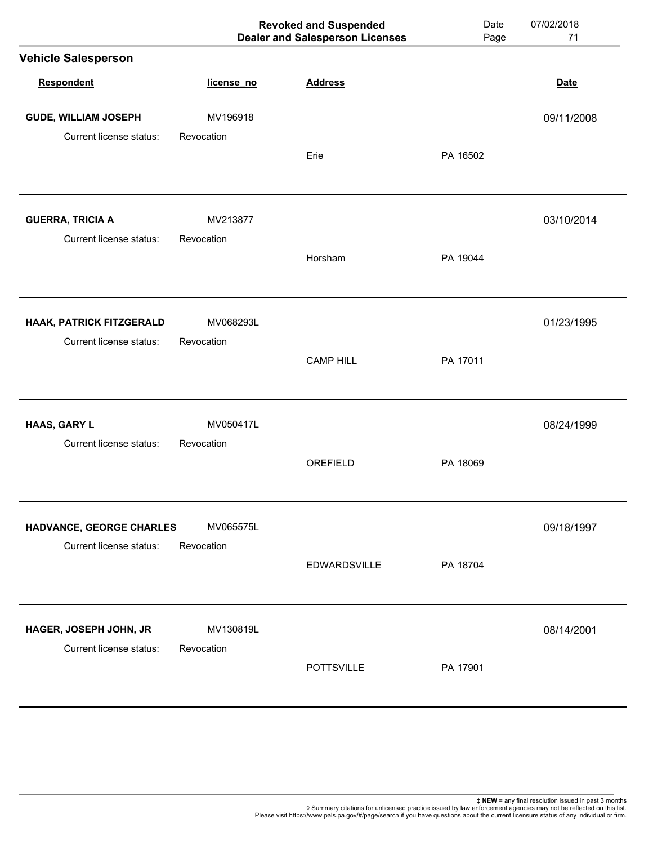| license_no             | <b>Address</b>      |          | <b>Date</b> |
|------------------------|---------------------|----------|-------------|
| MV196918               |                     |          | 09/11/2008  |
| Revocation             | Erie                | PA 16502 |             |
| MV213877<br>Revocation |                     |          | 03/10/2014  |
|                        | Horsham             | PA 19044 |             |
| MV068293L              |                     |          | 01/23/1995  |
| Revocation             | <b>CAMP HILL</b>    | PA 17011 |             |
| MV050417L              |                     |          | 08/24/1999  |
|                        | OREFIELD            | PA 18069 |             |
| MV065575L              |                     |          | 09/18/1997  |
| Revocation             | <b>EDWARDSVILLE</b> | PA 18704 |             |
| MV130819L              |                     |          | 08/14/2001  |
| Revocation             | <b>POTTSVILLE</b>   | PA 17901 |             |
|                        | Revocation          |          |             |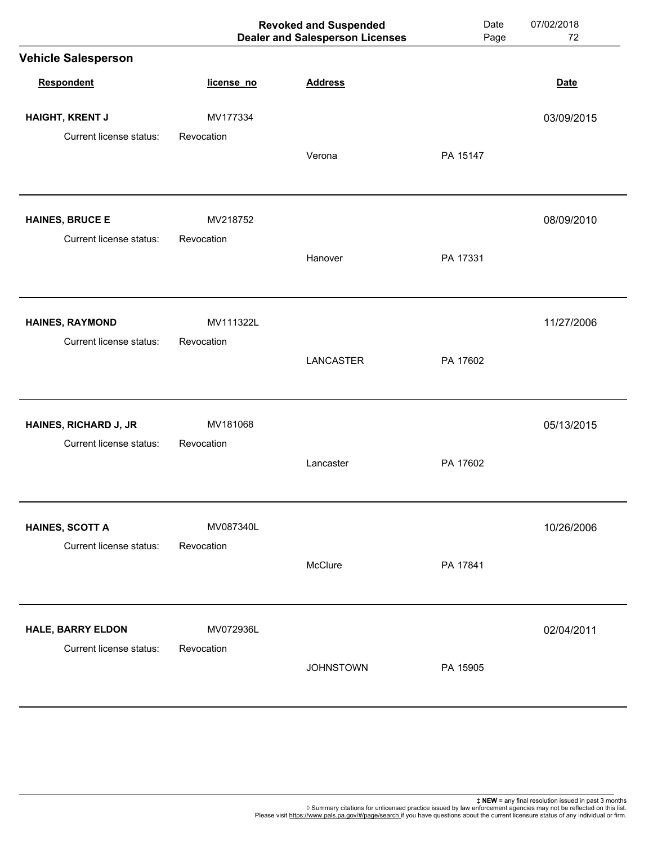|            | <b>Revoked and Suspended</b>                         | Date<br>Page                           | 07/02/2018<br>72 |
|------------|------------------------------------------------------|----------------------------------------|------------------|
|            |                                                      |                                        |                  |
| license_no | <b>Address</b>                                       |                                        | <b>Date</b>      |
| MV177334   |                                                      |                                        | 03/09/2015       |
| Revocation | Verona                                               | PA 15147                               |                  |
| MV218752   |                                                      |                                        | 08/09/2010       |
|            | Hanover                                              | PA 17331                               |                  |
| MV111322L  |                                                      |                                        | 11/27/2006       |
|            | <b>LANCASTER</b>                                     | PA 17602                               |                  |
| MV181068   |                                                      |                                        | 05/13/2015       |
|            | Lancaster                                            | PA 17602                               |                  |
| MV087340L  |                                                      |                                        | 10/26/2006       |
|            | McClure                                              | PA 17841                               |                  |
| MV072936L  |                                                      |                                        | 02/04/2011       |
| Revocation | <b>JOHNSTOWN</b>                                     | PA 15905                               |                  |
|            | Revocation<br>Revocation<br>Revocation<br>Revocation | <b>Dealer and Salesperson Licenses</b> |                  |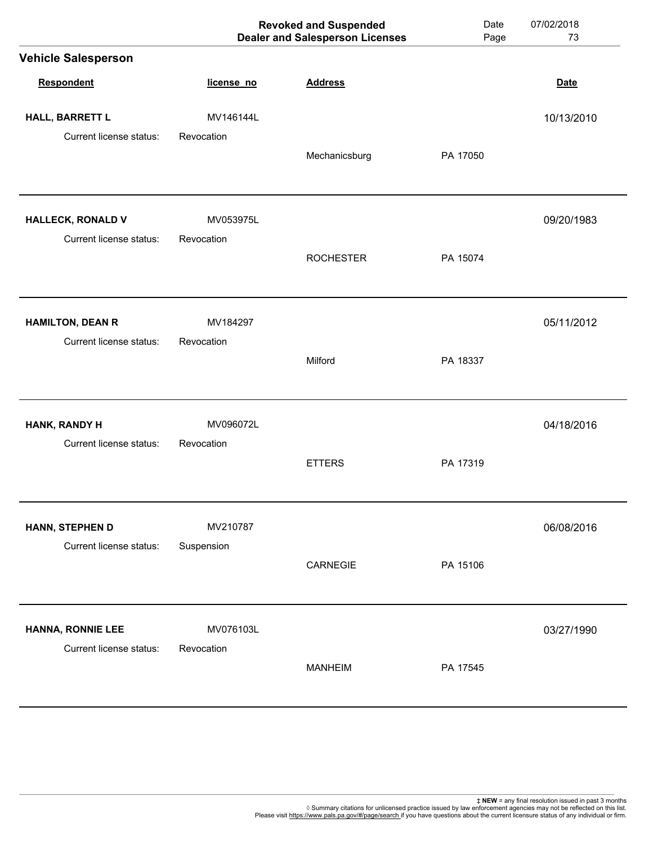|                                              |                         | <b>Revoked and Suspended</b><br><b>Dealer and Salesperson Licenses</b> | Date<br>Page | 07/02/2018<br>73 |
|----------------------------------------------|-------------------------|------------------------------------------------------------------------|--------------|------------------|
| <b>Vehicle Salesperson</b>                   |                         |                                                                        |              |                  |
| Respondent                                   | license_no              | <b>Address</b>                                                         |              | <b>Date</b>      |
| HALL, BARRETT L                              | MV146144L               |                                                                        |              | 10/13/2010       |
| Current license status:                      | Revocation              | Mechanicsburg                                                          | PA 17050     |                  |
| HALLECK, RONALD V<br>Current license status: | MV053975L<br>Revocation |                                                                        |              | 09/20/1983       |
|                                              |                         | <b>ROCHESTER</b>                                                       | PA 15074     |                  |
| <b>HAMILTON, DEAN R</b>                      | MV184297                |                                                                        |              | 05/11/2012       |
| Current license status:                      | Revocation              | Milford                                                                | PA 18337     |                  |
| HANK, RANDY H                                | MV096072L               |                                                                        |              | 04/18/2016       |
| <b>Current license status:</b>               | Revocation              | <b>ETTERS</b>                                                          | PA 17319     |                  |
| HANN, STEPHEN D                              | MV210787                |                                                                        |              | 06/08/2016       |
| Current license status:                      | Suspension              | CARNEGIE                                                               | PA 15106     |                  |
| HANNA, RONNIE LEE                            | MV076103L               |                                                                        |              | 03/27/1990       |
| Current license status:                      | Revocation              | <b>MANHEIM</b>                                                         | PA 17545     |                  |
|                                              |                         |                                                                        |              |                  |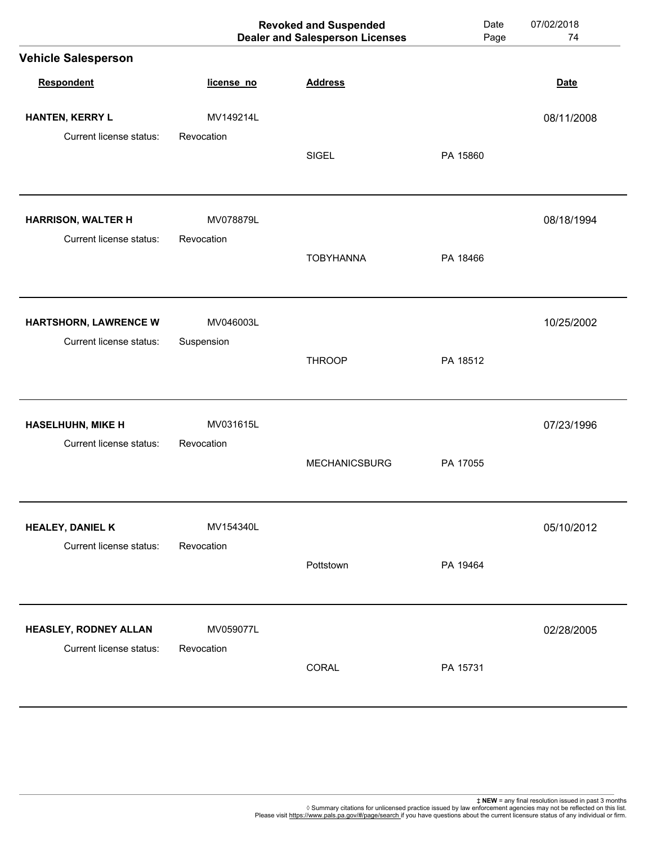|            | <b>Dealer and Salesperson Licenses</b> | Page     | 74          |
|------------|----------------------------------------|----------|-------------|
|            |                                        |          |             |
| license_no | <b>Address</b>                         |          | <b>Date</b> |
| MV149214L  |                                        |          | 08/11/2008  |
| Revocation | SIGEL                                  | PA 15860 |             |
| MV078879L  |                                        |          | 08/18/1994  |
|            | <b>TOBYHANNA</b>                       | PA 18466 |             |
| MV046003L  |                                        |          | 10/25/2002  |
| Suspension | <b>THROOP</b>                          | PA 18512 |             |
| MV031615L  |                                        |          | 07/23/1996  |
| Revocation | <b>MECHANICSBURG</b>                   | PA 17055 |             |
| MV154340L  |                                        |          | 05/10/2012  |
| Revocation | Pottstown                              | PA 19464 |             |
| MV059077L  |                                        |          | 02/28/2005  |
| Revocation | CORAL                                  | PA 15731 |             |
|            | Revocation                             |          |             |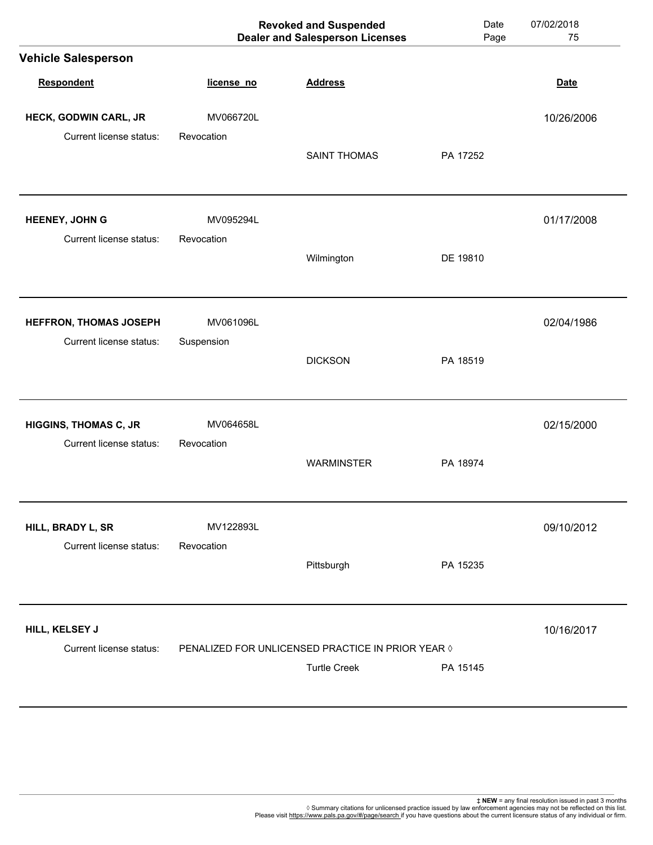|                                                          |                         | <b>Revoked and Suspended</b><br><b>Dealer and Salesperson Licenses</b>    | Date<br>Page | 07/02/2018<br>75 |
|----------------------------------------------------------|-------------------------|---------------------------------------------------------------------------|--------------|------------------|
| <b>Vehicle Salesperson</b>                               |                         |                                                                           |              |                  |
| Respondent                                               | license_no              | <b>Address</b>                                                            |              | <b>Date</b>      |
| HECK, GODWIN CARL, JR<br>Current license status:         | MV066720L<br>Revocation | <b>SAINT THOMAS</b>                                                       | PA 17252     | 10/26/2006       |
| <b>HEENEY, JOHN G</b><br>Current license status:         | MV095294L<br>Revocation | Wilmington                                                                | DE 19810     | 01/17/2008       |
| <b>HEFFRON, THOMAS JOSEPH</b><br>Current license status: | MV061096L<br>Suspension | <b>DICKSON</b>                                                            | PA 18519     | 02/04/1986       |
| <b>HIGGINS, THOMAS C, JR</b><br>Current license status:  | MV064658L<br>Revocation | <b>WARMINSTER</b>                                                         | PA 18974     | 02/15/2000       |
| HILL, BRADY L, SR<br>Current license status:             | MV122893L<br>Revocation | Pittsburgh                                                                | PA 15235     | 09/10/2012       |
| HILL, KELSEY J<br>Current license status:                |                         | PENALIZED FOR UNLICENSED PRACTICE IN PRIOR YEAR ()<br><b>Turtle Creek</b> | PA 15145     | 10/16/2017       |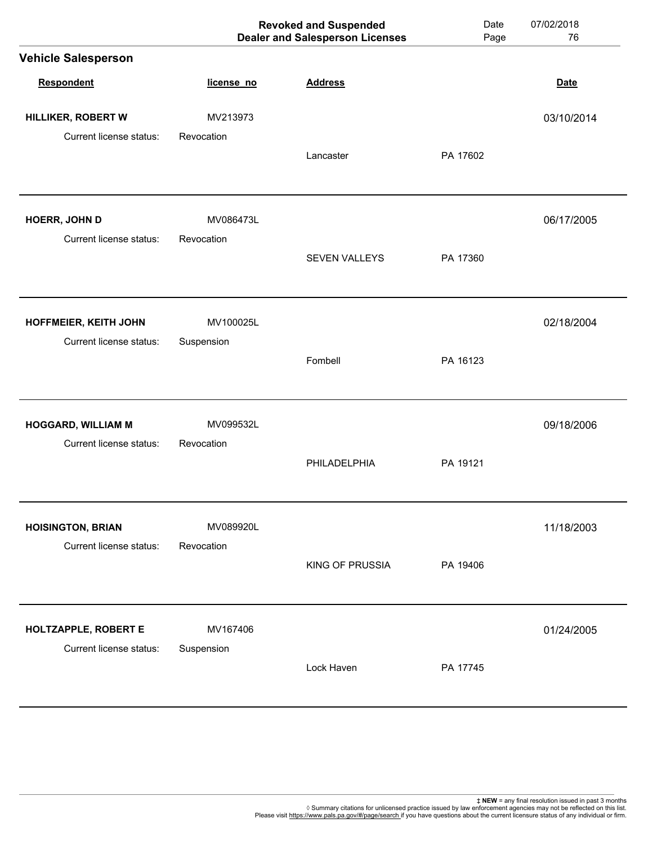|                                                      |                         | <b>Revoked and Suspended</b><br><b>Dealer and Salesperson Licenses</b> | Date<br>Page | 07/02/2018<br>76 |
|------------------------------------------------------|-------------------------|------------------------------------------------------------------------|--------------|------------------|
| <b>Vehicle Salesperson</b>                           |                         |                                                                        |              |                  |
| <b>Respondent</b>                                    | license_no              | <b>Address</b>                                                         |              | <b>Date</b>      |
| HILLIKER, ROBERT W                                   | MV213973                |                                                                        |              | 03/10/2014       |
| Current license status:                              | Revocation              | Lancaster                                                              | PA 17602     |                  |
| HOERR, JOHN D<br>Current license status:             | MV086473L<br>Revocation |                                                                        |              | 06/17/2005       |
|                                                      |                         | SEVEN VALLEYS                                                          | PA 17360     |                  |
| HOFFMEIER, KEITH JOHN<br>Current license status:     | MV100025L<br>Suspension |                                                                        |              | 02/18/2004       |
|                                                      |                         | Fombell                                                                | PA 16123     |                  |
| <b>HOGGARD, WILLIAM M</b><br>Current license status: | MV099532L<br>Revocation |                                                                        |              | 09/18/2006       |
|                                                      |                         | PHILADELPHIA                                                           | PA 19121     |                  |
| <b>HOISINGTON, BRIAN</b><br>Current license status:  | MV089920L<br>Revocation |                                                                        |              | 11/18/2003       |
|                                                      |                         | KING OF PRUSSIA                                                        | PA 19406     |                  |
| HOLTZAPPLE, ROBERT E<br>Current license status:      | MV167406<br>Suspension  |                                                                        |              | 01/24/2005       |
|                                                      |                         | Lock Haven                                                             | PA 17745     |                  |
|                                                      |                         |                                                                        |              |                  |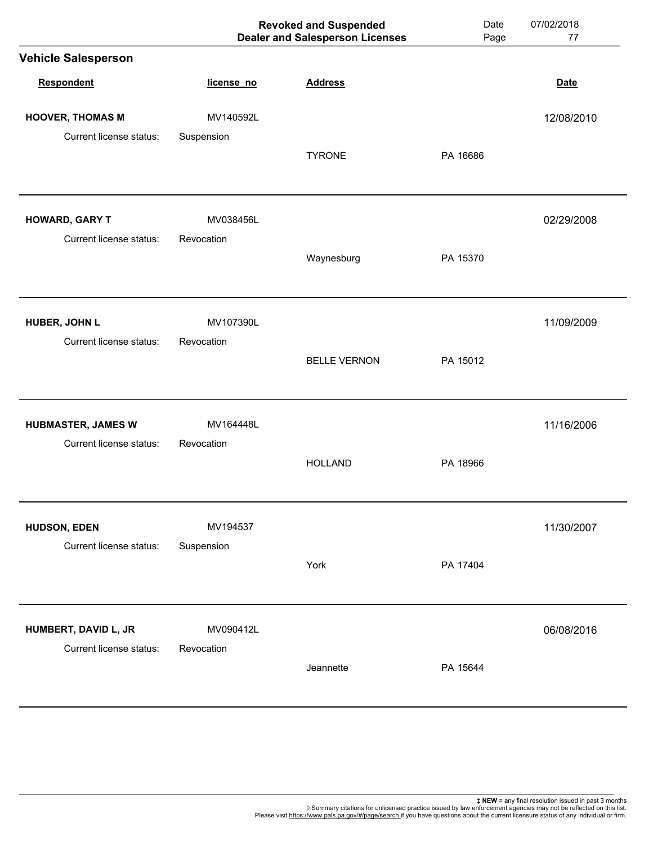|                            |            | <b>Revoked and Suspended</b><br><b>Dealer and Salesperson Licenses</b> | Date<br>Page | 07/02/2018<br>77 |
|----------------------------|------------|------------------------------------------------------------------------|--------------|------------------|
| <b>Vehicle Salesperson</b> |            |                                                                        |              |                  |
| Respondent                 | license_no | <b>Address</b>                                                         |              | <b>Date</b>      |
| <b>HOOVER, THOMAS M</b>    | MV140592L  |                                                                        |              | 12/08/2010       |
| Current license status:    | Suspension | <b>TYRONE</b>                                                          | PA 16686     |                  |
|                            |            |                                                                        |              |                  |
| HOWARD, GARY T             | MV038456L  |                                                                        |              | 02/29/2008       |
| Current license status:    | Revocation | Waynesburg                                                             | PA 15370     |                  |
|                            |            |                                                                        |              |                  |
| HUBER, JOHN L              | MV107390L  |                                                                        |              | 11/09/2009       |
| Current license status:    | Revocation |                                                                        |              |                  |
|                            |            | <b>BELLE VERNON</b>                                                    | PA 15012     |                  |
| <b>HUBMASTER, JAMES W</b>  | MV164448L  |                                                                        |              | 11/16/2006       |
| Current license status:    | Revocation |                                                                        |              |                  |
|                            |            | <b>HOLLAND</b>                                                         | PA 18966     |                  |
| <b>HUDSON, EDEN</b>        | MV194537   |                                                                        |              | 11/30/2007       |
| Current license status:    | Suspension |                                                                        |              |                  |
|                            |            | York                                                                   | PA 17404     |                  |
| HUMBERT, DAVID L, JR       | MV090412L  |                                                                        |              | 06/08/2016       |
| Current license status:    | Revocation |                                                                        |              |                  |
|                            |            | Jeannette                                                              | PA 15644     |                  |
|                            |            |                                                                        |              |                  |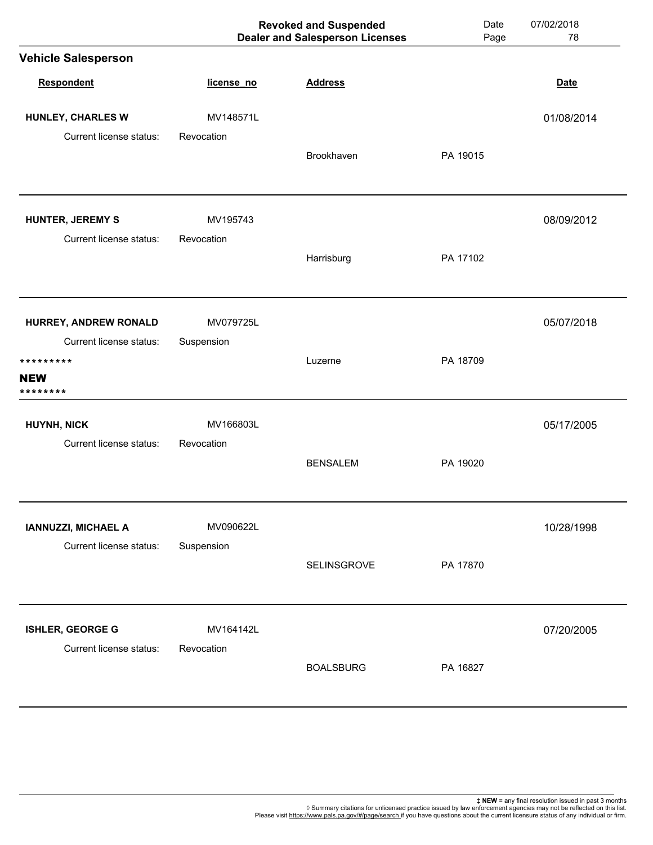| license_no<br>MV148571L | <b>Address</b>    |          |             |
|-------------------------|-------------------|----------|-------------|
|                         |                   |          |             |
|                         |                   |          | <b>Date</b> |
|                         |                   |          | 01/08/2014  |
| Revocation              | <b>Brookhaven</b> | PA 19015 |             |
| MV195743                |                   |          | 08/09/2012  |
| Revocation              | Harrisburg        | PA 17102 |             |
| MV079725L               |                   |          | 05/07/2018  |
| Suspension              |                   |          |             |
|                         | Luzerne           | PA 18709 |             |
| MV166803L               |                   |          | 05/17/2005  |
| Revocation              | <b>BENSALEM</b>   | PA 19020 |             |
| MV090622L               |                   |          | 10/28/1998  |
| Suspension              | SELINSGROVE       | PA 17870 |             |
| MV164142L               |                   |          | 07/20/2005  |
| Revocation              | <b>BOALSBURG</b>  | PA 16827 |             |
|                         |                   |          |             |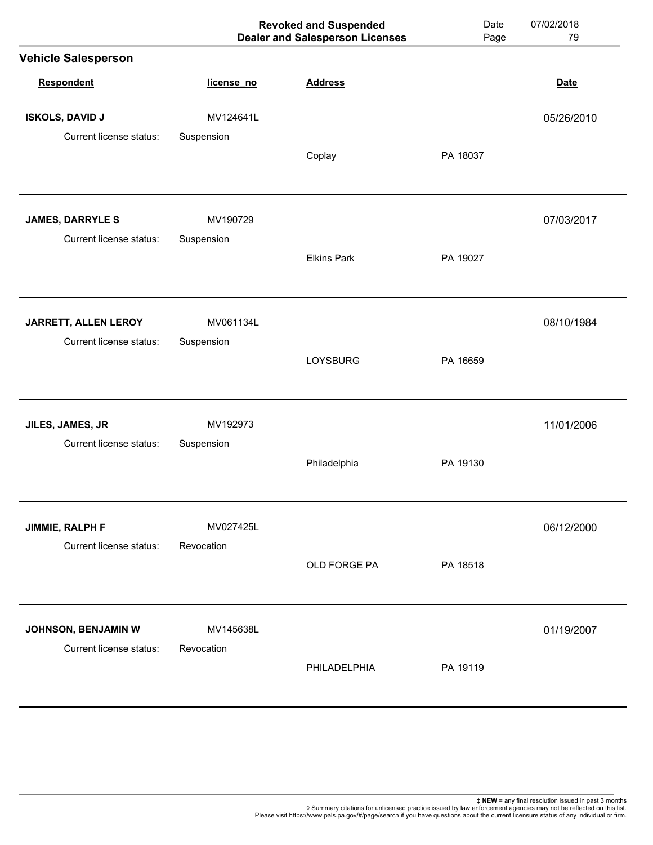|            |                    | Date<br>Page                                                           | 07/02/2018<br>79 |
|------------|--------------------|------------------------------------------------------------------------|------------------|
|            |                    |                                                                        |                  |
| license_no | <b>Address</b>     |                                                                        | <b>Date</b>      |
| MV124641L  |                    |                                                                        | 05/26/2010       |
| Suspension | Coplay             | PA 18037                                                               |                  |
| MV190729   |                    |                                                                        | 07/03/2017       |
|            | <b>Elkins Park</b> | PA 19027                                                               |                  |
| MV061134L  |                    |                                                                        | 08/10/1984       |
| Suspension | LOYSBURG           | PA 16659                                                               |                  |
| MV192973   |                    |                                                                        | 11/01/2006       |
| Suspension | Philadelphia       | PA 19130                                                               |                  |
| MV027425L  |                    |                                                                        | 06/12/2000       |
| Revocation | OLD FORGE PA       | PA 18518                                                               |                  |
| MV145638L  |                    |                                                                        | 01/19/2007       |
| Revocation | PHILADELPHIA       | PA 19119                                                               |                  |
|            | Suspension         | <b>Revoked and Suspended</b><br><b>Dealer and Salesperson Licenses</b> |                  |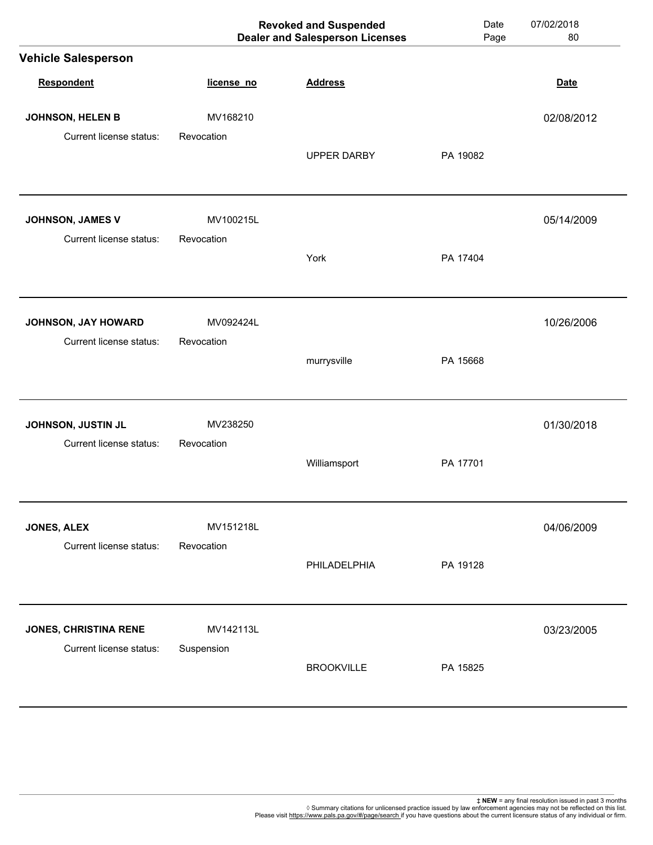|          | 80          |
|----------|-------------|
|          |             |
|          | <b>Date</b> |
|          | 02/08/2012  |
| PA 19082 |             |
|          | 05/14/2009  |
| PA 17404 |             |
|          | 10/26/2006  |
| PA 15668 |             |
|          | 01/30/2018  |
| PA 17701 |             |
|          | 04/06/2009  |
| PA 19128 |             |
|          | 03/23/2005  |
| PA 15825 |             |
|          |             |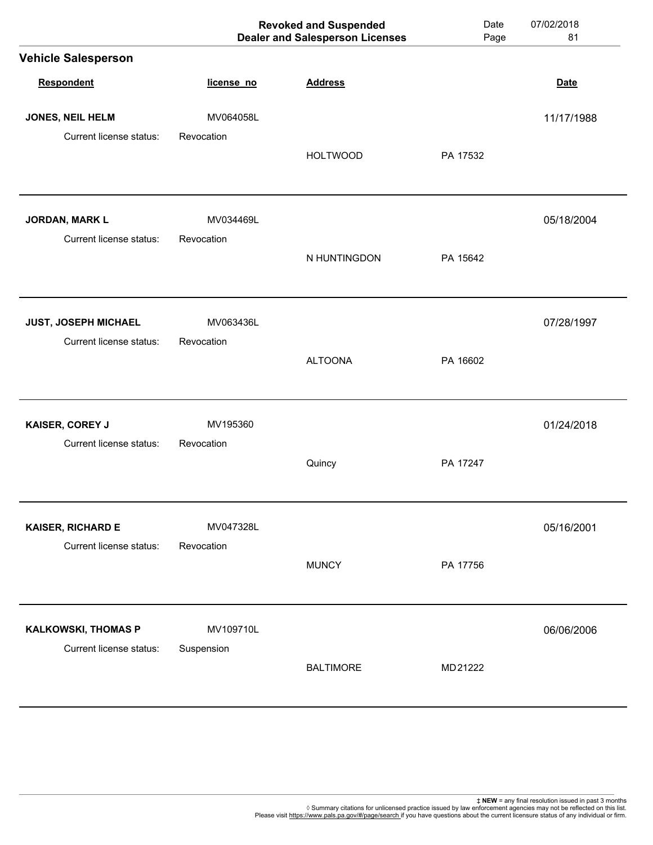|                                           |                         | <b>Revoked and Suspended</b><br><b>Dealer and Salesperson Licenses</b> | Date<br>Page | 07/02/2018<br>81 |
|-------------------------------------------|-------------------------|------------------------------------------------------------------------|--------------|------------------|
| <b>Vehicle Salesperson</b>                |                         |                                                                        |              |                  |
| Respondent                                | license_no              | <b>Address</b>                                                         |              | <b>Date</b>      |
| JONES, NEIL HELM                          | MV064058L               |                                                                        |              | 11/17/1988       |
| Current license status:                   | Revocation              | <b>HOLTWOOD</b>                                                        | PA 17532     |                  |
| JORDAN, MARK L<br>Current license status: | MV034469L<br>Revocation |                                                                        |              | 05/18/2004       |
|                                           |                         | N HUNTINGDON                                                           | PA 15642     |                  |
| JUST, JOSEPH MICHAEL                      | MV063436L               |                                                                        |              | 07/28/1997       |
| Current license status:                   | Revocation              | <b>ALTOONA</b>                                                         | PA 16602     |                  |
| KAISER, COREY J                           | MV195360                |                                                                        |              | 01/24/2018       |
| Current license status:                   | Revocation              | Quincy                                                                 | PA 17247     |                  |
| <b>KAISER, RICHARD E</b>                  | MV047328L               |                                                                        |              | 05/16/2001       |
| Current license status:                   | Revocation              | <b>MUNCY</b>                                                           | PA 17756     |                  |
| <b>KALKOWSKI, THOMAS P</b>                | MV109710L               |                                                                        |              | 06/06/2006       |
| Current license status:                   | Suspension              | <b>BALTIMORE</b>                                                       | MD 21222     |                  |
|                                           |                         |                                                                        |              |                  |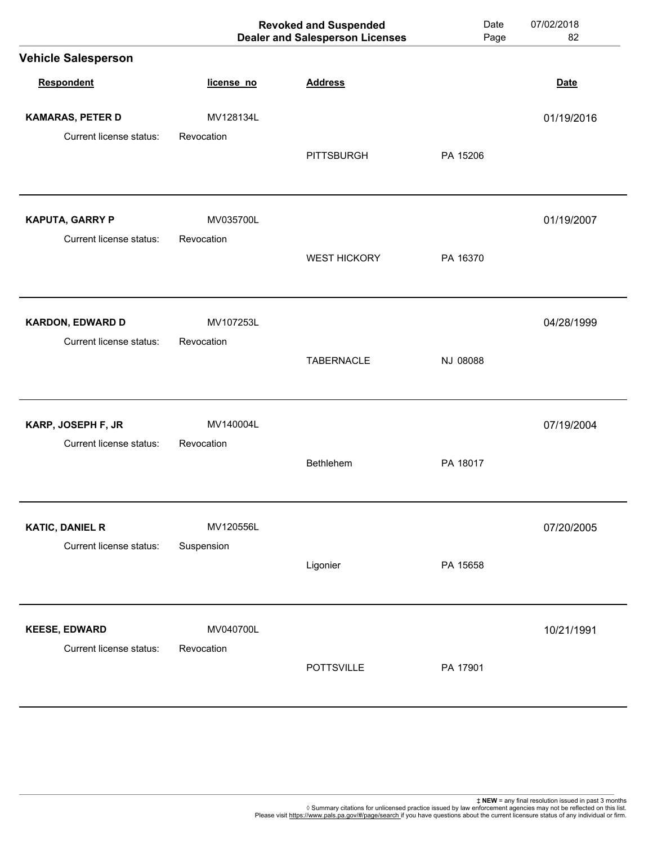|                                                   |                         | <b>Revoked and Suspended</b><br><b>Dealer and Salesperson Licenses</b> | Date<br>Page | 07/02/2018<br>82 |
|---------------------------------------------------|-------------------------|------------------------------------------------------------------------|--------------|------------------|
| <b>Vehicle Salesperson</b>                        |                         |                                                                        |              |                  |
| Respondent                                        | license_no              | <b>Address</b>                                                         |              | <b>Date</b>      |
| <b>KAMARAS, PETER D</b>                           | MV128134L               |                                                                        |              | 01/19/2016       |
| Current license status:                           | Revocation              | <b>PITTSBURGH</b>                                                      | PA 15206     |                  |
| <b>KAPUTA, GARRY P</b><br>Current license status: | MV035700L<br>Revocation |                                                                        |              | 01/19/2007       |
|                                                   |                         | <b>WEST HICKORY</b>                                                    | PA 16370     |                  |
| <b>KARDON, EDWARD D</b>                           | MV107253L               |                                                                        |              | 04/28/1999       |
| Current license status:                           | Revocation              | <b>TABERNACLE</b>                                                      | NJ 08088     |                  |
| KARP, JOSEPH F, JR                                | MV140004L               |                                                                        |              | 07/19/2004       |
| Current license status:                           | Revocation              | Bethlehem                                                              | PA 18017     |                  |
| <b>KATIC, DANIEL R</b>                            | MV120556L               |                                                                        |              | 07/20/2005       |
| Current license status:                           | Suspension              | Ligonier                                                               | PA 15658     |                  |
| <b>KEESE, EDWARD</b>                              | MV040700L               |                                                                        |              | 10/21/1991       |
| Current license status:                           | Revocation              | <b>POTTSVILLE</b>                                                      | PA 17901     |                  |
|                                                   |                         |                                                                        |              |                  |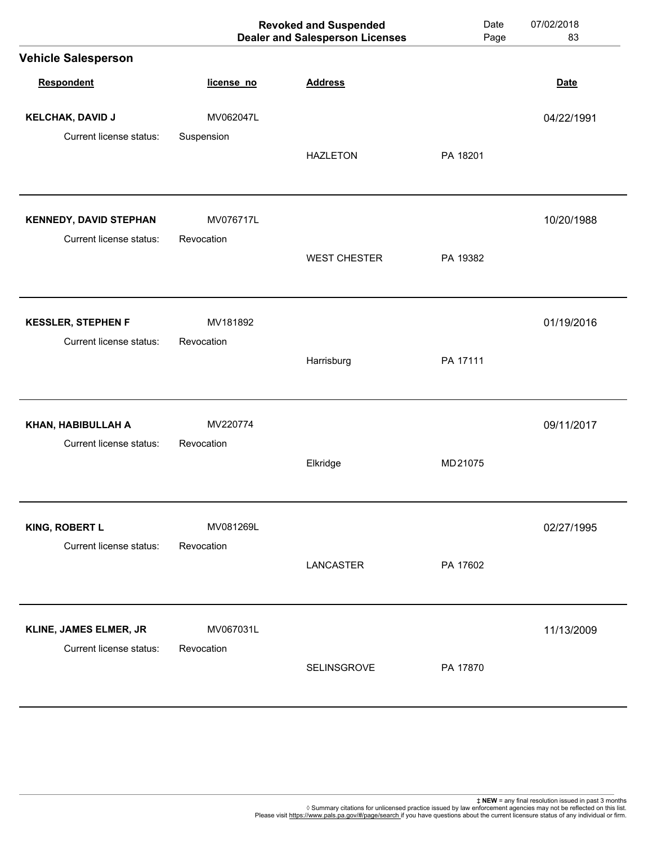|                               |            | <b>Revoked and Suspended</b><br><b>Dealer and Salesperson Licenses</b> | Date<br>Page | 07/02/2018<br>83 |
|-------------------------------|------------|------------------------------------------------------------------------|--------------|------------------|
| <b>Vehicle Salesperson</b>    |            |                                                                        |              |                  |
| Respondent                    | license_no | <b>Address</b>                                                         |              | <b>Date</b>      |
| <b>KELCHAK, DAVID J</b>       | MV062047L  |                                                                        |              | 04/22/1991       |
| Current license status:       | Suspension | <b>HAZLETON</b>                                                        | PA 18201     |                  |
| <b>KENNEDY, DAVID STEPHAN</b> | MV076717L  |                                                                        |              | 10/20/1988       |
| Current license status:       | Revocation | <b>WEST CHESTER</b>                                                    | PA 19382     |                  |
| <b>KESSLER, STEPHEN F</b>     | MV181892   |                                                                        |              | 01/19/2016       |
| Current license status:       | Revocation | Harrisburg                                                             | PA 17111     |                  |
| KHAN, HABIBULLAH A            | MV220774   |                                                                        |              | 09/11/2017       |
| Current license status:       | Revocation | Elkridge                                                               | MD 21075     |                  |
| KING, ROBERT L                | MV081269L  |                                                                        |              | 02/27/1995       |
| Current license status:       | Revocation | LANCASTER                                                              | PA 17602     |                  |
| KLINE, JAMES ELMER, JR        | MV067031L  |                                                                        |              | 11/13/2009       |
| Current license status:       | Revocation | SELINSGROVE                                                            | PA 17870     |                  |
|                               |            |                                                                        |              |                  |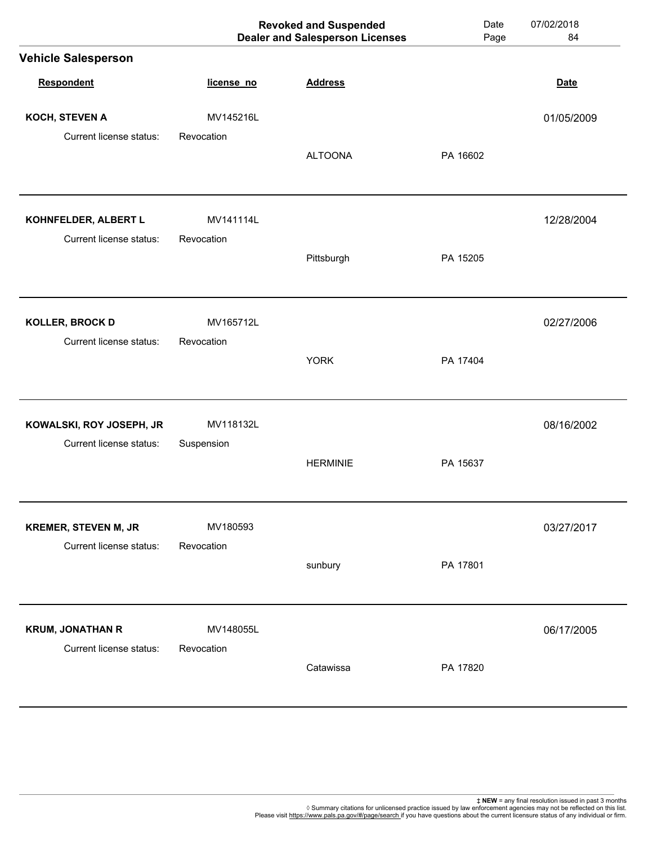|                                                 |                         | <b>Revoked and Suspended</b><br><b>Dealer and Salesperson Licenses</b> | Date<br>Page | 07/02/2018<br>84 |
|-------------------------------------------------|-------------------------|------------------------------------------------------------------------|--------------|------------------|
| <b>Vehicle Salesperson</b>                      |                         |                                                                        |              |                  |
| Respondent                                      | license_no              | <b>Address</b>                                                         |              | <b>Date</b>      |
| KOCH, STEVEN A                                  | MV145216L               |                                                                        |              | 01/05/2009       |
| Current license status:                         | Revocation              | <b>ALTOONA</b>                                                         | PA 16602     |                  |
| KOHNFELDER, ALBERT L<br>Current license status: | MV141114L<br>Revocation |                                                                        |              | 12/28/2004       |
|                                                 |                         | Pittsburgh                                                             | PA 15205     |                  |
| KOLLER, BROCK D                                 | MV165712L               |                                                                        |              | 02/27/2006       |
| Current license status:                         | Revocation              | <b>YORK</b>                                                            | PA 17404     |                  |
| KOWALSKI, ROY JOSEPH, JR                        | MV118132L               |                                                                        |              | 08/16/2002       |
| Current license status:                         | Suspension              | <b>HERMINIE</b>                                                        | PA 15637     |                  |
| <b>KREMER, STEVEN M, JR</b>                     | MV180593                |                                                                        |              | 03/27/2017       |
| Current license status:                         | Revocation              | sunbury                                                                | PA 17801     |                  |
| <b>KRUM, JONATHAN R</b>                         | MV148055L               |                                                                        |              | 06/17/2005       |
| Current license status:                         | Revocation              | Catawissa                                                              | PA 17820     |                  |
|                                                 |                         |                                                                        |              |                  |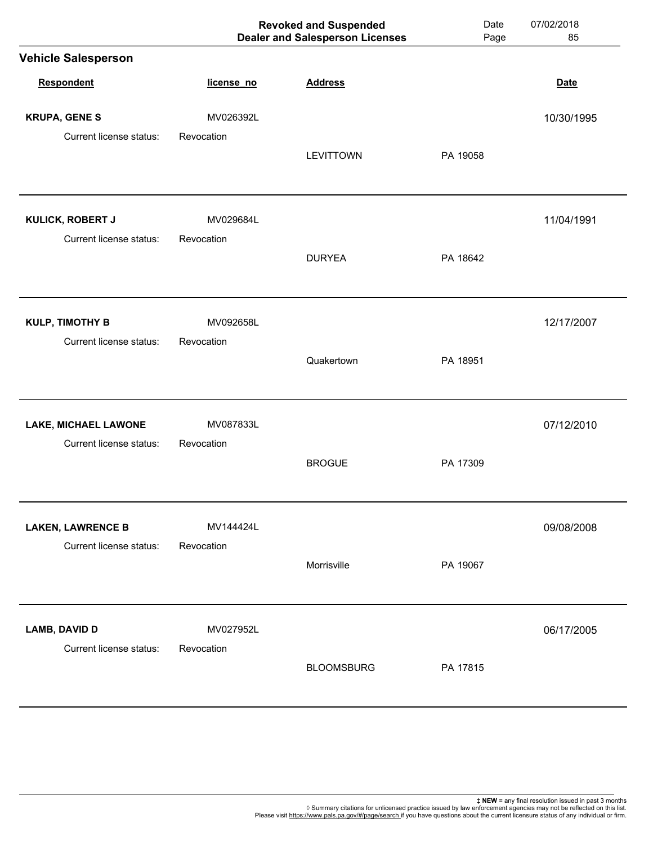|                                             |                         | <b>Revoked and Suspended</b><br><b>Dealer and Salesperson Licenses</b> | Date<br>Page | 07/02/2018<br>85 |
|---------------------------------------------|-------------------------|------------------------------------------------------------------------|--------------|------------------|
| <b>Vehicle Salesperson</b>                  |                         |                                                                        |              |                  |
| Respondent                                  | license_no              | <b>Address</b>                                                         |              | <b>Date</b>      |
| <b>KRUPA, GENE S</b>                        | MV026392L               |                                                                        |              | 10/30/1995       |
| Current license status:                     | Revocation              | <b>LEVITTOWN</b>                                                       | PA 19058     |                  |
| KULICK, ROBERT J<br>Current license status: | MV029684L<br>Revocation |                                                                        |              | 11/04/1991       |
|                                             |                         | <b>DURYEA</b>                                                          | PA 18642     |                  |
| <b>KULP, TIMOTHY B</b>                      | MV092658L               |                                                                        |              | 12/17/2007       |
| Current license status:                     | Revocation              | Quakertown                                                             | PA 18951     |                  |
| <b>LAKE, MICHAEL LAWONE</b>                 | MV087833L               |                                                                        |              | 07/12/2010       |
| Current license status:                     | Revocation              | <b>BROGUE</b>                                                          | PA 17309     |                  |
| <b>LAKEN, LAWRENCE B</b>                    | MV144424L               |                                                                        |              | 09/08/2008       |
| Current license status:                     | Revocation              | Morrisville                                                            | PA 19067     |                  |
| <b>LAMB, DAVID D</b>                        | MV027952L               |                                                                        |              | 06/17/2005       |
| Current license status:                     | Revocation              | <b>BLOOMSBURG</b>                                                      | PA 17815     |                  |
|                                             |                         |                                                                        |              |                  |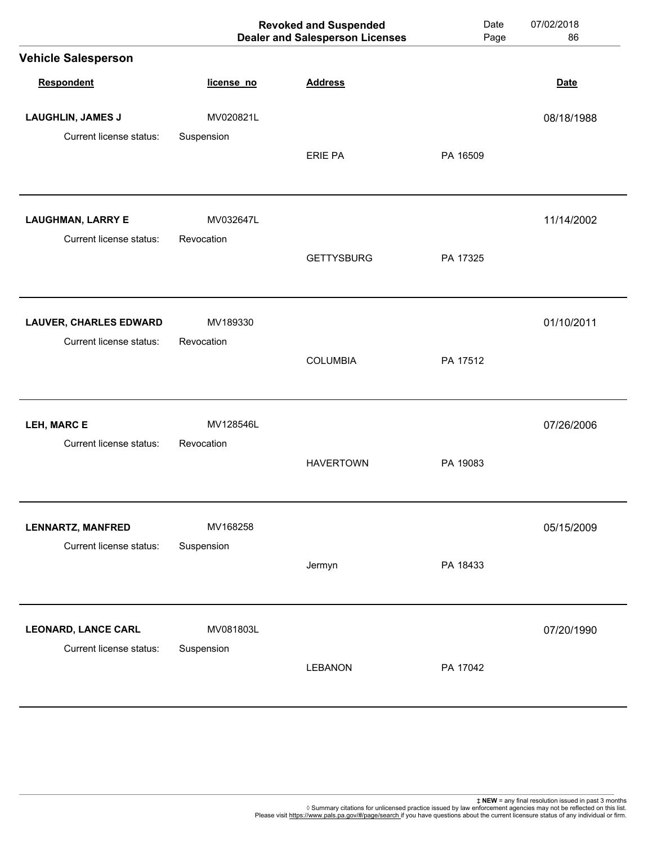|                                                     |                         | <b>Revoked and Suspended</b><br><b>Dealer and Salesperson Licenses</b> | Date<br>Page | 07/02/2018<br>86 |
|-----------------------------------------------------|-------------------------|------------------------------------------------------------------------|--------------|------------------|
| <b>Vehicle Salesperson</b>                          |                         |                                                                        |              |                  |
| Respondent                                          | license_no              | <b>Address</b>                                                         |              | <b>Date</b>      |
| <b>LAUGHLIN, JAMES J</b>                            | MV020821L               |                                                                        |              | 08/18/1988       |
| Current license status:                             | Suspension              | <b>ERIE PA</b>                                                         | PA 16509     |                  |
| <b>LAUGHMAN, LARRY E</b><br>Current license status: | MV032647L<br>Revocation |                                                                        |              | 11/14/2002       |
|                                                     |                         | <b>GETTYSBURG</b>                                                      | PA 17325     |                  |
| <b>LAUVER, CHARLES EDWARD</b>                       | MV189330                |                                                                        |              | 01/10/2011       |
| Current license status:                             | Revocation              | <b>COLUMBIA</b>                                                        | PA 17512     |                  |
| LEH, MARC E                                         | MV128546L               |                                                                        |              | 07/26/2006       |
| Current license status:                             | Revocation              | <b>HAVERTOWN</b>                                                       | PA 19083     |                  |
| <b>LENNARTZ, MANFRED</b>                            | MV168258                |                                                                        |              | 05/15/2009       |
| Current license status:                             | Suspension              | Jermyn                                                                 | PA 18433     |                  |
| <b>LEONARD, LANCE CARL</b>                          | MV081803L               |                                                                        |              | 07/20/1990       |
| Current license status:                             | Suspension              | <b>LEBANON</b>                                                         | PA 17042     |                  |
|                                                     |                         |                                                                        |              |                  |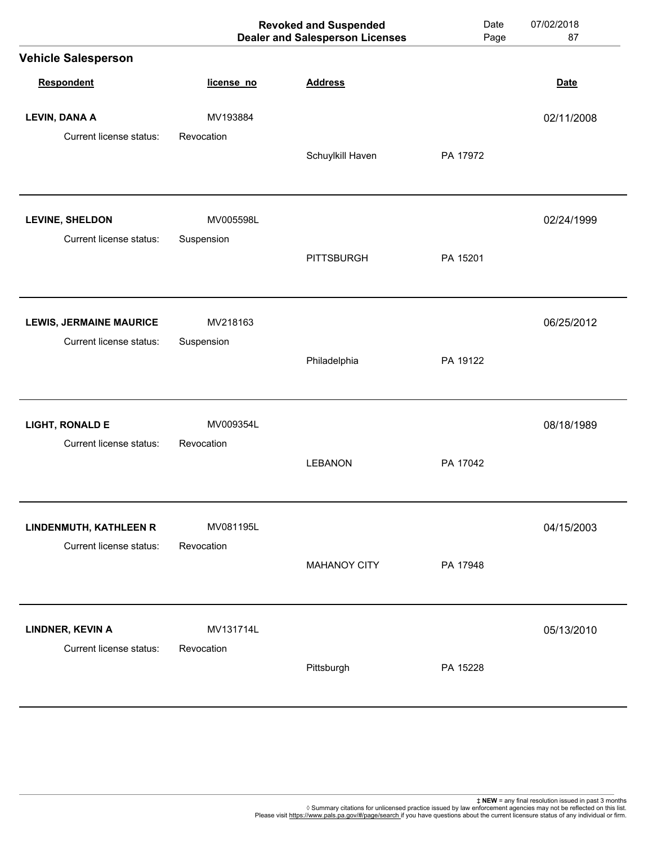|                                |            | <b>Revoked and Suspended</b><br><b>Dealer and Salesperson Licenses</b> | Date<br>Page | 07/02/2018<br>87 |
|--------------------------------|------------|------------------------------------------------------------------------|--------------|------------------|
| <b>Vehicle Salesperson</b>     |            |                                                                        |              |                  |
| Respondent                     | license_no | <b>Address</b>                                                         |              | <b>Date</b>      |
| <b>LEVIN, DANA A</b>           | MV193884   |                                                                        |              | 02/11/2008       |
| Current license status:        | Revocation | Schuylkill Haven                                                       | PA 17972     |                  |
| <b>LEVINE, SHELDON</b>         | MV005598L  |                                                                        |              | 02/24/1999       |
| Current license status:        | Suspension | <b>PITTSBURGH</b>                                                      | PA 15201     |                  |
| <b>LEWIS, JERMAINE MAURICE</b> | MV218163   |                                                                        |              | 06/25/2012       |
| Current license status:        | Suspension | Philadelphia                                                           | PA 19122     |                  |
| <b>LIGHT, RONALD E</b>         | MV009354L  |                                                                        |              | 08/18/1989       |
| Current license status:        | Revocation | <b>LEBANON</b>                                                         | PA 17042     |                  |
| <b>LINDENMUTH, KATHLEEN R</b>  | MV081195L  |                                                                        |              | 04/15/2003       |
| Current license status:        | Revocation | <b>MAHANOY CITY</b>                                                    | PA 17948     |                  |
| LINDNER, KEVIN A               | MV131714L  |                                                                        |              | 05/13/2010       |
| Current license status:        | Revocation | Pittsburgh                                                             | PA 15228     |                  |
|                                |            |                                                                        |              |                  |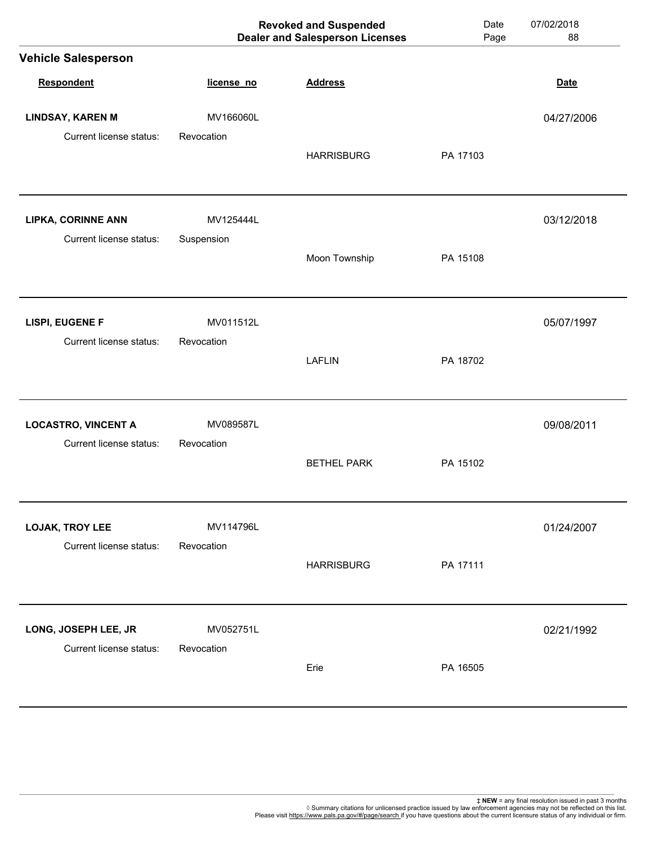|                            |            | <b>Revoked and Suspended</b><br><b>Dealer and Salesperson Licenses</b> | Date<br>Page | 07/02/2018<br>88 |
|----------------------------|------------|------------------------------------------------------------------------|--------------|------------------|
| <b>Vehicle Salesperson</b> |            |                                                                        |              |                  |
| Respondent                 | license_no | <b>Address</b>                                                         |              | <b>Date</b>      |
| <b>LINDSAY, KAREN M</b>    | MV166060L  |                                                                        |              | 04/27/2006       |
| Current license status:    | Revocation | <b>HARRISBURG</b>                                                      | PA 17103     |                  |
| <b>LIPKA, CORINNE ANN</b>  | MV125444L  |                                                                        |              | 03/12/2018       |
| Current license status:    | Suspension | Moon Township                                                          | PA 15108     |                  |
| LISPI, EUGENE F            | MV011512L  |                                                                        |              | 05/07/1997       |
| Current license status:    | Revocation | <b>LAFLIN</b>                                                          | PA 18702     |                  |
| <b>LOCASTRO, VINCENT A</b> | MV089587L  |                                                                        |              | 09/08/2011       |
| Current license status:    | Revocation | <b>BETHEL PARK</b>                                                     | PA 15102     |                  |
| LOJAK, TROY LEE            | MV114796L  |                                                                        |              | 01/24/2007       |
| Current license status:    | Revocation | <b>HARRISBURG</b>                                                      | PA 17111     |                  |
| LONG, JOSEPH LEE, JR       | MV052751L  |                                                                        |              | 02/21/1992       |
| Current license status:    | Revocation | Erie                                                                   | PA 16505     |                  |
|                            |            |                                                                        |              |                  |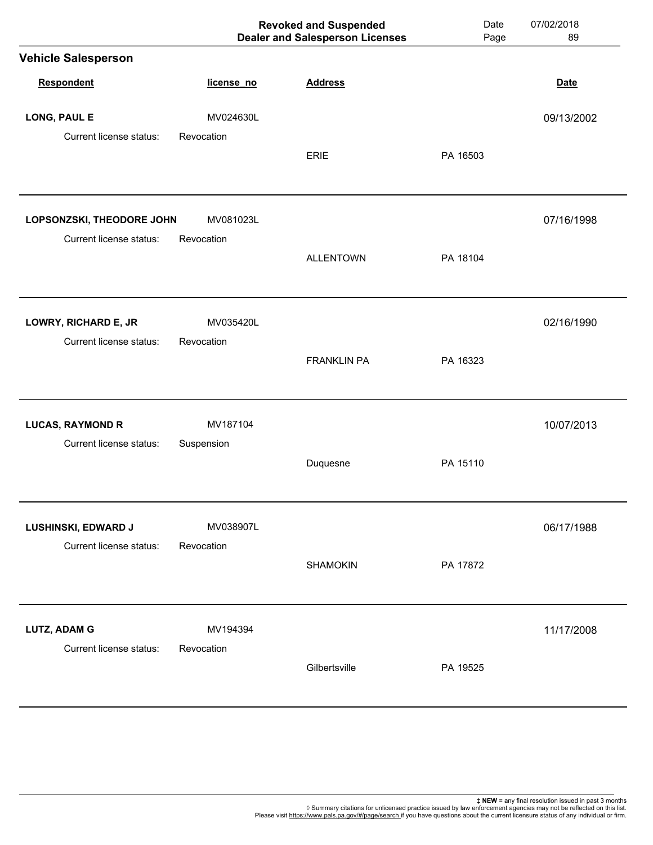|                                                      |                         | <b>Revoked and Suspended</b><br><b>Dealer and Salesperson Licenses</b> | Date<br>Page | 07/02/2018<br>89 |
|------------------------------------------------------|-------------------------|------------------------------------------------------------------------|--------------|------------------|
| <b>Vehicle Salesperson</b>                           |                         |                                                                        |              |                  |
| Respondent                                           | license_no              | <b>Address</b>                                                         |              | <b>Date</b>      |
| LONG, PAUL E                                         | MV024630L               |                                                                        |              | 09/13/2002       |
| Current license status:                              | Revocation              | <b>ERIE</b>                                                            | PA 16503     |                  |
| LOPSONZSKI, THEODORE JOHN<br>Current license status: | MV081023L<br>Revocation |                                                                        |              | 07/16/1998       |
|                                                      |                         | <b>ALLENTOWN</b>                                                       | PA 18104     |                  |
| LOWRY, RICHARD E, JR                                 | MV035420L               |                                                                        |              | 02/16/1990       |
| Current license status:                              | Revocation              | <b>FRANKLIN PA</b>                                                     | PA 16323     |                  |
| <b>LUCAS, RAYMOND R</b>                              | MV187104                |                                                                        |              | 10/07/2013       |
| Current license status:                              | Suspension              | Duquesne                                                               | PA 15110     |                  |
| LUSHINSKI, EDWARD J                                  | MV038907L               |                                                                        |              | 06/17/1988       |
| Current license status:                              | Revocation              | <b>SHAMOKIN</b>                                                        | PA 17872     |                  |
| <b>LUTZ, ADAM G</b>                                  | MV194394                |                                                                        |              | 11/17/2008       |
| Current license status:                              | Revocation              | Gilbertsville                                                          | PA 19525     |                  |
|                                                      |                         |                                                                        |              |                  |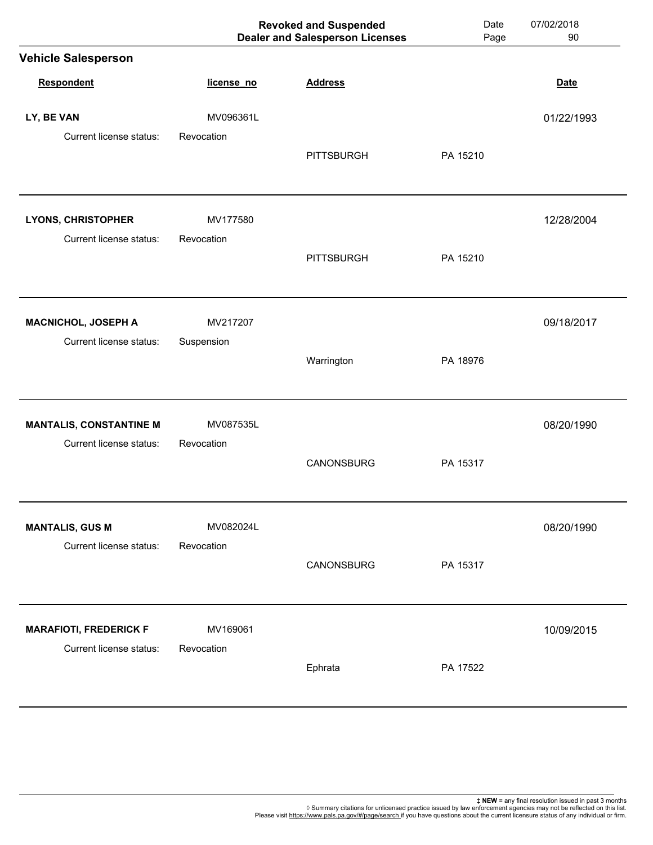|                                                      |                        | <b>Revoked and Suspended</b><br><b>Dealer and Salesperson Licenses</b> | Date<br>Page | 07/02/2018<br>90 |
|------------------------------------------------------|------------------------|------------------------------------------------------------------------|--------------|------------------|
| <b>Vehicle Salesperson</b>                           |                        |                                                                        |              |                  |
| Respondent                                           | license_no             | <b>Address</b>                                                         |              | <b>Date</b>      |
| LY, BE VAN                                           | MV096361L              |                                                                        |              | 01/22/1993       |
| Current license status:                              | Revocation             | <b>PITTSBURGH</b>                                                      | PA 15210     |                  |
| <b>LYONS, CHRISTOPHER</b><br>Current license status: | MV177580<br>Revocation |                                                                        |              | 12/28/2004       |
|                                                      |                        | <b>PITTSBURGH</b>                                                      | PA 15210     |                  |
| <b>MACNICHOL, JOSEPH A</b>                           | MV217207               |                                                                        |              | 09/18/2017       |
| Current license status:                              | Suspension             | Warrington                                                             | PA 18976     |                  |
| <b>MANTALIS, CONSTANTINE M</b>                       | MV087535L              |                                                                        |              | 08/20/1990       |
| Current license status:                              | Revocation             | <b>CANONSBURG</b>                                                      | PA 15317     |                  |
| <b>MANTALIS, GUS M</b>                               | MV082024L              |                                                                        |              | 08/20/1990       |
| Current license status:                              | Revocation             | CANONSBURG                                                             | PA 15317     |                  |
| <b>MARAFIOTI, FREDERICK F</b>                        | MV169061               |                                                                        |              | 10/09/2015       |
| Current license status:                              | Revocation             | Ephrata                                                                | PA 17522     |                  |
|                                                      |                        |                                                                        |              |                  |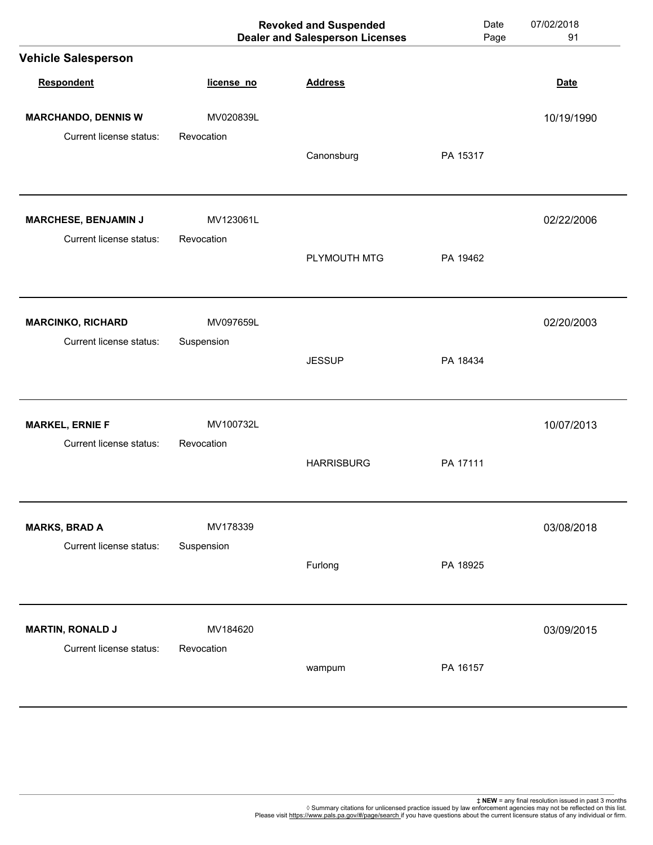|                                                        |                         | <b>Revoked and Suspended</b><br><b>Dealer and Salesperson Licenses</b> | Date<br>Page | 07/02/2018<br>91 |
|--------------------------------------------------------|-------------------------|------------------------------------------------------------------------|--------------|------------------|
| <b>Vehicle Salesperson</b>                             |                         |                                                                        |              |                  |
| Respondent                                             | license_no              | <b>Address</b>                                                         |              | <b>Date</b>      |
| <b>MARCHANDO, DENNIS W</b>                             | MV020839L               |                                                                        |              | 10/19/1990       |
| Current license status:                                | Revocation              | Canonsburg                                                             | PA 15317     |                  |
| MARCHESE, BENJAMIN J<br><b>Current license status:</b> | MV123061L<br>Revocation |                                                                        |              | 02/22/2006       |
|                                                        |                         | PLYMOUTH MTG                                                           | PA 19462     |                  |
| <b>MARCINKO, RICHARD</b>                               | MV097659L               |                                                                        |              | 02/20/2003       |
| Current license status:                                | Suspension              | <b>JESSUP</b>                                                          | PA 18434     |                  |
| <b>MARKEL, ERNIE F</b>                                 | MV100732L               |                                                                        |              | 10/07/2013       |
| Current license status:                                | Revocation              | <b>HARRISBURG</b>                                                      | PA 17111     |                  |
| <b>MARKS, BRAD A</b>                                   | MV178339                |                                                                        |              | 03/08/2018       |
| Current license status:                                | Suspension              | Furlong                                                                | PA 18925     |                  |
| <b>MARTIN, RONALD J</b>                                | MV184620                |                                                                        |              | 03/09/2015       |
| Current license status:                                | Revocation              | wampum                                                                 | PA 16157     |                  |
|                                                        |                         |                                                                        |              |                  |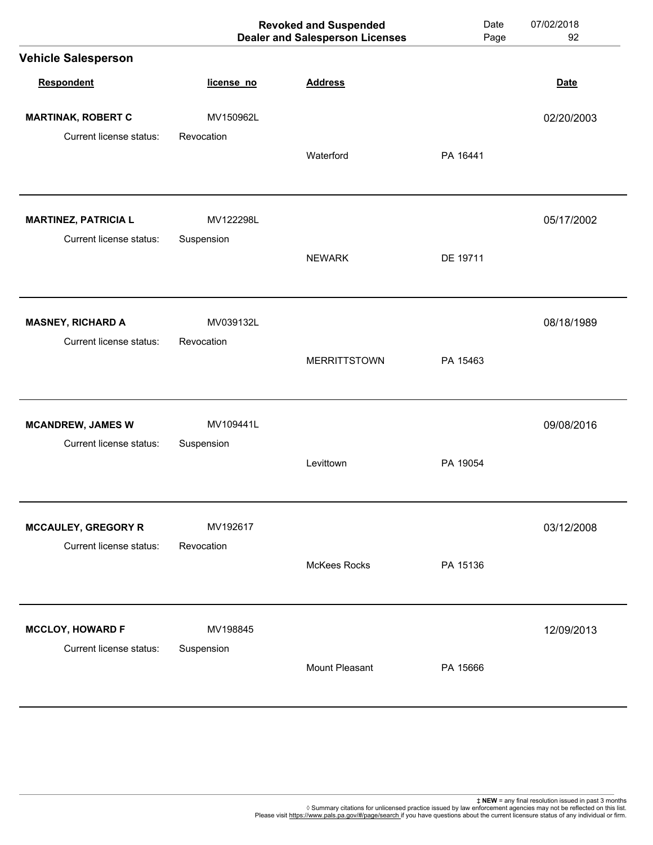|            |                       | Date<br>Page                                                           | 07/02/2018<br>92 |
|------------|-----------------------|------------------------------------------------------------------------|------------------|
|            |                       |                                                                        |                  |
| license_no | <b>Address</b>        |                                                                        | <b>Date</b>      |
| MV150962L  |                       |                                                                        | 02/20/2003       |
| Revocation | Waterford             | PA 16441                                                               |                  |
| MV122298L  |                       |                                                                        | 05/17/2002       |
|            | <b>NEWARK</b>         | DE 19711                                                               |                  |
| MV039132L  |                       |                                                                        | 08/18/1989       |
| Revocation | <b>MERRITTSTOWN</b>   | PA 15463                                                               |                  |
| MV109441L  |                       |                                                                        | 09/08/2016       |
| Suspension | Levittown             | PA 19054                                                               |                  |
| MV192617   |                       |                                                                        | 03/12/2008       |
| Revocation | <b>McKees Rocks</b>   | PA 15136                                                               |                  |
| MV198845   |                       |                                                                        | 12/09/2013       |
| Suspension | <b>Mount Pleasant</b> | PA 15666                                                               |                  |
|            | Suspension            | <b>Revoked and Suspended</b><br><b>Dealer and Salesperson Licenses</b> |                  |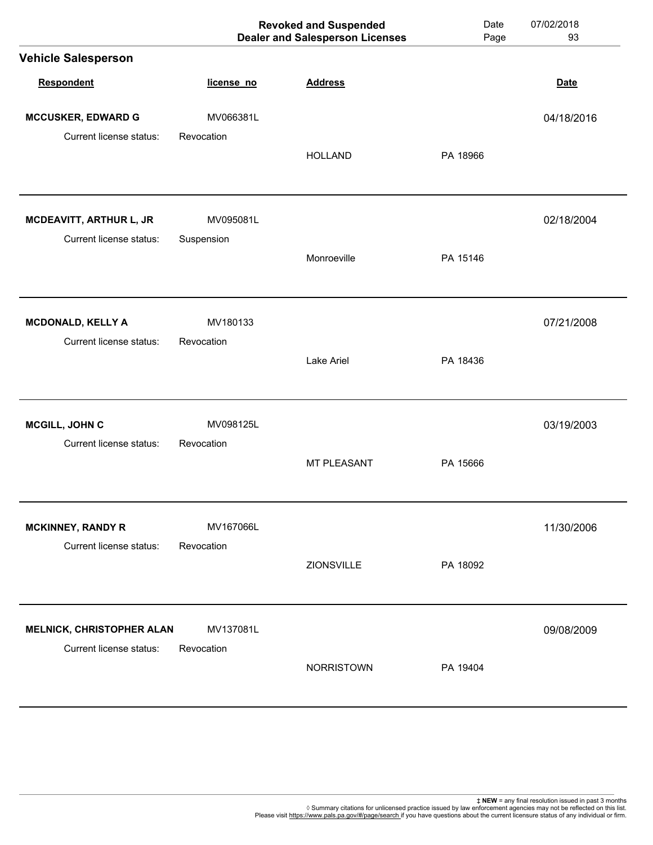|                                                    |                         | <b>Revoked and Suspended</b><br><b>Dealer and Salesperson Licenses</b> | Date<br>Page | 07/02/2018<br>93 |
|----------------------------------------------------|-------------------------|------------------------------------------------------------------------|--------------|------------------|
| <b>Vehicle Salesperson</b>                         |                         |                                                                        |              |                  |
| Respondent                                         | license_no              | <b>Address</b>                                                         |              | <b>Date</b>      |
| <b>MCCUSKER, EDWARD G</b>                          | MV066381L               |                                                                        |              | 04/18/2016       |
| Current license status:                            | Revocation              | <b>HOLLAND</b>                                                         | PA 18966     |                  |
| MCDEAVITT, ARTHUR L, JR<br>Current license status: | MV095081L<br>Suspension |                                                                        |              | 02/18/2004       |
|                                                    |                         | Monroeville                                                            | PA 15146     |                  |
| <b>MCDONALD, KELLY A</b>                           | MV180133                |                                                                        |              | 07/21/2008       |
| Current license status:                            | Revocation              | Lake Ariel                                                             | PA 18436     |                  |
| MCGILL, JOHN C                                     | MV098125L               |                                                                        |              | 03/19/2003       |
| Current license status:                            | Revocation              | MT PLEASANT                                                            | PA 15666     |                  |
| <b>MCKINNEY, RANDY R</b>                           | MV167066L               |                                                                        |              | 11/30/2006       |
| Current license status:                            | Revocation              | ZIONSVILLE                                                             | PA 18092     |                  |
| <b>MELNICK, CHRISTOPHER ALAN</b>                   | MV137081L               |                                                                        |              | 09/08/2009       |
| Current license status:                            | Revocation              | <b>NORRISTOWN</b>                                                      | PA 19404     |                  |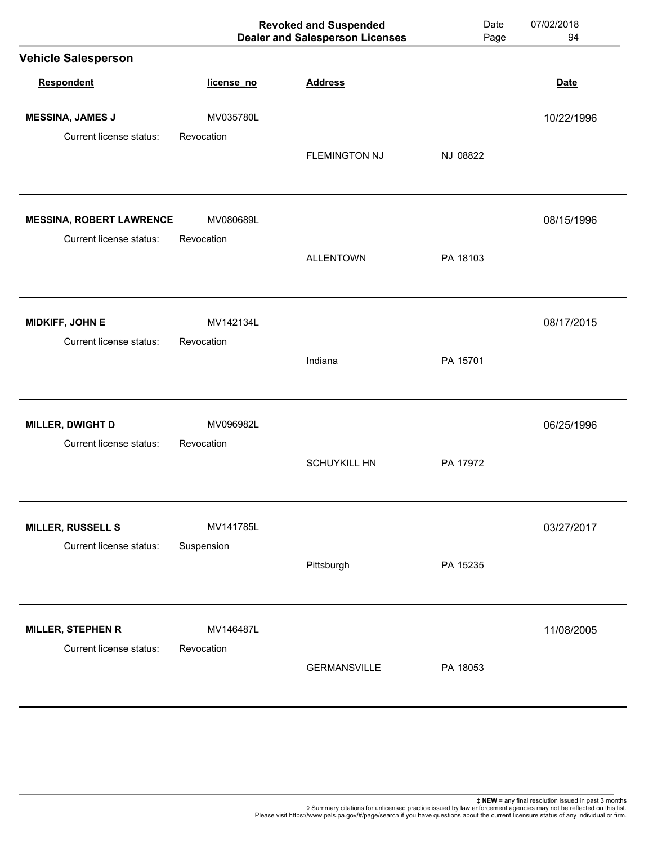|                                 |            | <b>Revoked and Suspended</b><br><b>Dealer and Salesperson Licenses</b> | Date<br>Page | 07/02/2018<br>94 |
|---------------------------------|------------|------------------------------------------------------------------------|--------------|------------------|
| <b>Vehicle Salesperson</b>      |            |                                                                        |              |                  |
| <b>Respondent</b>               | license_no | <b>Address</b>                                                         |              | <b>Date</b>      |
| <b>MESSINA, JAMES J</b>         | MV035780L  |                                                                        |              | 10/22/1996       |
| Current license status:         | Revocation | <b>FLEMINGTON NJ</b>                                                   | NJ 08822     |                  |
| <b>MESSINA, ROBERT LAWRENCE</b> | MV080689L  |                                                                        |              | 08/15/1996       |
| Current license status:         | Revocation | <b>ALLENTOWN</b>                                                       | PA 18103     |                  |
| <b>MIDKIFF, JOHN E</b>          | MV142134L  |                                                                        |              | 08/17/2015       |
| Current license status:         | Revocation | Indiana                                                                | PA 15701     |                  |
| MILLER, DWIGHT D                | MV096982L  |                                                                        |              | 06/25/1996       |
| Current license status:         | Revocation | <b>SCHUYKILL HN</b>                                                    | PA 17972     |                  |
| <b>MILLER, RUSSELL S</b>        | MV141785L  |                                                                        |              | 03/27/2017       |
| Current license status:         | Suspension | Pittsburgh                                                             | PA 15235     |                  |
| <b>MILLER, STEPHEN R</b>        | MV146487L  |                                                                        |              | 11/08/2005       |
| Current license status:         | Revocation | <b>GERMANSVILLE</b>                                                    | PA 18053     |                  |
|                                 |            |                                                                        |              |                  |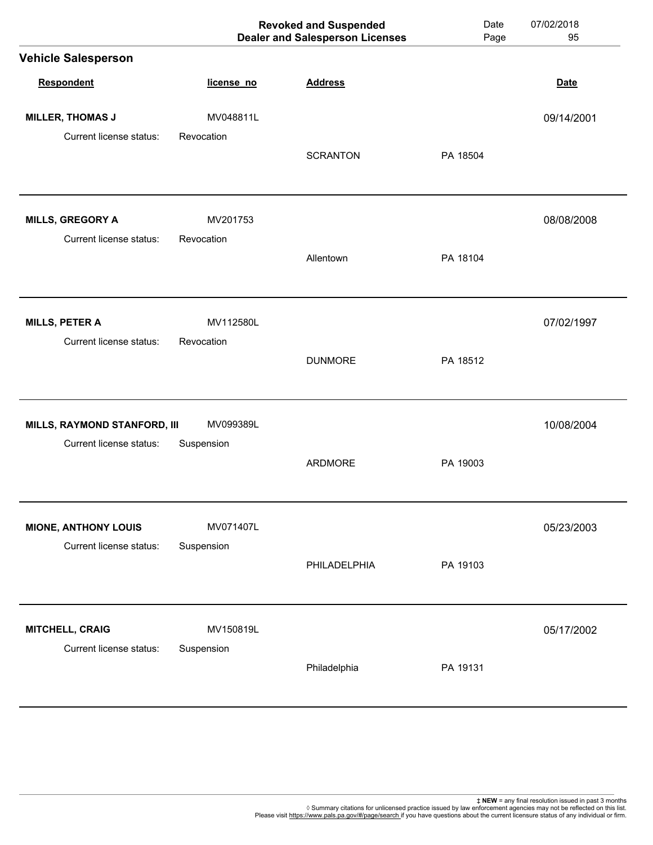|            | <b>Dealer and Salesperson Licenses</b> | Page     | 95          |
|------------|----------------------------------------|----------|-------------|
|            |                                        |          |             |
| license_no | <b>Address</b>                         |          | <b>Date</b> |
| MV048811L  |                                        |          | 09/14/2001  |
| Revocation | <b>SCRANTON</b>                        | PA 18504 |             |
| MV201753   |                                        |          | 08/08/2008  |
| Revocation | Allentown                              | PA 18104 |             |
| MV112580L  |                                        |          | 07/02/1997  |
| Revocation | <b>DUNMORE</b>                         | PA 18512 |             |
| MV099389L  |                                        |          | 10/08/2004  |
| Suspension | <b>ARDMORE</b>                         | PA 19003 |             |
| MV071407L  |                                        |          | 05/23/2003  |
| Suspension | PHILADELPHIA                           | PA 19103 |             |
| MV150819L  |                                        |          | 05/17/2002  |
| Suspension | Philadelphia                           | PA 19131 |             |
|            | MILLS, RAYMOND STANFORD, III           |          |             |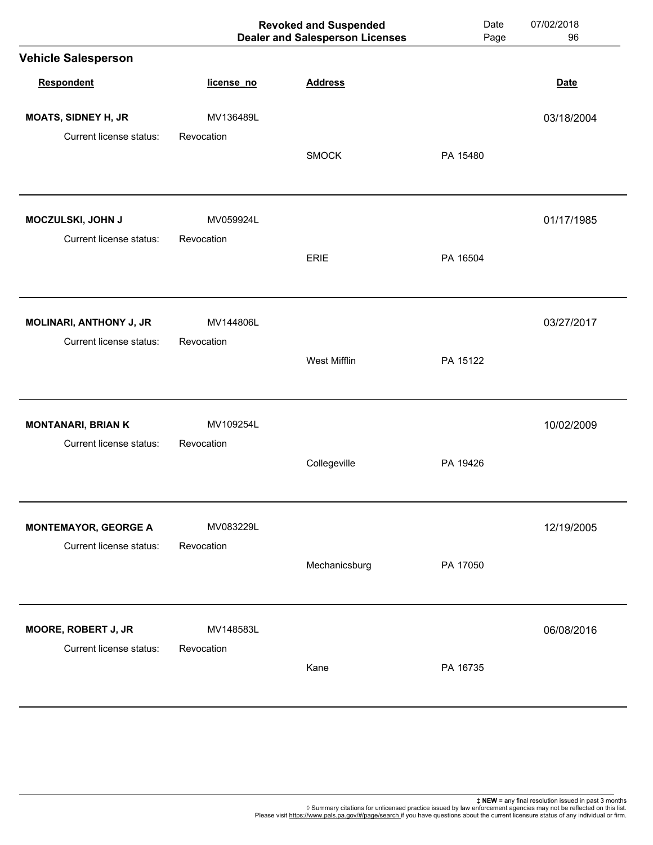|                                              |                         | <b>Revoked and Suspended</b><br><b>Dealer and Salesperson Licenses</b> | Date<br>Page | 07/02/2018<br>96 |
|----------------------------------------------|-------------------------|------------------------------------------------------------------------|--------------|------------------|
| <b>Vehicle Salesperson</b>                   |                         |                                                                        |              |                  |
| Respondent                                   | license_no              | <b>Address</b>                                                         |              | <b>Date</b>      |
| <b>MOATS, SIDNEY H, JR</b>                   | MV136489L               |                                                                        |              | 03/18/2004       |
| Current license status:                      | Revocation              | <b>SMOCK</b>                                                           | PA 15480     |                  |
| MOCZULSKI, JOHN J<br>Current license status: | MV059924L<br>Revocation |                                                                        |              | 01/17/1985       |
|                                              |                         | <b>ERIE</b>                                                            | PA 16504     |                  |
| MOLINARI, ANTHONY J, JR                      | MV144806L               |                                                                        |              | 03/27/2017       |
| Current license status:                      | Revocation              | West Mifflin                                                           | PA 15122     |                  |
| <b>MONTANARI, BRIAN K</b>                    | MV109254L               |                                                                        |              | 10/02/2009       |
| Current license status:                      | Revocation              | Collegeville                                                           | PA 19426     |                  |
| <b>MONTEMAYOR, GEORGE A</b>                  | MV083229L               |                                                                        |              | 12/19/2005       |
| Current license status:                      | Revocation              | Mechanicsburg                                                          | PA 17050     |                  |
| MOORE, ROBERT J, JR                          | MV148583L               |                                                                        |              | 06/08/2016       |
| Current license status:                      | Revocation              | Kane                                                                   | PA 16735     |                  |
|                                              |                         |                                                                        |              |                  |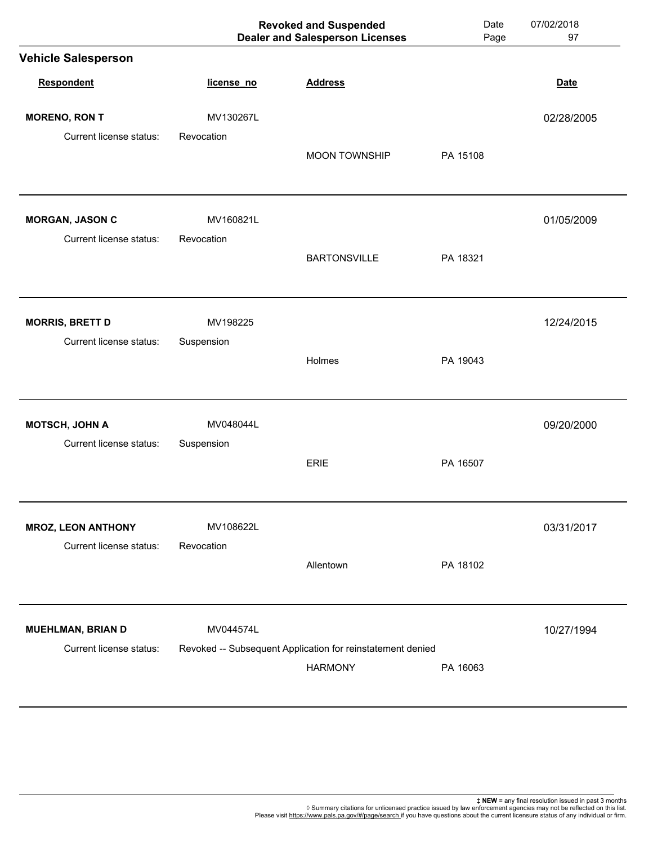|                                                   |                         | <b>Revoked and Suspended</b><br><b>Dealer and Salesperson Licenses</b>       | Date<br>Page | 07/02/2018<br>97 |
|---------------------------------------------------|-------------------------|------------------------------------------------------------------------------|--------------|------------------|
| <b>Vehicle Salesperson</b>                        |                         |                                                                              |              |                  |
| Respondent                                        | license_no              | <b>Address</b>                                                               |              | <b>Date</b>      |
| <b>MORENO, RON T</b>                              | MV130267L               |                                                                              |              | 02/28/2005       |
| Current license status:                           | Revocation              | <b>MOON TOWNSHIP</b>                                                         | PA 15108     |                  |
| <b>MORGAN, JASON C</b><br>Current license status: | MV160821L<br>Revocation |                                                                              |              | 01/05/2009       |
|                                                   |                         | <b>BARTONSVILLE</b>                                                          | PA 18321     |                  |
| <b>MORRIS, BRETT D</b>                            | MV198225                |                                                                              |              | 12/24/2015       |
| Current license status:                           | Suspension              | Holmes                                                                       | PA 19043     |                  |
| MOTSCH, JOHN A                                    | MV048044L               |                                                                              |              | 09/20/2000       |
| Current license status:                           | Suspension              | ERIE                                                                         | PA 16507     |                  |
| <b>MROZ, LEON ANTHONY</b>                         | MV108622L               |                                                                              |              | 03/31/2017       |
| Current license status:                           | Revocation              | Allentown                                                                    | PA 18102     |                  |
| <b>MUEHLMAN, BRIAN D</b>                          | MV044574L               |                                                                              |              | 10/27/1994       |
| Current license status:                           |                         | Revoked -- Subsequent Application for reinstatement denied<br><b>HARMONY</b> | PA 16063     |                  |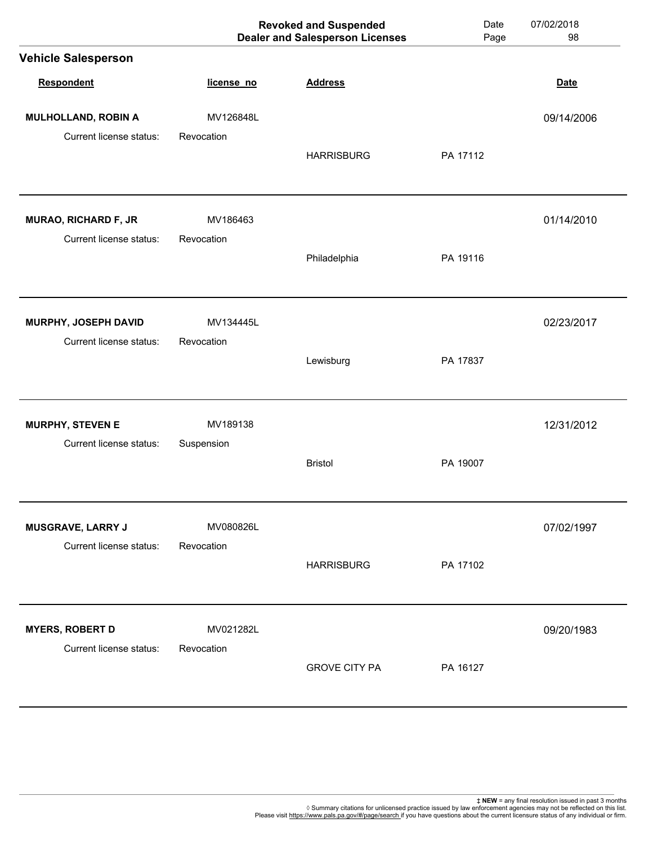|                             |            | <b>Revoked and Suspended</b><br><b>Dealer and Salesperson Licenses</b> | Date<br>Page | 07/02/2018<br>98 |
|-----------------------------|------------|------------------------------------------------------------------------|--------------|------------------|
| <b>Vehicle Salesperson</b>  |            |                                                                        |              |                  |
| Respondent                  | license_no | <b>Address</b>                                                         |              | <b>Date</b>      |
| MULHOLLAND, ROBIN A         | MV126848L  |                                                                        |              | 09/14/2006       |
| Current license status:     | Revocation | <b>HARRISBURG</b>                                                      | PA 17112     |                  |
| <b>MURAO, RICHARD F, JR</b> | MV186463   |                                                                        |              | 01/14/2010       |
| Current license status:     | Revocation | Philadelphia                                                           | PA 19116     |                  |
| MURPHY, JOSEPH DAVID        | MV134445L  |                                                                        |              | 02/23/2017       |
| Current license status:     | Revocation | Lewisburg                                                              | PA 17837     |                  |
| <b>MURPHY, STEVEN E</b>     | MV189138   |                                                                        |              | 12/31/2012       |
| Current license status:     | Suspension | <b>Bristol</b>                                                         | PA 19007     |                  |
| MUSGRAVE, LARRY J           | MV080826L  |                                                                        |              | 07/02/1997       |
| Current license status:     | Revocation | <b>HARRISBURG</b>                                                      | PA 17102     |                  |
| <b>MYERS, ROBERT D</b>      | MV021282L  |                                                                        |              | 09/20/1983       |
| Current license status:     | Revocation | <b>GROVE CITY PA</b>                                                   | PA 16127     |                  |
|                             |            |                                                                        |              |                  |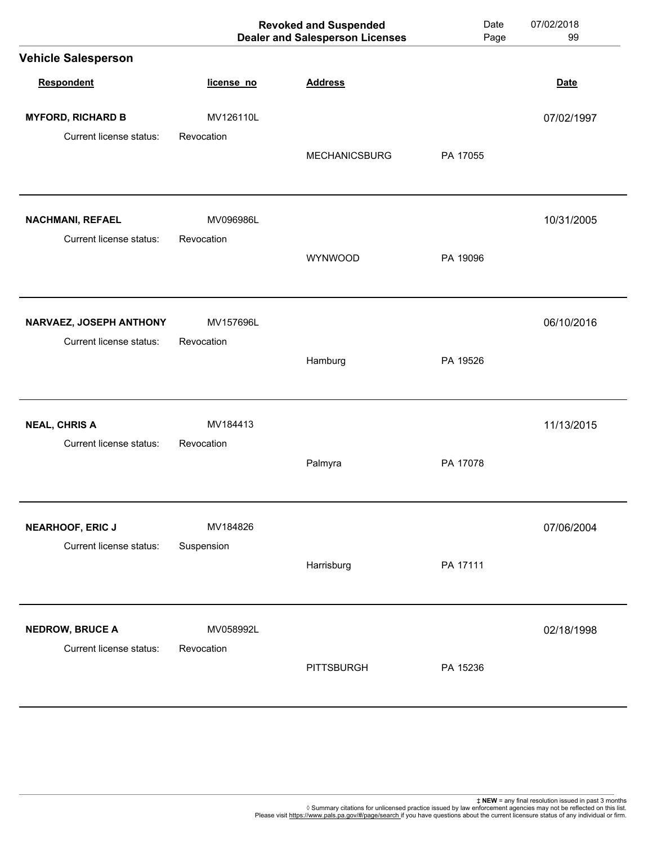|                                                    |                         | <b>Revoked and Suspended</b><br><b>Dealer and Salesperson Licenses</b> | Date<br>Page | 07/02/2018<br>99 |
|----------------------------------------------------|-------------------------|------------------------------------------------------------------------|--------------|------------------|
| <b>Vehicle Salesperson</b>                         |                         |                                                                        |              |                  |
| Respondent                                         | license_no              | <b>Address</b>                                                         |              | <b>Date</b>      |
| <b>MYFORD, RICHARD B</b>                           | MV126110L               |                                                                        |              | 07/02/1997       |
| Current license status:                            | Revocation              | <b>MECHANICSBURG</b>                                                   | PA 17055     |                  |
| <b>NACHMANI, REFAEL</b><br>Current license status: | MV096986L<br>Revocation |                                                                        |              | 10/31/2005       |
|                                                    |                         | <b>WYNWOOD</b>                                                         | PA 19096     |                  |
| NARVAEZ, JOSEPH ANTHONY                            | MV157696L               |                                                                        |              | 06/10/2016       |
| Current license status:                            | Revocation              | Hamburg                                                                | PA 19526     |                  |
| <b>NEAL, CHRIS A</b>                               | MV184413                |                                                                        |              | 11/13/2015       |
| Current license status:                            | Revocation              | Palmyra                                                                | PA 17078     |                  |
| <b>NEARHOOF, ERIC J</b>                            | MV184826                |                                                                        |              | 07/06/2004       |
| Current license status:                            | Suspension              | Harrisburg                                                             | PA 17111     |                  |
| <b>NEDROW, BRUCE A</b>                             | MV058992L               |                                                                        |              | 02/18/1998       |
| Current license status:                            | Revocation              | <b>PITTSBURGH</b>                                                      | PA 15236     |                  |
|                                                    |                         |                                                                        |              |                  |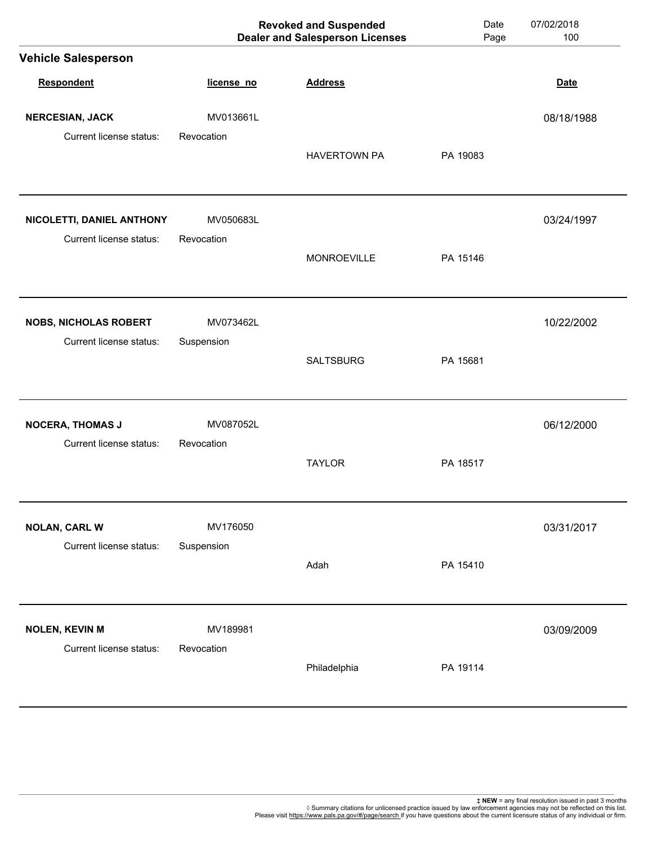|                                                      |                         | <b>Revoked and Suspended</b><br><b>Dealer and Salesperson Licenses</b> | Date<br>Page | 07/02/2018<br>100 |
|------------------------------------------------------|-------------------------|------------------------------------------------------------------------|--------------|-------------------|
| <b>Vehicle Salesperson</b>                           |                         |                                                                        |              |                   |
| Respondent                                           | license_no              | <b>Address</b>                                                         |              | <b>Date</b>       |
| <b>NERCESIAN, JACK</b>                               | MV013661L               |                                                                        |              | 08/18/1988        |
| Current license status:                              | Revocation              | <b>HAVERTOWN PA</b>                                                    | PA 19083     |                   |
| NICOLETTI, DANIEL ANTHONY<br>Current license status: | MV050683L<br>Revocation |                                                                        |              | 03/24/1997        |
|                                                      |                         | <b>MONROEVILLE</b>                                                     | PA 15146     |                   |
| <b>NOBS, NICHOLAS ROBERT</b>                         | MV073462L               |                                                                        |              | 10/22/2002        |
| Current license status:                              | Suspension              | <b>SALTSBURG</b>                                                       | PA 15681     |                   |
| <b>NOCERA, THOMAS J</b>                              | MV087052L               |                                                                        |              | 06/12/2000        |
| Current license status:                              | Revocation              | <b>TAYLOR</b>                                                          | PA 18517     |                   |
| <b>NOLAN, CARL W</b>                                 | MV176050                |                                                                        |              | 03/31/2017        |
| Current license status:                              | Suspension              | Adah                                                                   | PA 15410     |                   |
| <b>NOLEN, KEVIN M</b>                                | MV189981                |                                                                        |              | 03/09/2009        |
| Current license status:                              | Revocation              | Philadelphia                                                           | PA 19114     |                   |
|                                                      |                         |                                                                        |              |                   |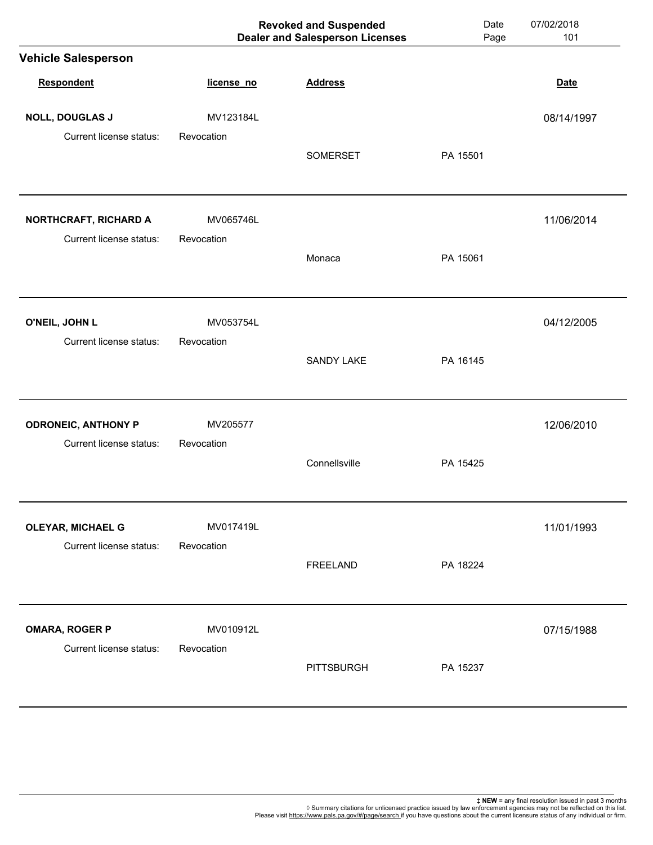|                                                  |                         | <b>Revoked and Suspended</b><br><b>Dealer and Salesperson Licenses</b> | Date<br>Page | 07/02/2018<br>101 |
|--------------------------------------------------|-------------------------|------------------------------------------------------------------------|--------------|-------------------|
| <b>Vehicle Salesperson</b>                       |                         |                                                                        |              |                   |
| Respondent                                       | license_no              | <b>Address</b>                                                         |              | <b>Date</b>       |
| <b>NOLL, DOUGLAS J</b>                           | MV123184L               |                                                                        |              | 08/14/1997        |
| Current license status:                          | Revocation              | <b>SOMERSET</b>                                                        | PA 15501     |                   |
| NORTHCRAFT, RICHARD A<br>Current license status: | MV065746L<br>Revocation |                                                                        |              | 11/06/2014        |
|                                                  |                         | Monaca                                                                 | PA 15061     |                   |
| O'NEIL, JOHN L                                   | MV053754L               |                                                                        |              | 04/12/2005        |
| Current license status:                          | Revocation              | <b>SANDY LAKE</b>                                                      | PA 16145     |                   |
| <b>ODRONEIC, ANTHONY P</b>                       | MV205577                |                                                                        |              | 12/06/2010        |
| Current license status:                          | Revocation              | Connellsville                                                          | PA 15425     |                   |
| <b>OLEYAR, MICHAEL G</b>                         | MV017419L               |                                                                        |              | 11/01/1993        |
| Current license status:                          | Revocation              | <b>FREELAND</b>                                                        | PA 18224     |                   |
| <b>OMARA, ROGER P</b>                            | MV010912L               |                                                                        |              | 07/15/1988        |
| Current license status:                          | Revocation              | <b>PITTSBURGH</b>                                                      | PA 15237     |                   |
|                                                  |                         |                                                                        |              |                   |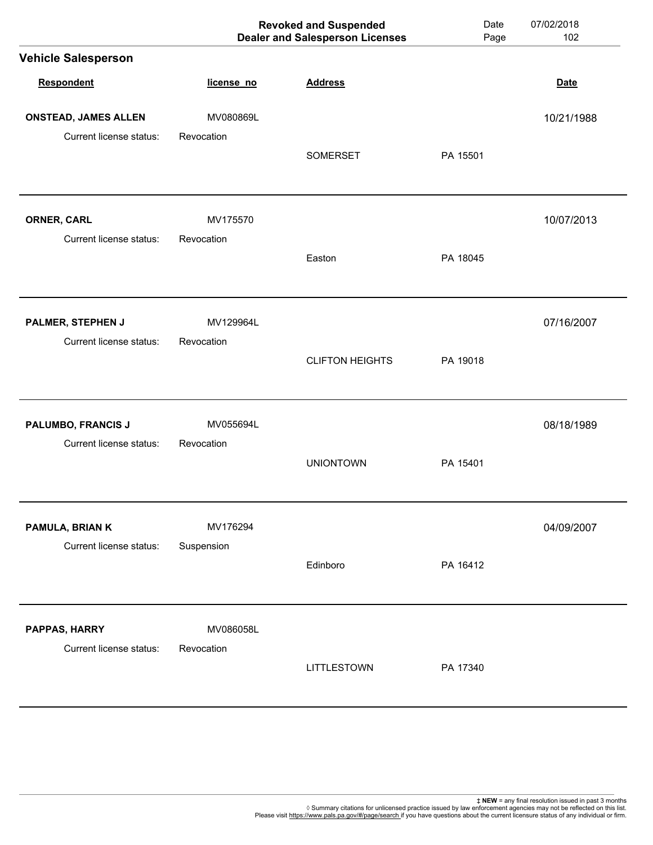|                                                        |                         | <b>Revoked and Suspended</b><br><b>Dealer and Salesperson Licenses</b> | Date<br>Page | 07/02/2018<br>102 |
|--------------------------------------------------------|-------------------------|------------------------------------------------------------------------|--------------|-------------------|
| <b>Vehicle Salesperson</b>                             |                         |                                                                        |              |                   |
| Respondent                                             | license_no              | <b>Address</b>                                                         |              | <b>Date</b>       |
| <b>ONSTEAD, JAMES ALLEN</b><br>Current license status: | MV080869L<br>Revocation |                                                                        |              | 10/21/1988        |
|                                                        |                         | <b>SOMERSET</b>                                                        | PA 15501     |                   |
| <b>ORNER, CARL</b>                                     | MV175570                |                                                                        |              | 10/07/2013        |
| Current license status:                                | Revocation              | Easton                                                                 | PA 18045     |                   |
| PALMER, STEPHEN J                                      | MV129964L               |                                                                        |              | 07/16/2007        |
| Current license status:                                | Revocation              | <b>CLIFTON HEIGHTS</b>                                                 | PA 19018     |                   |
| PALUMBO, FRANCIS J                                     | MV055694L               |                                                                        |              | 08/18/1989        |
| Current license status:                                | Revocation              | <b>UNIONTOWN</b>                                                       | PA 15401     |                   |
| PAMULA, BRIAN K                                        | MV176294                |                                                                        |              | 04/09/2007        |
| Current license status:                                | Suspension              | Edinboro                                                               | PA 16412     |                   |
| PAPPAS, HARRY                                          | MV086058L               |                                                                        |              |                   |
| Current license status:                                | Revocation              | LITTLESTOWN                                                            | PA 17340     |                   |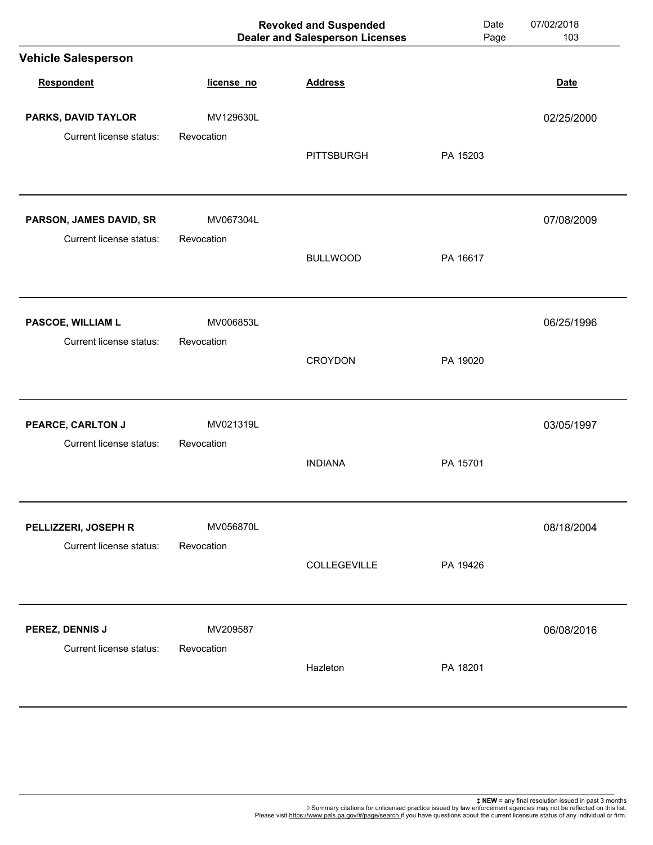|                            |            | <b>Revoked and Suspended</b><br><b>Dealer and Salesperson Licenses</b> | Date<br>Page | 07/02/2018<br>103 |
|----------------------------|------------|------------------------------------------------------------------------|--------------|-------------------|
| <b>Vehicle Salesperson</b> |            |                                                                        |              |                   |
| Respondent                 | license_no | <b>Address</b>                                                         |              | <b>Date</b>       |
| PARKS, DAVID TAYLOR        | MV129630L  |                                                                        |              | 02/25/2000        |
| Current license status:    | Revocation | <b>PITTSBURGH</b>                                                      | PA 15203     |                   |
| PARSON, JAMES DAVID, SR    | MV067304L  |                                                                        |              | 07/08/2009        |
| Current license status:    | Revocation | <b>BULLWOOD</b>                                                        | PA 16617     |                   |
| PASCOE, WILLIAM L          | MV006853L  |                                                                        |              | 06/25/1996        |
| Current license status:    | Revocation | <b>CROYDON</b>                                                         | PA 19020     |                   |
| PEARCE, CARLTON J          | MV021319L  |                                                                        |              | 03/05/1997        |
| Current license status:    | Revocation | <b>INDIANA</b>                                                         | PA 15701     |                   |
| PELLIZZERI, JOSEPH R       | MV056870L  |                                                                        |              | 08/18/2004        |
| Current license status:    | Revocation | COLLEGEVILLE                                                           | PA 19426     |                   |
| PEREZ, DENNIS J            | MV209587   |                                                                        |              | 06/08/2016        |
| Current license status:    | Revocation | Hazleton                                                               | PA 18201     |                   |
|                            |            |                                                                        |              |                   |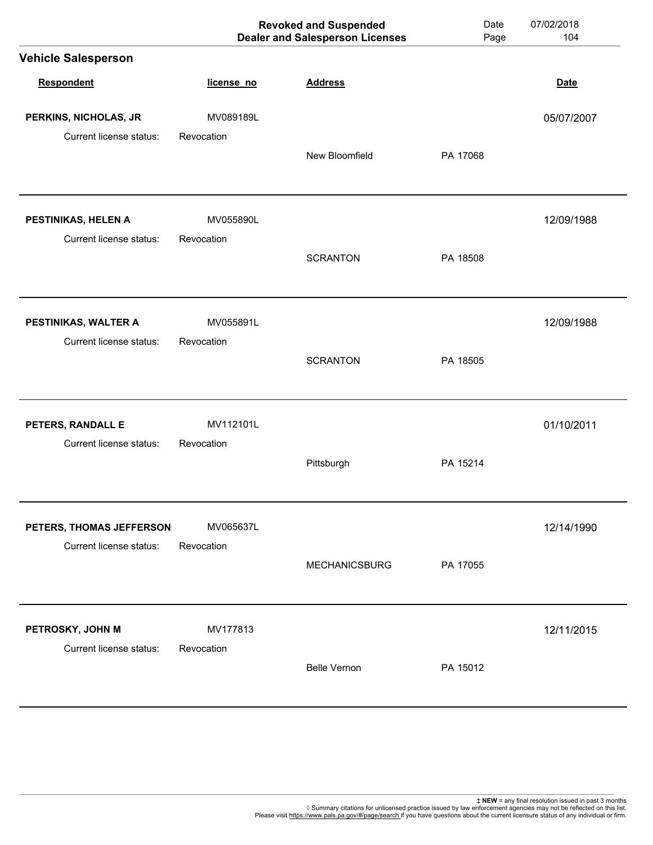|                                                     |                         | <b>Revoked and Suspended</b><br><b>Dealer and Salesperson Licenses</b> | Date<br>Page | 07/02/2018<br>104 |
|-----------------------------------------------------|-------------------------|------------------------------------------------------------------------|--------------|-------------------|
| <b>Vehicle Salesperson</b>                          |                         |                                                                        |              |                   |
| Respondent                                          | license_no              | <b>Address</b>                                                         |              | <b>Date</b>       |
| PERKINS, NICHOLAS, JR                               | MV089189L               |                                                                        |              | 05/07/2007        |
| Current license status:                             | Revocation              | New Bloomfield                                                         | PA 17068     |                   |
| PESTINIKAS, HELEN A<br>Current license status:      | MV055890L<br>Revocation |                                                                        |              | 12/09/1988        |
|                                                     |                         | <b>SCRANTON</b>                                                        | PA 18508     |                   |
| PESTINIKAS, WALTER A<br>Current license status:     | MV055891L<br>Revocation |                                                                        |              | 12/09/1988        |
|                                                     |                         | <b>SCRANTON</b>                                                        | PA 18505     |                   |
| PETERS, RANDALL E<br>Current license status:        | MV112101L<br>Revocation |                                                                        |              | 01/10/2011        |
|                                                     |                         | Pittsburgh                                                             | PA 15214     |                   |
| PETERS, THOMAS JEFFERSON<br>Current license status: | MV065637L<br>Revocation |                                                                        |              | 12/14/1990        |
|                                                     |                         | MECHANICSBURG                                                          | PA 17055     |                   |
| PETROSKY, JOHN M<br>Current license status:         | MV177813<br>Revocation  |                                                                        |              | 12/11/2015        |
|                                                     |                         | <b>Belle Vernon</b>                                                    | PA 15012     |                   |
|                                                     |                         |                                                                        |              |                   |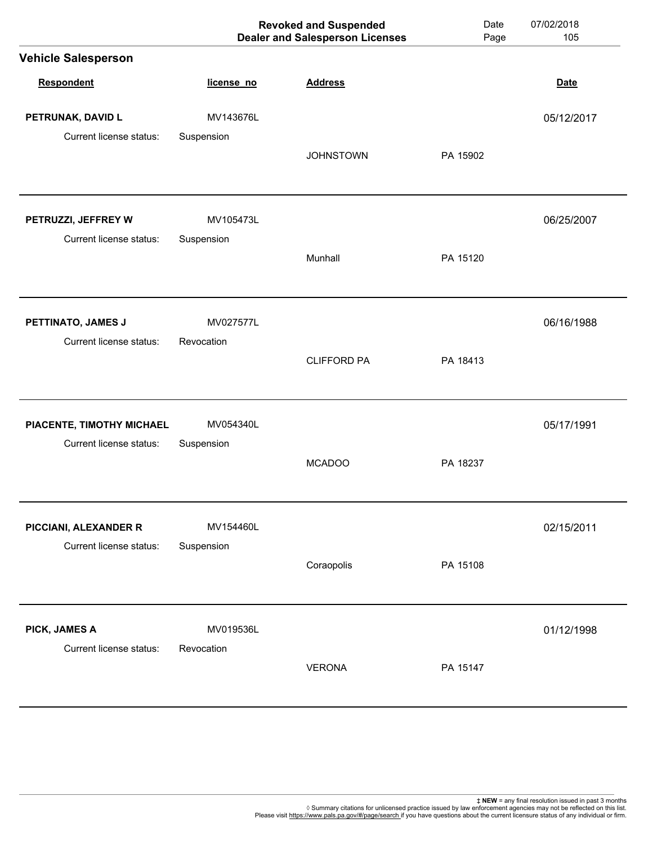|                                                |                         | <b>Revoked and Suspended</b><br><b>Dealer and Salesperson Licenses</b> | Date<br>Page | 07/02/2018<br>105 |
|------------------------------------------------|-------------------------|------------------------------------------------------------------------|--------------|-------------------|
| <b>Vehicle Salesperson</b>                     |                         |                                                                        |              |                   |
| Respondent                                     | license_no              | <b>Address</b>                                                         |              | <b>Date</b>       |
| PETRUNAK, DAVID L                              | MV143676L               |                                                                        |              | 05/12/2017        |
| Current license status:                        | Suspension              | <b>JOHNSTOWN</b>                                                       | PA 15902     |                   |
| PETRUZZI, JEFFREY W<br>Current license status: | MV105473L<br>Suspension |                                                                        |              | 06/25/2007        |
|                                                |                         | Munhall                                                                | PA 15120     |                   |
| PETTINATO, JAMES J                             | MV027577L               |                                                                        |              | 06/16/1988        |
| Current license status:                        | Revocation              | <b>CLIFFORD PA</b>                                                     | PA 18413     |                   |
| PIACENTE, TIMOTHY MICHAEL                      | MV054340L               |                                                                        |              | 05/17/1991        |
| Current license status:                        | Suspension              | <b>MCADOO</b>                                                          | PA 18237     |                   |
| PICCIANI, ALEXANDER R                          | MV154460L               |                                                                        |              | 02/15/2011        |
| Current license status:                        | Suspension              | Coraopolis                                                             | PA 15108     |                   |
| PICK, JAMES A                                  | MV019536L               |                                                                        |              | 01/12/1998        |
| Current license status:                        | Revocation              | <b>VERONA</b>                                                          | PA 15147     |                   |
|                                                |                         |                                                                        |              |                   |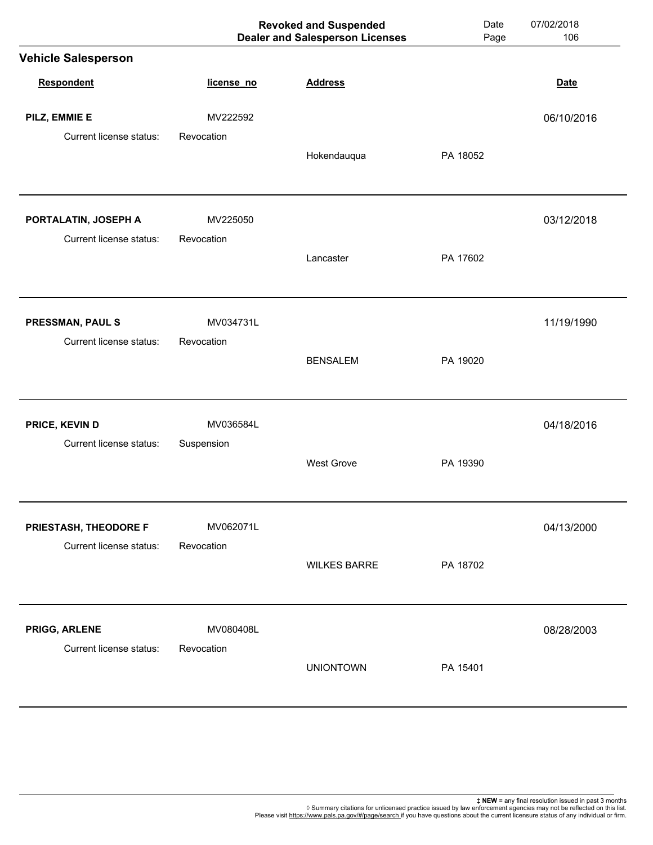|                                                 |                        | <b>Revoked and Suspended</b><br><b>Dealer and Salesperson Licenses</b> | Date<br>Page | 07/02/2018<br>106 |
|-------------------------------------------------|------------------------|------------------------------------------------------------------------|--------------|-------------------|
| <b>Vehicle Salesperson</b>                      |                        |                                                                        |              |                   |
| Respondent                                      | license_no             | <b>Address</b>                                                         |              | <b>Date</b>       |
| PILZ, EMMIE E                                   | MV222592               |                                                                        |              | 06/10/2016        |
| Current license status:                         | Revocation             | Hokendauqua                                                            | PA 18052     |                   |
| PORTALATIN, JOSEPH A<br>Current license status: | MV225050<br>Revocation |                                                                        |              | 03/12/2018        |
|                                                 |                        | Lancaster                                                              | PA 17602     |                   |
| PRESSMAN, PAUL S                                | MV034731L              |                                                                        |              | 11/19/1990        |
| Current license status:                         | Revocation             | <b>BENSALEM</b>                                                        | PA 19020     |                   |
| PRICE, KEVIN D                                  | MV036584L              |                                                                        |              | 04/18/2016        |
| Current license status:                         | Suspension             | <b>West Grove</b>                                                      | PA 19390     |                   |
| PRIESTASH, THEODORE F                           | MV062071L              |                                                                        |              | 04/13/2000        |
| Current license status:                         | Revocation             | <b>WILKES BARRE</b>                                                    | PA 18702     |                   |
| PRIGG, ARLENE                                   | MV080408L              |                                                                        |              | 08/28/2003        |
| Current license status:                         | Revocation             | <b>UNIONTOWN</b>                                                       | PA 15401     |                   |
|                                                 |                        |                                                                        |              |                   |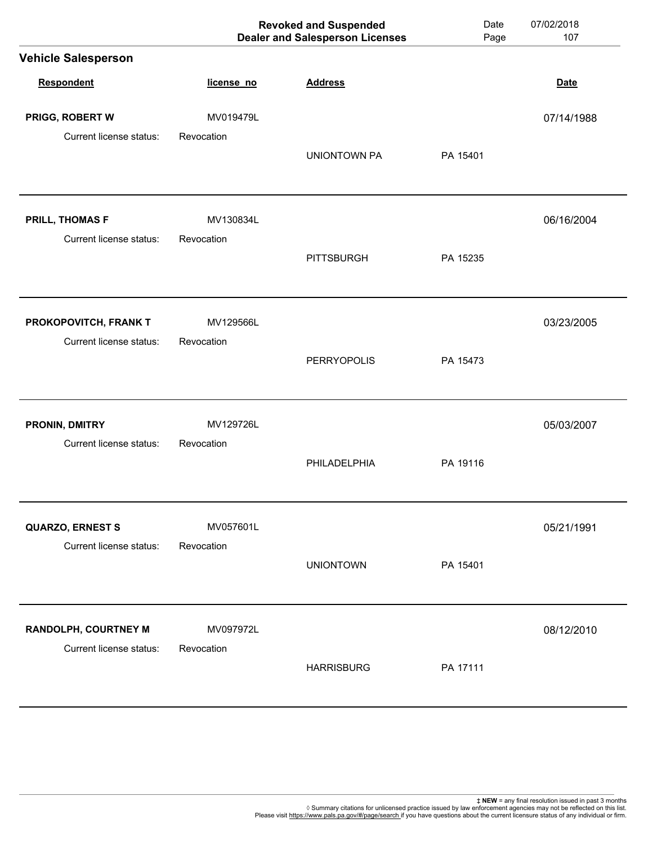|                            |            | <b>Revoked and Suspended</b><br><b>Dealer and Salesperson Licenses</b> | Date<br>Page | 07/02/2018<br>107 |
|----------------------------|------------|------------------------------------------------------------------------|--------------|-------------------|
| <b>Vehicle Salesperson</b> |            |                                                                        |              |                   |
| Respondent                 | license_no | <b>Address</b>                                                         |              | <b>Date</b>       |
| PRIGG, ROBERT W            | MV019479L  |                                                                        |              | 07/14/1988        |
| Current license status:    | Revocation | <b>UNIONTOWN PA</b>                                                    | PA 15401     |                   |
| <b>PRILL, THOMAS F</b>     | MV130834L  |                                                                        |              | 06/16/2004        |
| Current license status:    | Revocation | <b>PITTSBURGH</b>                                                      | PA 15235     |                   |
| PROKOPOVITCH, FRANK T      | MV129566L  |                                                                        |              | 03/23/2005        |
| Current license status:    | Revocation | <b>PERRYOPOLIS</b>                                                     | PA 15473     |                   |
| PRONIN, DMITRY             | MV129726L  |                                                                        |              | 05/03/2007        |
| Current license status:    | Revocation | PHILADELPHIA                                                           | PA 19116     |                   |
| <b>QUARZO, ERNEST S</b>    | MV057601L  |                                                                        |              | 05/21/1991        |
| Current license status:    | Revocation | <b>UNIONTOWN</b>                                                       | PA 15401     |                   |
| RANDOLPH, COURTNEY M       | MV097972L  |                                                                        |              | 08/12/2010        |
| Current license status:    | Revocation | <b>HARRISBURG</b>                                                      | PA 17111     |                   |
|                            |            |                                                                        |              |                   |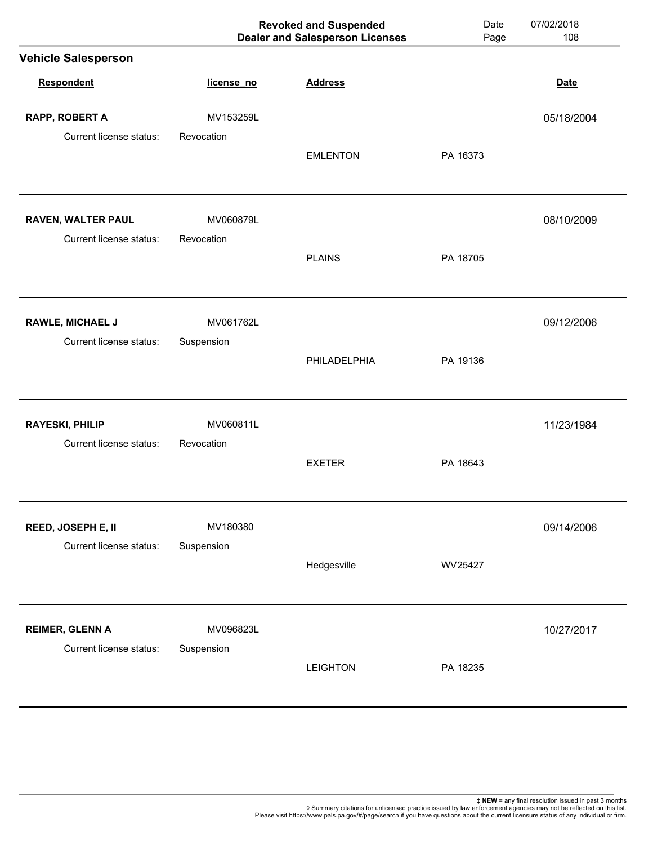|                                               |                         | <b>Revoked and Suspended</b><br><b>Dealer and Salesperson Licenses</b> | Date<br>Page | 07/02/2018<br>108 |
|-----------------------------------------------|-------------------------|------------------------------------------------------------------------|--------------|-------------------|
| <b>Vehicle Salesperson</b>                    |                         |                                                                        |              |                   |
| Respondent                                    | license_no              | <b>Address</b>                                                         |              | <b>Date</b>       |
| RAPP, ROBERT A                                | MV153259L               |                                                                        |              | 05/18/2004        |
| Current license status:                       | Revocation              | <b>EMLENTON</b>                                                        | PA 16373     |                   |
| RAVEN, WALTER PAUL<br>Current license status: | MV060879L<br>Revocation |                                                                        |              | 08/10/2009        |
|                                               |                         | <b>PLAINS</b>                                                          | PA 18705     |                   |
| RAWLE, MICHAEL J                              | MV061762L               |                                                                        |              | 09/12/2006        |
| Current license status:                       | Suspension              | PHILADELPHIA                                                           | PA 19136     |                   |
| <b>RAYESKI, PHILIP</b>                        | MV060811L               |                                                                        |              | 11/23/1984        |
| Current license status:                       | Revocation              | <b>EXETER</b>                                                          | PA 18643     |                   |
| REED, JOSEPH E, II                            | MV180380                |                                                                        |              | 09/14/2006        |
| Current license status:                       | Suspension              | Hedgesville                                                            | WV25427      |                   |
| <b>REIMER, GLENN A</b>                        | MV096823L               |                                                                        |              | 10/27/2017        |
| Current license status:                       | Suspension              | <b>LEIGHTON</b>                                                        | PA 18235     |                   |
|                                               |                         |                                                                        |              |                   |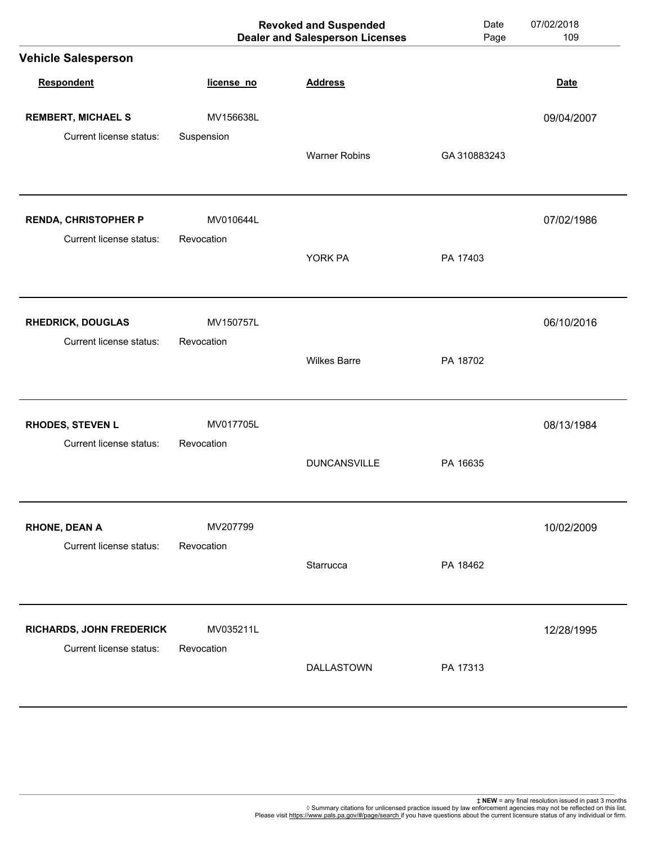|                                                        |                         | <b>Revoked and Suspended</b><br><b>Dealer and Salesperson Licenses</b> | Date<br>Page | 07/02/2018<br>109 |
|--------------------------------------------------------|-------------------------|------------------------------------------------------------------------|--------------|-------------------|
| <b>Vehicle Salesperson</b>                             |                         |                                                                        |              |                   |
| Respondent                                             | license_no              | <b>Address</b>                                                         |              | <b>Date</b>       |
| <b>REMBERT, MICHAEL S</b>                              | MV156638L               |                                                                        |              | 09/04/2007        |
| Current license status:                                | Suspension              | <b>Warner Robins</b>                                                   | GA 310883243 |                   |
| <b>RENDA, CHRISTOPHER P</b><br>Current license status: | MV010644L<br>Revocation |                                                                        |              | 07/02/1986        |
|                                                        |                         | YORK PA                                                                | PA 17403     |                   |
| <b>RHEDRICK, DOUGLAS</b>                               | MV150757L               |                                                                        |              | 06/10/2016        |
| Current license status:                                | Revocation              | <b>Wilkes Barre</b>                                                    | PA 18702     |                   |
| RHODES, STEVEN L                                       | MV017705L               |                                                                        |              | 08/13/1984        |
| Current license status:                                | Revocation              | <b>DUNCANSVILLE</b>                                                    | PA 16635     |                   |
| <b>RHONE, DEAN A</b>                                   | MV207799                |                                                                        |              | 10/02/2009        |
| Current license status:                                | Revocation              | Starrucca                                                              | PA 18462     |                   |
| RICHARDS, JOHN FREDERICK                               | MV035211L               |                                                                        |              | 12/28/1995        |
| Current license status:                                | Revocation              | DALLASTOWN                                                             | PA 17313     |                   |
|                                                        |                         |                                                                        |              |                   |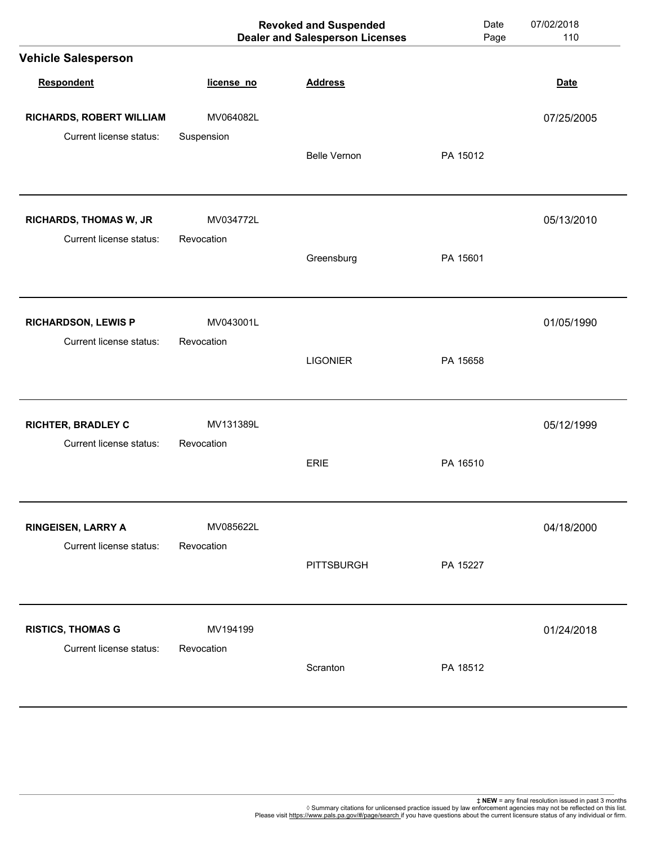|                            |            | <b>Revoked and Suspended</b><br><b>Dealer and Salesperson Licenses</b> | Date<br>Page | 07/02/2018<br>110 |
|----------------------------|------------|------------------------------------------------------------------------|--------------|-------------------|
| <b>Vehicle Salesperson</b> |            |                                                                        |              |                   |
| Respondent                 | license_no | <b>Address</b>                                                         |              | <b>Date</b>       |
| RICHARDS, ROBERT WILLIAM   | MV064082L  |                                                                        |              | 07/25/2005        |
| Current license status:    | Suspension | <b>Belle Vernon</b>                                                    | PA 15012     |                   |
| RICHARDS, THOMAS W, JR     | MV034772L  |                                                                        |              | 05/13/2010        |
| Current license status:    | Revocation | Greensburg                                                             | PA 15601     |                   |
| <b>RICHARDSON, LEWIS P</b> | MV043001L  |                                                                        |              | 01/05/1990        |
| Current license status:    | Revocation | <b>LIGONIER</b>                                                        | PA 15658     |                   |
| <b>RICHTER, BRADLEY C</b>  | MV131389L  |                                                                        |              | 05/12/1999        |
| Current license status:    | Revocation | <b>ERIE</b>                                                            | PA 16510     |                   |
| RINGEISEN, LARRY A         | MV085622L  |                                                                        |              | 04/18/2000        |
| Current license status:    | Revocation | <b>PITTSBURGH</b>                                                      | PA 15227     |                   |
| <b>RISTICS, THOMAS G</b>   | MV194199   |                                                                        |              | 01/24/2018        |
| Current license status:    | Revocation | Scranton                                                               | PA 18512     |                   |
|                            |            |                                                                        |              |                   |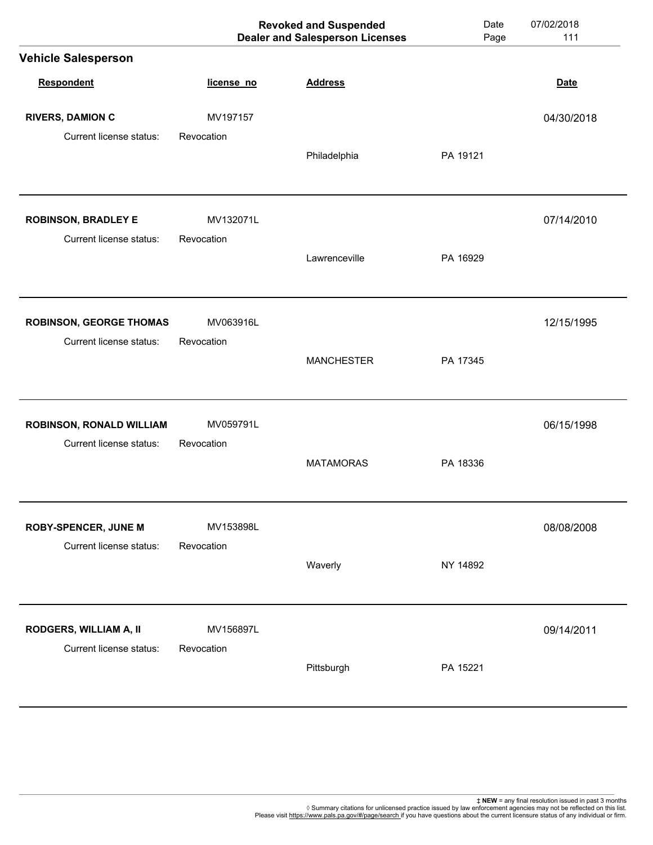|                                 |            | <b>Revoked and Suspended</b><br><b>Dealer and Salesperson Licenses</b> | Date<br>Page | 07/02/2018<br>111 |
|---------------------------------|------------|------------------------------------------------------------------------|--------------|-------------------|
| <b>Vehicle Salesperson</b>      |            |                                                                        |              |                   |
| Respondent                      | license_no | <b>Address</b>                                                         |              | <b>Date</b>       |
| <b>RIVERS, DAMION C</b>         | MV197157   |                                                                        |              | 04/30/2018        |
| Current license status:         | Revocation | Philadelphia                                                           | PA 19121     |                   |
| <b>ROBINSON, BRADLEY E</b>      | MV132071L  |                                                                        |              | 07/14/2010        |
| Current license status:         | Revocation | Lawrenceville                                                          | PA 16929     |                   |
| <b>ROBINSON, GEORGE THOMAS</b>  | MV063916L  |                                                                        |              | 12/15/1995        |
| Current license status:         | Revocation | <b>MANCHESTER</b>                                                      | PA 17345     |                   |
| <b>ROBINSON, RONALD WILLIAM</b> | MV059791L  |                                                                        |              | 06/15/1998        |
| Current license status:         | Revocation | <b>MATAMORAS</b>                                                       | PA 18336     |                   |
| <b>ROBY-SPENCER, JUNE M</b>     | MV153898L  |                                                                        |              | 08/08/2008        |
| Current license status:         | Revocation | Waverly                                                                | NY 14892     |                   |
| RODGERS, WILLIAM A, II          | MV156897L  |                                                                        |              | 09/14/2011        |
| Current license status:         | Revocation | Pittsburgh                                                             | PA 15221     |                   |
|                                 |            |                                                                        |              |                   |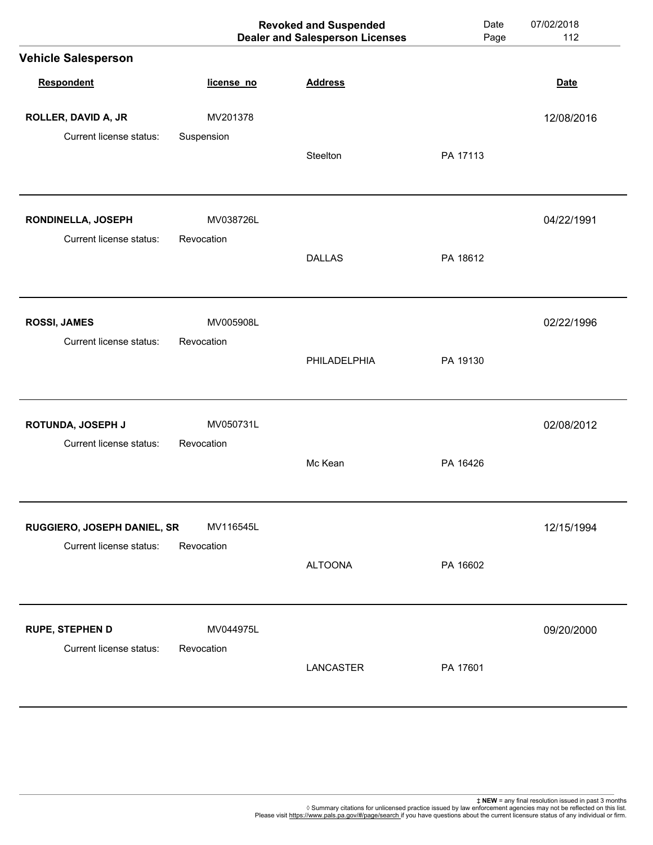|                             |            | <b>Revoked and Suspended</b><br><b>Dealer and Salesperson Licenses</b> | Date<br>Page | 07/02/2018<br>112 |
|-----------------------------|------------|------------------------------------------------------------------------|--------------|-------------------|
| <b>Vehicle Salesperson</b>  |            |                                                                        |              |                   |
| Respondent                  | license_no | <b>Address</b>                                                         |              | <b>Date</b>       |
| ROLLER, DAVID A, JR         | MV201378   |                                                                        |              | 12/08/2016        |
| Current license status:     | Suspension | Steelton                                                               | PA 17113     |                   |
| RONDINELLA, JOSEPH          | MV038726L  |                                                                        |              | 04/22/1991        |
| Current license status:     | Revocation | <b>DALLAS</b>                                                          | PA 18612     |                   |
| <b>ROSSI, JAMES</b>         | MV005908L  |                                                                        |              | 02/22/1996        |
| Current license status:     | Revocation | PHILADELPHIA                                                           | PA 19130     |                   |
| ROTUNDA, JOSEPH J           | MV050731L  |                                                                        |              | 02/08/2012        |
| Current license status:     | Revocation | Mc Kean                                                                | PA 16426     |                   |
| RUGGIERO, JOSEPH DANIEL, SR | MV116545L  |                                                                        |              | 12/15/1994        |
| Current license status:     | Revocation | <b>ALTOONA</b>                                                         | PA 16602     |                   |
| <b>RUPE, STEPHEN D</b>      | MV044975L  |                                                                        |              | 09/20/2000        |
| Current license status:     | Revocation | LANCASTER                                                              | PA 17601     |                   |
|                             |            |                                                                        |              |                   |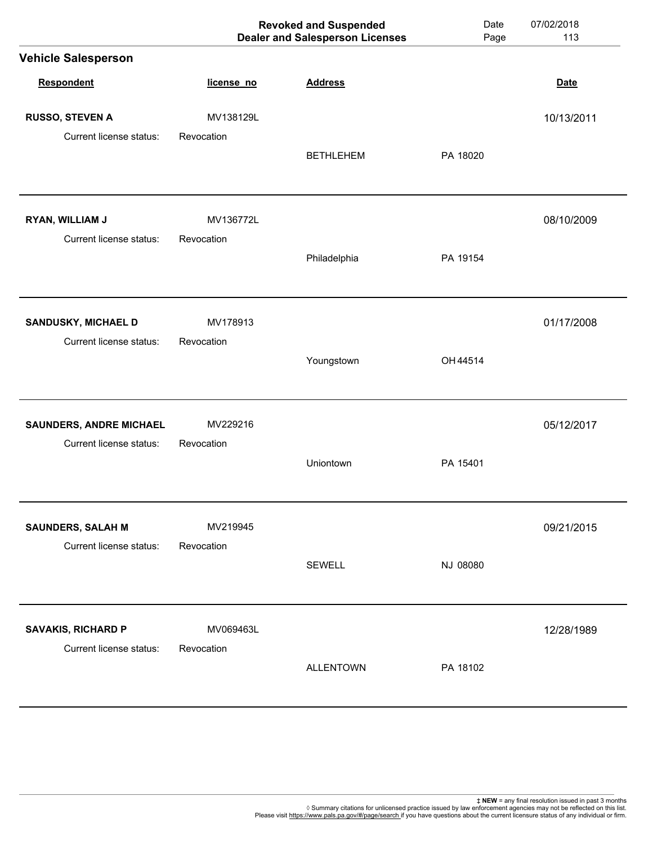|                            |            | <b>Revoked and Suspended</b><br><b>Dealer and Salesperson Licenses</b> | Date<br>Page | 07/02/2018<br>113 |
|----------------------------|------------|------------------------------------------------------------------------|--------------|-------------------|
| <b>Vehicle Salesperson</b> |            |                                                                        |              |                   |
| <b>Respondent</b>          | license_no | <b>Address</b>                                                         |              | <b>Date</b>       |
| <b>RUSSO, STEVEN A</b>     | MV138129L  |                                                                        |              | 10/13/2011        |
| Current license status:    | Revocation | <b>BETHLEHEM</b>                                                       | PA 18020     |                   |
| RYAN, WILLIAM J            | MV136772L  |                                                                        |              | 08/10/2009        |
| Current license status:    | Revocation | Philadelphia                                                           | PA 19154     |                   |
| SANDUSKY, MICHAEL D        | MV178913   |                                                                        |              | 01/17/2008        |
| Current license status:    | Revocation | Youngstown                                                             | OH 44514     |                   |
| SAUNDERS, ANDRE MICHAEL    | MV229216   |                                                                        |              | 05/12/2017        |
| Current license status:    | Revocation | Uniontown                                                              | PA 15401     |                   |
| <b>SAUNDERS, SALAH M</b>   | MV219945   |                                                                        |              | 09/21/2015        |
| Current license status:    | Revocation | <b>SEWELL</b>                                                          | NJ 08080     |                   |
| <b>SAVAKIS, RICHARD P</b>  | MV069463L  |                                                                        |              | 12/28/1989        |
| Current license status:    | Revocation | <b>ALLENTOWN</b>                                                       | PA 18102     |                   |
|                            |            |                                                                        |              |                   |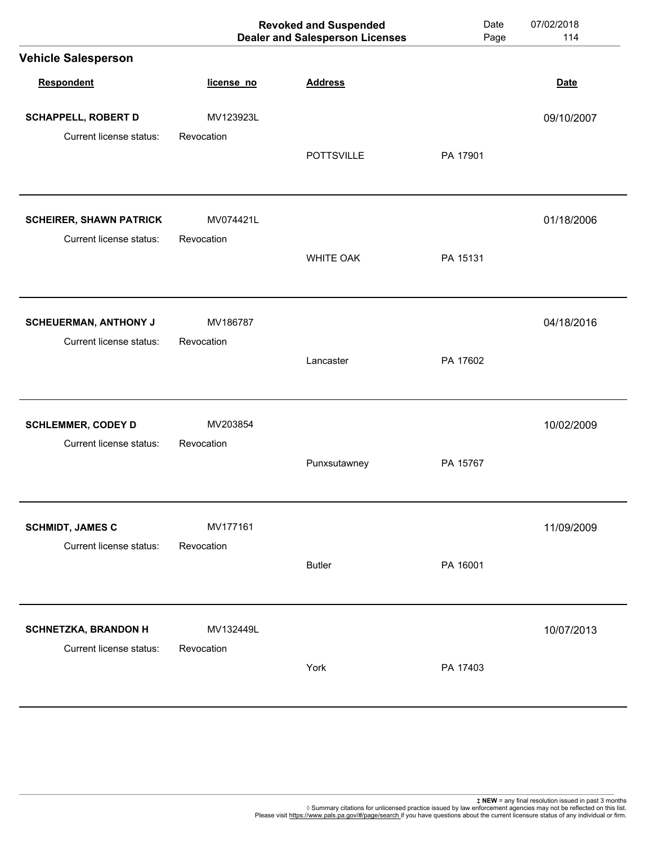|                                |            | <b>Revoked and Suspended</b><br><b>Dealer and Salesperson Licenses</b> | Date<br>Page | 07/02/2018<br>114 |
|--------------------------------|------------|------------------------------------------------------------------------|--------------|-------------------|
| <b>Vehicle Salesperson</b>     |            |                                                                        |              |                   |
| <b>Respondent</b>              | license_no | <b>Address</b>                                                         |              | <b>Date</b>       |
| <b>SCHAPPELL, ROBERT D</b>     | MV123923L  |                                                                        |              | 09/10/2007        |
| Current license status:        | Revocation | <b>POTTSVILLE</b>                                                      | PA 17901     |                   |
| <b>SCHEIRER, SHAWN PATRICK</b> | MV074421L  |                                                                        |              | 01/18/2006        |
| Current license status:        | Revocation | <b>WHITE OAK</b>                                                       | PA 15131     |                   |
| <b>SCHEUERMAN, ANTHONY J</b>   | MV186787   |                                                                        |              | 04/18/2016        |
| Current license status:        | Revocation | Lancaster                                                              | PA 17602     |                   |
| <b>SCHLEMMER, CODEY D</b>      | MV203854   |                                                                        |              | 10/02/2009        |
| Current license status:        | Revocation | Punxsutawney                                                           | PA 15767     |                   |
| <b>SCHMIDT, JAMES C</b>        | MV177161   |                                                                        |              | 11/09/2009        |
| Current license status:        | Revocation | <b>Butler</b>                                                          | PA 16001     |                   |
| <b>SCHNETZKA, BRANDON H</b>    | MV132449L  |                                                                        |              | 10/07/2013        |
| Current license status:        | Revocation | York                                                                   | PA 17403     |                   |
|                                |            |                                                                        |              |                   |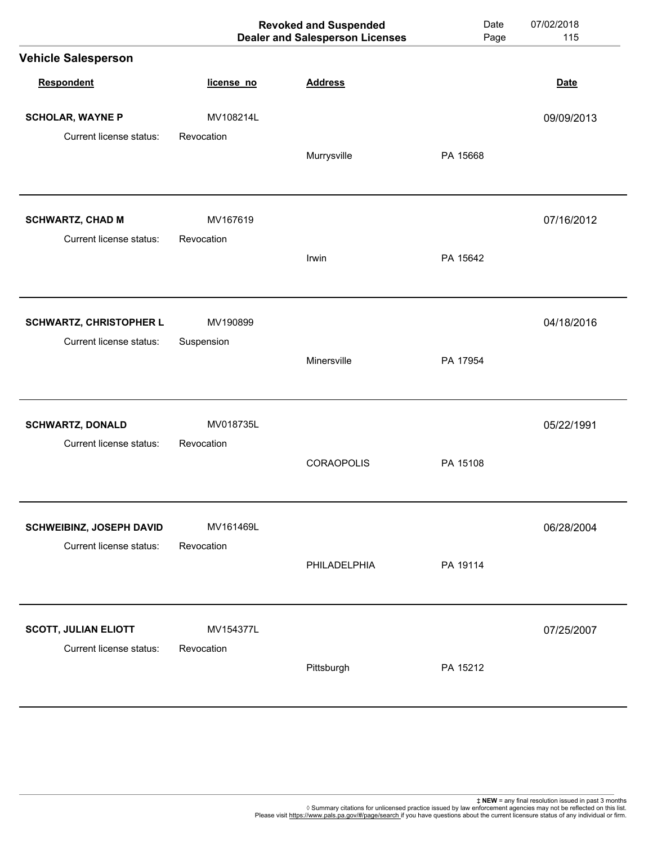|                                |            | <b>Revoked and Suspended</b><br><b>Dealer and Salesperson Licenses</b> | Date<br>Page | 07/02/2018<br>115 |
|--------------------------------|------------|------------------------------------------------------------------------|--------------|-------------------|
| <b>Vehicle Salesperson</b>     |            |                                                                        |              |                   |
| Respondent                     | license_no | <b>Address</b>                                                         |              | <b>Date</b>       |
| <b>SCHOLAR, WAYNE P</b>        | MV108214L  |                                                                        |              | 09/09/2013        |
| Current license status:        | Revocation | Murrysville                                                            | PA 15668     |                   |
| <b>SCHWARTZ, CHAD M</b>        | MV167619   |                                                                        |              | 07/16/2012        |
| Current license status:        | Revocation | Irwin                                                                  | PA 15642     |                   |
| <b>SCHWARTZ, CHRISTOPHER L</b> | MV190899   |                                                                        |              | 04/18/2016        |
| Current license status:        | Suspension | Minersville                                                            | PA 17954     |                   |
| <b>SCHWARTZ, DONALD</b>        | MV018735L  |                                                                        |              | 05/22/1991        |
| Current license status:        | Revocation | <b>CORAOPOLIS</b>                                                      | PA 15108     |                   |
| SCHWEIBINZ, JOSEPH DAVID       | MV161469L  |                                                                        |              | 06/28/2004        |
| Current license status:        | Revocation | PHILADELPHIA                                                           | PA 19114     |                   |
| <b>SCOTT, JULIAN ELIOTT</b>    | MV154377L  |                                                                        |              | 07/25/2007        |
| Current license status:        | Revocation | Pittsburgh                                                             | PA 15212     |                   |
|                                |            |                                                                        |              |                   |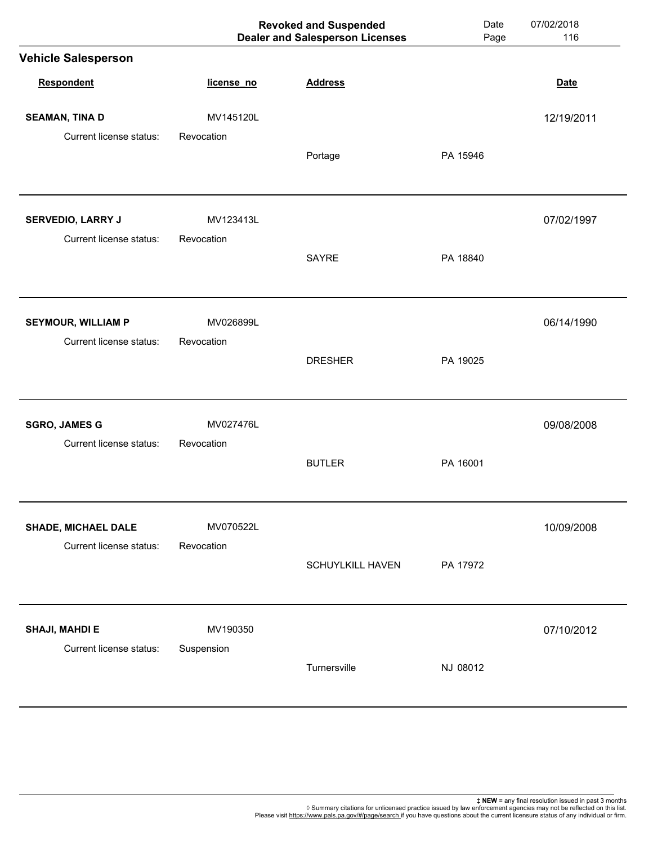|                                                     |                         | <b>Revoked and Suspended</b><br><b>Dealer and Salesperson Licenses</b> | Date<br>Page | 07/02/2018<br>116 |
|-----------------------------------------------------|-------------------------|------------------------------------------------------------------------|--------------|-------------------|
| <b>Vehicle Salesperson</b>                          |                         |                                                                        |              |                   |
| <b>Respondent</b>                                   | license_no              | <b>Address</b>                                                         |              | <b>Date</b>       |
| <b>SEAMAN, TINA D</b>                               | MV145120L               |                                                                        |              | 12/19/2011        |
| Current license status:                             | Revocation              | Portage                                                                | PA 15946     |                   |
| <b>SERVEDIO, LARRY J</b><br>Current license status: | MV123413L<br>Revocation |                                                                        |              | 07/02/1997        |
|                                                     |                         | SAYRE                                                                  | PA 18840     |                   |
| <b>SEYMOUR, WILLIAM P</b>                           | MV026899L               |                                                                        |              | 06/14/1990        |
| Current license status:                             | Revocation              | <b>DRESHER</b>                                                         | PA 19025     |                   |
| <b>SGRO, JAMES G</b>                                | MV027476L               |                                                                        |              | 09/08/2008        |
| Current license status:                             | Revocation              | <b>BUTLER</b>                                                          | PA 16001     |                   |
| <b>SHADE, MICHAEL DALE</b>                          | MV070522L               |                                                                        |              | 10/09/2008        |
| Current license status:                             | Revocation              | <b>SCHUYLKILL HAVEN</b>                                                | PA 17972     |                   |
| <b>SHAJI, MAHDI E</b>                               | MV190350                |                                                                        |              | 07/10/2012        |
| Current license status:                             | Suspension              | Turnersville                                                           | NJ 08012     |                   |
|                                                     |                         |                                                                        |              |                   |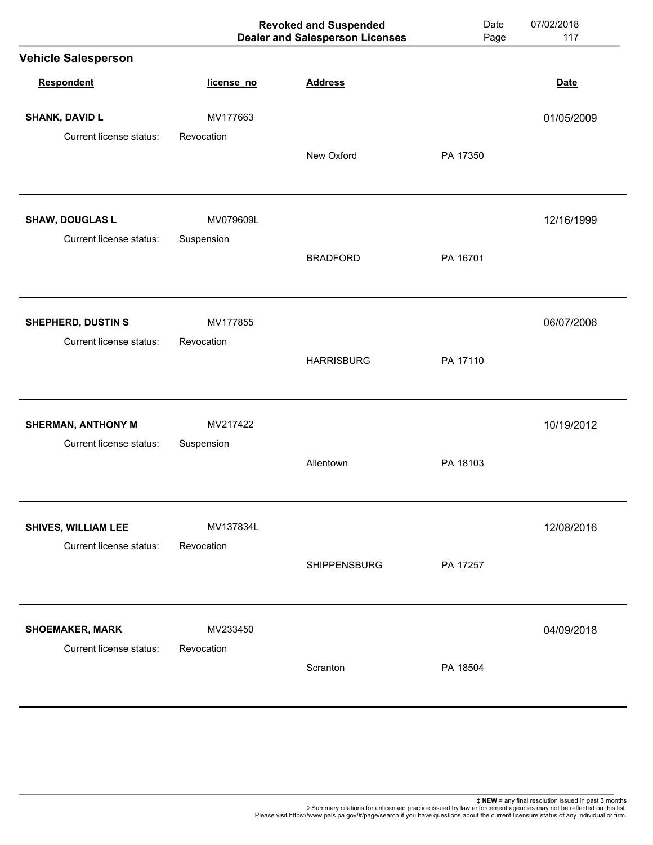| license_no | <b>Address</b>      |          | <b>Date</b> |
|------------|---------------------|----------|-------------|
| MV177663   |                     |          | 01/05/2009  |
| Revocation | New Oxford          | PA 17350 |             |
| MV079609L  |                     |          | 12/16/1999  |
|            | <b>BRADFORD</b>     | PA 16701 |             |
| MV177855   |                     |          | 06/07/2006  |
| Revocation | <b>HARRISBURG</b>   | PA 17110 |             |
| MV217422   |                     |          | 10/19/2012  |
| Suspension | Allentown           | PA 18103 |             |
| MV137834L  |                     |          | 12/08/2016  |
| Revocation | <b>SHIPPENSBURG</b> | PA 17257 |             |
| MV233450   |                     |          | 04/09/2018  |
| Revocation | Scranton            | PA 18504 |             |
|            | Suspension          |          |             |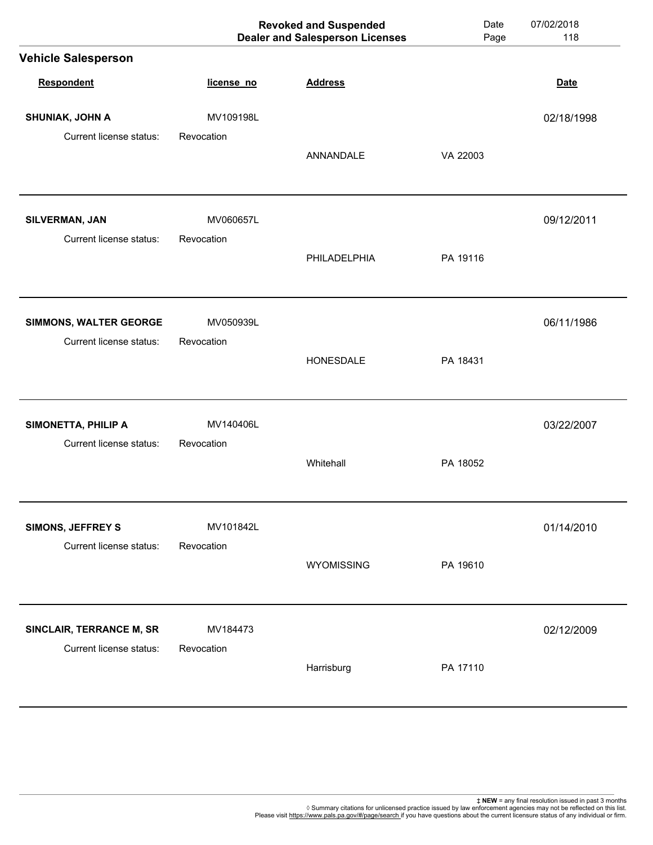|                            |            | <b>Revoked and Suspended</b><br><b>Dealer and Salesperson Licenses</b> | Date<br>Page | 07/02/2018<br>118 |
|----------------------------|------------|------------------------------------------------------------------------|--------------|-------------------|
| <b>Vehicle Salesperson</b> |            |                                                                        |              |                   |
| Respondent                 | license_no | <b>Address</b>                                                         |              | <b>Date</b>       |
| <b>SHUNIAK, JOHN A</b>     | MV109198L  |                                                                        |              | 02/18/1998        |
| Current license status:    | Revocation | ANNANDALE                                                              | VA 22003     |                   |
| SILVERMAN, JAN             | MV060657L  |                                                                        |              | 09/12/2011        |
| Current license status:    | Revocation | PHILADELPHIA                                                           | PA 19116     |                   |
| SIMMONS, WALTER GEORGE     | MV050939L  |                                                                        |              | 06/11/1986        |
| Current license status:    | Revocation | <b>HONESDALE</b>                                                       | PA 18431     |                   |
| SIMONETTA, PHILIP A        | MV140406L  |                                                                        |              | 03/22/2007        |
| Current license status:    | Revocation | Whitehall                                                              | PA 18052     |                   |
| <b>SIMONS, JEFFREY S</b>   | MV101842L  |                                                                        |              | 01/14/2010        |
| Current license status:    | Revocation | <b>WYOMISSING</b>                                                      | PA 19610     |                   |
| SINCLAIR, TERRANCE M, SR   | MV184473   |                                                                        |              | 02/12/2009        |
| Current license status:    | Revocation | Harrisburg                                                             | PA 17110     |                   |
|                            |            |                                                                        |              |                   |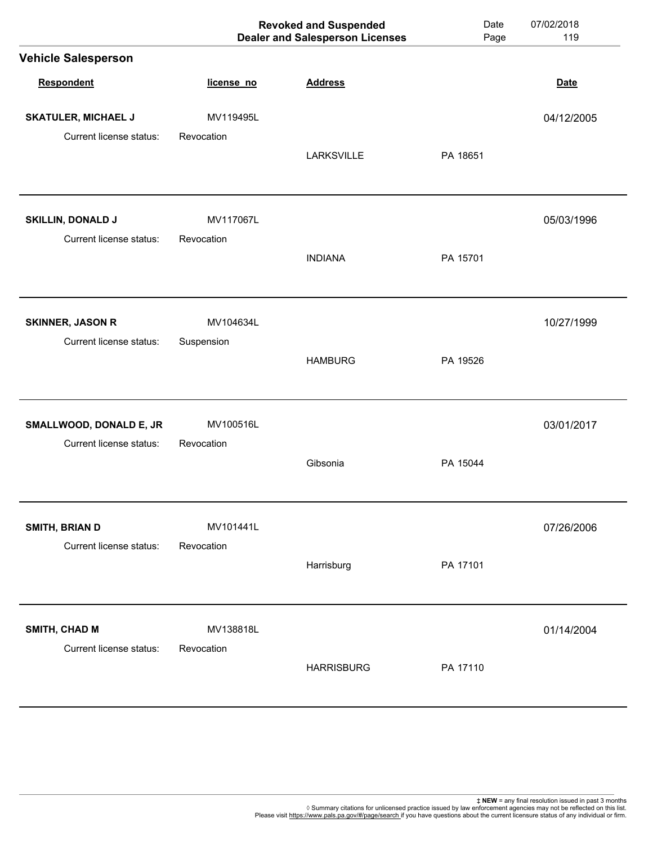|                                                     |                         | <b>Revoked and Suspended</b><br><b>Dealer and Salesperson Licenses</b> | Date<br>Page | 07/02/2018<br>119 |
|-----------------------------------------------------|-------------------------|------------------------------------------------------------------------|--------------|-------------------|
| <b>Vehicle Salesperson</b>                          |                         |                                                                        |              |                   |
| Respondent                                          | license_no              | <b>Address</b>                                                         |              | <b>Date</b>       |
| <b>SKATULER, MICHAEL J</b>                          | MV119495L               |                                                                        |              | 04/12/2005        |
| Current license status:                             | Revocation              | <b>LARKSVILLE</b>                                                      | PA 18651     |                   |
| <b>SKILLIN, DONALD J</b><br>Current license status: | MV117067L<br>Revocation |                                                                        |              | 05/03/1996        |
|                                                     |                         | <b>INDIANA</b>                                                         | PA 15701     |                   |
| <b>SKINNER, JASON R</b>                             | MV104634L               |                                                                        |              | 10/27/1999        |
| Current license status:                             | Suspension              | <b>HAMBURG</b>                                                         | PA 19526     |                   |
| SMALLWOOD, DONALD E, JR                             | MV100516L               |                                                                        |              | 03/01/2017        |
| Current license status:                             | Revocation              | Gibsonia                                                               | PA 15044     |                   |
| SMITH, BRIAN D                                      | MV101441L               |                                                                        |              | 07/26/2006        |
| Current license status:                             | Revocation              | Harrisburg                                                             | PA 17101     |                   |
| SMITH, CHAD M                                       | MV138818L               |                                                                        |              | 01/14/2004        |
| Current license status:                             | Revocation              | <b>HARRISBURG</b>                                                      | PA 17110     |                   |
|                                                     |                         |                                                                        |              |                   |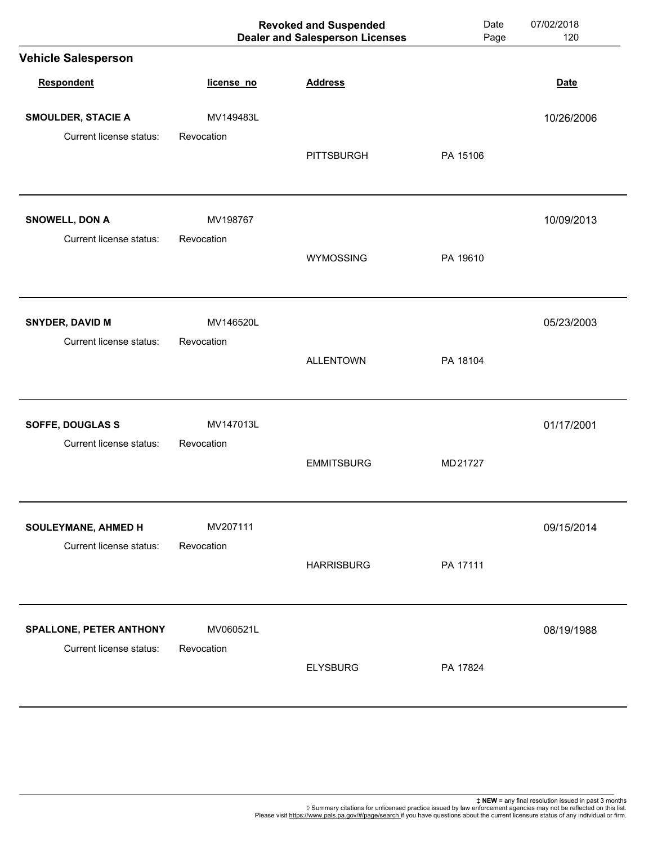|                                                  |            | <b>Revoked and Suspended</b><br><b>Dealer and Salesperson Licenses</b> | Date<br>Page | 07/02/2018<br>120 |
|--------------------------------------------------|------------|------------------------------------------------------------------------|--------------|-------------------|
| <b>Vehicle Salesperson</b>                       |            |                                                                        |              |                   |
| Respondent                                       | license_no | <b>Address</b>                                                         |              | <b>Date</b>       |
| <b>SMOULDER, STACIE A</b>                        | MV149483L  |                                                                        |              | 10/26/2006        |
| Current license status:                          | Revocation | <b>PITTSBURGH</b>                                                      | PA 15106     |                   |
| <b>SNOWELL, DON A</b><br>Current license status: | MV198767   |                                                                        |              | 10/09/2013        |
|                                                  | Revocation | <b>WYMOSSING</b>                                                       | PA 19610     |                   |
| <b>SNYDER, DAVID M</b>                           | MV146520L  |                                                                        |              | 05/23/2003        |
| Current license status:                          | Revocation | <b>ALLENTOWN</b>                                                       | PA 18104     |                   |
| <b>SOFFE, DOUGLAS S</b>                          | MV147013L  |                                                                        |              | 01/17/2001        |
| Current license status:                          | Revocation | <b>EMMITSBURG</b>                                                      | MD 21727     |                   |
| <b>SOULEYMANE, AHMED H</b>                       | MV207111   |                                                                        |              | 09/15/2014        |
| Current license status:                          | Revocation | <b>HARRISBURG</b>                                                      | PA 17111     |                   |
| <b>SPALLONE, PETER ANTHONY</b>                   | MV060521L  |                                                                        |              | 08/19/1988        |
| Current license status:                          | Revocation | <b>ELYSBURG</b>                                                        | PA 17824     |                   |
|                                                  |            |                                                                        |              |                   |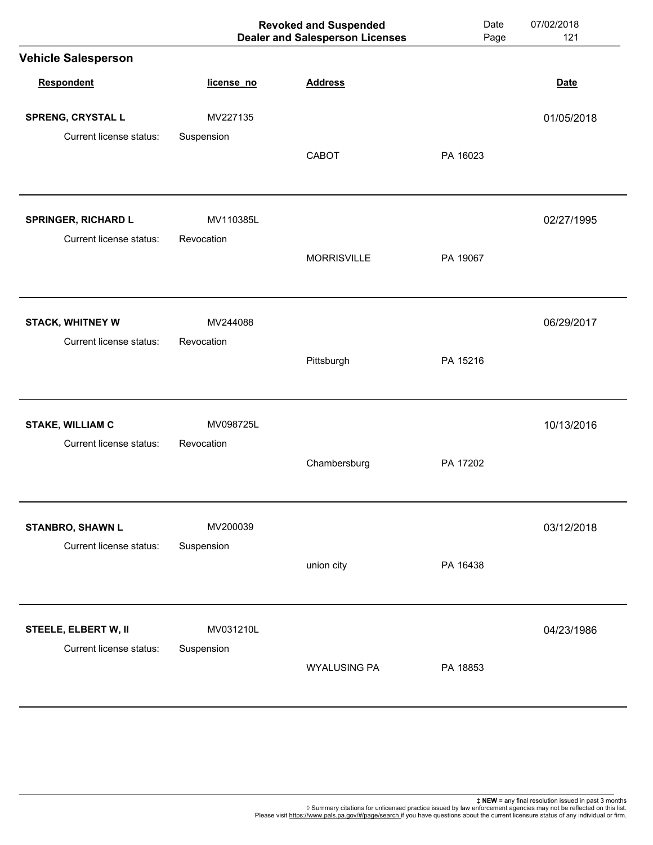|                            |            | <b>Revoked and Suspended</b><br><b>Dealer and Salesperson Licenses</b> | Date<br>Page | 07/02/2018<br>121 |
|----------------------------|------------|------------------------------------------------------------------------|--------------|-------------------|
| <b>Vehicle Salesperson</b> |            |                                                                        |              |                   |
| Respondent                 | license_no | <b>Address</b>                                                         |              | <b>Date</b>       |
| <b>SPRENG, CRYSTAL L</b>   | MV227135   |                                                                        |              | 01/05/2018        |
| Current license status:    | Suspension | CABOT                                                                  | PA 16023     |                   |
| <b>SPRINGER, RICHARD L</b> | MV110385L  |                                                                        |              | 02/27/1995        |
| Current license status:    | Revocation | <b>MORRISVILLE</b>                                                     | PA 19067     |                   |
| <b>STACK, WHITNEY W</b>    | MV244088   |                                                                        |              | 06/29/2017        |
| Current license status:    | Revocation | Pittsburgh                                                             | PA 15216     |                   |
| <b>STAKE, WILLIAM C</b>    | MV098725L  |                                                                        |              | 10/13/2016        |
| Current license status:    | Revocation | Chambersburg                                                           | PA 17202     |                   |
| <b>STANBRO, SHAWN L</b>    | MV200039   |                                                                        |              | 03/12/2018        |
| Current license status:    | Suspension | union city                                                             | PA 16438     |                   |
| STEELE, ELBERT W, II       | MV031210L  |                                                                        |              | 04/23/1986        |
| Current license status:    | Suspension | <b>WYALUSING PA</b>                                                    | PA 18853     |                   |
|                            |            |                                                                        |              |                   |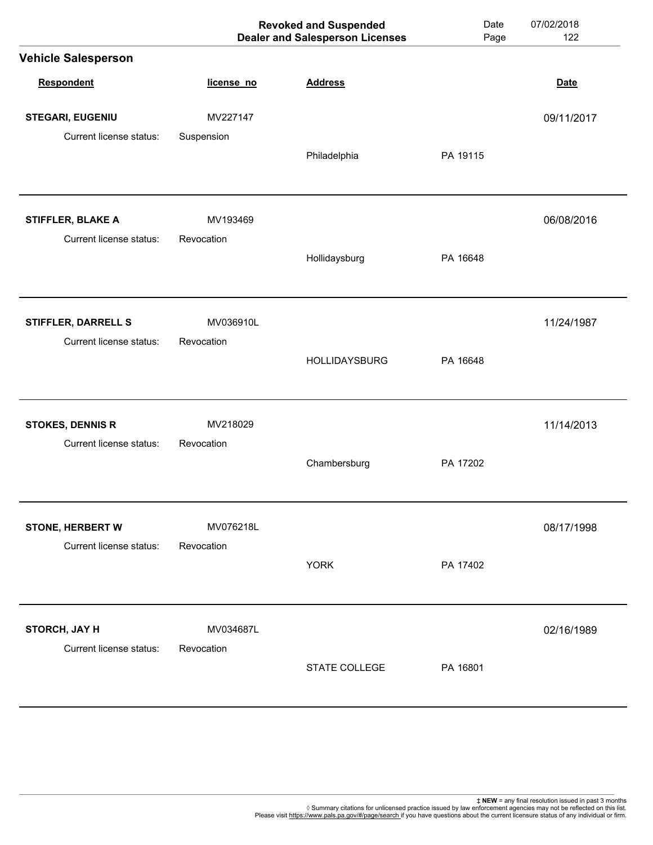|                                              |                        | <b>Revoked and Suspended</b><br><b>Dealer and Salesperson Licenses</b> | Date<br>Page | 07/02/2018<br>122 |
|----------------------------------------------|------------------------|------------------------------------------------------------------------|--------------|-------------------|
| <b>Vehicle Salesperson</b>                   |                        |                                                                        |              |                   |
| <b>Respondent</b>                            | license_no             | <b>Address</b>                                                         |              | <b>Date</b>       |
| STEGARI, EUGENIU                             | MV227147               |                                                                        |              | 09/11/2017        |
| Current license status:                      | Suspension             | Philadelphia                                                           | PA 19115     |                   |
| STIFFLER, BLAKE A<br>Current license status: | MV193469<br>Revocation |                                                                        |              | 06/08/2016        |
|                                              |                        | Hollidaysburg                                                          | PA 16648     |                   |
| <b>STIFFLER, DARRELL S</b>                   | MV036910L              |                                                                        |              | 11/24/1987        |
| Current license status:                      | Revocation             | <b>HOLLIDAYSBURG</b>                                                   | PA 16648     |                   |
| <b>STOKES, DENNIS R</b>                      | MV218029               |                                                                        |              | 11/14/2013        |
| Current license status:                      | Revocation             | Chambersburg                                                           | PA 17202     |                   |
| <b>STONE, HERBERT W</b>                      | MV076218L              |                                                                        |              | 08/17/1998        |
| Current license status:                      | Revocation             | <b>YORK</b>                                                            | PA 17402     |                   |
| STORCH, JAY H                                | MV034687L              |                                                                        |              | 02/16/1989        |
| Current license status:                      | Revocation             | STATE COLLEGE                                                          | PA 16801     |                   |
|                                              |                        |                                                                        |              |                   |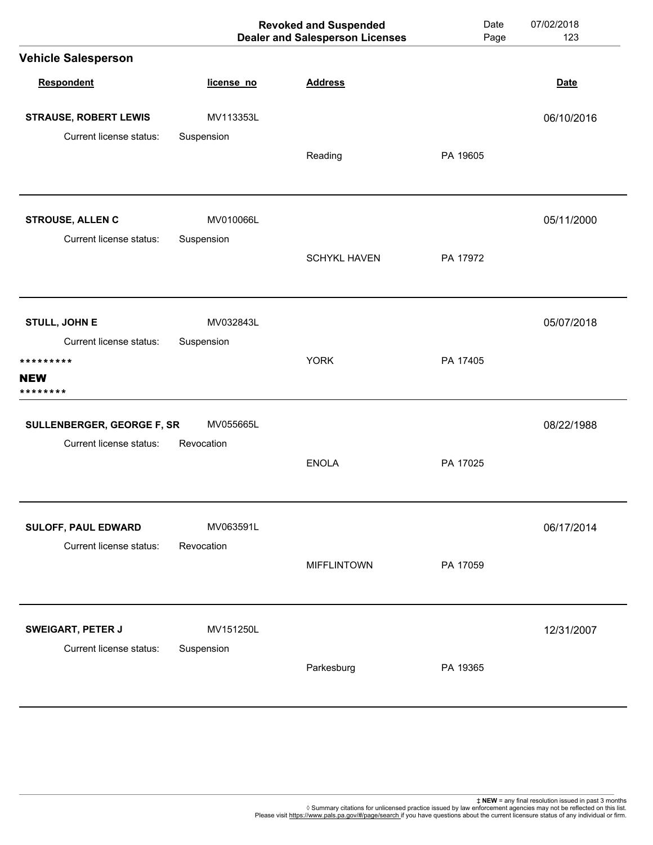|                              |            | <b>Revoked and Suspended</b><br><b>Dealer and Salesperson Licenses</b> | Date<br>Page | 07/02/2018<br>123 |
|------------------------------|------------|------------------------------------------------------------------------|--------------|-------------------|
| <b>Vehicle Salesperson</b>   |            |                                                                        |              |                   |
| Respondent                   | license_no | <b>Address</b>                                                         |              | <b>Date</b>       |
| <b>STRAUSE, ROBERT LEWIS</b> | MV113353L  |                                                                        |              | 06/10/2016        |
| Current license status:      | Suspension | Reading                                                                | PA 19605     |                   |
| <b>STROUSE, ALLEN C</b>      | MV010066L  |                                                                        |              | 05/11/2000        |
| Current license status:      | Suspension | <b>SCHYKL HAVEN</b>                                                    | PA 17972     |                   |
| <b>STULL, JOHN E</b>         | MV032843L  |                                                                        |              | 05/07/2018        |
| Current license status:      | Suspension |                                                                        |              |                   |
| *********<br>NEW<br>******** |            | <b>YORK</b>                                                            | PA 17405     |                   |
| SULLENBERGER, GEORGE F, SR   | MV055665L  |                                                                        |              | 08/22/1988        |
| Current license status:      | Revocation | <b>ENOLA</b>                                                           | PA 17025     |                   |
| SULOFF, PAUL EDWARD          | MV063591L  |                                                                        |              | 06/17/2014        |
| Current license status:      | Revocation | <b>MIFFLINTOWN</b>                                                     | PA 17059     |                   |
| <b>SWEIGART, PETER J</b>     | MV151250L  |                                                                        |              | 12/31/2007        |
| Current license status:      | Suspension | Parkesburg                                                             | PA 19365     |                   |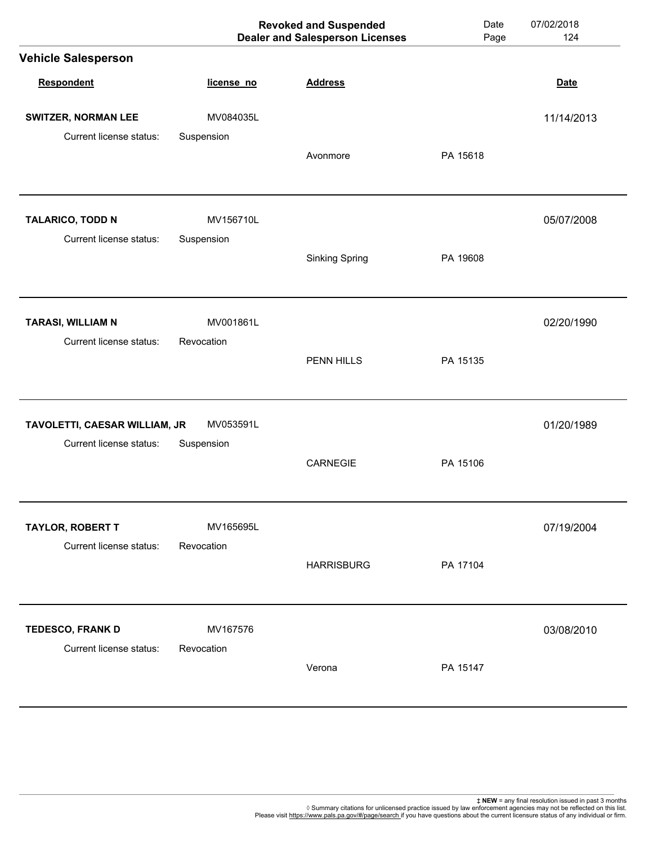|                               |            | <b>Revoked and Suspended</b><br><b>Dealer and Salesperson Licenses</b> | Date<br>Page | 07/02/2018<br>124 |
|-------------------------------|------------|------------------------------------------------------------------------|--------------|-------------------|
| <b>Vehicle Salesperson</b>    |            |                                                                        |              |                   |
| <b>Respondent</b>             | license_no | <b>Address</b>                                                         |              | <b>Date</b>       |
| <b>SWITZER, NORMAN LEE</b>    | MV084035L  |                                                                        |              | 11/14/2013        |
| Current license status:       | Suspension | Avonmore                                                               | PA 15618     |                   |
| TALARICO, TODD N              | MV156710L  |                                                                        |              | 05/07/2008        |
| Current license status:       | Suspension | <b>Sinking Spring</b>                                                  | PA 19608     |                   |
| <b>TARASI, WILLIAM N</b>      | MV001861L  |                                                                        |              | 02/20/1990        |
| Current license status:       | Revocation | PENN HILLS                                                             | PA 15135     |                   |
| TAVOLETTI, CAESAR WILLIAM, JR | MV053591L  |                                                                        |              | 01/20/1989        |
| Current license status:       | Suspension | CARNEGIE                                                               | PA 15106     |                   |
| <b>TAYLOR, ROBERT T</b>       | MV165695L  |                                                                        |              | 07/19/2004        |
| Current license status:       | Revocation | <b>HARRISBURG</b>                                                      | PA 17104     |                   |
| TEDESCO, FRANK D              | MV167576   |                                                                        |              | 03/08/2010        |
| Current license status:       | Revocation | Verona                                                                 | PA 15147     |                   |
|                               |            |                                                                        |              |                   |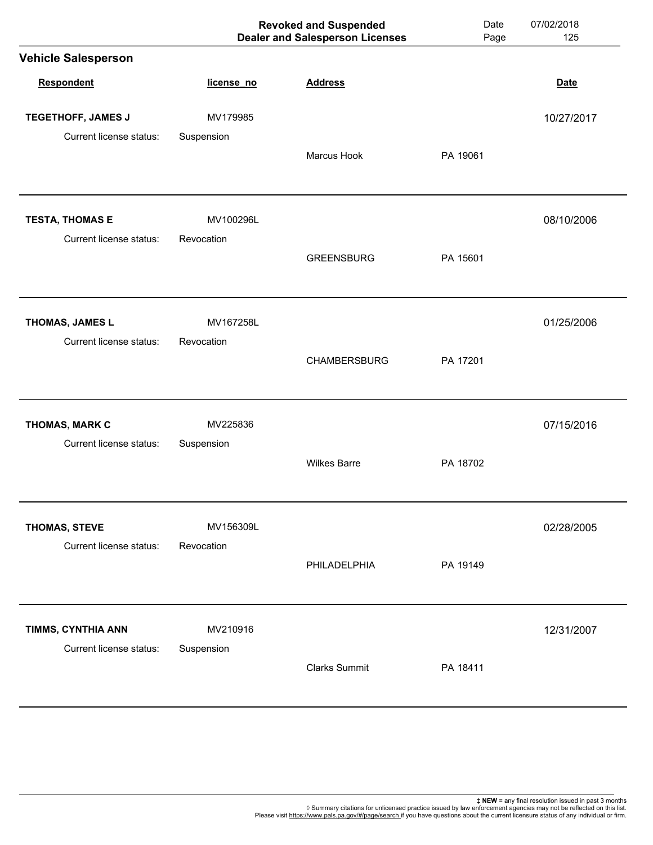|                            |            | <b>Revoked and Suspended</b><br><b>Dealer and Salesperson Licenses</b> | Date<br>Page | 07/02/2018<br>125 |
|----------------------------|------------|------------------------------------------------------------------------|--------------|-------------------|
| <b>Vehicle Salesperson</b> |            |                                                                        |              |                   |
| Respondent                 | license_no | <b>Address</b>                                                         |              | <b>Date</b>       |
| TEGETHOFF, JAMES J         | MV179985   |                                                                        |              | 10/27/2017        |
| Current license status:    | Suspension | Marcus Hook                                                            | PA 19061     |                   |
| <b>TESTA, THOMAS E</b>     | MV100296L  |                                                                        |              | 08/10/2006        |
| Current license status:    | Revocation | <b>GREENSBURG</b>                                                      | PA 15601     |                   |
| THOMAS, JAMES L            | MV167258L  |                                                                        |              | 01/25/2006        |
| Current license status:    | Revocation | <b>CHAMBERSBURG</b>                                                    | PA 17201     |                   |
| THOMAS, MARK C             | MV225836   |                                                                        |              | 07/15/2016        |
| Current license status:    | Suspension | <b>Wilkes Barre</b>                                                    | PA 18702     |                   |
| THOMAS, STEVE              | MV156309L  |                                                                        |              | 02/28/2005        |
| Current license status:    | Revocation | PHILADELPHIA                                                           | PA 19149     |                   |
| TIMMS, CYNTHIA ANN         | MV210916   |                                                                        |              | 12/31/2007        |
| Current license status:    | Suspension | <b>Clarks Summit</b>                                                   | PA 18411     |                   |
|                            |            |                                                                        |              |                   |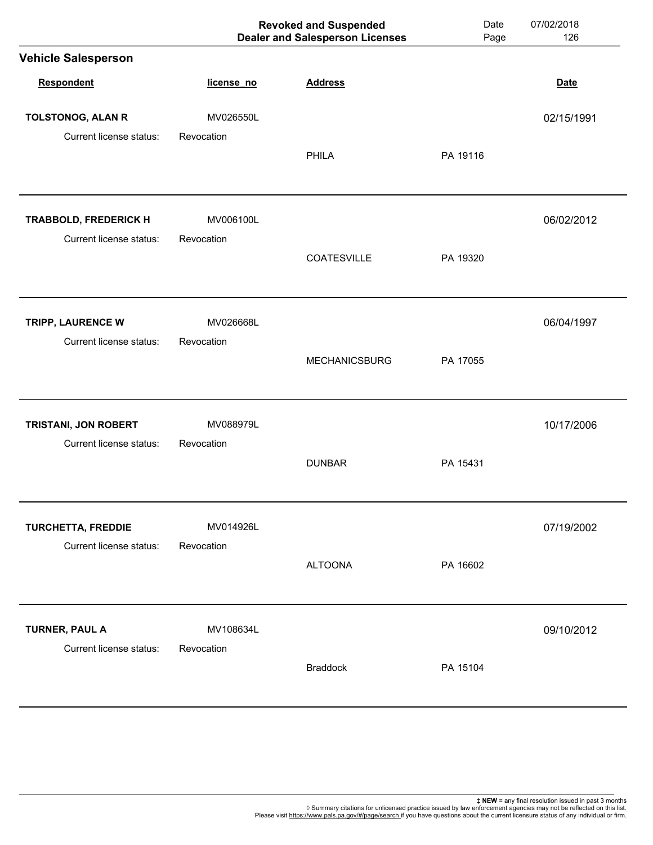|                                                  |                         | <b>Revoked and Suspended</b><br><b>Dealer and Salesperson Licenses</b> | Date<br>Page | 07/02/2018<br>126 |
|--------------------------------------------------|-------------------------|------------------------------------------------------------------------|--------------|-------------------|
| <b>Vehicle Salesperson</b>                       |                         |                                                                        |              |                   |
| Respondent                                       | license_no              | <b>Address</b>                                                         |              | <b>Date</b>       |
| TOLSTONOG, ALAN R                                | MV026550L               |                                                                        |              | 02/15/1991        |
| Current license status:                          | Revocation              | PHILA                                                                  | PA 19116     |                   |
| TRABBOLD, FREDERICK H<br>Current license status: | MV006100L<br>Revocation |                                                                        |              | 06/02/2012        |
|                                                  |                         | <b>COATESVILLE</b>                                                     | PA 19320     |                   |
| TRIPP, LAURENCE W                                | MV026668L               |                                                                        |              | 06/04/1997        |
| Current license status:                          | Revocation              | <b>MECHANICSBURG</b>                                                   | PA 17055     |                   |
| TRISTANI, JON ROBERT                             | MV088979L               |                                                                        |              | 10/17/2006        |
| Current license status:                          | Revocation              | <b>DUNBAR</b>                                                          | PA 15431     |                   |
| <b>TURCHETTA, FREDDIE</b>                        | MV014926L               |                                                                        |              | 07/19/2002        |
| Current license status:                          | Revocation              | <b>ALTOONA</b>                                                         | PA 16602     |                   |
| <b>TURNER, PAUL A</b>                            | MV108634L               |                                                                        |              | 09/10/2012        |
| Current license status:                          | Revocation              | <b>Braddock</b>                                                        | PA 15104     |                   |
|                                                  |                         |                                                                        |              |                   |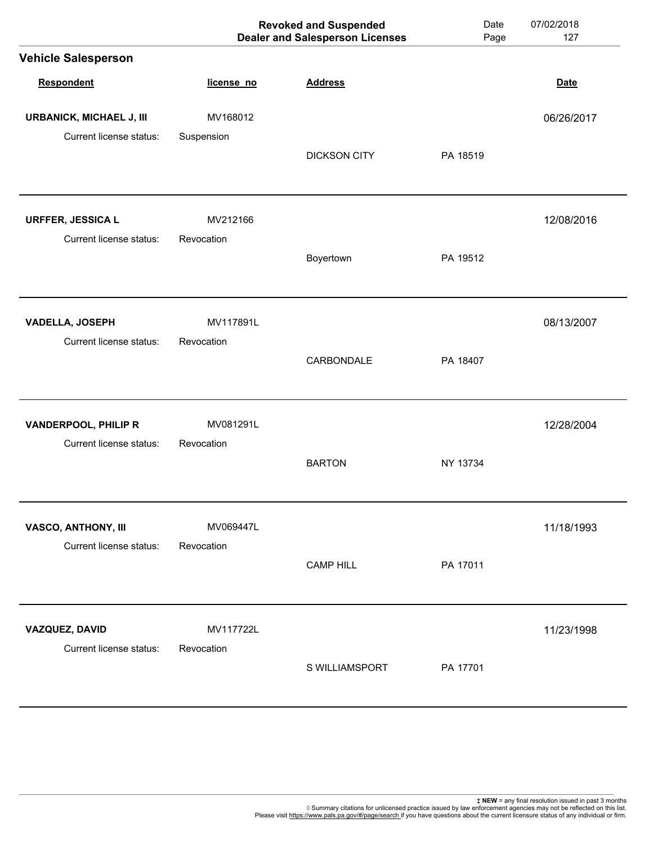|                                              |                        | <b>Revoked and Suspended</b><br><b>Dealer and Salesperson Licenses</b> | Date<br>Page | 07/02/2018<br>127 |
|----------------------------------------------|------------------------|------------------------------------------------------------------------|--------------|-------------------|
| <b>Vehicle Salesperson</b>                   |                        |                                                                        |              |                   |
| Respondent                                   | license_no             | <b>Address</b>                                                         |              | <b>Date</b>       |
| <b>URBANICK, MICHAEL J, III</b>              | MV168012               |                                                                        |              | 06/26/2017        |
| Current license status:                      | Suspension             | <b>DICKSON CITY</b>                                                    | PA 18519     |                   |
| URFFER, JESSICA L<br>Current license status: | MV212166<br>Revocation |                                                                        |              | 12/08/2016        |
|                                              |                        | Boyertown                                                              | PA 19512     |                   |
| <b>VADELLA, JOSEPH</b>                       | MV117891L              |                                                                        |              | 08/13/2007        |
| Current license status:                      | Revocation             | CARBONDALE                                                             | PA 18407     |                   |
| <b>VANDERPOOL, PHILIP R</b>                  | MV081291L              |                                                                        |              | 12/28/2004        |
| Current license status:                      | Revocation             | <b>BARTON</b>                                                          | NY 13734     |                   |
| <b>VASCO, ANTHONY, III</b>                   | MV069447L              |                                                                        |              | 11/18/1993        |
| Current license status:                      | Revocation             | <b>CAMP HILL</b>                                                       | PA 17011     |                   |
| VAZQUEZ, DAVID                               | MV117722L              |                                                                        |              | 11/23/1998        |
| Current license status:                      | Revocation             | S WILLIAMSPORT                                                         | PA 17701     |                   |
|                                              |                        |                                                                        |              |                   |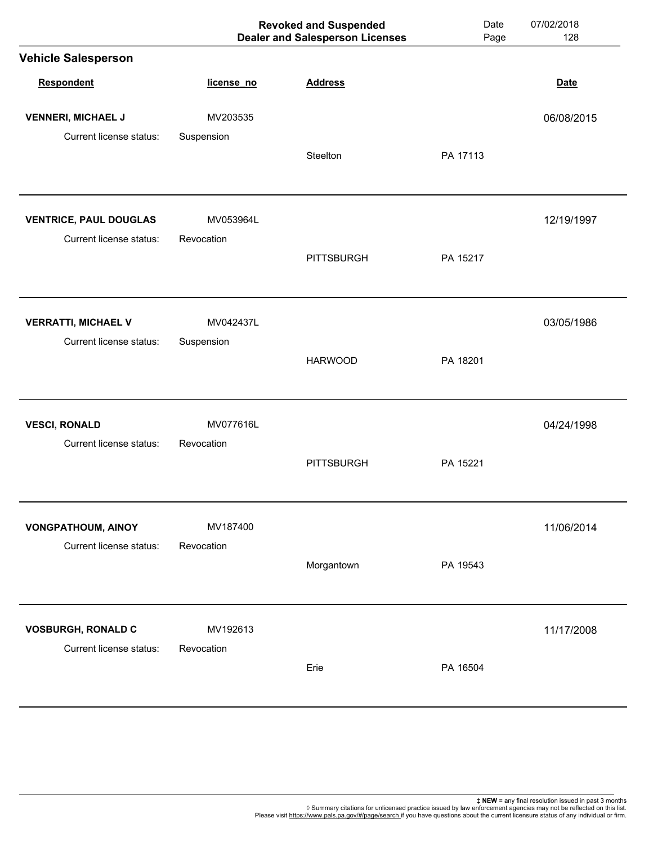|                               |            | <b>Revoked and Suspended</b><br><b>Dealer and Salesperson Licenses</b> | Date<br>Page | 07/02/2018<br>128 |
|-------------------------------|------------|------------------------------------------------------------------------|--------------|-------------------|
| <b>Vehicle Salesperson</b>    |            |                                                                        |              |                   |
| Respondent                    | license_no | <b>Address</b>                                                         |              | <b>Date</b>       |
| <b>VENNERI, MICHAEL J</b>     | MV203535   |                                                                        |              | 06/08/2015        |
| Current license status:       | Suspension | Steelton                                                               | PA 17113     |                   |
| <b>VENTRICE, PAUL DOUGLAS</b> | MV053964L  |                                                                        |              | 12/19/1997        |
| Current license status:       | Revocation | <b>PITTSBURGH</b>                                                      | PA 15217     |                   |
| <b>VERRATTI, MICHAEL V</b>    | MV042437L  |                                                                        |              | 03/05/1986        |
| Current license status:       | Suspension | <b>HARWOOD</b>                                                         | PA 18201     |                   |
| <b>VESCI, RONALD</b>          | MV077616L  |                                                                        |              | 04/24/1998        |
| Current license status:       | Revocation | <b>PITTSBURGH</b>                                                      | PA 15221     |                   |
| <b>VONGPATHOUM, AINOY</b>     | MV187400   |                                                                        |              | 11/06/2014        |
| Current license status:       | Revocation | Morgantown                                                             | PA 19543     |                   |
| <b>VOSBURGH, RONALD C</b>     | MV192613   |                                                                        |              | 11/17/2008        |
| Current license status:       | Revocation | Erie                                                                   | PA 16504     |                   |
|                               |            |                                                                        |              |                   |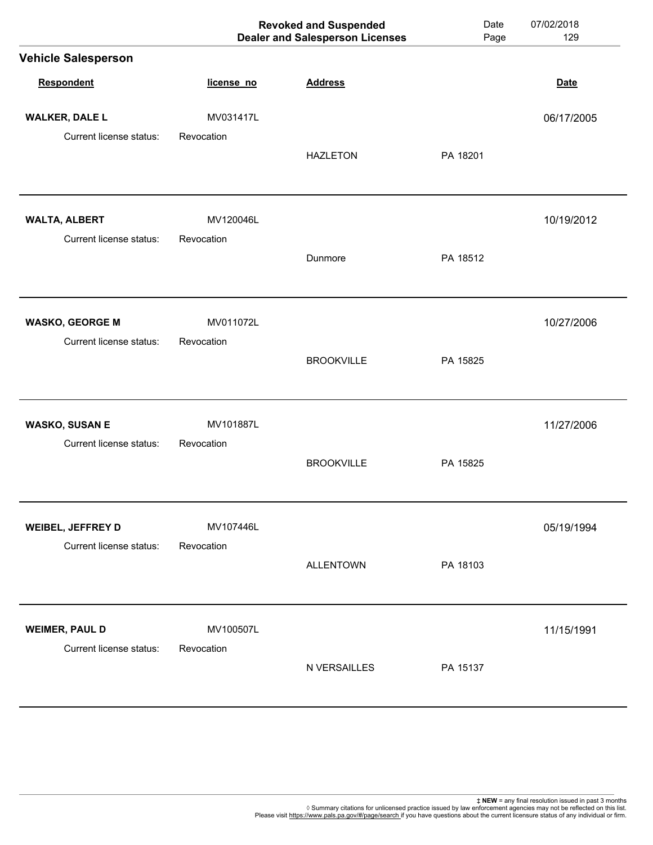|                                                 | <b>Revoked and Suspended</b><br><b>Dealer and Salesperson Licenses</b> |                   | Date<br>Page | 07/02/2018<br>129 |
|-------------------------------------------------|------------------------------------------------------------------------|-------------------|--------------|-------------------|
| <b>Vehicle Salesperson</b>                      |                                                                        |                   |              |                   |
| Respondent                                      | license_no                                                             | <b>Address</b>    |              | <b>Date</b>       |
| <b>WALKER, DALE L</b>                           | MV031417L                                                              |                   |              | 06/17/2005        |
| Current license status:                         | Revocation                                                             | <b>HAZLETON</b>   | PA 18201     |                   |
| <b>WALTA, ALBERT</b><br>Current license status: | MV120046L<br>Revocation                                                |                   |              | 10/19/2012        |
|                                                 |                                                                        | Dunmore           | PA 18512     |                   |
| <b>WASKO, GEORGE M</b>                          | MV011072L                                                              |                   |              | 10/27/2006        |
| Current license status:                         | Revocation                                                             | <b>BROOKVILLE</b> | PA 15825     |                   |
| <b>WASKO, SUSAN E</b>                           | MV101887L                                                              |                   |              | 11/27/2006        |
| Current license status:                         | Revocation                                                             | <b>BROOKVILLE</b> | PA 15825     |                   |
| WEIBEL, JEFFREY D                               | MV107446L                                                              |                   |              | 05/19/1994        |
| Current license status:                         | Revocation                                                             | <b>ALLENTOWN</b>  | PA 18103     |                   |
| <b>WEIMER, PAUL D</b>                           | MV100507L                                                              |                   |              | 11/15/1991        |
| Current license status:                         | Revocation                                                             | N VERSAILLES      | PA 15137     |                   |
|                                                 |                                                                        |                   |              |                   |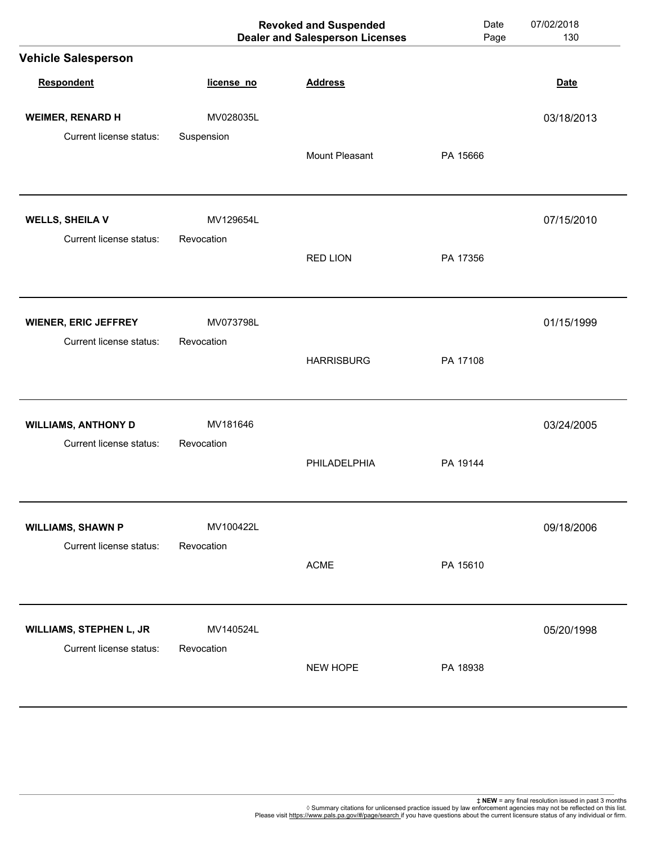|                                                   | <b>Revoked and Suspended</b><br><b>Dealer and Salesperson Licenses</b> |                   | Date<br>Page | 07/02/2018<br>130 |
|---------------------------------------------------|------------------------------------------------------------------------|-------------------|--------------|-------------------|
| <b>Vehicle Salesperson</b>                        |                                                                        |                   |              |                   |
| <b>Respondent</b>                                 | license_no                                                             | <b>Address</b>    |              | <b>Date</b>       |
| <b>WEIMER, RENARD H</b>                           | MV028035L                                                              |                   |              | 03/18/2013        |
| Current license status:                           | Suspension                                                             | Mount Pleasant    | PA 15666     |                   |
| <b>WELLS, SHEILA V</b><br>Current license status: | MV129654L                                                              |                   |              | 07/15/2010        |
|                                                   | Revocation                                                             | <b>RED LION</b>   | PA 17356     |                   |
| <b>WIENER, ERIC JEFFREY</b>                       | MV073798L                                                              |                   |              | 01/15/1999        |
| Current license status:                           | Revocation                                                             | <b>HARRISBURG</b> | PA 17108     |                   |
| <b>WILLIAMS, ANTHONY D</b>                        | MV181646                                                               |                   |              | 03/24/2005        |
| Current license status:                           | Revocation                                                             | PHILADELPHIA      | PA 19144     |                   |
| <b>WILLIAMS, SHAWN P</b>                          | MV100422L                                                              |                   |              | 09/18/2006        |
| Current license status:                           | Revocation                                                             | <b>ACME</b>       | PA 15610     |                   |
| <b>WILLIAMS, STEPHEN L, JR</b>                    | MV140524L                                                              |                   |              | 05/20/1998        |
| Current license status:                           | Revocation                                                             | NEW HOPE          | PA 18938     |                   |
|                                                   |                                                                        |                   |              |                   |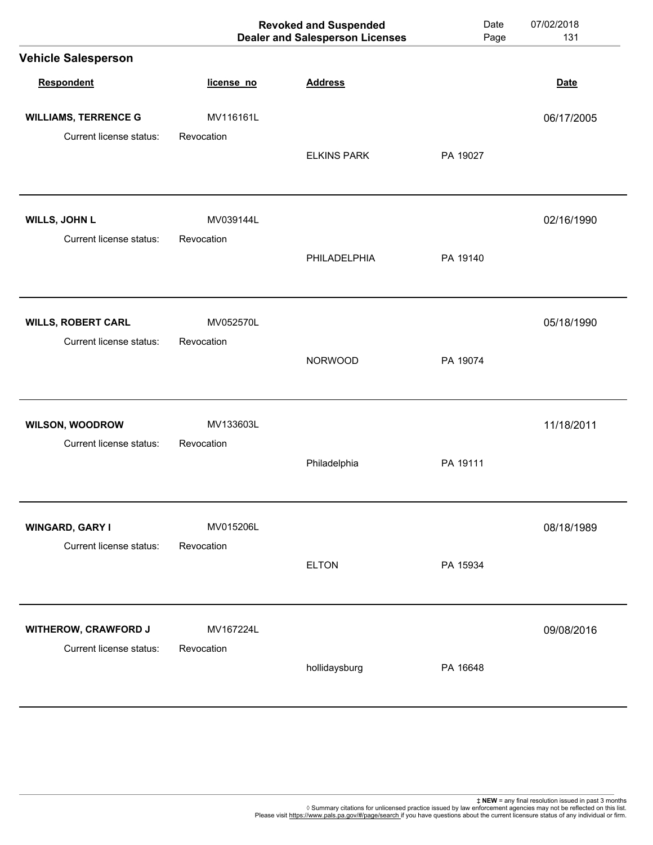|                                                 | <b>Revoked and Suspended</b><br><b>Dealer and Salesperson Licenses</b> |                    | Date<br>Page | 07/02/2018<br>131 |
|-------------------------------------------------|------------------------------------------------------------------------|--------------------|--------------|-------------------|
| <b>Vehicle Salesperson</b>                      |                                                                        |                    |              |                   |
| Respondent                                      | license_no                                                             | <b>Address</b>     |              | <b>Date</b>       |
| <b>WILLIAMS, TERRENCE G</b>                     | MV116161L                                                              |                    |              | 06/17/2005        |
| Current license status:                         | Revocation                                                             | <b>ELKINS PARK</b> | PA 19027     |                   |
| <b>WILLS, JOHN L</b><br>Current license status: | MV039144L<br>Revocation                                                |                    |              | 02/16/1990        |
|                                                 |                                                                        | PHILADELPHIA       | PA 19140     |                   |
| <b>WILLS, ROBERT CARL</b>                       | MV052570L                                                              |                    |              | 05/18/1990        |
| Current license status:                         | Revocation                                                             | <b>NORWOOD</b>     | PA 19074     |                   |
| <b>WILSON, WOODROW</b>                          | MV133603L                                                              |                    |              | 11/18/2011        |
| Current license status:                         | Revocation                                                             | Philadelphia       | PA 19111     |                   |
| WINGARD, GARY I                                 | MV015206L                                                              |                    |              | 08/18/1989        |
| Current license status:                         | Revocation                                                             | <b>ELTON</b>       | PA 15934     |                   |
| <b>WITHEROW, CRAWFORD J</b>                     | MV167224L                                                              |                    |              | 09/08/2016        |
| Current license status:                         | Revocation                                                             | hollidaysburg      | PA 16648     |                   |
|                                                 |                                                                        |                    |              |                   |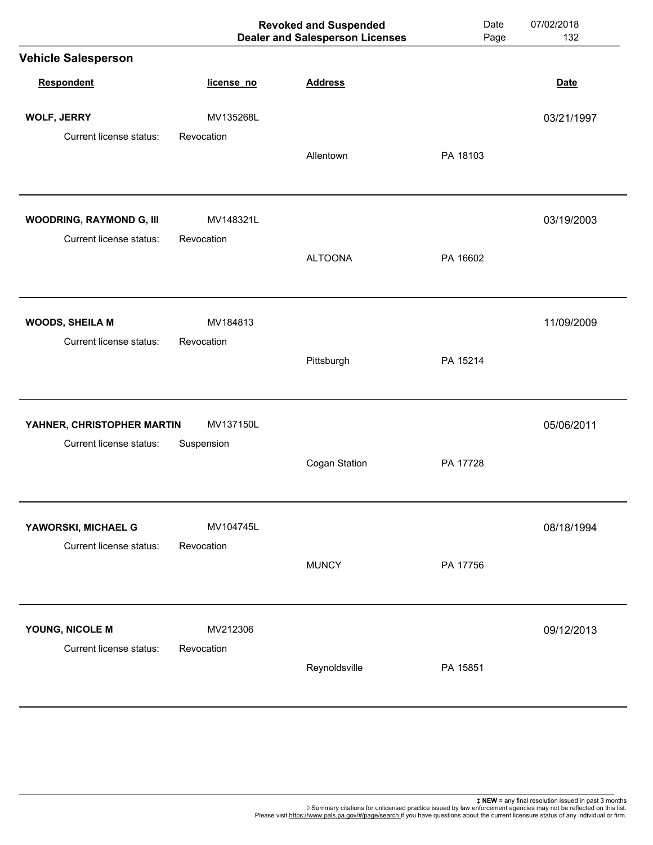|                                                            |                         | <b>Revoked and Suspended</b><br><b>Dealer and Salesperson Licenses</b> | Date<br>Page | 07/02/2018<br>132 |
|------------------------------------------------------------|-------------------------|------------------------------------------------------------------------|--------------|-------------------|
| <b>Vehicle Salesperson</b>                                 |                         |                                                                        |              |                   |
| Respondent                                                 | license_no              | <b>Address</b>                                                         |              | <b>Date</b>       |
| <b>WOLF, JERRY</b>                                         | MV135268L               |                                                                        |              | 03/21/1997        |
| Current license status:                                    | Revocation              | Allentown                                                              | PA 18103     |                   |
| <b>WOODRING, RAYMOND G, III</b><br>Current license status: | MV148321L<br>Revocation |                                                                        |              | 03/19/2003        |
|                                                            |                         | <b>ALTOONA</b>                                                         | PA 16602     |                   |
| <b>WOODS, SHEILA M</b>                                     | MV184813                |                                                                        |              | 11/09/2009        |
| Current license status:                                    | Revocation              | Pittsburgh                                                             | PA 15214     |                   |
| YAHNER, CHRISTOPHER MARTIN                                 | MV137150L               |                                                                        |              | 05/06/2011        |
| Current license status:                                    | Suspension              | Cogan Station                                                          | PA 17728     |                   |
| YAWORSKI, MICHAEL G                                        | MV104745L               |                                                                        |              | 08/18/1994        |
| Current license status:                                    | Revocation              | <b>MUNCY</b>                                                           | PA 17756     |                   |
| YOUNG, NICOLE M                                            | MV212306                |                                                                        |              | 09/12/2013        |
| Current license status:                                    | Revocation              | Reynoldsville                                                          | PA 15851     |                   |
|                                                            |                         |                                                                        |              |                   |